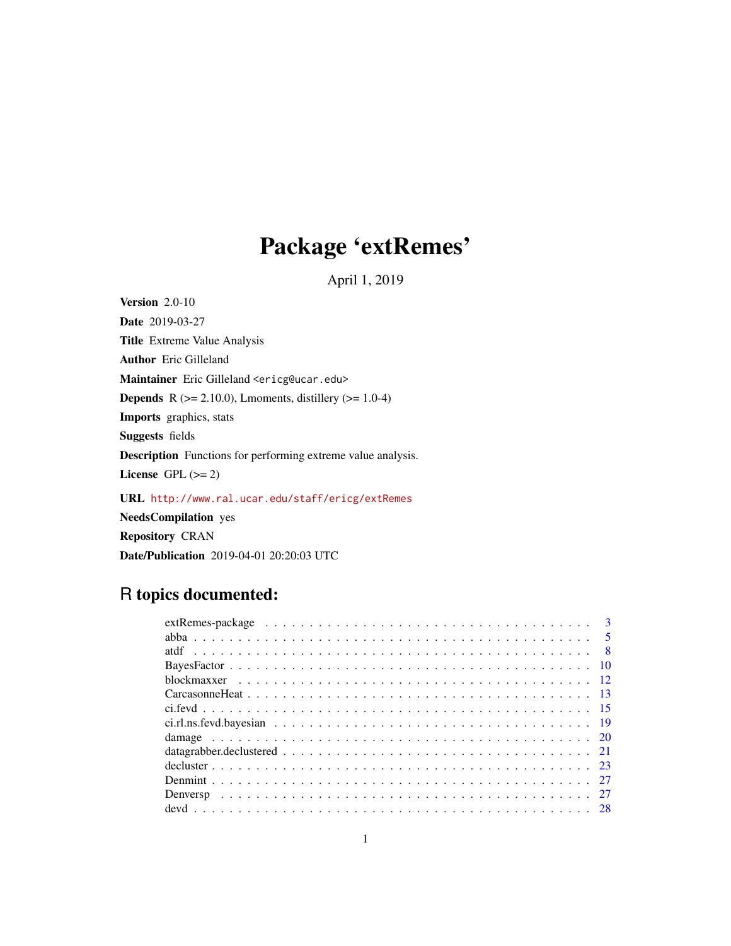# Package 'extRemes'

April 1, 2019

<span id="page-0-0"></span>Version 2.0-10 Date 2019-03-27 Title Extreme Value Analysis Author Eric Gilleland Maintainer Eric Gilleland <ericg@ucar.edu> **Depends** R ( $>= 2.10.0$ ), Lmoments, distillery ( $>= 1.0-4$ ) Imports graphics, stats Suggests fields Description Functions for performing extreme value analysis. License GPL  $(>= 2)$ 

URL <http://www.ral.ucar.edu/staff/ericg/extRemes> NeedsCompilation yes Repository CRAN

Date/Publication 2019-04-01 20:20:03 UTC

# R topics documented:

| extRemes-package $\ldots \ldots \ldots \ldots \ldots \ldots \ldots \ldots \ldots \ldots \ldots \ldots \ldots$ |  |
|---------------------------------------------------------------------------------------------------------------|--|
|                                                                                                               |  |
|                                                                                                               |  |
|                                                                                                               |  |
|                                                                                                               |  |
|                                                                                                               |  |
|                                                                                                               |  |
|                                                                                                               |  |
|                                                                                                               |  |
|                                                                                                               |  |
|                                                                                                               |  |
|                                                                                                               |  |
|                                                                                                               |  |
|                                                                                                               |  |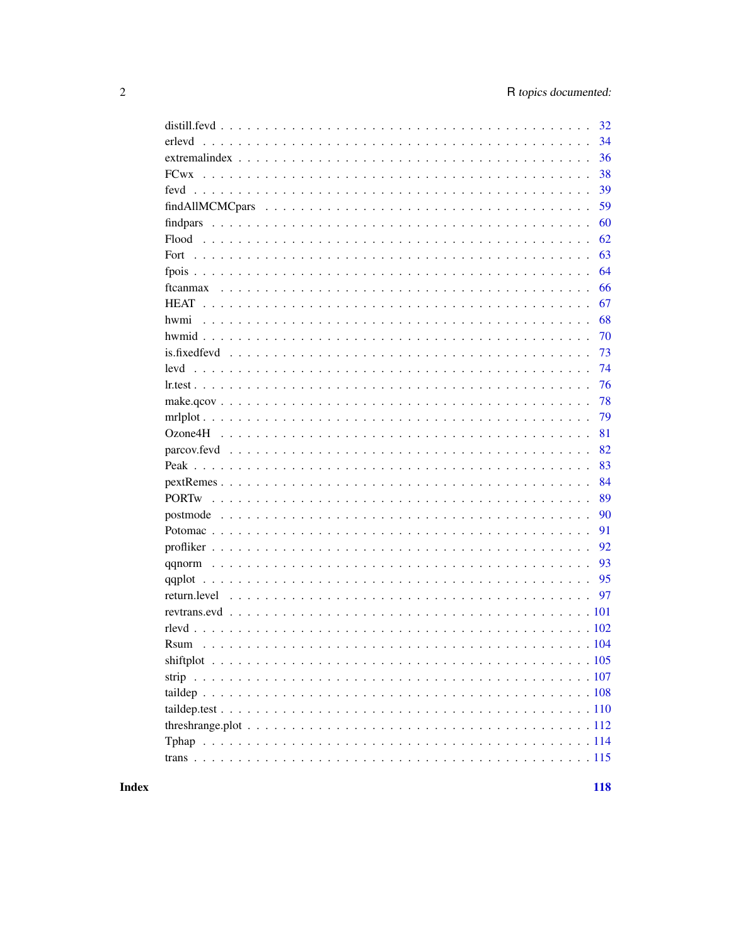| 32           |
|--------------|
| erlevd<br>34 |
| 36           |
| 38           |
| 39           |
| 59           |
| 60           |
| 62           |
| 63           |
| 64           |
| 66           |
| 67           |
| 68<br>hwmi   |
| 70           |
| 73           |
| 74<br>levd   |
| 76           |
| 78           |
| 79           |
| 81           |
| 82           |
| 83           |
| 84           |
| 89           |
| 90           |
| 91           |
| 92           |
| 93           |
| 95           |
| 97           |
|              |
|              |
|              |
|              |
|              |
|              |
|              |
|              |
|              |
|              |

**Index**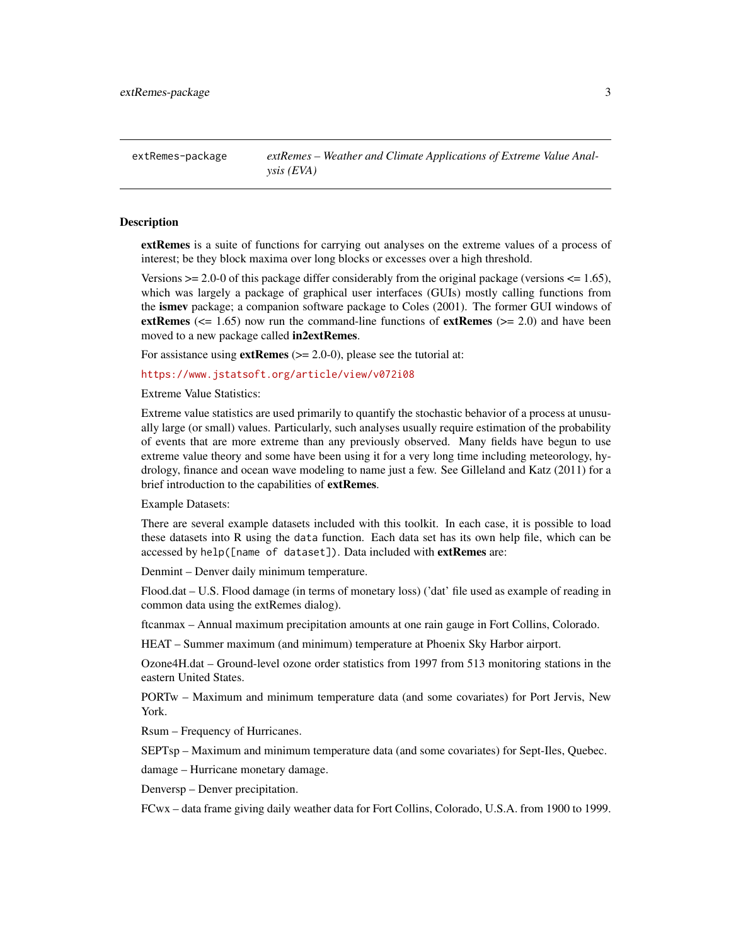<span id="page-2-0"></span>extRemes-package *extRemes – Weather and Climate Applications of Extreme Value Analysis (EVA)*

#### **Description**

extRemes is a suite of functions for carrying out analyses on the extreme values of a process of interest; be they block maxima over long blocks or excesses over a high threshold.

Versions  $\ge$  2.0-0 of this package differ considerably from the original package (versions  $\le$  1.65), which was largely a package of graphical user interfaces (GUIs) mostly calling functions from the ismev package; a companion software package to Coles (2001). The former GUI windows of extRemes ( $\leq$  1.65) now run the command-line functions of extRemes ( $\geq$  2.0) and have been moved to a new package called in2extRemes.

For assistance using  $ext{Remes}$  ( $>= 2.0-0$ ), please see the tutorial at:

<https://www.jstatsoft.org/article/view/v072i08>

Extreme Value Statistics:

Extreme value statistics are used primarily to quantify the stochastic behavior of a process at unusually large (or small) values. Particularly, such analyses usually require estimation of the probability of events that are more extreme than any previously observed. Many fields have begun to use extreme value theory and some have been using it for a very long time including meteorology, hydrology, finance and ocean wave modeling to name just a few. See Gilleland and Katz (2011) for a brief introduction to the capabilities of extRemes.

Example Datasets:

There are several example datasets included with this toolkit. In each case, it is possible to load these datasets into R using the data function. Each data set has its own help file, which can be accessed by help([name of dataset]). Data included with extRemes are:

Denmint – Denver daily minimum temperature.

Flood.dat – U.S. Flood damage (in terms of monetary loss) ('dat' file used as example of reading in common data using the extRemes dialog).

ftcanmax – Annual maximum precipitation amounts at one rain gauge in Fort Collins, Colorado.

HEAT – Summer maximum (and minimum) temperature at Phoenix Sky Harbor airport.

Ozone4H.dat – Ground-level ozone order statistics from 1997 from 513 monitoring stations in the eastern United States.

PORTw – Maximum and minimum temperature data (and some covariates) for Port Jervis, New York.

Rsum – Frequency of Hurricanes.

SEPTsp – Maximum and minimum temperature data (and some covariates) for Sept-Iles, Quebec.

damage – Hurricane monetary damage.

Denversp – Denver precipitation.

FCwx – data frame giving daily weather data for Fort Collins, Colorado, U.S.A. from 1900 to 1999.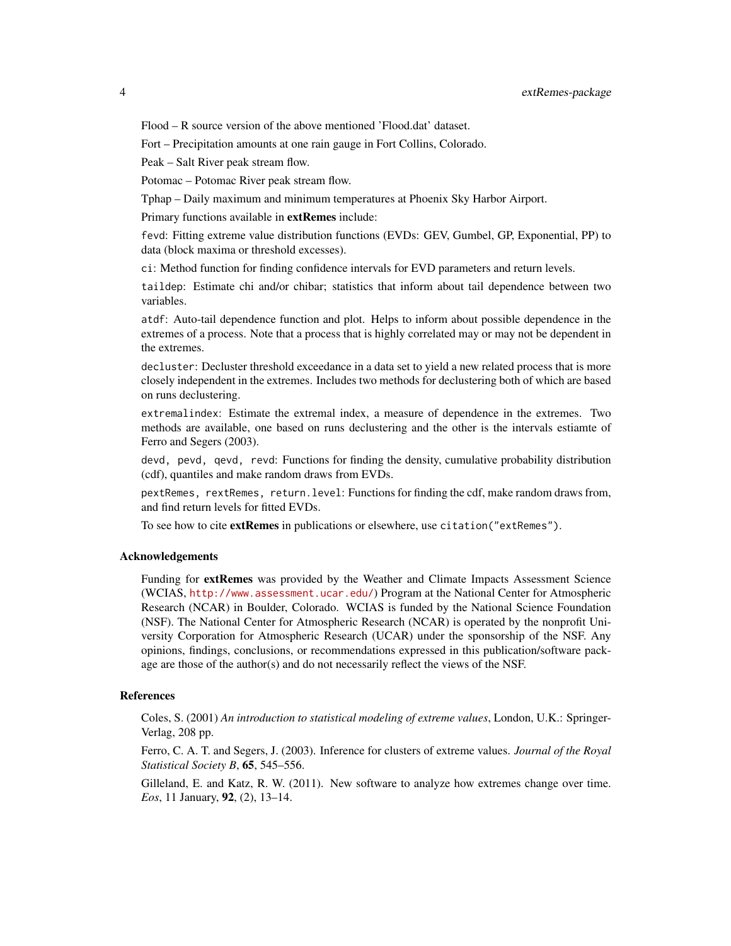Flood – R source version of the above mentioned 'Flood.dat' dataset.

Fort – Precipitation amounts at one rain gauge in Fort Collins, Colorado.

Peak – Salt River peak stream flow.

Potomac – Potomac River peak stream flow.

Tphap – Daily maximum and minimum temperatures at Phoenix Sky Harbor Airport.

Primary functions available in extRemes include:

fevd: Fitting extreme value distribution functions (EVDs: GEV, Gumbel, GP, Exponential, PP) to data (block maxima or threshold excesses).

ci: Method function for finding confidence intervals for EVD parameters and return levels.

taildep: Estimate chi and/or chibar; statistics that inform about tail dependence between two variables.

atdf: Auto-tail dependence function and plot. Helps to inform about possible dependence in the extremes of a process. Note that a process that is highly correlated may or may not be dependent in the extremes.

decluster: Decluster threshold exceedance in a data set to yield a new related process that is more closely independent in the extremes. Includes two methods for declustering both of which are based on runs declustering.

extremalindex: Estimate the extremal index, a measure of dependence in the extremes. Two methods are available, one based on runs declustering and the other is the intervals estiamte of Ferro and Segers (2003).

devd, pevd, qevd, revd: Functions for finding the density, cumulative probability distribution (cdf), quantiles and make random draws from EVDs.

pextRemes, rextRemes, return.level: Functions for finding the cdf, make random draws from, and find return levels for fitted EVDs.

To see how to cite extRemes in publications or elsewhere, use citation("extRemes").

#### Acknowledgements

Funding for **extRemes** was provided by the Weather and Climate Impacts Assessment Science (WCIAS, <http://www.assessment.ucar.edu/>) Program at the National Center for Atmospheric Research (NCAR) in Boulder, Colorado. WCIAS is funded by the National Science Foundation (NSF). The National Center for Atmospheric Research (NCAR) is operated by the nonprofit University Corporation for Atmospheric Research (UCAR) under the sponsorship of the NSF. Any opinions, findings, conclusions, or recommendations expressed in this publication/software package are those of the author(s) and do not necessarily reflect the views of the NSF.

#### References

Coles, S. (2001) *An introduction to statistical modeling of extreme values*, London, U.K.: Springer-Verlag, 208 pp.

Ferro, C. A. T. and Segers, J. (2003). Inference for clusters of extreme values. *Journal of the Royal Statistical Society B*, 65, 545–556.

Gilleland, E. and Katz, R. W. (2011). New software to analyze how extremes change over time. *Eos*, 11 January, 92, (2), 13–14.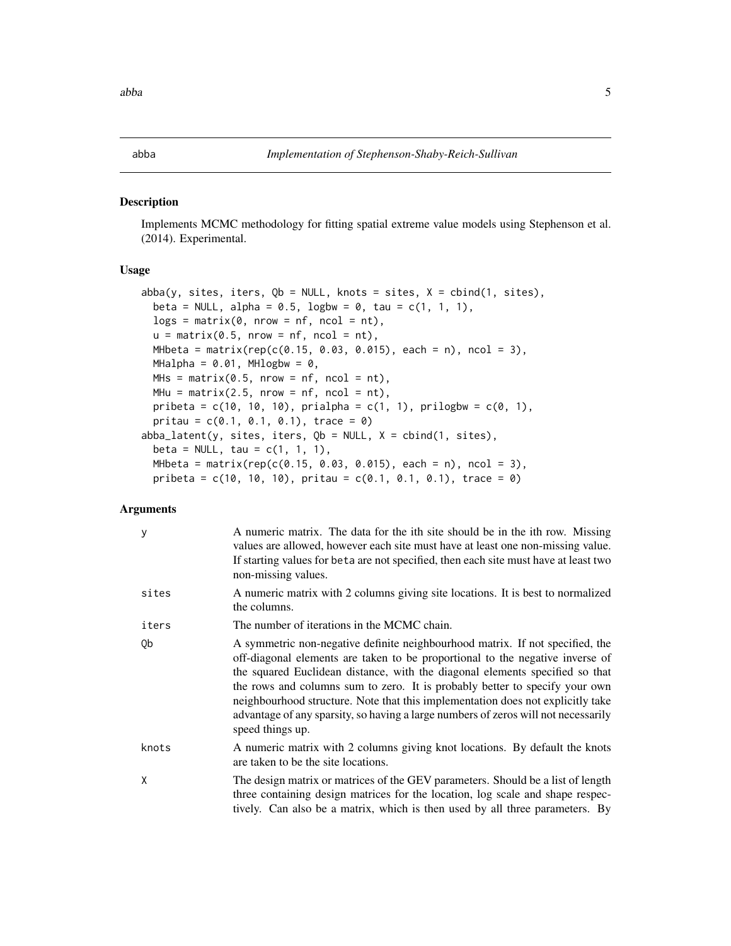#### <span id="page-4-0"></span>abba *Implementation of Stephenson-Shaby-Reich-Sullivan*

#### Description

Implements MCMC methodology for fitting spatial extreme value models using Stephenson et al. (2014). Experimental.

#### Usage

```
abba(y, sites, iters, Qb = NULL, knots = sites, X = \text{cbind}(1, \text{sites}),
 beta = NULL, alpha = 0.5, logbw = 0, tau = c(1, 1, 1),
  logs = matrix(0, nrow = nf, ncol = nt),u = matrix(0.5, nrow = nf, ncol = nt),MHbeta = matrix(rep(c(0.15, 0.03, 0.015), each = n), ncol = 3),MHalpha = 0.01, MHlogbw = 0,
 MHS = matrix(0.5, nrow = nf, ncol = nt),MHu = matrix(2.5, nrow = nf, ncol = nt),
 pribeta = c(10, 10, 10), prialpha = c(1, 1), prilogbw = c(0, 1),
  pritau = c(0.1, 0.1, 0.1), trace = 0)
abba_latent(y, sites, iters, Qb = NULL, X = child(1, sites),
 beta = NULL, tau = c(1, 1, 1),
 MHbeta = matrix(rep(c(0.15, 0.03, 0.015), each = n), ncol = 3),
 pribeta = c(10, 10, 10), pritau = c(0.1, 0.1, 0.1), trace = 0)
```
#### Arguments

| y     | A numeric matrix. The data for the ith site should be in the ith row. Missing<br>values are allowed, however each site must have at least one non-missing value.<br>If starting values for beta are not specified, then each site must have at least two<br>non-missing values.                                                                                                                                                                                                                                            |
|-------|----------------------------------------------------------------------------------------------------------------------------------------------------------------------------------------------------------------------------------------------------------------------------------------------------------------------------------------------------------------------------------------------------------------------------------------------------------------------------------------------------------------------------|
| sites | A numeric matrix with 2 columns giving site locations. It is best to normalized<br>the columns.                                                                                                                                                                                                                                                                                                                                                                                                                            |
| iters | The number of iterations in the MCMC chain.                                                                                                                                                                                                                                                                                                                                                                                                                                                                                |
| Qb    | A symmetric non-negative definite neighbourhood matrix. If not specified, the<br>off-diagonal elements are taken to be proportional to the negative inverse of<br>the squared Euclidean distance, with the diagonal elements specified so that<br>the rows and columns sum to zero. It is probably better to specify your own<br>neighbourhood structure. Note that this implementation does not explicitly take<br>advantage of any sparsity, so having a large numbers of zeros will not necessarily<br>speed things up. |
| knots | A numeric matrix with 2 columns giving knot locations. By default the knots<br>are taken to be the site locations.                                                                                                                                                                                                                                                                                                                                                                                                         |
| X     | The design matrix or matrices of the GEV parameters. Should be a list of length<br>three containing design matrices for the location, log scale and shape respec-<br>tively. Can also be a matrix, which is then used by all three parameters. By                                                                                                                                                                                                                                                                          |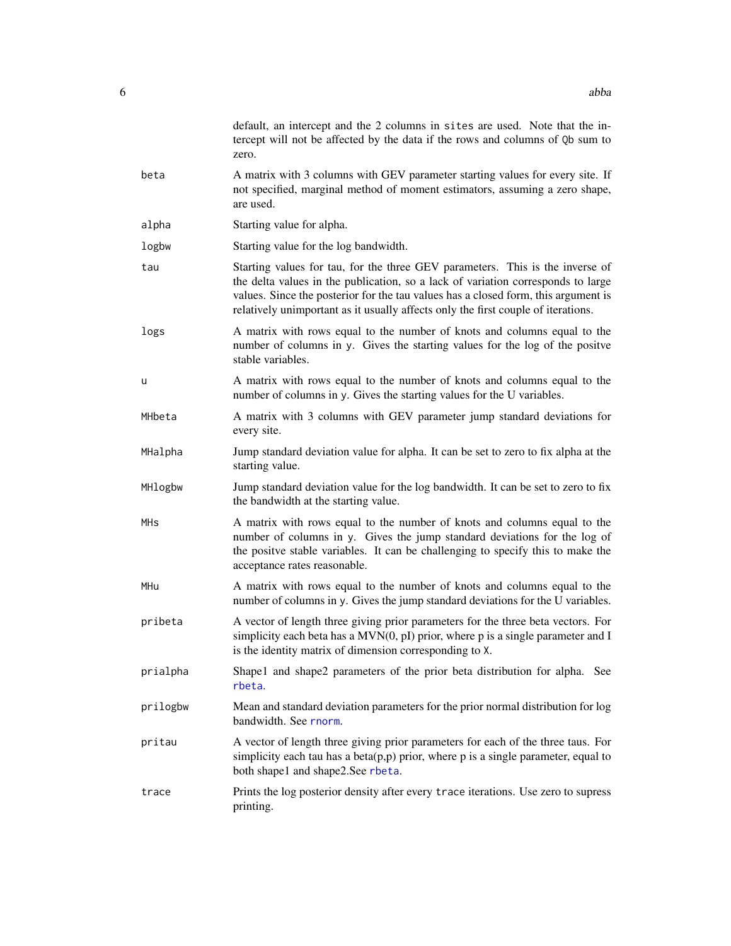|          | default, an intercept and the 2 columns in sites are used. Note that the in-<br>tercept will not be affected by the data if the rows and columns of Qb sum to<br>zero.                                                                                                                                                                       |
|----------|----------------------------------------------------------------------------------------------------------------------------------------------------------------------------------------------------------------------------------------------------------------------------------------------------------------------------------------------|
| beta     | A matrix with 3 columns with GEV parameter starting values for every site. If<br>not specified, marginal method of moment estimators, assuming a zero shape,<br>are used.                                                                                                                                                                    |
| alpha    | Starting value for alpha.                                                                                                                                                                                                                                                                                                                    |
| logbw    | Starting value for the log bandwidth.                                                                                                                                                                                                                                                                                                        |
| tau      | Starting values for tau, for the three GEV parameters. This is the inverse of<br>the delta values in the publication, so a lack of variation corresponds to large<br>values. Since the posterior for the tau values has a closed form, this argument is<br>relatively unimportant as it usually affects only the first couple of iterations. |
| logs     | A matrix with rows equal to the number of knots and columns equal to the<br>number of columns in y. Gives the starting values for the log of the positve<br>stable variables.                                                                                                                                                                |
| u        | A matrix with rows equal to the number of knots and columns equal to the<br>number of columns in y. Gives the starting values for the U variables.                                                                                                                                                                                           |
| MHbeta   | A matrix with 3 columns with GEV parameter jump standard deviations for<br>every site.                                                                                                                                                                                                                                                       |
| MHalpha  | Jump standard deviation value for alpha. It can be set to zero to fix alpha at the<br>starting value.                                                                                                                                                                                                                                        |
| MHlogbw  | Jump standard deviation value for the log bandwidth. It can be set to zero to fix<br>the bandwidth at the starting value.                                                                                                                                                                                                                    |
| MHs      | A matrix with rows equal to the number of knots and columns equal to the<br>number of columns in y. Gives the jump standard deviations for the log of<br>the positve stable variables. It can be challenging to specify this to make the<br>acceptance rates reasonable.                                                                     |
| MHu      | A matrix with rows equal to the number of knots and columns equal to the<br>number of columns in y. Gives the jump standard deviations for the U variables.                                                                                                                                                                                  |
| pribeta  | A vector of length three giving prior parameters for the three beta vectors. For<br>simplicity each beta has a $MVN(0, pI)$ prior, where p is a single parameter and I<br>is the identity matrix of dimension corresponding to X.                                                                                                            |
| prialpha | Shape1 and shape2 parameters of the prior beta distribution for alpha. See<br>rbeta.                                                                                                                                                                                                                                                         |
| prilogbw | Mean and standard deviation parameters for the prior normal distribution for log<br>bandwidth. See rnorm.                                                                                                                                                                                                                                    |
| pritau   | A vector of length three giving prior parameters for each of the three taus. For<br>simplicity each tau has a beta $(p, p)$ prior, where $p$ is a single parameter, equal to<br>both shape1 and shape2.See rbeta.                                                                                                                            |
| trace    | Prints the log posterior density after every trace iterations. Use zero to supress<br>printing.                                                                                                                                                                                                                                              |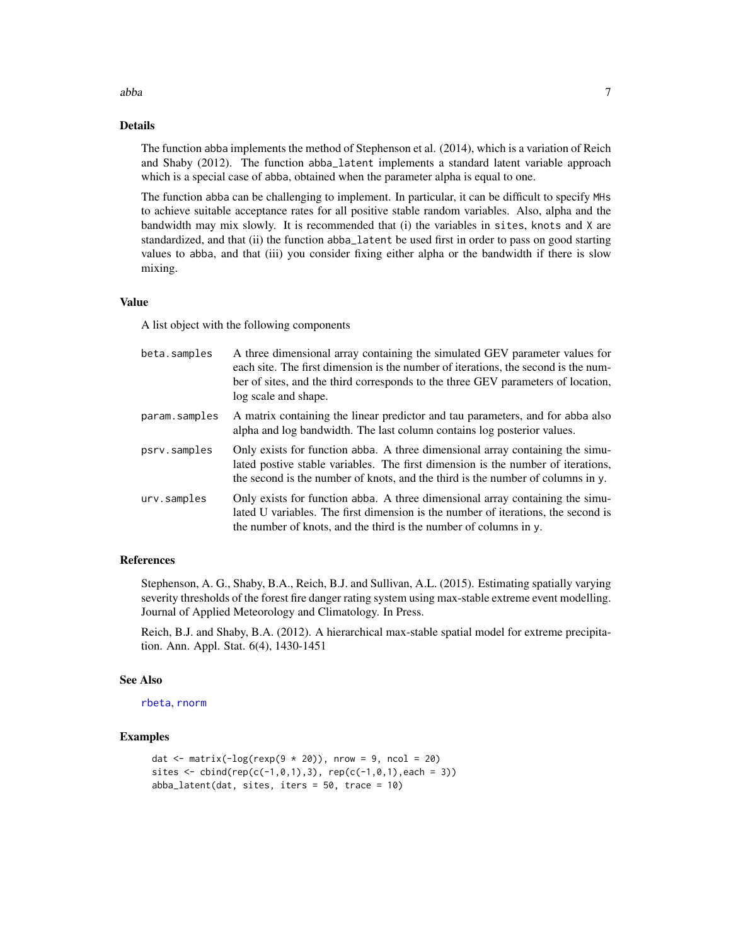#### abba *7*

#### Details

The function abba implements the method of Stephenson et al. (2014), which is a variation of Reich and Shaby (2012). The function abba\_latent implements a standard latent variable approach which is a special case of abba, obtained when the parameter alpha is equal to one.

The function abba can be challenging to implement. In particular, it can be difficult to specify MHs to achieve suitable acceptance rates for all positive stable random variables. Also, alpha and the bandwidth may mix slowly. It is recommended that (i) the variables in sites, knots and X are standardized, and that (ii) the function abba\_latent be used first in order to pass on good starting values to abba, and that (iii) you consider fixing either alpha or the bandwidth if there is slow mixing.

#### Value

A list object with the following components

| beta.samples  | A three dimensional array containing the simulated GEV parameter values for<br>each site. The first dimension is the number of iterations, the second is the num-<br>ber of sites, and the third corresponds to the three GEV parameters of location,<br>log scale and shape. |
|---------------|-------------------------------------------------------------------------------------------------------------------------------------------------------------------------------------------------------------------------------------------------------------------------------|
| param.samples | A matrix containing the linear predictor and tau parameters, and for abba also<br>alpha and log bandwidth. The last column contains log posterior values.                                                                                                                     |
| psrv.samples  | Only exists for function abba. A three dimensional array containing the simu-<br>lated postive stable variables. The first dimension is the number of iterations,<br>the second is the number of knots, and the third is the number of columns in y.                          |
| urv.samples   | Only exists for function abba. A three dimensional array containing the simu-<br>lated U variables. The first dimension is the number of iterations, the second is<br>the number of knots, and the third is the number of columns in y.                                       |

#### References

Stephenson, A. G., Shaby, B.A., Reich, B.J. and Sullivan, A.L. (2015). Estimating spatially varying severity thresholds of the forest fire danger rating system using max-stable extreme event modelling. Journal of Applied Meteorology and Climatology. In Press.

Reich, B.J. and Shaby, B.A. (2012). A hierarchical max-stable spatial model for extreme precipitation. Ann. Appl. Stat. 6(4), 1430-1451

#### See Also

[rbeta](#page-0-0), [rnorm](#page-0-0)

#### Examples

```
dat \le matrix(-log(rexp(9 \neq 20)), nrow = 9, ncol = 20)
sites \le cbind(rep(c(-1,0,1),3), rep(c(-1,0,1), each = 3))
abba_1latent(dat, sites, iters = 50, trace = 10)
```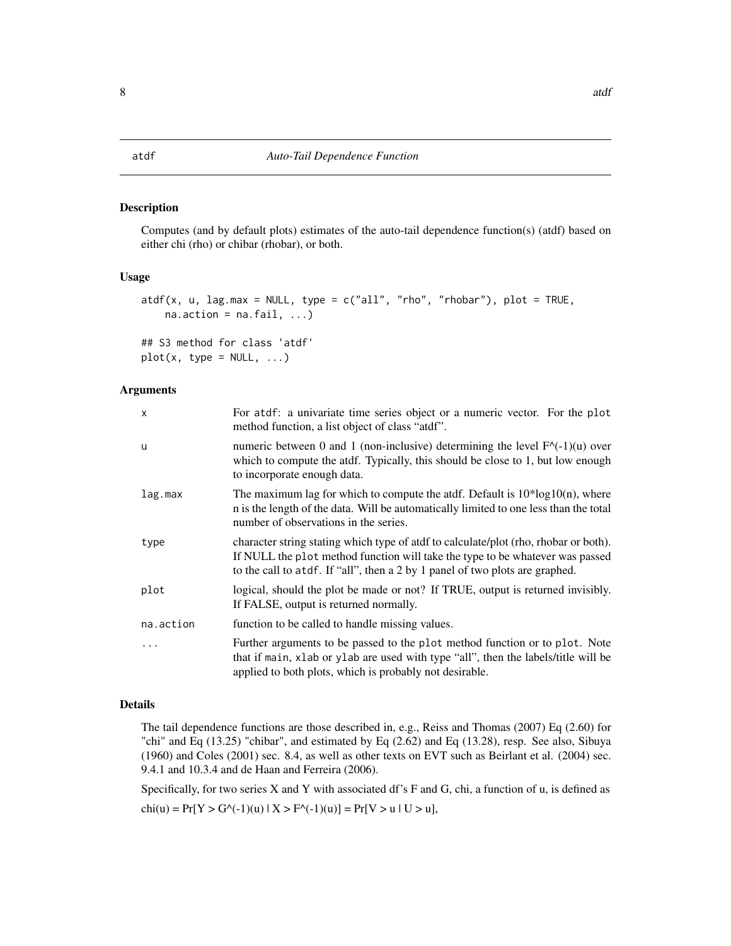#### <span id="page-7-0"></span>Description

Computes (and by default plots) estimates of the auto-tail dependence function(s) (atdf) based on either chi (rho) or chibar (rhobar), or both.

#### Usage

```
atdf(x, u, lag.max = NULL, type = c("all", "rho", "rhobar"), plot = TRUE,na. action = na. fail, ...)
```

```
## S3 method for class 'atdf'
plot(x, type = NULL, ...)
```
#### Arguments

| X         | For atdf: a univariate time series object or a numeric vector. For the plot<br>method function, a list object of class "atdf".                                                                                                                        |
|-----------|-------------------------------------------------------------------------------------------------------------------------------------------------------------------------------------------------------------------------------------------------------|
| u         | numeric between 0 and 1 (non-inclusive) determining the level $F^{\wedge}(-1)(u)$ over<br>which to compute the atdf. Typically, this should be close to 1, but low enough<br>to incorporate enough data.                                              |
| lag.max   | The maximum lag for which to compute the atdf. Default is $10*log10(n)$ , where<br>n is the length of the data. Will be automatically limited to one less than the total<br>number of observations in the series.                                     |
| type      | character string stating which type of atdf to calculate/plot (rho, rhobar or both).<br>If NULL the plot method function will take the type to be whatever was passed<br>to the call to atdf. If "all", then a 2 by 1 panel of two plots are graphed. |
| plot      | logical, should the plot be made or not? If TRUE, output is returned invisibly.<br>If FALSE, output is returned normally.                                                                                                                             |
| na.action | function to be called to handle missing values.                                                                                                                                                                                                       |
| .         | Further arguments to be passed to the plot method function or to plot. Note<br>that if main, xlab or ylab are used with type "all", then the labels/title will be<br>applied to both plots, which is probably not desirable.                          |

# Details

The tail dependence functions are those described in, e.g., Reiss and Thomas (2007) Eq (2.60) for "chi" and Eq (13.25) "chibar", and estimated by Eq (2.62) and Eq (13.28), resp. See also, Sibuya (1960) and Coles (2001) sec. 8.4, as well as other texts on EVT such as Beirlant et al. (2004) sec. 9.4.1 and 10.3.4 and de Haan and Ferreira (2006).

Specifically, for two series X and Y with associated df's F and G, chi, a function of u, is defined as  $chi(u) = Pr[Y > G^{-1}(u) | X > F^{-1}(u)] = Pr[V > u | U > u],$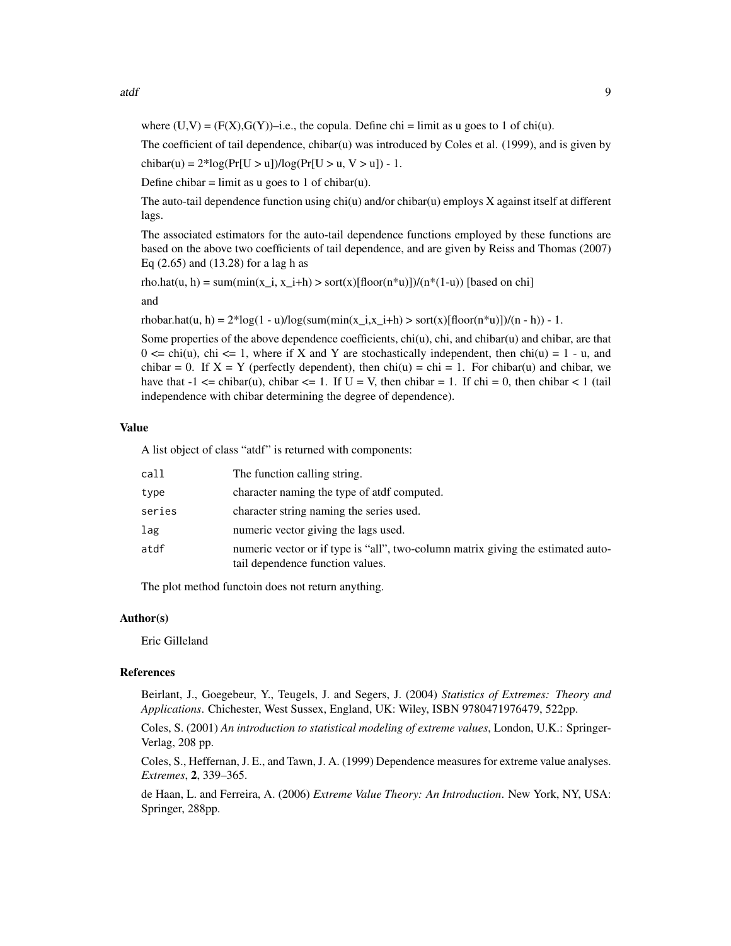where  $(U,V) = (F(X), G(Y))$ –i.e., the copula. Define chi = limit as u goes to 1 of chi(u).

The coefficient of tail dependence, chibar(u) was introduced by Coles et al. (1999), and is given by

chibar(u) =  $2*log(Pr[U > u])/log(Pr[U > u, V > u]) - 1$ .

Define chibar = limit as u goes to 1 of chibar(u).

The auto-tail dependence function using  $chi(u)$  and/or chibar(u) employs X against itself at different lags.

The associated estimators for the auto-tail dependence functions employed by these functions are based on the above two coefficients of tail dependence, and are given by Reiss and Thomas (2007) Eq (2.65) and (13.28) for a lag h as

```
rho.hat(u, h) = sum(min(x_i, x_i+h) > sort(x)[floor(n*u)])/(n*(1-u)) [based on chi]
```
and

rhobar.hat(u, h) =  $2*log(1 - u)/log(sum(min(x_i, x_i + h) > sort(x)[floor(n * u)])/(n - h)) - 1$ .

Some properties of the above dependence coefficients, chi(u), chi, and chibar(u) and chibar, are that  $0 \le \text{ch}(u)$ , chi  $\le 1$ , where if X and Y are stochastically independent, then chi(u) = 1 - u, and chibar = 0. If  $X = Y$  (perfectly dependent), then chi(u) = chi = 1. For chibar(u) and chibar, we have that  $-1 \leq$  chibar(u), chibar  $\leq$  1. If  $U = V$ , then chibar = 1. If chi = 0, then chibar  $\leq 1$  (tail independence with chibar determining the degree of dependence).

#### Value

A list object of class "atdf" is returned with components:

| call   | The function calling string.                                                                                         |
|--------|----------------------------------------------------------------------------------------------------------------------|
| type   | character naming the type of atdf computed.                                                                          |
| series | character string naming the series used.                                                                             |
| lag    | numeric vector giving the lags used.                                                                                 |
| atdf   | numeric vector or if type is "all", two-column matrix giving the estimated auto-<br>tail dependence function values. |

The plot method functoin does not return anything.

#### Author(s)

Eric Gilleland

#### References

Beirlant, J., Goegebeur, Y., Teugels, J. and Segers, J. (2004) *Statistics of Extremes: Theory and Applications*. Chichester, West Sussex, England, UK: Wiley, ISBN 9780471976479, 522pp.

Coles, S. (2001) *An introduction to statistical modeling of extreme values*, London, U.K.: Springer-Verlag, 208 pp.

Coles, S., Heffernan, J. E., and Tawn, J. A. (1999) Dependence measures for extreme value analyses. *Extremes*, 2, 339–365.

de Haan, L. and Ferreira, A. (2006) *Extreme Value Theory: An Introduction*. New York, NY, USA: Springer, 288pp.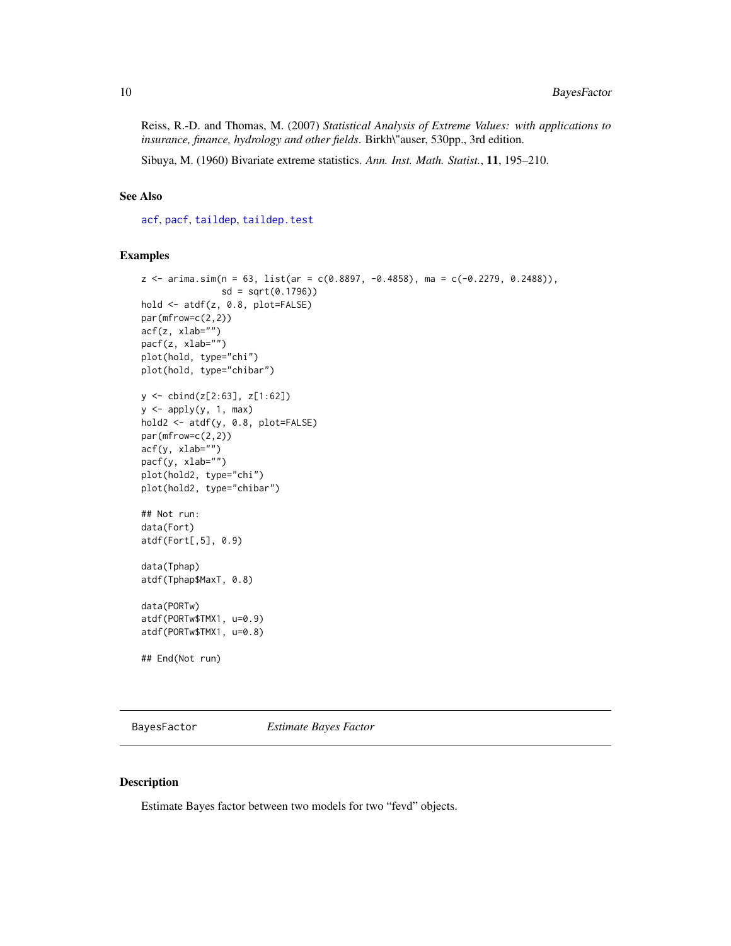<span id="page-9-0"></span>Reiss, R.-D. and Thomas, M. (2007) *Statistical Analysis of Extreme Values: with applications to insurance, finance, hydrology and other fields*. Birkh\"auser, 530pp., 3rd edition.

Sibuya, M. (1960) Bivariate extreme statistics. *Ann. Inst. Math. Statist.*, 11, 195–210.

# See Also

[acf](#page-0-0), [pacf](#page-0-0), [taildep](#page-107-1), [taildep.test](#page-109-1)

# Examples

```
z \le arima.sim(n = 63, list(ar = c(0.8897, -0.4858), ma = c(-0.2279, 0.2488)),
               sd = sqrt(0.1796)hold <- atdf(z, 0.8, plot=FALSE)
par(mfrow=c(2,2))
\text{acf}(z, x \text{lab="''}')pacf(z, xlab="")
plot(hold, type="chi")
plot(hold, type="chibar")
y <- cbind(z[2:63], z[1:62])
y \leftarrow apply(y, 1, max)hold2 <- atdf(y, 0.8, plot=FALSE)
par(mfrow=c(2,2))
acf(y, xlab="")
pacf(y, xlab="")
plot(hold2, type="chi")
plot(hold2, type="chibar")
## Not run:
data(Fort)
atdf(Fort[,5], 0.9)
data(Tphap)
atdf(Tphap$MaxT, 0.8)
data(PORTw)
atdf(PORTw$TMX1, u=0.9)
atdf(PORTw$TMX1, u=0.8)
## End(Not run)
```
BayesFactor *Estimate Bayes Factor*

# Description

Estimate Bayes factor between two models for two "fevd" objects.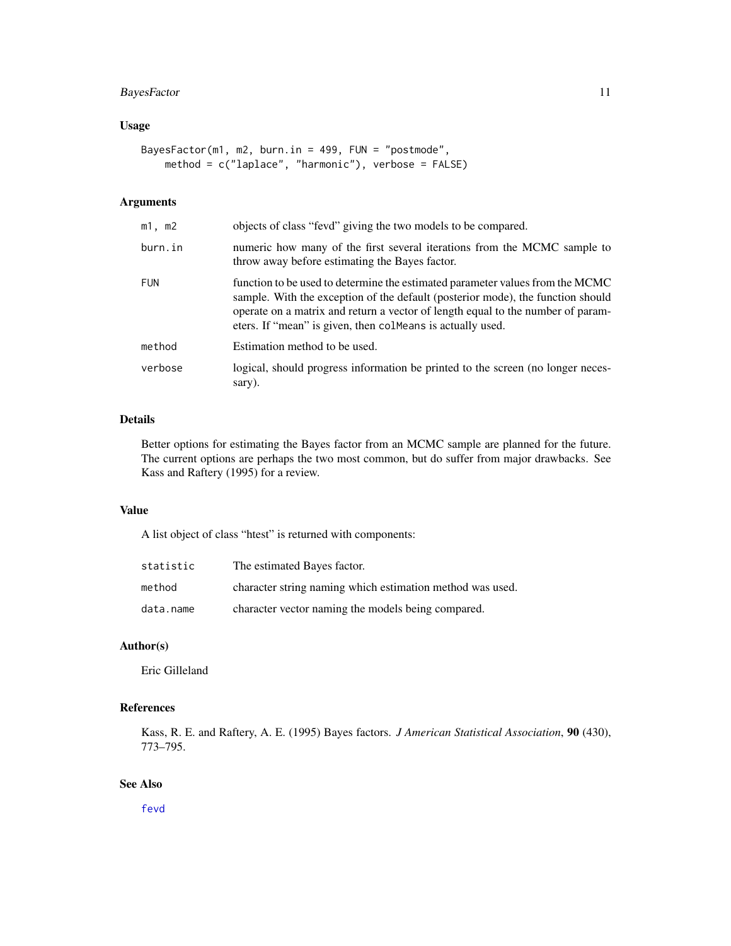# BayesFactor 11

# Usage

```
BayesFactor(m1, m2, burn.in = 499, FUN = "postmode",
   method = c("laplace", "harmonic"), verbose = FALSE)
```
# Arguments

| m1, m2     | objects of class "fevd" giving the two models to be compared.                                                                                                                                                                                                                                                     |
|------------|-------------------------------------------------------------------------------------------------------------------------------------------------------------------------------------------------------------------------------------------------------------------------------------------------------------------|
| burn.in    | numeric how many of the first several iterations from the MCMC sample to<br>throw away before estimating the Bayes factor.                                                                                                                                                                                        |
| <b>FUN</b> | function to be used to determine the estimated parameter values from the MCMC<br>sample. With the exception of the default (posterior mode), the function should<br>operate on a matrix and return a vector of length equal to the number of param-<br>eters. If "mean" is given, then colMeans is actually used. |
| method     | Estimation method to be used.                                                                                                                                                                                                                                                                                     |
| verbose    | logical, should progress information be printed to the screen (no longer neces-<br>sary).                                                                                                                                                                                                                         |

# Details

Better options for estimating the Bayes factor from an MCMC sample are planned for the future. The current options are perhaps the two most common, but do suffer from major drawbacks. See Kass and Raftery (1995) for a review.

#### Value

A list object of class "htest" is returned with components:

| statistic | The estimated Bayes factor.                               |
|-----------|-----------------------------------------------------------|
| method    | character string naming which estimation method was used. |
| data.name | character vector naming the models being compared.        |

# Author(s)

Eric Gilleland

# References

Kass, R. E. and Raftery, A. E. (1995) Bayes factors. *J American Statistical Association*, 90 (430), 773–795.

# See Also

[fevd](#page-38-1)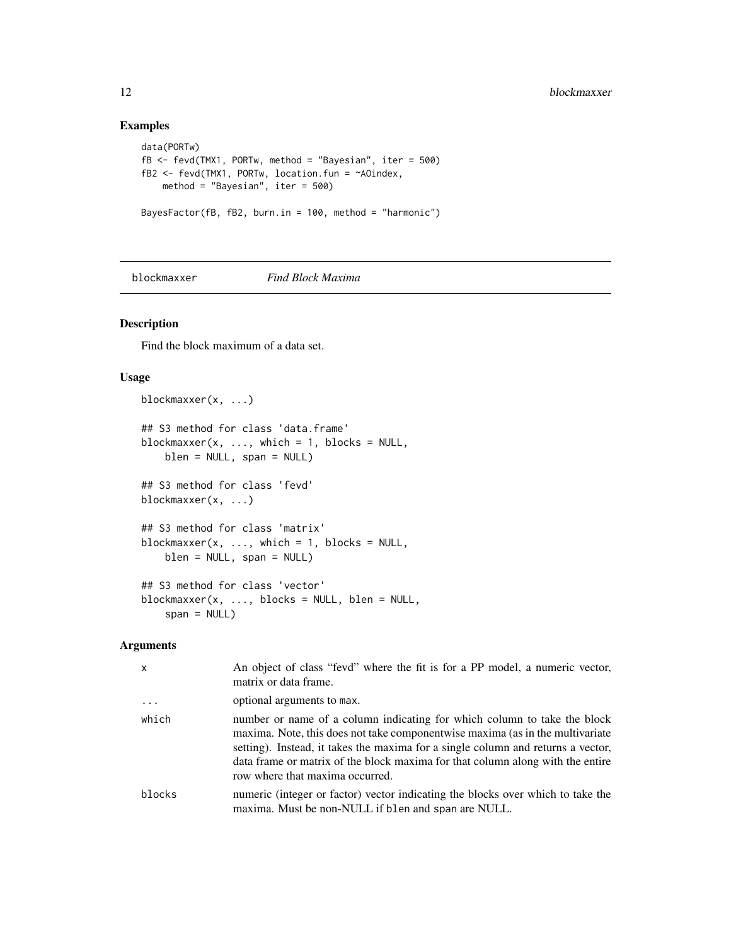# Examples

```
data(PORTw)
fB <- fevd(TMX1, PORTw, method = "Bayesian", iter = 500)
fB2 <- fevd(TMX1, PORTw, location.fun = ~AOindex,
   method = "Bayesian", iter = 500)
BayesFactor(fB, fB2, burn.in = 100, method = "harmonic")
```
# blockmaxxer *Find Block Maxima*

# Description

Find the block maximum of a data set.

### Usage

```
blockmaxxer(x, ...)
## S3 method for class 'data.frame'
blockmaxxer(x, ..., which = 1, blocks = NULL,
   blen = NULL, span = NULL)
## S3 method for class 'fevd'
blockmaxxer(x, ...)
## S3 method for class 'matrix'
blockmaxxer(x, \dots, which = 1, blocks = NULL,
   blen = NULL, span = NULL)
## S3 method for class 'vector'
blockmaxxer(x, ..., blocks = NULL, blen = NULL,
    span = NULL
```
#### Arguments

| X        | An object of class "fevd" where the fit is for a PP model, a numeric vector,<br>matrix or data frame.                                                                                                                                                                                                                                                              |
|----------|--------------------------------------------------------------------------------------------------------------------------------------------------------------------------------------------------------------------------------------------------------------------------------------------------------------------------------------------------------------------|
| $\ddots$ | optional arguments to max.                                                                                                                                                                                                                                                                                                                                         |
| which    | number or name of a column indicating for which column to take the block<br>maxima. Note, this does not take componentwise maxima (as in the multivariate<br>setting). Instead, it takes the maxima for a single column and returns a vector,<br>data frame or matrix of the block maxima for that column along with the entire<br>row where that maxima occurred. |
| blocks   | numeric (integer or factor) vector indicating the blocks over which to take the<br>maxima. Must be non-NULL if blen and span are NULL.                                                                                                                                                                                                                             |

<span id="page-11-0"></span>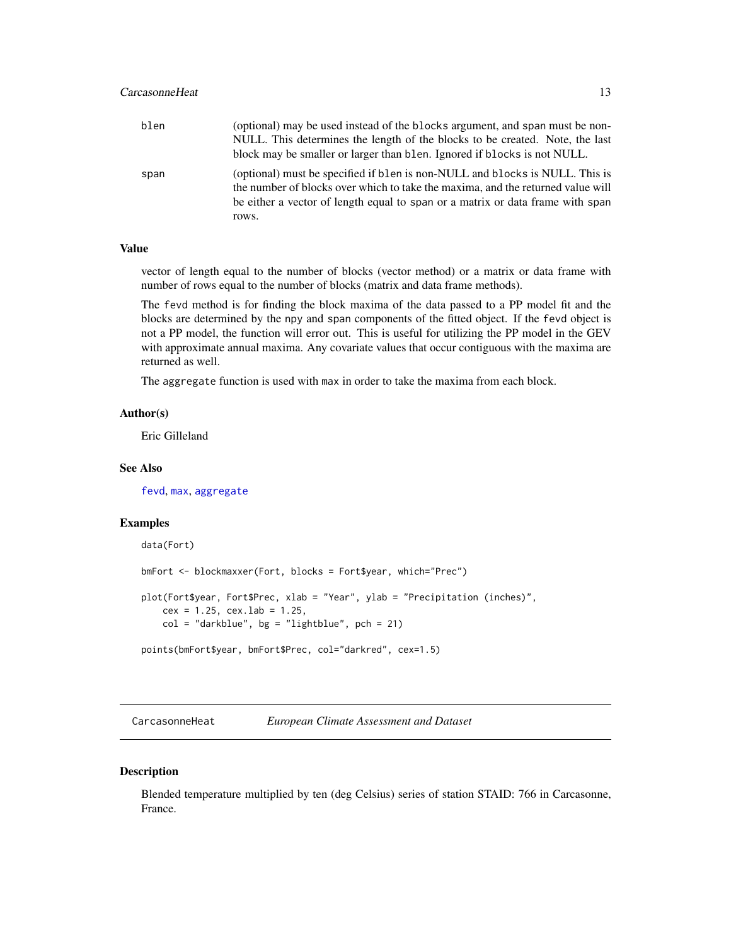<span id="page-12-0"></span>

| blen | (optional) may be used instead of the blocks argument, and span must be non-                                                                                                                                                                      |
|------|---------------------------------------------------------------------------------------------------------------------------------------------------------------------------------------------------------------------------------------------------|
|      | NULL. This determines the length of the blocks to be created. Note, the last                                                                                                                                                                      |
|      | block may be smaller or larger than blen. Ignored if blocks is not NULL.                                                                                                                                                                          |
| span | (optional) must be specified if blen is non-NULL and blocks is NULL. This is<br>the number of blocks over which to take the maxima, and the returned value will<br>be either a vector of length equal to span or a matrix or data frame with span |
|      | rows.                                                                                                                                                                                                                                             |

# Value

vector of length equal to the number of blocks (vector method) or a matrix or data frame with number of rows equal to the number of blocks (matrix and data frame methods).

The fevd method is for finding the block maxima of the data passed to a PP model fit and the blocks are determined by the npy and span components of the fitted object. If the fevd object is not a PP model, the function will error out. This is useful for utilizing the PP model in the GEV with approximate annual maxima. Any covariate values that occur contiguous with the maxima are returned as well.

The aggregate function is used with max in order to take the maxima from each block.

# Author(s)

Eric Gilleland

# See Also

[fevd](#page-38-1), [max](#page-0-0), [aggregate](#page-0-0)

#### Examples

```
data(Fort)
bmFort <- blockmaxxer(Fort, blocks = Fort$year, which="Prec")
plot(Fort$year, Fort$Prec, xlab = "Year", ylab = "Precipitation (inches)",
   cex = 1.25, cex.1ab = 1.25,
    col = "darkblue", bg = "lightblue", pch = 21)points(bmFort$year, bmFort$Prec, col="darkred", cex=1.5)
```
CarcasonneHeat *European Climate Assessment and Dataset*

#### Description

Blended temperature multiplied by ten (deg Celsius) series of station STAID: 766 in Carcasonne, France.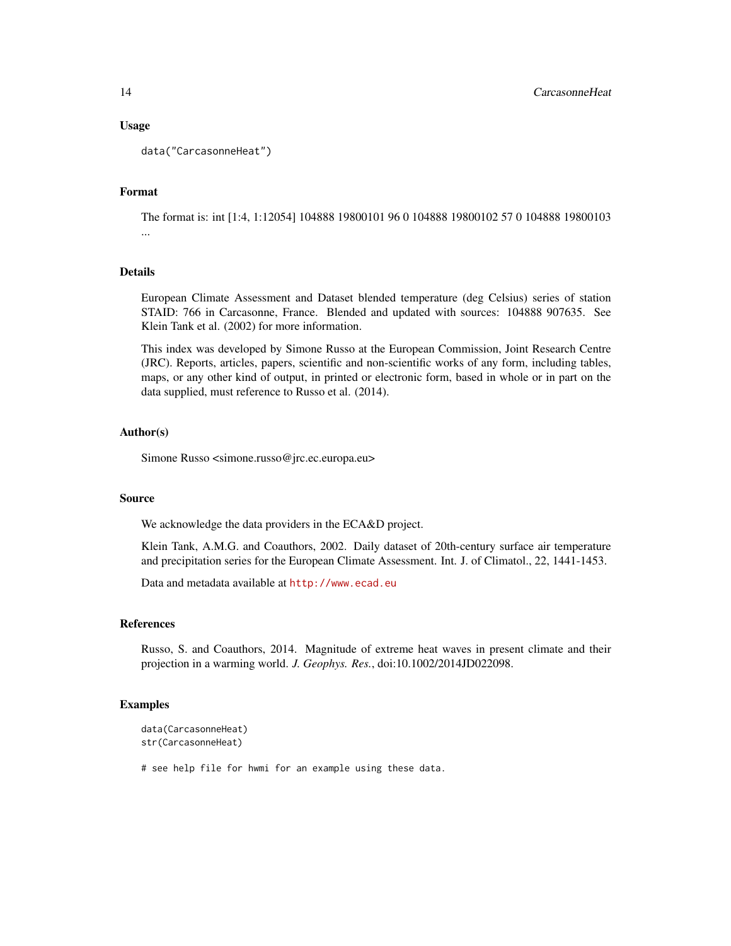#### Usage

data("CarcasonneHeat")

#### Format

The format is: int [1:4, 1:12054] 104888 19800101 96 0 104888 19800102 57 0 104888 19800103 ...

# Details

European Climate Assessment and Dataset blended temperature (deg Celsius) series of station STAID: 766 in Carcasonne, France. Blended and updated with sources: 104888 907635. See Klein Tank et al. (2002) for more information.

This index was developed by Simone Russo at the European Commission, Joint Research Centre (JRC). Reports, articles, papers, scientific and non-scientific works of any form, including tables, maps, or any other kind of output, in printed or electronic form, based in whole or in part on the data supplied, must reference to Russo et al. (2014).

# Author(s)

Simone Russo <simone.russo@jrc.ec.europa.eu>

# Source

We acknowledge the data providers in the ECA&D project.

Klein Tank, A.M.G. and Coauthors, 2002. Daily dataset of 20th-century surface air temperature and precipitation series for the European Climate Assessment. Int. J. of Climatol., 22, 1441-1453.

Data and metadata available at <http://www.ecad.eu>

#### References

Russo, S. and Coauthors, 2014. Magnitude of extreme heat waves in present climate and their projection in a warming world. *J. Geophys. Res.*, doi:10.1002/2014JD022098.

#### Examples

```
data(CarcasonneHeat)
str(CarcasonneHeat)
```
# see help file for hwmi for an example using these data.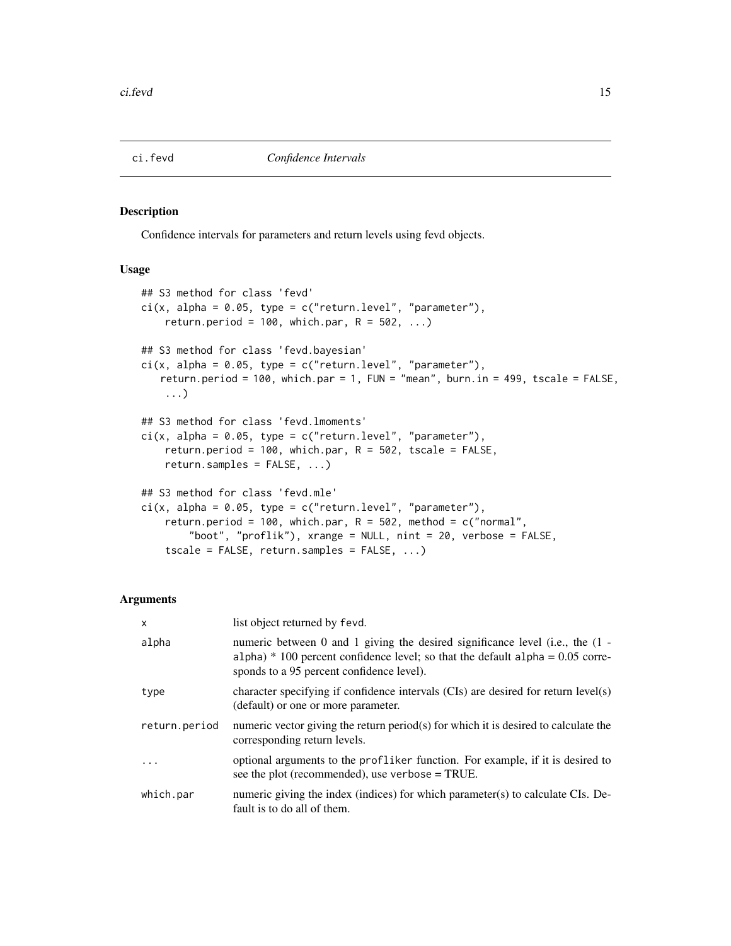<span id="page-14-1"></span><span id="page-14-0"></span>

#### Description

Confidence intervals for parameters and return levels using fevd objects.

# Usage

```
## S3 method for class 'fevd'
ci(x, alpha = 0.05, type = c("return.level", "parameter"),return.period = 100, which.par, R = 502, ...)
## S3 method for class 'fevd.bayesian'
ci(x, alpha = 0.05, type = c("return.level", "parameter"),return.period = 100, which.par = 1, FUN = "mean", burn.in = 499, tscale = FALSE,
    ...)
## S3 method for class 'fevd.lmoments'
ci(x, alpha = 0.05, type = c("return.level", "parameter"),return.period = 100, which.par, R = 502, tscale = FALSE,
    return.samples = FALSE, ...)
## S3 method for class 'fevd.mle'
ci(x, alpha = 0.05, type = c("return.level", "parameter"),return.period = 100, which.par, R = 502, method = c("normal",
        "boot", "proflik"), xrange = NULL, nint = 20, verbose = FALSE,
    tscale = FALSE, return.samples = FALSE, ...)
```
#### Arguments

| $\mathsf{x}$  | list object returned by fevd.                                                                                                                                                                                  |
|---------------|----------------------------------------------------------------------------------------------------------------------------------------------------------------------------------------------------------------|
| alpha         | numeric between 0 and 1 giving the desired significance level (i.e., the (1 -<br>alpha) $*$ 100 percent confidence level; so that the default alpha = 0.05 corre-<br>sponds to a 95 percent confidence level). |
| type          | character specifying if confidence intervals (CIs) are desired for return level(s)<br>(default) or one or more parameter.                                                                                      |
| return.period | numeric vector giving the return period(s) for which it is desired to calculate the<br>corresponding return levels.                                                                                            |
| .             | optional arguments to the profliker function. For example, if it is desired to<br>see the plot (recommended), use verbose = TRUE.                                                                              |
| which.par     | numeric giving the index (indices) for which parameter(s) to calculate CIs. De-<br>fault is to do all of them.                                                                                                 |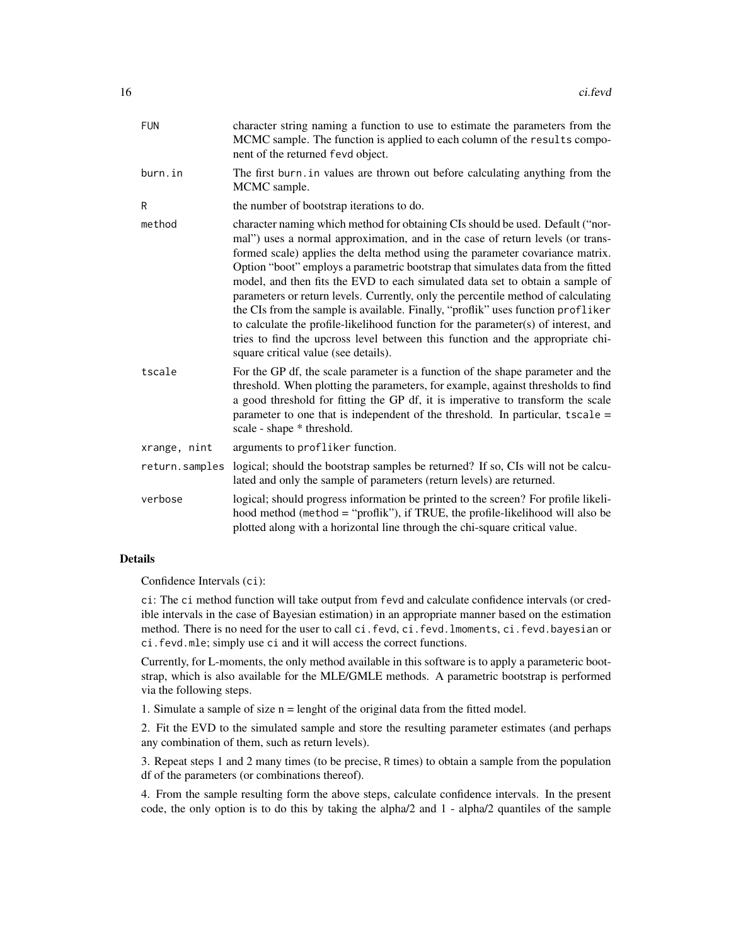| <b>FUN</b>     | character string naming a function to use to estimate the parameters from the<br>MCMC sample. The function is applied to each column of the results compo-<br>nent of the returned fevd object.                                                                                                                                                                                                                                                                                                                                                                                                                                                                                                                                                                                                                 |
|----------------|-----------------------------------------------------------------------------------------------------------------------------------------------------------------------------------------------------------------------------------------------------------------------------------------------------------------------------------------------------------------------------------------------------------------------------------------------------------------------------------------------------------------------------------------------------------------------------------------------------------------------------------------------------------------------------------------------------------------------------------------------------------------------------------------------------------------|
| burn.in        | The first burn, in values are thrown out before calculating anything from the<br>MCMC sample.                                                                                                                                                                                                                                                                                                                                                                                                                                                                                                                                                                                                                                                                                                                   |
| R              | the number of bootstrap iterations to do.                                                                                                                                                                                                                                                                                                                                                                                                                                                                                                                                                                                                                                                                                                                                                                       |
| method         | character naming which method for obtaining CIs should be used. Default ("nor-<br>mal") uses a normal approximation, and in the case of return levels (or trans-<br>formed scale) applies the delta method using the parameter covariance matrix.<br>Option "boot" employs a parametric bootstrap that simulates data from the fitted<br>model, and then fits the EVD to each simulated data set to obtain a sample of<br>parameters or return levels. Currently, only the percentile method of calculating<br>the CIs from the sample is available. Finally, "proflik" uses function profliker<br>to calculate the profile-likelihood function for the parameter(s) of interest, and<br>tries to find the upcross level between this function and the appropriate chi-<br>square critical value (see details). |
| tscale         | For the GP df, the scale parameter is a function of the shape parameter and the<br>threshold. When plotting the parameters, for example, against thresholds to find<br>a good threshold for fitting the GP df, it is imperative to transform the scale<br>parameter to one that is independent of the threshold. In particular, $tscale =$<br>scale - shape * threshold.                                                                                                                                                                                                                                                                                                                                                                                                                                        |
| xrange, nint   | arguments to profliker function.                                                                                                                                                                                                                                                                                                                                                                                                                                                                                                                                                                                                                                                                                                                                                                                |
| return.samples | logical; should the bootstrap samples be returned? If so, CIs will not be calcu-<br>lated and only the sample of parameters (return levels) are returned.                                                                                                                                                                                                                                                                                                                                                                                                                                                                                                                                                                                                                                                       |
| verbose        | logical; should progress information be printed to the screen? For profile likeli-<br>hood method (method = "proflik"), if TRUE, the profile-likelihood will also be<br>plotted along with a horizontal line through the chi-square critical value.                                                                                                                                                                                                                                                                                                                                                                                                                                                                                                                                                             |

# Details

Confidence Intervals (ci):

ci: The ci method function will take output from fevd and calculate confidence intervals (or credible intervals in the case of Bayesian estimation) in an appropriate manner based on the estimation method. There is no need for the user to call ci.fevd, ci.fevd.lmoments, ci.fevd.bayesian or ci.fevd.mle; simply use ci and it will access the correct functions.

Currently, for L-moments, the only method available in this software is to apply a parameteric bootstrap, which is also available for the MLE/GMLE methods. A parametric bootstrap is performed via the following steps.

1. Simulate a sample of size  $n =$  lenght of the original data from the fitted model.

2. Fit the EVD to the simulated sample and store the resulting parameter estimates (and perhaps any combination of them, such as return levels).

3. Repeat steps 1 and 2 many times (to be precise, R times) to obtain a sample from the population df of the parameters (or combinations thereof).

4. From the sample resulting form the above steps, calculate confidence intervals. In the present code, the only option is to do this by taking the alpha/2 and 1 - alpha/2 quantiles of the sample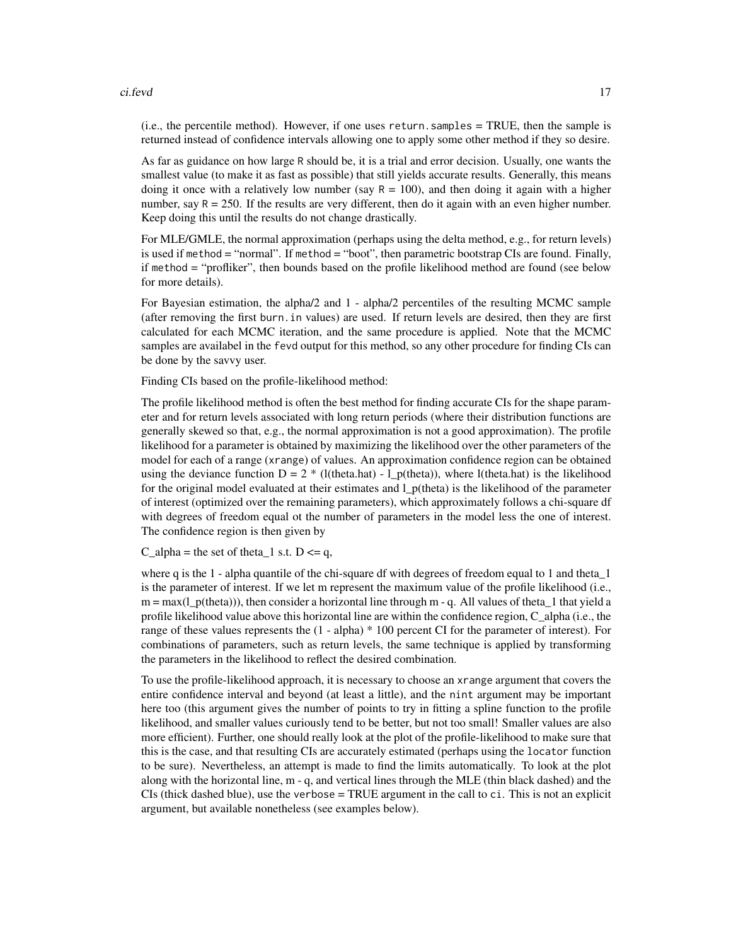#### ci.fevd 17

(i.e., the percentile method). However, if one uses return.samples = TRUE, then the sample is returned instead of confidence intervals allowing one to apply some other method if they so desire.

As far as guidance on how large R should be, it is a trial and error decision. Usually, one wants the smallest value (to make it as fast as possible) that still yields accurate results. Generally, this means doing it once with a relatively low number (say  $R = 100$ ), and then doing it again with a higher number, say  $R = 250$ . If the results are very different, then do it again with an even higher number. Keep doing this until the results do not change drastically.

For MLE/GMLE, the normal approximation (perhaps using the delta method, e.g., for return levels) is used if method = "normal". If method = "boot", then parametric bootstrap CIs are found. Finally, if method = "profliker", then bounds based on the profile likelihood method are found (see below for more details).

For Bayesian estimation, the alpha/2 and 1 - alpha/2 percentiles of the resulting MCMC sample (after removing the first burn.in values) are used. If return levels are desired, then they are first calculated for each MCMC iteration, and the same procedure is applied. Note that the MCMC samples are availabel in the fevd output for this method, so any other procedure for finding CIs can be done by the savvy user.

Finding CIs based on the profile-likelihood method:

The profile likelihood method is often the best method for finding accurate CIs for the shape parameter and for return levels associated with long return periods (where their distribution functions are generally skewed so that, e.g., the normal approximation is not a good approximation). The profile likelihood for a parameter is obtained by maximizing the likelihood over the other parameters of the model for each of a range (xrange) of values. An approximation confidence region can be obtained using the deviance function  $D = 2 * (l(\text{theta}.\text{hat}) - l_p(\text{theta}))$ , where l(theta.hat) is the likelihood for the original model evaluated at their estimates and l\_p(theta) is the likelihood of the parameter of interest (optimized over the remaining parameters), which approximately follows a chi-square df with degrees of freedom equal ot the number of parameters in the model less the one of interest. The confidence region is then given by

C\_alpha = the set of theta\_1 s.t.  $D \leq q$ ,

where q is the 1 - alpha quantile of the chi-square df with degrees of freedom equal to 1 and theta 1 is the parameter of interest. If we let m represent the maximum value of the profile likelihood (i.e.,  $m = max(1-p(theta))$ , then consider a horizontal line through m - q. All values of theta 1 that yield a profile likelihood value above this horizontal line are within the confidence region, C\_alpha (i.e., the range of these values represents the (1 - alpha) \* 100 percent CI for the parameter of interest). For combinations of parameters, such as return levels, the same technique is applied by transforming the parameters in the likelihood to reflect the desired combination.

To use the profile-likelihood approach, it is necessary to choose an xrange argument that covers the entire confidence interval and beyond (at least a little), and the nint argument may be important here too (this argument gives the number of points to try in fitting a spline function to the profile likelihood, and smaller values curiously tend to be better, but not too small! Smaller values are also more efficient). Further, one should really look at the plot of the profile-likelihood to make sure that this is the case, and that resulting CIs are accurately estimated (perhaps using the locator function to be sure). Nevertheless, an attempt is made to find the limits automatically. To look at the plot along with the horizontal line, m - q, and vertical lines through the MLE (thin black dashed) and the CIs (thick dashed blue), use the verbose  $= TRUE$  argument in the call to ci. This is not an explicit argument, but available nonetheless (see examples below).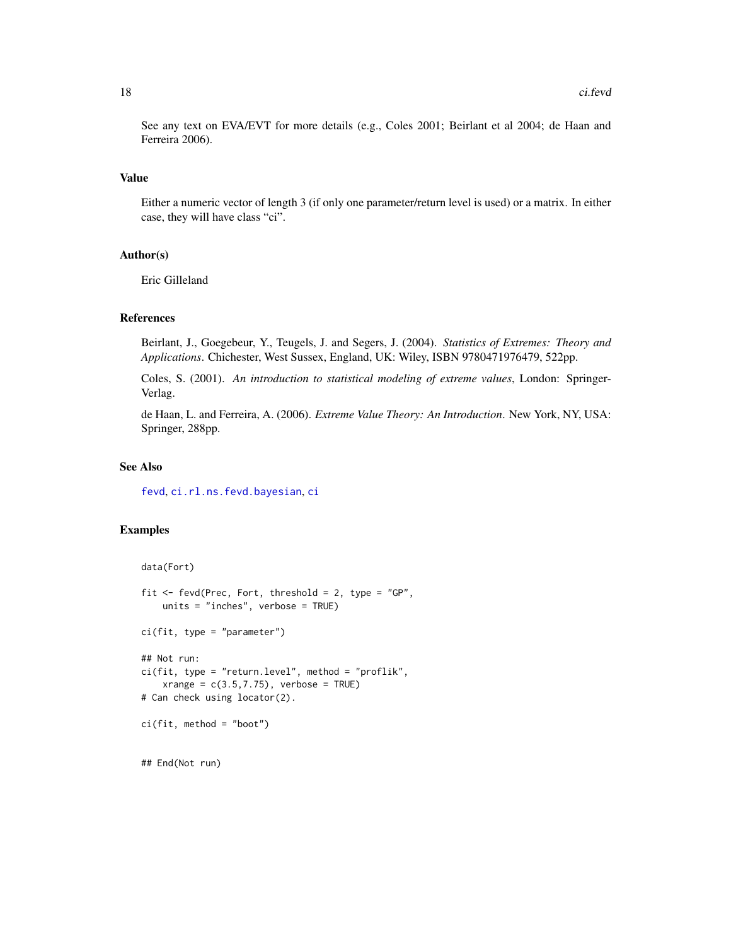See any text on EVA/EVT for more details (e.g., Coles 2001; Beirlant et al 2004; de Haan and Ferreira 2006).

#### Value

Either a numeric vector of length 3 (if only one parameter/return level is used) or a matrix. In either case, they will have class "ci".

#### Author(s)

Eric Gilleland

#### References

Beirlant, J., Goegebeur, Y., Teugels, J. and Segers, J. (2004). *Statistics of Extremes: Theory and Applications*. Chichester, West Sussex, England, UK: Wiley, ISBN 9780471976479, 522pp.

Coles, S. (2001). *An introduction to statistical modeling of extreme values*, London: Springer-Verlag.

de Haan, L. and Ferreira, A. (2006). *Extreme Value Theory: An Introduction*. New York, NY, USA: Springer, 288pp.

# See Also

[fevd](#page-38-1), [ci.rl.ns.fevd.bayesian](#page-18-1), [ci](#page-0-0)

#### Examples

```
data(Fort)
fit \le fevd(Prec, Fort, threshold = 2, type = "GP",
   units = "inches", verbose = TRUE)
ci(fit, type = "parameter")
## Not run:
ci(fit, type = "return.level", method = "profit",xrange = c(3.5, 7.75), verbose = TRUE)
# Can check using locator(2).
ci(fit, method = "boot")
## End(Not run)
```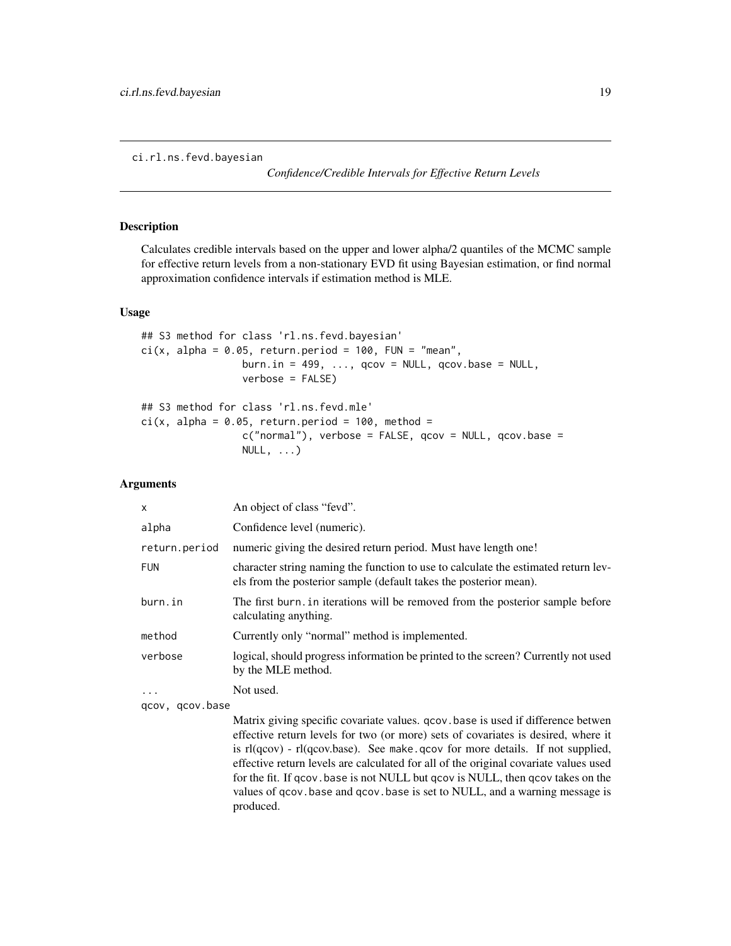<span id="page-18-1"></span><span id="page-18-0"></span>ci.rl.ns.fevd.bayesian

*Confidence/Credible Intervals for Effective Return Levels*

#### Description

Calculates credible intervals based on the upper and lower alpha/2 quantiles of the MCMC sample for effective return levels from a non-stationary EVD fit using Bayesian estimation, or find normal approximation confidence intervals if estimation method is MLE.

#### Usage

```
## S3 method for class 'rl.ns.fevd.bayesian'
ci(x, alpha = 0.05, return.period = 100, FUN = "mean",burn.in = 499, \ldots, qcov = NULL, qcov \cdot base = NULL,
                 verbose = FALSE)
## S3 method for class 'rl.ns.fevd.mle'
ci(x, alpha = 0.05, return. period = 100, method =c("normal"), verbose = FALSE, qcov = NULL, qcov.base =
                 NULL, \ldots)
```
#### Arguments

| x             | An object of class "fevd".                                                                                                                              |
|---------------|---------------------------------------------------------------------------------------------------------------------------------------------------------|
| alpha         | Confidence level (numeric).                                                                                                                             |
| return.period | numeric giving the desired return period. Must have length one!                                                                                         |
| <b>FUN</b>    | character string naming the function to use to calculate the estimated return lev-<br>els from the posterior sample (default takes the posterior mean). |
| burn.in       | The first burn. in iterations will be removed from the posterior sample before<br>calculating anything.                                                 |
| method        | Currently only "normal" method is implemented.                                                                                                          |
| verbose       | logical, should progress information be printed to the screen? Currently not used<br>by the MLE method.                                                 |
| $\ddots$      | Not used.                                                                                                                                               |
|               |                                                                                                                                                         |

qcov, qcov.base

Matrix giving specific covariate values. qcov.base is used if difference betwen effective return levels for two (or more) sets of covariates is desired, where it is rl(qcov) - rl(qcov.base). See make.qcov for more details. If not supplied, effective return levels are calculated for all of the original covariate values used for the fit. If qcov.base is not NULL but qcov is NULL, then qcov takes on the values of qcov.base and qcov.base is set to NULL, and a warning message is produced.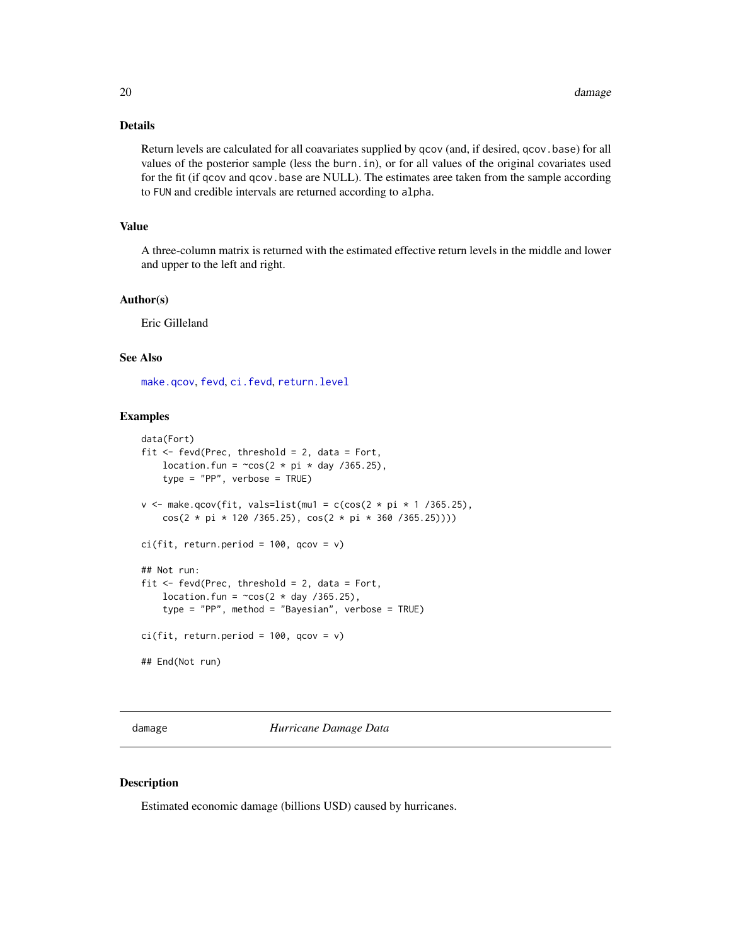# Details

Return levels are calculated for all coavariates supplied by qcov (and, if desired, qcov.base) for all values of the posterior sample (less the burn.in), or for all values of the original covariates used for the fit (if qcov and qcov.base are NULL). The estimates aree taken from the sample according to FUN and credible intervals are returned according to alpha.

#### Value

A three-column matrix is returned with the estimated effective return levels in the middle and lower and upper to the left and right.

#### Author(s)

Eric Gilleland

# See Also

[make.qcov](#page-77-1), [fevd](#page-38-1), [ci.fevd](#page-14-1), [return.level](#page-96-1)

#### Examples

```
data(Fort)
fit <- fevd(Prec, threshold = 2, data = Fort,
   location.fun = \simcos(2 * pi * day /365.25),
    type = "PP", verbose = TRUE)
v \le make.qcov(fit, vals=list(mu1 = c(cos(2 * pi * 1 /365.25),
    cos(2 * pi * 120 /365.25), cos(2 * pi * 360 /365.25))))
ci(fit, return.period = 100, qcov = v)## Not run:
fit \leq fevd(Prec, threshold = 2, data = Fort,
   location.fun = \simcos(2 * day /365.25),
   type = "PP", method = "Bayesian", verbose = TRUE)
ci(fit, return.period = 100, qcov = v)## End(Not run)
```
damage *Hurricane Damage Data*

# Description

Estimated economic damage (billions USD) caused by hurricanes.

<span id="page-19-0"></span>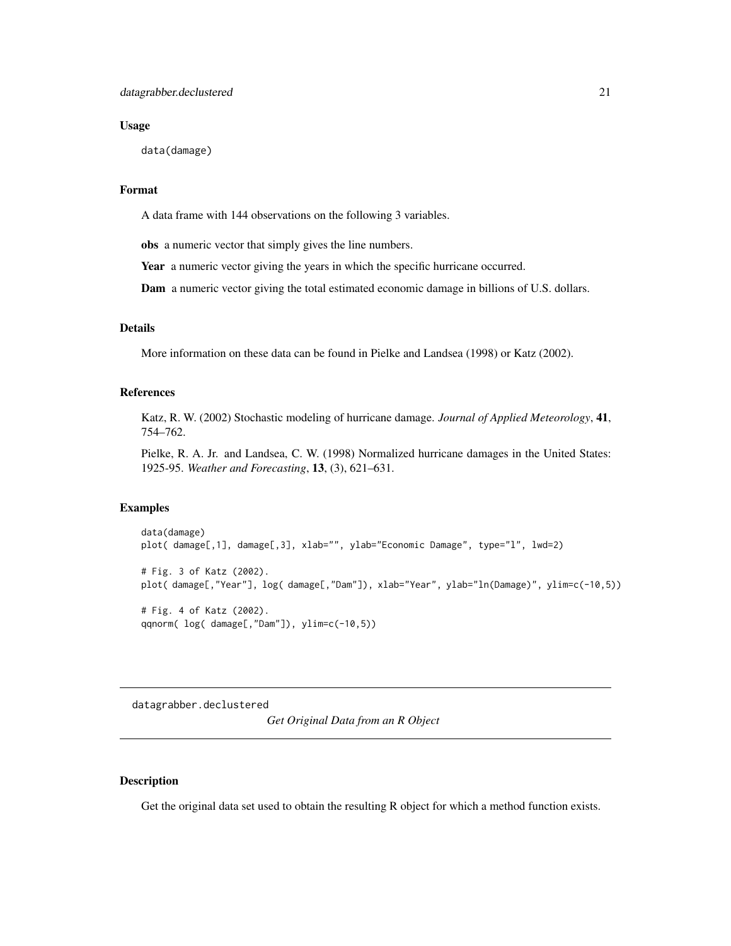#### <span id="page-20-0"></span>Usage

data(damage)

# Format

A data frame with 144 observations on the following 3 variables.

obs a numeric vector that simply gives the line numbers.

Year a numeric vector giving the years in which the specific hurricane occurred.

Dam a numeric vector giving the total estimated economic damage in billions of U.S. dollars.

# Details

More information on these data can be found in Pielke and Landsea (1998) or Katz (2002).

#### References

Katz, R. W. (2002) Stochastic modeling of hurricane damage. *Journal of Applied Meteorology*, 41, 754–762.

Pielke, R. A. Jr. and Landsea, C. W. (1998) Normalized hurricane damages in the United States: 1925-95. *Weather and Forecasting*, 13, (3), 621–631.

#### Examples

```
data(damage)
plot( damage[,1], damage[,3], xlab="", ylab="Economic Damage", type="l", lwd=2)
# Fig. 3 of Katz (2002).
plot(damage[,"Year"], log(damage[,"Dam"]), xlab="Year", ylab="ln(Damage)", ylim=c(-10,5))
# Fig. 4 of Katz (2002).
qqnorm( log( damage[,"Dam"]), ylim=c(-10,5))
```
datagrabber.declustered

*Get Original Data from an R Object*

#### Description

Get the original data set used to obtain the resulting R object for which a method function exists.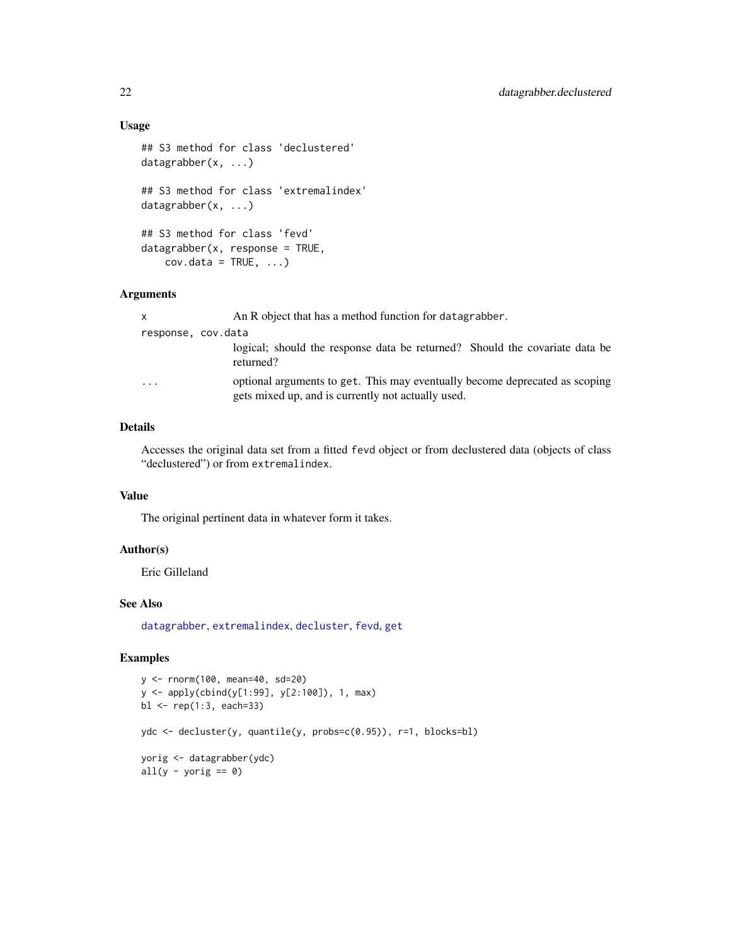## Usage

```
## S3 method for class 'declustered'
datagrabber(x, ...)
## S3 method for class 'extremalindex'
datagrabber(x, ...)
## S3 method for class 'fevd'
datagrabber(x, response = TRUE,
   cov.data = TRUE, ...
```
#### Arguments

| $\mathsf{x}$            | An R object that has a method function for datagrabber.                                                                           |
|-------------------------|-----------------------------------------------------------------------------------------------------------------------------------|
| response, cov.data      |                                                                                                                                   |
|                         | logical; should the response data be returned? Should the covariate data be<br>returned?                                          |
| $\cdot$ $\cdot$ $\cdot$ | optional arguments to get. This may eventually become deprecated as scoping<br>gets mixed up, and is currently not actually used. |

# Details

Accesses the original data set from a fitted fevd object or from declustered data (objects of class "declustered") or from extremalindex.

# Value

The original pertinent data in whatever form it takes.

#### Author(s)

Eric Gilleland

# See Also

[datagrabber](#page-0-0), [extremalindex](#page-35-1), [decluster](#page-22-1), [fevd](#page-38-1), [get](#page-0-0)

#### Examples

```
y <- rnorm(100, mean=40, sd=20)
y <- apply(cbind(y[1:99], y[2:100]), 1, max)
bl <- rep(1:3, each=33)
ydc <- decluster(y, quantile(y, probs=c(0.95)), r=1, blocks=bl)
yorig <- datagrabber(ydc)
all(y - yorig == 0)
```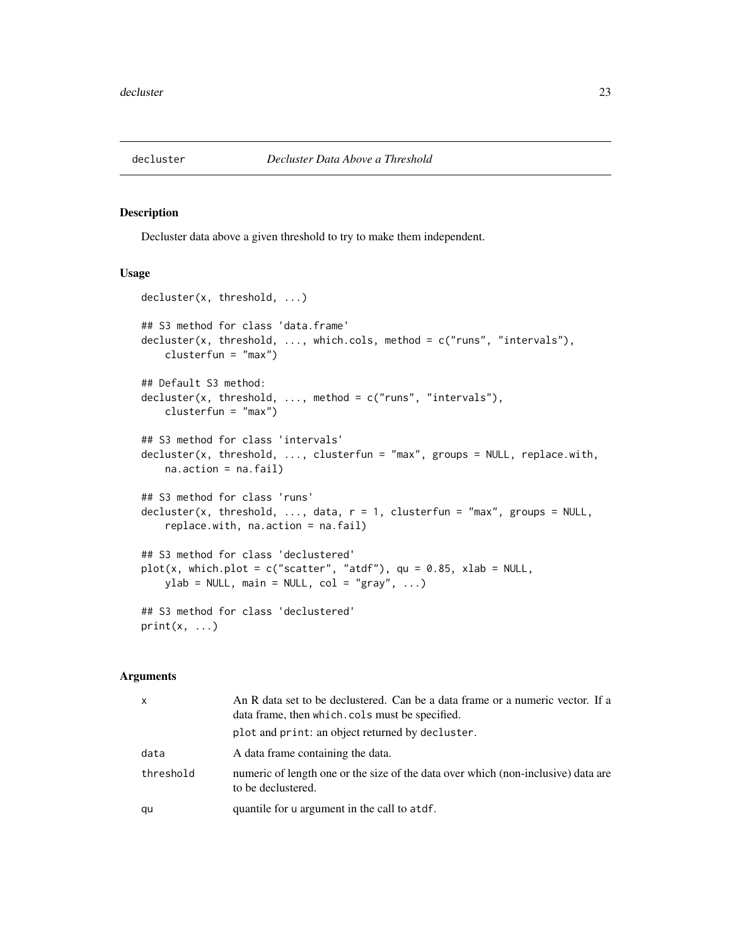<span id="page-22-1"></span><span id="page-22-0"></span>

### Description

Decluster data above a given threshold to try to make them independent.

### Usage

```
decluster(x, threshold, ...)
## S3 method for class 'data.frame'
decluster(x, threshold, ..., which.cols, method = c("runs", "intervals"),
    clusterfun = "max")
## Default S3 method:
decluster(x, threshold, ..., method = c("runs", "intervals"),
    clusterfun = "max")
## S3 method for class 'intervals'
decluster(x, threshold, ..., clusterfun = "max", groups = NULL, replace.with,
   na.action = na.fail)
## S3 method for class 'runs'
decluster(x, threshold, ..., data, r = 1, clusterfun = "max", groups = NULL,
    replace.with, na.action = na.fail)
## S3 method for class 'declustered'
plot(x, which.plot = c("scatter", "atdf"), qu = 0.85, xlab = NULL,ylab = NULL, main = NULL, col = "gray", ...)
## S3 method for class 'declustered'
print(x, \ldots)
```
# Arguments

| $\times$  | An R data set to be declustered. Can be a data frame or a numeric vector. If a<br>data frame, then which cols must be specified. |
|-----------|----------------------------------------------------------------------------------------------------------------------------------|
|           | plot and print: an object returned by decluster.                                                                                 |
| data      | A data frame containing the data.                                                                                                |
| threshold | numeric of length one or the size of the data over which (non-inclusive) data are<br>to be declustered.                          |
| qu        | quantile for u argument in the call to atdf.                                                                                     |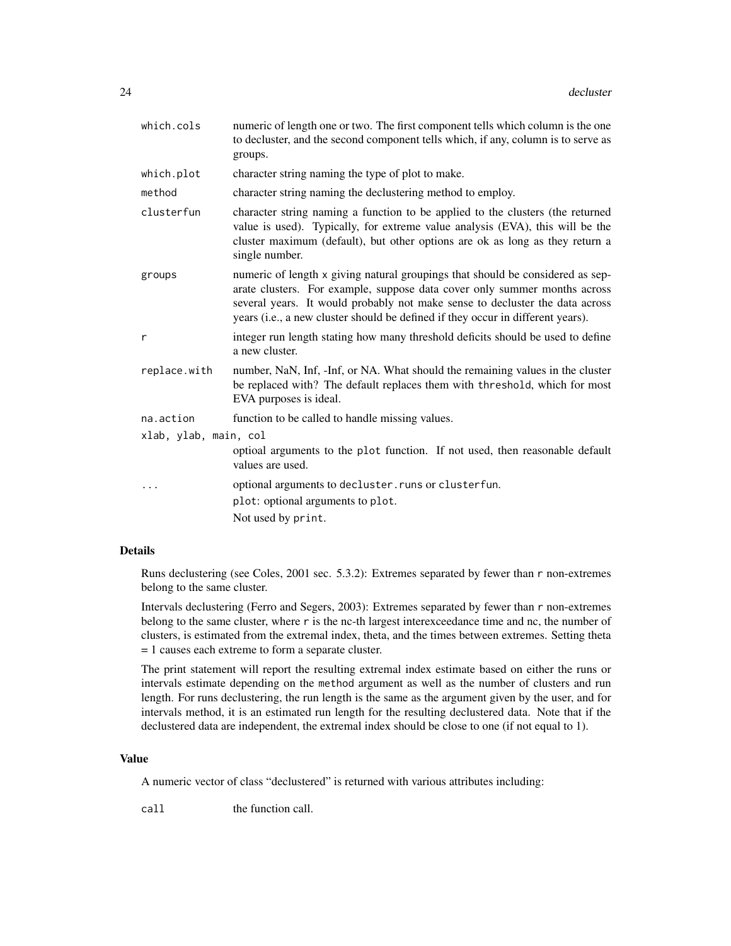| which.cols            | numeric of length one or two. The first component tells which column is the one<br>to decluster, and the second component tells which, if any, column is to serve as<br>groups.                                                                                                                                                |
|-----------------------|--------------------------------------------------------------------------------------------------------------------------------------------------------------------------------------------------------------------------------------------------------------------------------------------------------------------------------|
| which.plot            | character string naming the type of plot to make.                                                                                                                                                                                                                                                                              |
| method                | character string naming the declustering method to employ.                                                                                                                                                                                                                                                                     |
| clusterfun            | character string naming a function to be applied to the clusters (the returned<br>value is used). Typically, for extreme value analysis (EVA), this will be the<br>cluster maximum (default), but other options are ok as long as they return a<br>single number.                                                              |
| groups                | numeric of length x giving natural groupings that should be considered as sep-<br>arate clusters. For example, suppose data cover only summer months across<br>several years. It would probably not make sense to decluster the data across<br>years (i.e., a new cluster should be defined if they occur in different years). |
| r                     | integer run length stating how many threshold deficits should be used to define<br>a new cluster.                                                                                                                                                                                                                              |
| replace.with          | number, NaN, Inf, -Inf, or NA. What should the remaining values in the cluster<br>be replaced with? The default replaces them with threshold, which for most<br>EVA purposes is ideal.                                                                                                                                         |
| na.action             | function to be called to handle missing values.                                                                                                                                                                                                                                                                                |
| xlab, ylab, main, col |                                                                                                                                                                                                                                                                                                                                |
|                       | optioal arguments to the plot function. If not used, then reasonable default<br>values are used.                                                                                                                                                                                                                               |
|                       | optional arguments to decluster. runs or clusterfun.                                                                                                                                                                                                                                                                           |
|                       | plot: optional arguments to plot.                                                                                                                                                                                                                                                                                              |
|                       | Not used by print.                                                                                                                                                                                                                                                                                                             |

# Details

Runs declustering (see Coles, 2001 sec. 5.3.2): Extremes separated by fewer than r non-extremes belong to the same cluster.

Intervals declustering (Ferro and Segers, 2003): Extremes separated by fewer than r non-extremes belong to the same cluster, where r is the nc-th largest interexceedance time and nc, the number of clusters, is estimated from the extremal index, theta, and the times between extremes. Setting theta = 1 causes each extreme to form a separate cluster.

The print statement will report the resulting extremal index estimate based on either the runs or intervals estimate depending on the method argument as well as the number of clusters and run length. For runs declustering, the run length is the same as the argument given by the user, and for intervals method, it is an estimated run length for the resulting declustered data. Note that if the declustered data are independent, the extremal index should be close to one (if not equal to 1).

#### Value

A numeric vector of class "declustered" is returned with various attributes including:

call the function call.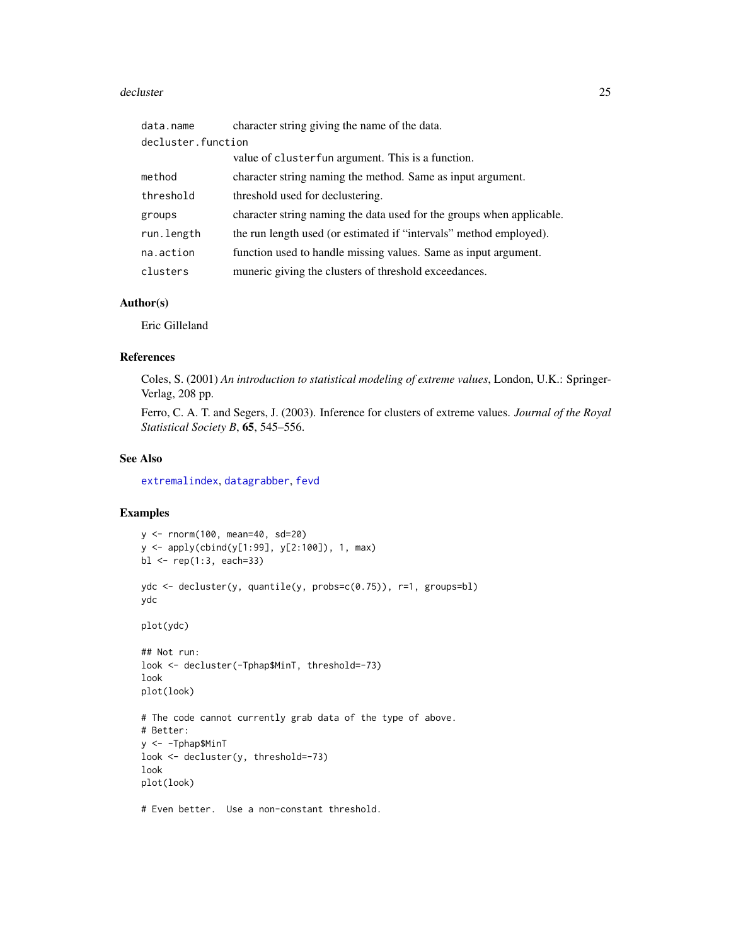#### decluster 25

| data.name          | character string giving the name of the data.                         |
|--------------------|-----------------------------------------------------------------------|
| decluster.function |                                                                       |
|                    | value of cluster fun argument. This is a function.                    |
| method             | character string naming the method. Same as input argument.           |
| threshold          | threshold used for declustering.                                      |
| groups             | character string naming the data used for the groups when applicable. |
| run.length         | the run length used (or estimated if "intervals" method employed).    |
| na.action          | function used to handle missing values. Same as input argument.       |
| clusters           | muneric giving the clusters of threshold exceedances.                 |

# Author(s)

Eric Gilleland

### References

Coles, S. (2001) *An introduction to statistical modeling of extreme values*, London, U.K.: Springer-Verlag, 208 pp.

Ferro, C. A. T. and Segers, J. (2003). Inference for clusters of extreme values. *Journal of the Royal Statistical Society B*, 65, 545–556.

# See Also

[extremalindex](#page-35-1), [datagrabber](#page-0-0), [fevd](#page-38-1)

# Examples

```
y <- rnorm(100, mean=40, sd=20)
y <- apply(cbind(y[1:99], y[2:100]), 1, max)
bl \leq - rep(1:3, each=33)ydc <- decluster(y, quantile(y, probs=c(0.75)), r=1, groups=bl)
ydc
plot(ydc)
## Not run:
look <- decluster(-Tphap$MinT, threshold=-73)
look
plot(look)
# The code cannot currently grab data of the type of above.
# Better:
y <- -Tphap$MinT
look <- decluster(y, threshold=-73)
look
plot(look)
# Even better. Use a non-constant threshold.
```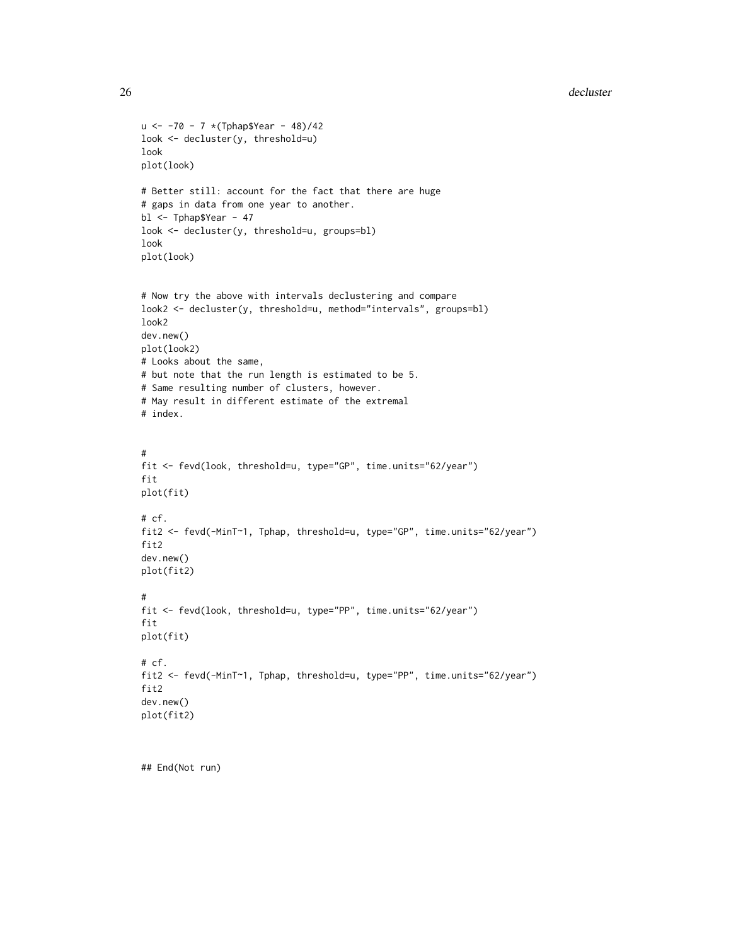#### 26 decluster and the control of the control of the control of the control of the control of the control of the control of the control of the control of the control of the control of the control of the control of the contro

```
u \le -70 - 7 * (Tphap$Year - 48)/42look <- decluster(y, threshold=u)
look
plot(look)
# Better still: account for the fact that there are huge
# gaps in data from one year to another.
bl <- Tphap$Year - 47
look <- decluster(y, threshold=u, groups=bl)
look
plot(look)
# Now try the above with intervals declustering and compare
look2 <- decluster(y, threshold=u, method="intervals", groups=bl)
look2
dev.new()
plot(look2)
# Looks about the same,
# but note that the run length is estimated to be 5.
# Same resulting number of clusters, however.
# May result in different estimate of the extremal
# index.
#
fit <- fevd(look, threshold=u, type="GP", time.units="62/year")
fit
plot(fit)
# cf.
fit2 <- fevd(-MinT~1, Tphap, threshold=u, type="GP", time.units="62/year")
fit2
dev.new()
plot(fit2)
#
fit <- fevd(look, threshold=u, type="PP", time.units="62/year")
fit
plot(fit)
# cf.
fit2 <- fevd(-MinT~1, Tphap, threshold=u, type="PP", time.units="62/year")
fit2
dev.new()
plot(fit2)
```
## End(Not run)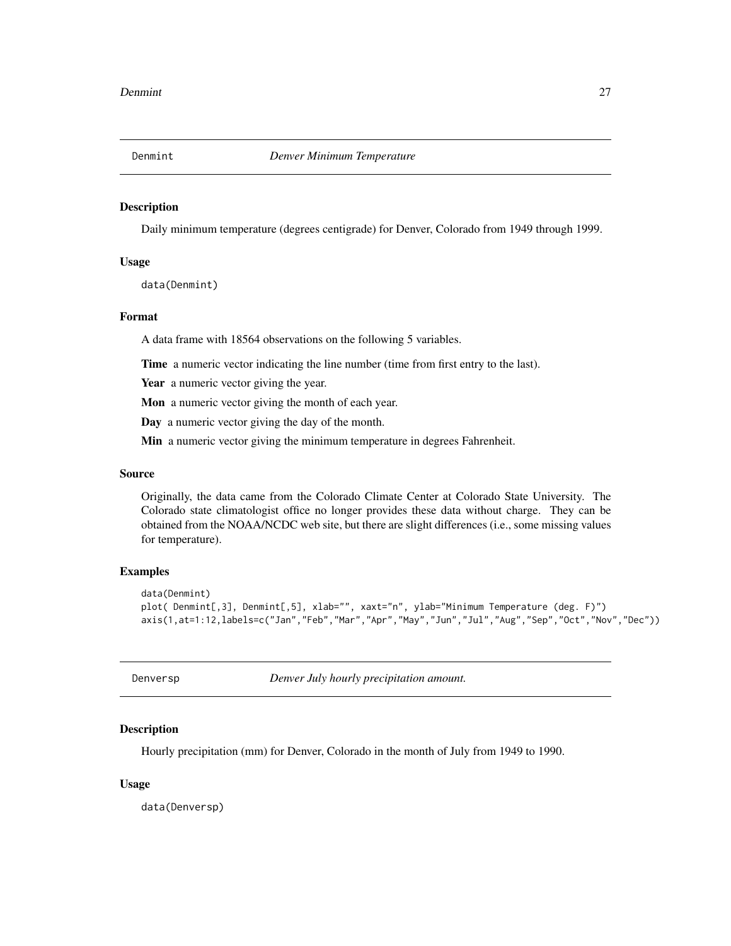<span id="page-26-0"></span>

#### Description

Daily minimum temperature (degrees centigrade) for Denver, Colorado from 1949 through 1999.

# Usage

data(Denmint)

#### Format

A data frame with 18564 observations on the following 5 variables.

Time a numeric vector indicating the line number (time from first entry to the last).

Year a numeric vector giving the year.

Mon a numeric vector giving the month of each year.

Day a numeric vector giving the day of the month.

Min a numeric vector giving the minimum temperature in degrees Fahrenheit.

#### Source

Originally, the data came from the Colorado Climate Center at Colorado State University. The Colorado state climatologist office no longer provides these data without charge. They can be obtained from the NOAA/NCDC web site, but there are slight differences (i.e., some missing values for temperature).

# Examples

```
data(Denmint)
plot( Denmint[,3], Denmint[,5], xlab="", xaxt="n", ylab="Minimum Temperature (deg. F)")
axis(1,at=1:12,labels=c("Jan","Feb","Mar","Apr","May","Jun","Jul","Aug","Sep","Oct","Nov","Dec"))
```
Denversp *Denver July hourly precipitation amount.*

## Description

Hourly precipitation (mm) for Denver, Colorado in the month of July from 1949 to 1990.

#### Usage

data(Denversp)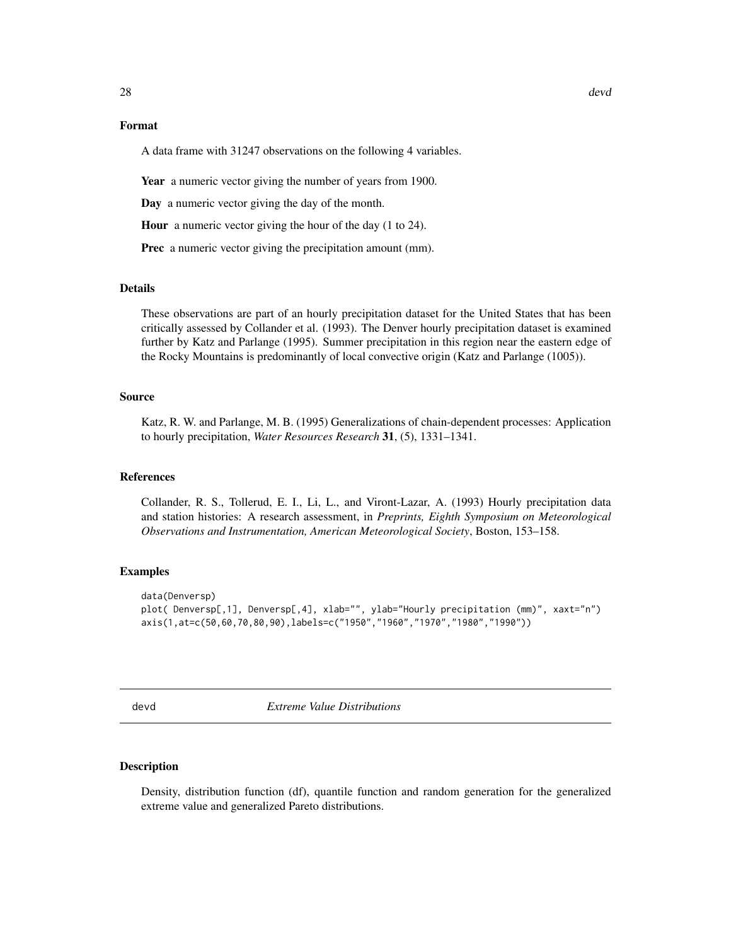#### <span id="page-27-0"></span>Format

A data frame with 31247 observations on the following 4 variables.

Year a numeric vector giving the number of years from 1900.

Day a numeric vector giving the day of the month.

Hour a numeric vector giving the hour of the day (1 to 24).

Prec a numeric vector giving the precipitation amount (mm).

# Details

These observations are part of an hourly precipitation dataset for the United States that has been critically assessed by Collander et al. (1993). The Denver hourly precipitation dataset is examined further by Katz and Parlange (1995). Summer precipitation in this region near the eastern edge of the Rocky Mountains is predominantly of local convective origin (Katz and Parlange (1005)).

#### Source

Katz, R. W. and Parlange, M. B. (1995) Generalizations of chain-dependent processes: Application to hourly precipitation, *Water Resources Research* 31, (5), 1331–1341.

#### References

Collander, R. S., Tollerud, E. I., Li, L., and Viront-Lazar, A. (1993) Hourly precipitation data and station histories: A research assessment, in *Preprints, Eighth Symposium on Meteorological Observations and Instrumentation, American Meteorological Society*, Boston, 153–158.

#### Examples

```
data(Denversp)
plot( Denversp[,1], Denversp[,4], xlab="", ylab="Hourly precipitation (mm)", xaxt="n")
axis(1,at=c(50,60,70,80,90),labels=c("1950","1960","1970","1980","1990"))
```
devd *Extreme Value Distributions*

#### Description

Density, distribution function (df), quantile function and random generation for the generalized extreme value and generalized Pareto distributions.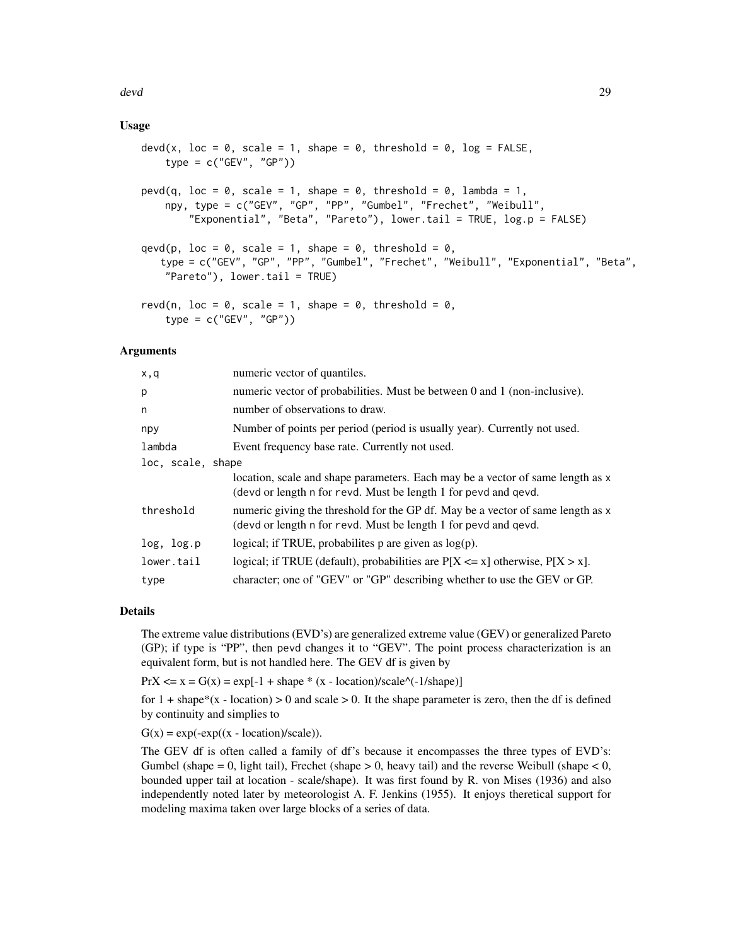devd 29

# Usage

```
devd(x, loc = 0, scale = 1, shape = 0, threshold = 0, log = FALSE,
    type = c("GEV", "GP")pevd(q, loc = 0, scale = 1, shape = 0, threshold = 0, lambda = 1,
   npy, type = c("GEV", "GP", "PP", "Gumbel", "Frechet", "Weibull",
        "Exponential", "Beta", "Pareto"), lower.tail = TRUE, log.p = FALSE)
qevd(p, loc = 0, scale = 1, shape = 0, threshold = 0,
   type = c("GEV", "GP", "PP", "Gumbel", "Frechet", "Weibull", "Exponential", "Beta",
    "Pareto"), lower.tail = TRUE)
revd(n, loc = 0, scale = 1, shape = 0, threshold = 0,
    type = c("GEV", "GP")
```
#### Arguments

| x,q               | numeric vector of quantiles.                                                                                                                       |
|-------------------|----------------------------------------------------------------------------------------------------------------------------------------------------|
| p                 | numeric vector of probabilities. Must be between 0 and 1 (non-inclusive).                                                                          |
| n                 | number of observations to draw.                                                                                                                    |
| npy               | Number of points per period (period is usually year). Currently not used.                                                                          |
| lambda            | Event frequency base rate. Currently not used.                                                                                                     |
| loc, scale, shape |                                                                                                                                                    |
|                   | location, scale and shape parameters. Each may be a vector of same length as x<br>(devd or length n for revd. Must be length 1 for pevd and qevd.  |
| threshold         | numeric giving the threshold for the GP df. May be a vector of same length as x<br>(devd or length n for revd. Must be length 1 for pevd and qevd. |
| log, log.p        | logical; if TRUE, probabilities p are given as $log(p)$ .                                                                                          |
| lower.tail        | logical; if TRUE (default), probabilities are $P[X \le x]$ otherwise, $P[X > x]$ .                                                                 |
| type              | character; one of "GEV" or "GP" describing whether to use the GEV or GP.                                                                           |
|                   |                                                                                                                                                    |

#### Details

The extreme value distributions (EVD's) are generalized extreme value (GEV) or generalized Pareto (GP); if type is "PP", then pevd changes it to "GEV". The point process characterization is an equivalent form, but is not handled here. The GEV df is given by

 $PrX \le x = G(x) = exp[-1 + shape * (x - location)/scale'(-1/shape)]$ 

for  $1 + shape*(x - location) > 0$  and scale  $> 0$ . It the shape parameter is zero, then the df is defined by continuity and simplies to

 $G(x) = exp(-exp((x - location)/scale)).$ 

The GEV df is often called a family of df's because it encompasses the three types of EVD's: Gumbel (shape  $= 0$ , light tail), Frechet (shape  $> 0$ , heavy tail) and the reverse Weibull (shape  $< 0$ , bounded upper tail at location - scale/shape). It was first found by R. von Mises (1936) and also independently noted later by meteorologist A. F. Jenkins (1955). It enjoys theretical support for modeling maxima taken over large blocks of a series of data.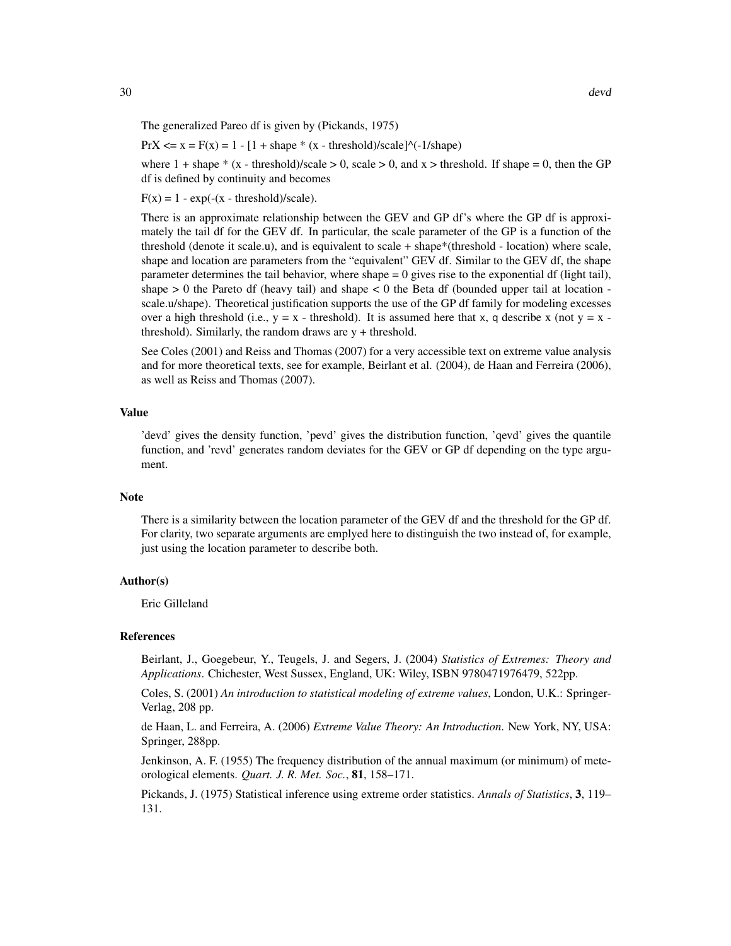The generalized Pareo df is given by (Pickands, 1975)

 $PrX \le x = F(x) = 1 - [1 + shape * (x - threshold)/scale]$ <sup>^</sup>(-1/shape)

where  $1 + \text{shape} * (x - \text{threshold})/\text{scale} > 0$ , scale  $> 0$ , and  $x > \text{threshold}$ . If shape  $= 0$ , then the GP df is defined by continuity and becomes

 $F(x) = 1 - exp(-(x - threshold)/scale).$ 

There is an approximate relationship between the GEV and GP df's where the GP df is approximately the tail df for the GEV df. In particular, the scale parameter of the GP is a function of the threshold (denote it scale.u), and is equivalent to scale + shape\*(threshold - location) where scale, shape and location are parameters from the "equivalent" GEV df. Similar to the GEV df, the shape parameter determines the tail behavior, where shape = 0 gives rise to the exponential df (light tail), shape  $> 0$  the Pareto df (heavy tail) and shape  $< 0$  the Beta df (bounded upper tail at location scale.u/shape). Theoretical justification supports the use of the GP df family for modeling excesses over a high threshold (i.e.,  $y = x -$  threshold). It is assumed here that x, q describe x (not  $y = x$ threshold). Similarly, the random draws are  $y +$  threshold.

See Coles (2001) and Reiss and Thomas (2007) for a very accessible text on extreme value analysis and for more theoretical texts, see for example, Beirlant et al. (2004), de Haan and Ferreira (2006), as well as Reiss and Thomas (2007).

#### Value

'devd' gives the density function, 'pevd' gives the distribution function, 'qevd' gives the quantile function, and 'revd' generates random deviates for the GEV or GP df depending on the type argument.

#### Note

There is a similarity between the location parameter of the GEV df and the threshold for the GP df. For clarity, two separate arguments are emplyed here to distinguish the two instead of, for example, just using the location parameter to describe both.

#### Author(s)

Eric Gilleland

#### References

Beirlant, J., Goegebeur, Y., Teugels, J. and Segers, J. (2004) *Statistics of Extremes: Theory and Applications*. Chichester, West Sussex, England, UK: Wiley, ISBN 9780471976479, 522pp.

Coles, S. (2001) *An introduction to statistical modeling of extreme values*, London, U.K.: Springer-Verlag, 208 pp.

de Haan, L. and Ferreira, A. (2006) *Extreme Value Theory: An Introduction*. New York, NY, USA: Springer, 288pp.

Jenkinson, A. F. (1955) The frequency distribution of the annual maximum (or minimum) of meteorological elements. *Quart. J. R. Met. Soc.*, 81, 158–171.

Pickands, J. (1975) Statistical inference using extreme order statistics. *Annals of Statistics*, 3, 119– 131.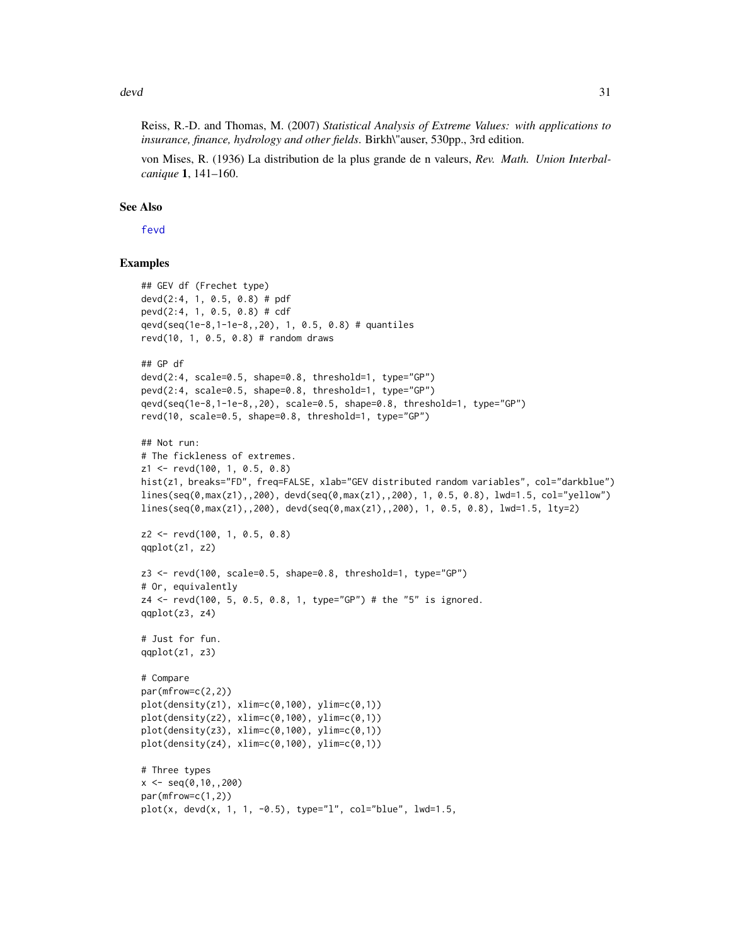devd 31

von Mises, R. (1936) La distribution de la plus grande de n valeurs, *Rev. Math. Union Interbalcanique* 1, 141–160.

#### See Also

[fevd](#page-38-1)

#### Examples

```
## GEV df (Frechet type)
devd(2:4, 1, 0.5, 0.8) # pdf
pevd(2:4, 1, 0.5, 0.8) # cdf
qevd(seq(1e-8,1-1e-8,,20), 1, 0.5, 0.8) # quantiles
revd(10, 1, 0.5, 0.8) # random draws
## GP df
devd(2:4, scale=0.5, shape=0.8, threshold=1, type="GP")
pevd(2:4, scale=0.5, shape=0.8, threshold=1, type="GP")
qevd(seq(1e-8,1-1e-8,,20), scale=0.5, shape=0.8, threshold=1, type="GP")
revd(10, scale=0.5, shape=0.8, threshold=1, type="GP")
## Not run:
# The fickleness of extremes.
z1 <- revd(100, 1, 0.5, 0.8)
hist(z1, breaks="FD", freq=FALSE, xlab="GEV distributed random variables", col="darkblue")
lines(seq(0, max(z1), 200), devd(seq(0, max(z1), 200), 1, 0.5, 0.8), lwd=1.5, col="vellow")lines(seq(0,max(z1),,200), devd(seq(0,max(z1),,200), 1, 0.5, 0.8), lwd=1.5, lty=2)
z2 <- revd(100, 1, 0.5, 0.8)
qqplot(z1, z2)
z3 \le revd(100, scale=0.5, shape=0.8, threshold=1, type="GP")
# Or, equivalently
z4 <- revd(100, 5, 0.5, 0.8, 1, type="GP") # the "5" is ignored.
qqplot(z3, z4)
# Just for fun.
qqplot(z1, z3)
# Compare
par(mfrow=c(2,2))
plot(density(z1), xlim=c(0,100), ylim=c(0,1))
plot(density(z2), xlim=c(0,100), ylim=c(0,1))
plot(density(z3), xlim=c(0,100), ylim=c(0,1))plot(density(z4), xlim=c(0,100), ylim=c(0,1))
# Three types
x \leq -\text{seq}(0,10,0.200)par(mfrow=c(1,2))
plot(x, devd(x, 1, 1, -0.5), type='1", col='blue", lwd=1.5,
```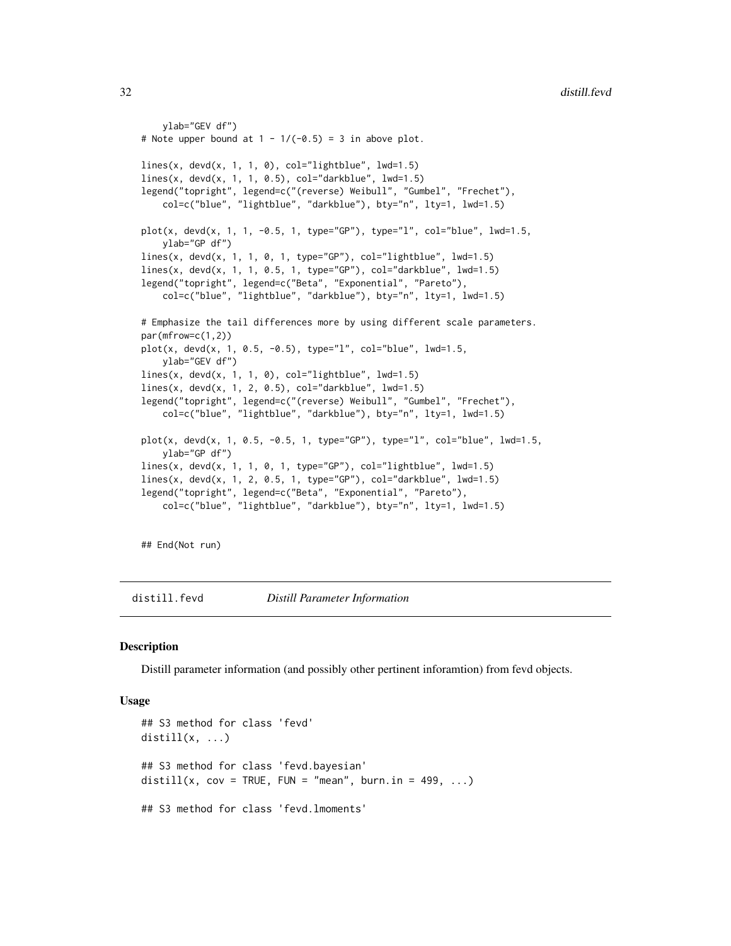```
ylab="GEV df")
# Note upper bound at 1 - 1/(-0.5) = 3 in above plot.
lines(x, devd(x, 1, 1, 0), col="lightblue", lwd=1.5)lines(x, devd(x, 1, 1, 0.5), col="darkblue", lwd=1.5)legend("topright", legend=c("(reverse) Weibull", "Gumbel", "Frechet"),
   col=c("blue", "lightblue", "darkblue"), bty="n", lty=1, lwd=1.5)
plot(x, devd(x, 1, 1, -0.5, 1, type="GP"), type="l", col="blue", lwd=1.5,
   ylab="GP df")
lines(x, dead(x, 1, 1, 0, 1, type="GP"), col="lightblue", lwd=1.5)lines(x, devd(x, 1, 1, 0.5, 1, type="GP"), col="darkblue", lwd=1.5)legend("topright", legend=c("Beta", "Exponential", "Pareto"),
    col=c("blue", "lightblue", "darkblue"), bty="n", lty=1, lwd=1.5)
# Emphasize the tail differences more by using different scale parameters.
par(mfrow=c(1,2))
plot(x, devd(x, 1, 0.5, -0.5), type="1", col="blue", lwd=1.5,ylab="GEV df")
lines(x, devd(x, 1, 1, 0), col="lightblue", lwd=1.5)lines(x, devd(x, 1, 2, 0.5), col="darkblue", lwd=1.5)
legend("topright", legend=c("(reverse) Weibull", "Gumbel", "Frechet"),
   col=c("blue", "lightblue", "darkblue"), bty="n", lty=1, lwd=1.5)
plot(x, devd(x, 1, 0.5, -0.5, 1, type="GP"), type="l", col="blue", lwd=1.5,
    ylab="GP df")
lines(x, devd(x, 1, 1, 0, 1, type="GP"), col="lightblue", lwd=1.5)lines(x, devd(x, 1, 2, 0.5, 1, type="GP"), col="darkblue", lwd=1.5)
legend("topright", legend=c("Beta", "Exponential", "Pareto"),
   col=c("blue", "lightblue", "darkblue"), bty="n", lty=1, lwd=1.5)
```
## End(Not run)

distill.fevd *Distill Parameter Information*

#### **Description**

Distill parameter information (and possibly other pertinent inforamtion) from fevd objects.

#### Usage

```
## S3 method for class 'fevd'
distill(x, \ldots)## S3 method for class 'fevd.bayesian'
distill(x, cov = TRUE, FUN = "mean", burn.in = 499, ...)
## S3 method for class 'fevd.lmoments'
```
<span id="page-31-0"></span>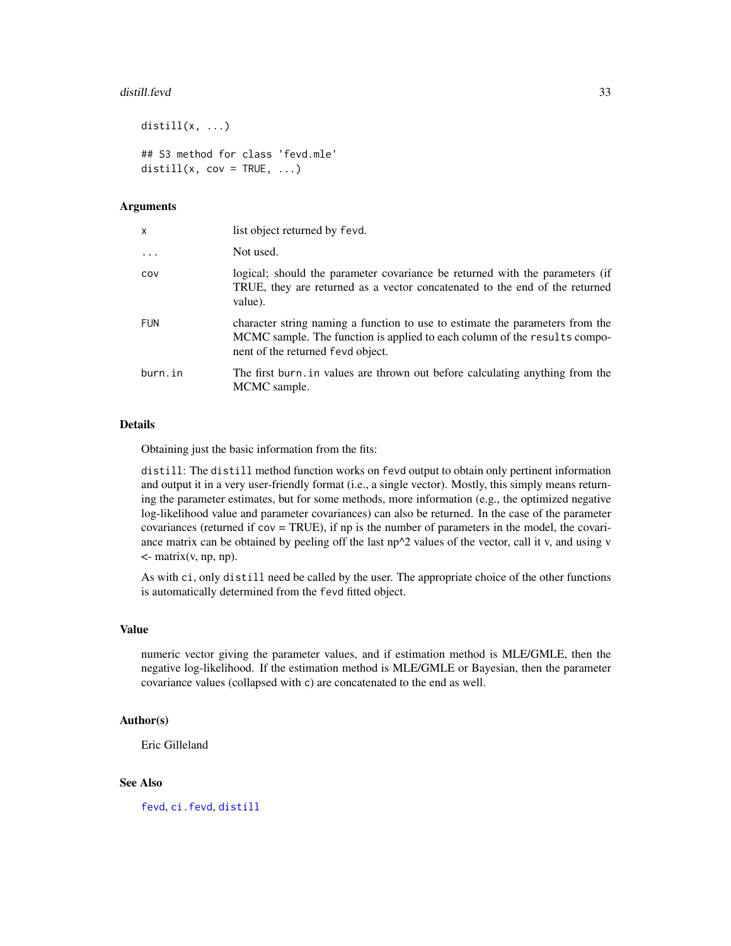#### distill.fevd 33

```
distill(x, \ldots)## S3 method for class 'fevd.mle'
distill(x, cov = TRUE, \dots)
```
#### **Arguments**

| x          | list object returned by fevd.                                                                                                                                                                   |
|------------|-------------------------------------------------------------------------------------------------------------------------------------------------------------------------------------------------|
| $\ddots$ . | Not used.                                                                                                                                                                                       |
| COV        | logical; should the parameter covariance be returned with the parameters (if<br>TRUE, they are returned as a vector concatenated to the end of the returned<br>value).                          |
| <b>FUN</b> | character string naming a function to use to estimate the parameters from the<br>MCMC sample. The function is applied to each column of the results compo-<br>nent of the returned fevd object. |
| burn.in    | The first burn, in values are thrown out before calculating anything from the<br>MCMC sample.                                                                                                   |

#### Details

Obtaining just the basic information from the fits:

distill: The distill method function works on fevd output to obtain only pertinent information and output it in a very user-friendly format (i.e., a single vector). Mostly, this simply means returning the parameter estimates, but for some methods, more information (e.g., the optimized negative log-likelihood value and parameter covariances) can also be returned. In the case of the parameter covariances (returned if cov = TRUE), if np is the number of parameters in the model, the covariance matrix can be obtained by peeling off the last  $np^2$  values of the vector, call it v, and using v  $\leq$ - matrix(v, np, np).

As with ci, only distill need be called by the user. The appropriate choice of the other functions is automatically determined from the fevd fitted object.

# Value

numeric vector giving the parameter values, and if estimation method is MLE/GMLE, then the negative log-likelihood. If the estimation method is MLE/GMLE or Bayesian, then the parameter covariance values (collapsed with c) are concatenated to the end as well.

#### Author(s)

Eric Gilleland

# See Also

[fevd](#page-38-1), [ci.fevd](#page-14-1), [distill](#page-0-0)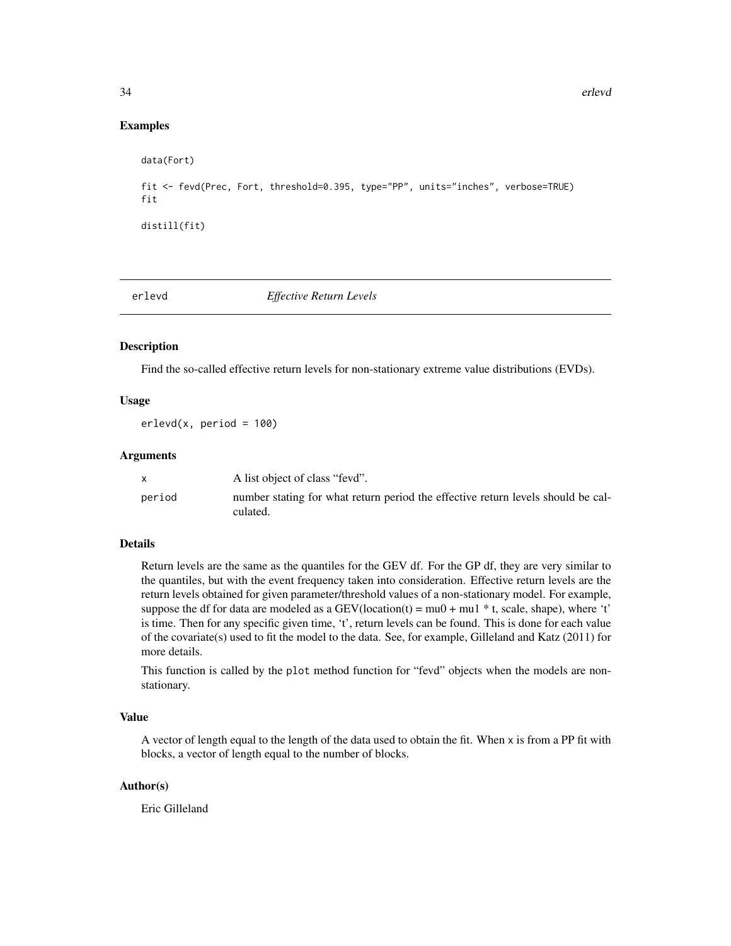### <span id="page-33-0"></span>Examples

```
data(Fort)
fit <- fevd(Prec, Fort, threshold=0.395, type="PP", units="inches", verbose=TRUE)
fit
distill(fit)
```
erlevd *Effective Return Levels*

#### Description

Find the so-called effective return levels for non-stationary extreme value distributions (EVDs).

# Usage

 $erlevd(x, period = 100)$ 

#### Arguments

|        | A list object of class "fevd".                                                               |
|--------|----------------------------------------------------------------------------------------------|
| period | number stating for what return period the effective return levels should be cal-<br>culated. |

#### Details

Return levels are the same as the quantiles for the GEV df. For the GP df, they are very similar to the quantiles, but with the event frequency taken into consideration. Effective return levels are the return levels obtained for given parameter/threshold values of a non-stationary model. For example, suppose the df for data are modeled as a GEV(location(t) =  $mu0 + mu1 * t$ , scale, shape), where 't' is time. Then for any specific given time, 't', return levels can be found. This is done for each value of the covariate(s) used to fit the model to the data. See, for example, Gilleland and Katz (2011) for more details.

This function is called by the plot method function for "fevd" objects when the models are nonstationary.

# Value

A vector of length equal to the length of the data used to obtain the fit. When x is from a PP fit with blocks, a vector of length equal to the number of blocks.

#### Author(s)

Eric Gilleland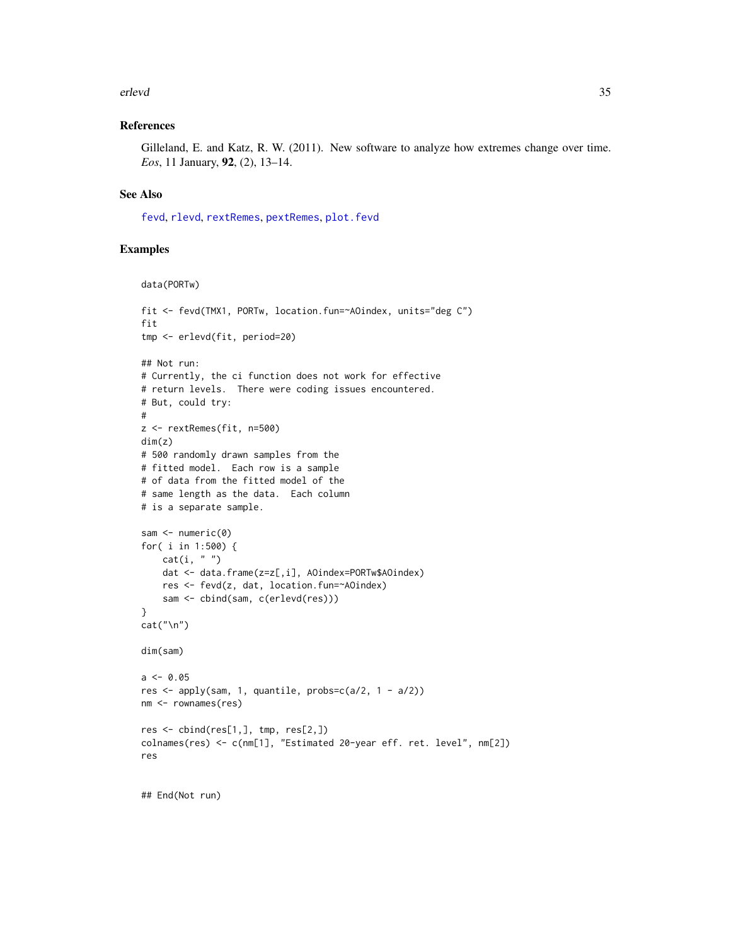#### erlevd 35

#### References

Gilleland, E. and Katz, R. W. (2011). New software to analyze how extremes change over time. *Eos*, 11 January, 92, (2), 13–14.

#### See Also

[fevd](#page-38-1), [rlevd](#page-101-1), [rextRemes](#page-83-1), [pextRemes](#page-83-2), [plot.fevd](#page-38-2)

# Examples

```
data(PORTw)
```

```
fit <- fevd(TMX1, PORTw, location.fun=~AOindex, units="deg C")
fit
tmp <- erlevd(fit, period=20)
## Not run:
# Currently, the ci function does not work for effective
# return levels. There were coding issues encountered.
# But, could try:
#
z <- rextRemes(fit, n=500)
dim(z)
# 500 randomly drawn samples from the
# fitted model. Each row is a sample
# of data from the fitted model of the
# same length as the data. Each column
# is a separate sample.
sam <- numeric(0)
for( i in 1:500) {
   cat(i, "")dat <- data.frame(z=z[,i], AOindex=PORTw$AOindex)
   res <- fevd(z, dat, location.fun=~AOindex)
    sam <- cbind(sam, c(erlevd(res)))
}
cat("\n'\n')dim(sam)
a \le -0.05res \leq apply(sam, 1, quantile, probs=c(a/2, 1 - a/2))
nm <- rownames(res)
res <- cbind(res[1,], tmp, res[2,])
colnames(res) <- c(nm[1], "Estimated 20-year eff. ret. level", nm[2])
res
```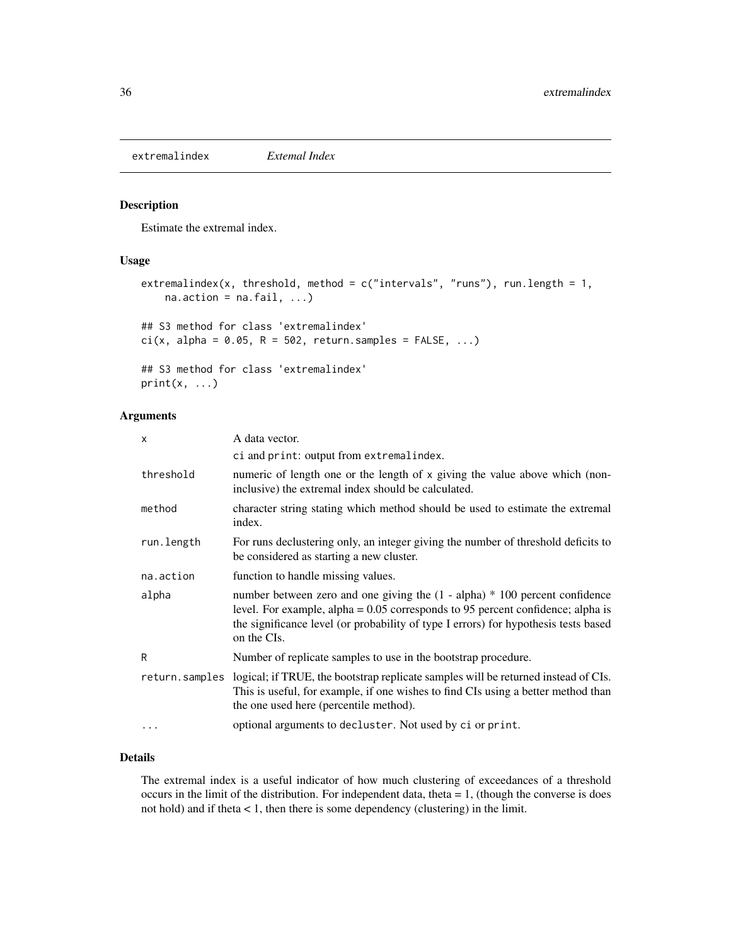<span id="page-35-1"></span><span id="page-35-0"></span>extremalindex *Extemal Index*

### Description

Estimate the extremal index.

# Usage

```
extremalindex(x, threshold, method = c("intervals", "runs"), run.length = 1,na. action = na. fail, ...)## S3 method for class 'extremalindex'
ci(x, alpha = 0.05, R = 502, return.samples = FALSE, ...)## S3 method for class 'extremalindex'
print(x, \ldots)
```
# Arguments

| x              | A data vector.                                                                                                                                                                                                                                                           |
|----------------|--------------------------------------------------------------------------------------------------------------------------------------------------------------------------------------------------------------------------------------------------------------------------|
|                | ci and print: output from extremalindex.                                                                                                                                                                                                                                 |
| threshold      | numeric of length one or the length of x giving the value above which (non-<br>inclusive) the extremal index should be calculated.                                                                                                                                       |
| method         | character string stating which method should be used to estimate the extremal<br>index.                                                                                                                                                                                  |
| run.length     | For runs declustering only, an integer giving the number of threshold deficits to<br>be considered as starting a new cluster.                                                                                                                                            |
| na.action      | function to handle missing values.                                                                                                                                                                                                                                       |
| alpha          | number between zero and one giving the $(1 - alpha) * 100$ percent confidence<br>level. For example, alpha $= 0.05$ corresponds to 95 percent confidence; alpha is<br>the significance level (or probability of type I errors) for hypothesis tests based<br>on the CIs. |
| R              | Number of replicate samples to use in the bootstrap procedure.                                                                                                                                                                                                           |
| return.samples | logical; if TRUE, the bootstrap replicate samples will be returned instead of CIs.<br>This is useful, for example, if one wishes to find CIs using a better method than<br>the one used here (percentile method).                                                        |
| $\cdot$        | optional arguments to decluster. Not used by ci or print.                                                                                                                                                                                                                |

# Details

The extremal index is a useful indicator of how much clustering of exceedances of a threshold occurs in the limit of the distribution. For independent data, theta = 1, (though the converse is does not hold) and if theta < 1, then there is some dependency (clustering) in the limit.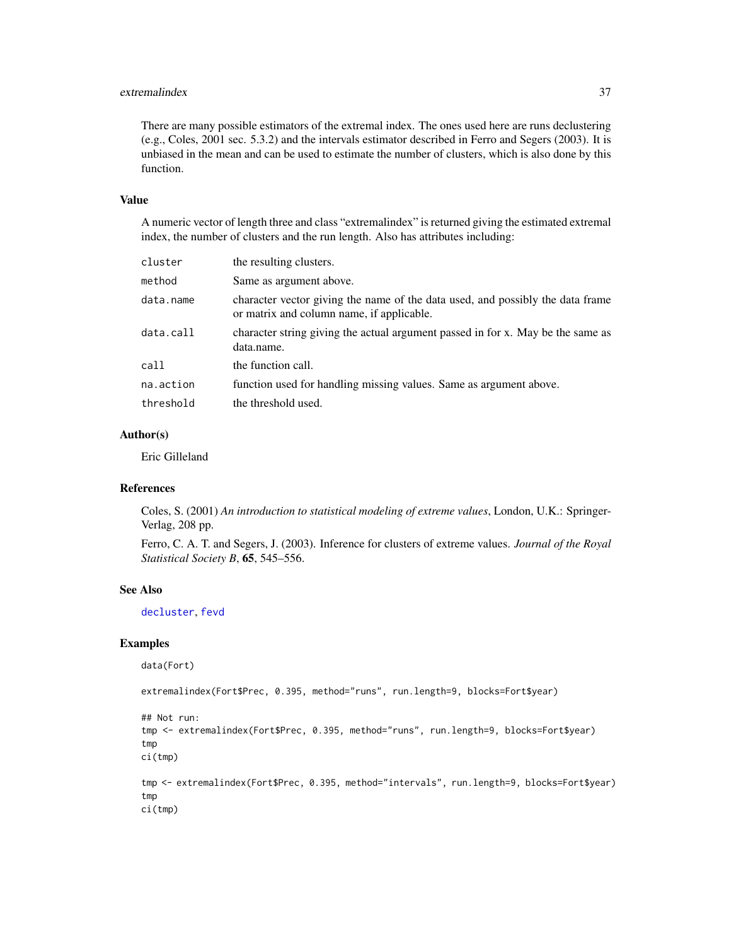# extremalindex 37

There are many possible estimators of the extremal index. The ones used here are runs declustering (e.g., Coles, 2001 sec. 5.3.2) and the intervals estimator described in Ferro and Segers (2003). It is unbiased in the mean and can be used to estimate the number of clusters, which is also done by this function.

# Value

A numeric vector of length three and class "extremalindex" is returned giving the estimated extremal index, the number of clusters and the run length. Also has attributes including:

| cluster   | the resulting clusters.                                                                                                     |
|-----------|-----------------------------------------------------------------------------------------------------------------------------|
| method    | Same as argument above.                                                                                                     |
| data.name | character vector giving the name of the data used, and possibly the data frame<br>or matrix and column name, if applicable. |
| data.call | character string giving the actual argument passed in for x. May be the same as<br>data.name.                               |
| call      | the function call.                                                                                                          |
| na.action | function used for handling missing values. Same as argument above.                                                          |
| threshold | the threshold used.                                                                                                         |

## Author(s)

Eric Gilleland

#### References

Coles, S. (2001) *An introduction to statistical modeling of extreme values*, London, U.K.: Springer-Verlag, 208 pp.

Ferro, C. A. T. and Segers, J. (2003). Inference for clusters of extreme values. *Journal of the Royal Statistical Society B*, 65, 545–556.

# See Also

[decluster](#page-22-0), [fevd](#page-38-0)

## Examples

data(Fort)

extremalindex(Fort\$Prec, 0.395, method="runs", run.length=9, blocks=Fort\$year)

```
## Not run:
tmp <- extremalindex(Fort$Prec, 0.395, method="runs", run.length=9, blocks=Fort$year)
tmp
ci(tmp)
tmp <- extremalindex(Fort$Prec, 0.395, method="intervals", run.length=9, blocks=Fort$year)
tmp
ci(tmp)
```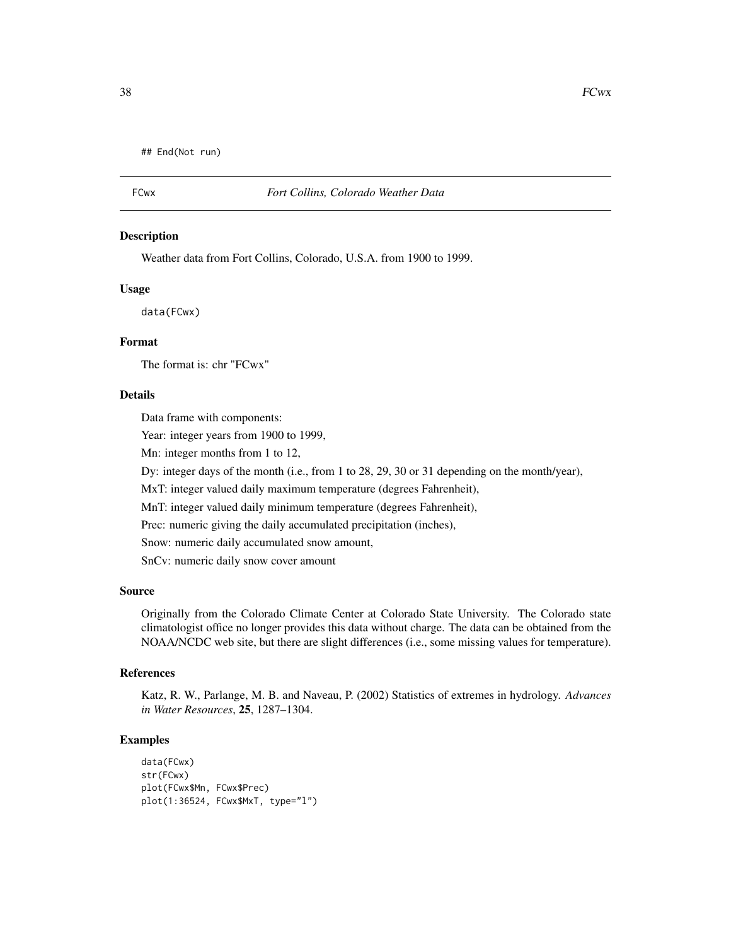```
## End(Not run)
```
# FCwx *Fort Collins, Colorado Weather Data*

#### Description

Weather data from Fort Collins, Colorado, U.S.A. from 1900 to 1999.

# Usage

data(FCwx)

# Format

The format is: chr "FCwx"

# Details

Data frame with components:

Year: integer years from 1900 to 1999,

Mn: integer months from 1 to 12,

Dy: integer days of the month (i.e., from 1 to 28, 29, 30 or 31 depending on the month/year),

MxT: integer valued daily maximum temperature (degrees Fahrenheit),

MnT: integer valued daily minimum temperature (degrees Fahrenheit),

Prec: numeric giving the daily accumulated precipitation (inches),

Snow: numeric daily accumulated snow amount,

SnCv: numeric daily snow cover amount

# Source

Originally from the Colorado Climate Center at Colorado State University. The Colorado state climatologist office no longer provides this data without charge. The data can be obtained from the NOAA/NCDC web site, but there are slight differences (i.e., some missing values for temperature).

#### References

Katz, R. W., Parlange, M. B. and Naveau, P. (2002) Statistics of extremes in hydrology. *Advances in Water Resources*, 25, 1287–1304.

## Examples

```
data(FCwx)
str(FCwx)
plot(FCwx$Mn, FCwx$Prec)
plot(1:36524, FCwx$MxT, type="l")
```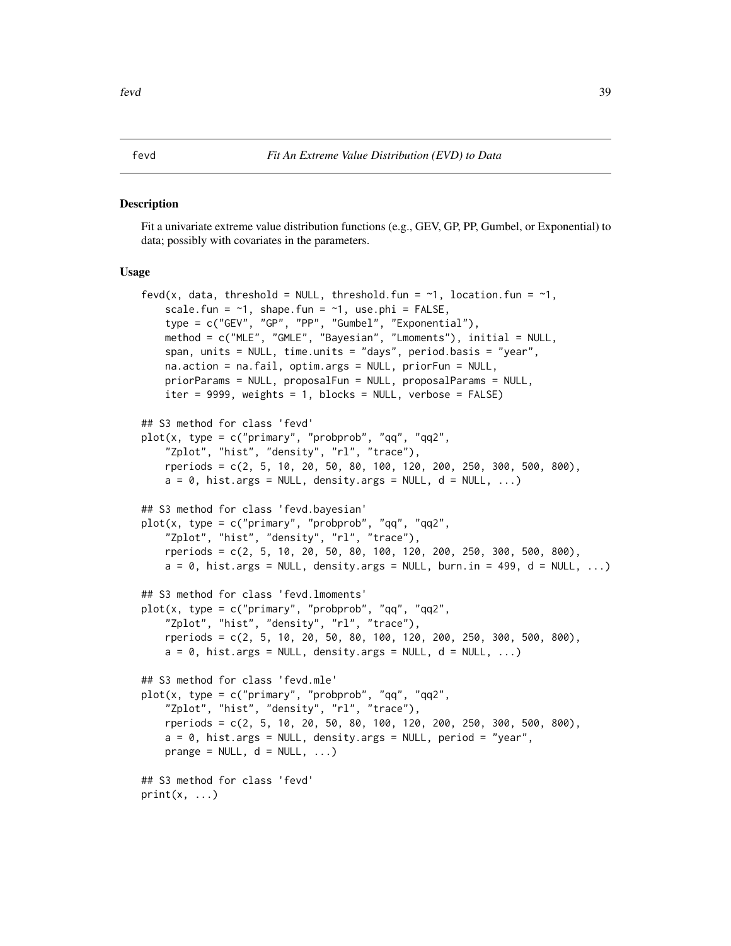#### <span id="page-38-0"></span>Description

Fit a univariate extreme value distribution functions (e.g., GEV, GP, PP, Gumbel, or Exponential) to data; possibly with covariates in the parameters.

#### Usage

```
fevd(x, data, threshold = NULL, threshold.fun = \sim1, location.fun = \sim1,
    scale.fun = \sim1, shape.fun = \sim1, use.phi = FALSE,
    type = c("GEV", "GP", "PP", "Gumbel", "Exponential"),
   method = c("MLE", "GMLE", "Bayesian", "Lmoments"), initial = NULL,
   span, units = NULL, time.units = "days", period.basis = "year",
   na.action = na.fail, optim.args = NULL, priorFun = NULL,
   priorParams = NULL, proposalFun = NULL, proposalParams = NULL,
   iter = 9999, weights = 1, blocks = NULL, verbose = FALSE)
## S3 method for class 'fevd'
plot(x, type = c("primary", "probprob", "qq", "qq2",
    "Zplot", "hist", "density", "rl", "trace"),
   rperiods = c(2, 5, 10, 20, 50, 80, 100, 120, 200, 250, 300, 500, 800),
   a = 0, hist.args = NULL, density.args = NULL, d = NULL, ...)
## S3 method for class 'fevd.bayesian'
plot(x, type = c("primary", "probprob", "qq", "qq2",
    "Zplot", "hist", "density", "rl", "trace"),
   rperiods = c(2, 5, 10, 20, 50, 80, 100, 120, 200, 250, 300, 500, 800),
   a = 0, hist.args = NULL, density.args = NULL, burn.in = 499, d = NULL, ...)
## S3 method for class 'fevd.lmoments'
plot(x, type = c("primary", "probprob", "qq", "qq2",
    "Zplot", "hist", "density", "rl", "trace"),
   rperiods = c(2, 5, 10, 20, 50, 80, 100, 120, 200, 250, 300, 500, 800),
   a = 0, hist.args = NULL, density.args = NULL, d = NULL, ...)
## S3 method for class 'fevd.mle'
plot(x, type = c("primary", "probprob", "qq", "qq2",
    "Zplot", "hist", "density", "rl", "trace"),
    rperiods = c(2, 5, 10, 20, 50, 80, 100, 120, 200, 250, 300, 500, 800),
   a = 0, hist.args = NULL, density.args = NULL, period = "year",
   prange = NULL, d = NULL, ...## S3 method for class 'fevd'
print(x, \ldots)
```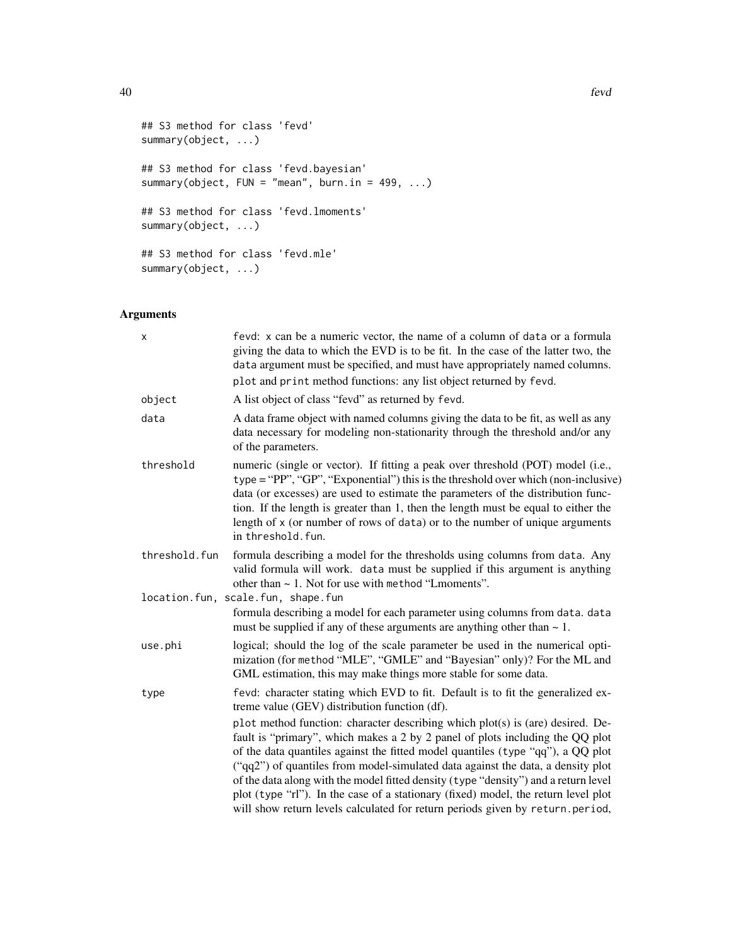```
## S3 method for class 'fevd'
summary(object, ...)
## S3 method for class 'fevd.bayesian'
summary(object, FUN = "mean", burn.in = 499, ...)
## S3 method for class 'fevd.lmoments'
summary(object, ...)
## S3 method for class 'fevd.mle'
summary(object, ...)
```
# Arguments

| X             | fevd: x can be a numeric vector, the name of a column of data or a formula<br>giving the data to which the EVD is to be fit. In the case of the latter two, the<br>data argument must be specified, and must have appropriately named columns.                                                                                                                                                                                                                                                                                                                                                      |  |  |
|---------------|-----------------------------------------------------------------------------------------------------------------------------------------------------------------------------------------------------------------------------------------------------------------------------------------------------------------------------------------------------------------------------------------------------------------------------------------------------------------------------------------------------------------------------------------------------------------------------------------------------|--|--|
|               | plot and print method functions: any list object returned by fevd.                                                                                                                                                                                                                                                                                                                                                                                                                                                                                                                                  |  |  |
| object        | A list object of class "fevd" as returned by fevd.                                                                                                                                                                                                                                                                                                                                                                                                                                                                                                                                                  |  |  |
| data          | A data frame object with named columns giving the data to be fit, as well as any<br>data necessary for modeling non-stationarity through the threshold and/or any<br>of the parameters.                                                                                                                                                                                                                                                                                                                                                                                                             |  |  |
| threshold     | numeric (single or vector). If fitting a peak over threshold (POT) model (i.e.,<br>$type = "PP", "GP", "Exponential")$ this is the threshold over which (non-inclusive)<br>data (or excesses) are used to estimate the parameters of the distribution func-<br>tion. If the length is greater than 1, then the length must be equal to either the<br>length of x (or number of rows of data) or to the number of unique arguments<br>in threshold. fun.                                                                                                                                             |  |  |
| threshold.fun | formula describing a model for the thresholds using columns from data. Any<br>valid formula will work. data must be supplied if this argument is anything<br>other than $\sim$ 1. Not for use with method "Lmoments".                                                                                                                                                                                                                                                                                                                                                                               |  |  |
|               | location.fun, scale.fun, shape.fun<br>formula describing a model for each parameter using columns from data. data<br>must be supplied if any of these arguments are anything other than $\sim 1$ .                                                                                                                                                                                                                                                                                                                                                                                                  |  |  |
| use.phi       | logical; should the log of the scale parameter be used in the numerical opti-<br>mization (for method "MLE", "GMLE" and "Bayesian" only)? For the ML and<br>GML estimation, this may make things more stable for some data.                                                                                                                                                                                                                                                                                                                                                                         |  |  |
| type          | fevd: character stating which EVD to fit. Default is to fit the generalized ex-<br>treme value (GEV) distribution function (df).                                                                                                                                                                                                                                                                                                                                                                                                                                                                    |  |  |
|               | plot method function: character describing which plot(s) is (are) desired. De-<br>fault is "primary", which makes a 2 by 2 panel of plots including the QQ plot<br>of the data quantiles against the fitted model quantiles (type "qq"), a QQ plot<br>("qq2") of quantiles from model-simulated data against the data, a density plot<br>of the data along with the model fitted density (type "density") and a return level<br>plot (type "rl"). In the case of a stationary (fixed) model, the return level plot<br>will show return levels calculated for return periods given by return.period, |  |  |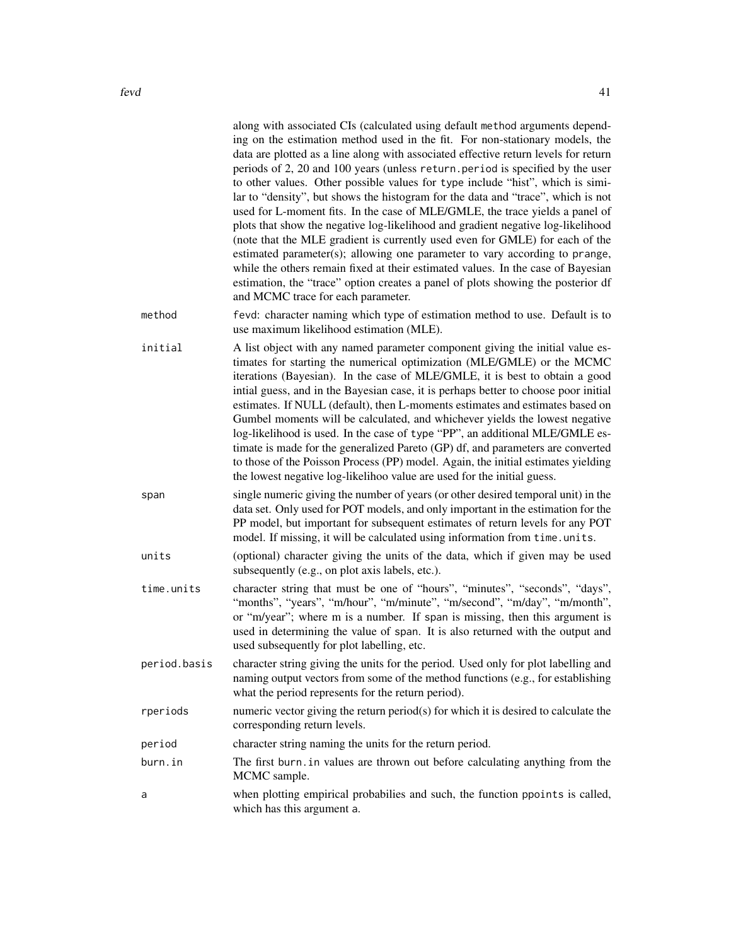|              | along with associated CIs (calculated using default method arguments depend-<br>ing on the estimation method used in the fit. For non-stationary models, the<br>data are plotted as a line along with associated effective return levels for return<br>periods of 2, 20 and 100 years (unless return.period is specified by the user<br>to other values. Other possible values for type include "hist", which is simi-<br>lar to "density", but shows the histogram for the data and "trace", which is not<br>used for L-moment fits. In the case of MLE/GMLE, the trace yields a panel of<br>plots that show the negative log-likelihood and gradient negative log-likelihood<br>(note that the MLE gradient is currently used even for GMLE) for each of the<br>estimated parameter(s); allowing one parameter to vary according to prange,<br>while the others remain fixed at their estimated values. In the case of Bayesian<br>estimation, the "trace" option creates a panel of plots showing the posterior df<br>and MCMC trace for each parameter. |
|--------------|-------------------------------------------------------------------------------------------------------------------------------------------------------------------------------------------------------------------------------------------------------------------------------------------------------------------------------------------------------------------------------------------------------------------------------------------------------------------------------------------------------------------------------------------------------------------------------------------------------------------------------------------------------------------------------------------------------------------------------------------------------------------------------------------------------------------------------------------------------------------------------------------------------------------------------------------------------------------------------------------------------------------------------------------------------------|
| method       | fevd: character naming which type of estimation method to use. Default is to<br>use maximum likelihood estimation (MLE).                                                                                                                                                                                                                                                                                                                                                                                                                                                                                                                                                                                                                                                                                                                                                                                                                                                                                                                                    |
| initial      | A list object with any named parameter component giving the initial value es-<br>timates for starting the numerical optimization (MLE/GMLE) or the MCMC<br>iterations (Bayesian). In the case of MLE/GMLE, it is best to obtain a good<br>intial guess, and in the Bayesian case, it is perhaps better to choose poor initial<br>estimates. If NULL (default), then L-moments estimates and estimates based on<br>Gumbel moments will be calculated, and whichever yields the lowest negative<br>log-likelihood is used. In the case of type "PP", an additional MLE/GMLE es-<br>timate is made for the generalized Pareto (GP) df, and parameters are converted<br>to those of the Poisson Process (PP) model. Again, the initial estimates yielding<br>the lowest negative log-likelihoo value are used for the initial guess.                                                                                                                                                                                                                            |
| span         | single numeric giving the number of years (or other desired temporal unit) in the<br>data set. Only used for POT models, and only important in the estimation for the<br>PP model, but important for subsequent estimates of return levels for any POT<br>model. If missing, it will be calculated using information from time. units.                                                                                                                                                                                                                                                                                                                                                                                                                                                                                                                                                                                                                                                                                                                      |
| units        | (optional) character giving the units of the data, which if given may be used<br>subsequently (e.g., on plot axis labels, etc.).                                                                                                                                                                                                                                                                                                                                                                                                                                                                                                                                                                                                                                                                                                                                                                                                                                                                                                                            |
| time.units   | character string that must be one of "hours", "minutes", "seconds", "days",<br>"months", "years", "m/hour", "m/minute", "m/second", "m/day", "m/month",<br>or "m/year"; where m is a number. If span is missing, then this argument is<br>used in determining the value of span. It is also returned with the output and<br>used subsequently for plot labelling, etc.                                                                                                                                                                                                                                                                                                                                                                                                                                                                                                                                                                                                                                                                                      |
| period.basis | character string giving the units for the period. Used only for plot labelling and<br>naming output vectors from some of the method functions (e.g., for establishing<br>what the period represents for the return period).                                                                                                                                                                                                                                                                                                                                                                                                                                                                                                                                                                                                                                                                                                                                                                                                                                 |
| rperiods     | numeric vector giving the return period(s) for which it is desired to calculate the<br>corresponding return levels.                                                                                                                                                                                                                                                                                                                                                                                                                                                                                                                                                                                                                                                                                                                                                                                                                                                                                                                                         |
| period       | character string naming the units for the return period.                                                                                                                                                                                                                                                                                                                                                                                                                                                                                                                                                                                                                                                                                                                                                                                                                                                                                                                                                                                                    |
| burn.in      | The first burn. in values are thrown out before calculating anything from the<br>MCMC sample.                                                                                                                                                                                                                                                                                                                                                                                                                                                                                                                                                                                                                                                                                                                                                                                                                                                                                                                                                               |
| a            | when plotting empirical probabilies and such, the function ppoints is called,<br>which has this argument a.                                                                                                                                                                                                                                                                                                                                                                                                                                                                                                                                                                                                                                                                                                                                                                                                                                                                                                                                                 |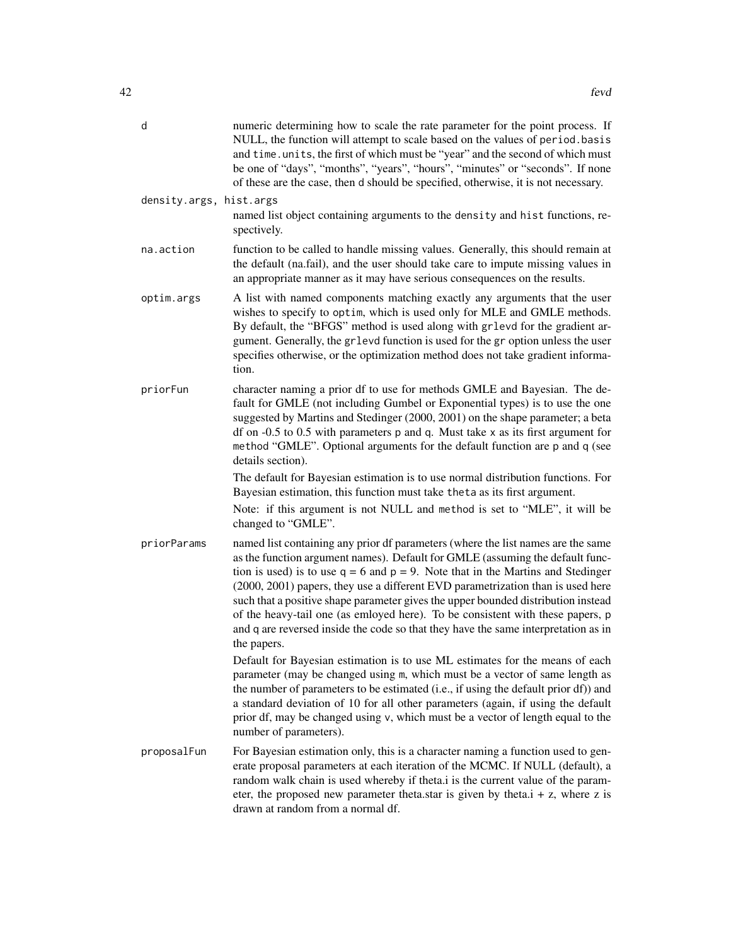| d                       | numeric determining how to scale the rate parameter for the point process. If<br>NULL, the function will attempt to scale based on the values of period. basis<br>and time. units, the first of which must be "year" and the second of which must<br>be one of "days", "months", "years", "hours", "minutes" or "seconds". If none<br>of these are the case, then d should be specified, otherwise, it is not necessary.                                                                                                                                                                                                 |
|-------------------------|--------------------------------------------------------------------------------------------------------------------------------------------------------------------------------------------------------------------------------------------------------------------------------------------------------------------------------------------------------------------------------------------------------------------------------------------------------------------------------------------------------------------------------------------------------------------------------------------------------------------------|
| density.args, hist.args | named list object containing arguments to the density and hist functions, re-<br>spectively.                                                                                                                                                                                                                                                                                                                                                                                                                                                                                                                             |
| na.action               | function to be called to handle missing values. Generally, this should remain at<br>the default (na.fail), and the user should take care to impute missing values in<br>an appropriate manner as it may have serious consequences on the results.                                                                                                                                                                                                                                                                                                                                                                        |
| optim.args              | A list with named components matching exactly any arguments that the user<br>wishes to specify to optim, which is used only for MLE and GMLE methods.<br>By default, the "BFGS" method is used along with grlevd for the gradient ar-<br>gument. Generally, the gr1evd function is used for the gr option unless the user<br>specifies otherwise, or the optimization method does not take gradient informa-<br>tion.                                                                                                                                                                                                    |
| priorFun                | character naming a prior df to use for methods GMLE and Bayesian. The de-<br>fault for GMLE (not including Gumbel or Exponential types) is to use the one<br>suggested by Martins and Stedinger (2000, 2001) on the shape parameter; a beta<br>df on $-0.5$ to 0.5 with parameters $p$ and $q$ . Must take $x$ as its first argument for<br>method "GMLE". Optional arguments for the default function are p and q (see<br>details section).                                                                                                                                                                             |
|                         | The default for Bayesian estimation is to use normal distribution functions. For<br>Bayesian estimation, this function must take theta as its first argument.                                                                                                                                                                                                                                                                                                                                                                                                                                                            |
|                         | Note: if this argument is not NULL and method is set to "MLE", it will be<br>changed to "GMLE".                                                                                                                                                                                                                                                                                                                                                                                                                                                                                                                          |
| priorParams             | named list containing any prior df parameters (where the list names are the same<br>as the function argument names). Default for GMLE (assuming the default func-<br>tion is used) is to use $q = 6$ and $p = 9$ . Note that in the Martins and Stedinger<br>(2000, 2001) papers, they use a different EVD parametrization than is used here<br>such that a positive shape parameter gives the upper bounded distribution instead<br>of the heavy-tail one (as emloyed here). To be consistent with these papers, p<br>and q are reversed inside the code so that they have the same interpretation as in<br>the papers. |
|                         | Default for Bayesian estimation is to use ML estimates for the means of each<br>parameter (may be changed using m, which must be a vector of same length as<br>the number of parameters to be estimated (i.e., if using the default prior df)) and<br>a standard deviation of 10 for all other parameters (again, if using the default<br>prior df, may be changed using v, which must be a vector of length equal to the<br>number of parameters).                                                                                                                                                                      |
| proposalFun             | For Bayesian estimation only, this is a character naming a function used to gen-<br>erate proposal parameters at each iteration of the MCMC. If NULL (default), a<br>random walk chain is used whereby if theta.i is the current value of the param-<br>eter, the proposed new parameter theta.star is given by theta.i + z, where z is<br>drawn at random from a normal df.                                                                                                                                                                                                                                             |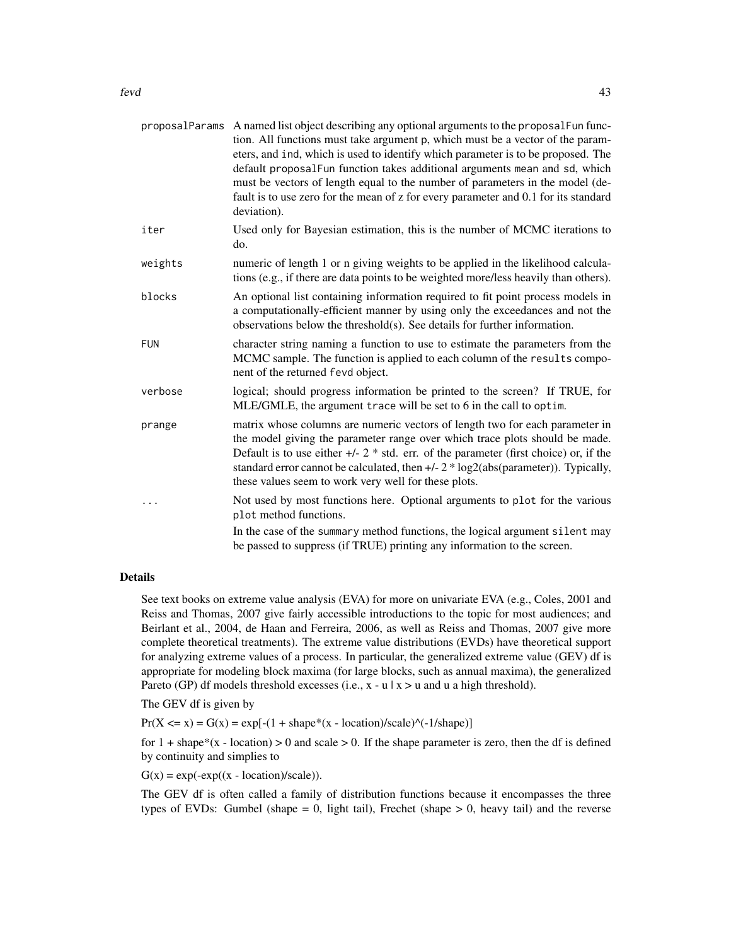|            | proposalParams A named list object describing any optional arguments to the proposalFun func-<br>tion. All functions must take argument p, which must be a vector of the param-<br>eters, and ind, which is used to identify which parameter is to be proposed. The<br>default proposalFun function takes additional arguments mean and sd, which<br>must be vectors of length equal to the number of parameters in the model (de-<br>fault is to use zero for the mean of z for every parameter and 0.1 for its standard<br>deviation). |
|------------|------------------------------------------------------------------------------------------------------------------------------------------------------------------------------------------------------------------------------------------------------------------------------------------------------------------------------------------------------------------------------------------------------------------------------------------------------------------------------------------------------------------------------------------|
| iter       | Used only for Bayesian estimation, this is the number of MCMC iterations to<br>do.                                                                                                                                                                                                                                                                                                                                                                                                                                                       |
| weights    | numeric of length 1 or n giving weights to be applied in the likelihood calcula-<br>tions (e.g., if there are data points to be weighted more/less heavily than others).                                                                                                                                                                                                                                                                                                                                                                 |
| blocks     | An optional list containing information required to fit point process models in<br>a computationally-efficient manner by using only the exceedances and not the<br>observations below the threshold(s). See details for further information.                                                                                                                                                                                                                                                                                             |
| <b>FUN</b> | character string naming a function to use to estimate the parameters from the<br>MCMC sample. The function is applied to each column of the results compo-<br>nent of the returned fevd object.                                                                                                                                                                                                                                                                                                                                          |
| verbose    | logical; should progress information be printed to the screen? If TRUE, for<br>MLE/GMLE, the argument trace will be set to 6 in the call to optim.                                                                                                                                                                                                                                                                                                                                                                                       |
| prange     | matrix whose columns are numeric vectors of length two for each parameter in<br>the model giving the parameter range over which trace plots should be made.<br>Default is to use either $+/- 2$ * std. err. of the parameter (first choice) or, if the<br>standard error cannot be calculated, then +/- 2 * log2(abs(parameter)). Typically,<br>these values seem to work very well for these plots.                                                                                                                                     |
|            | Not used by most functions here. Optional arguments to plot for the various<br>plot method functions.                                                                                                                                                                                                                                                                                                                                                                                                                                    |
|            | In the case of the summary method functions, the logical argument silent may<br>be passed to suppress (if TRUE) printing any information to the screen.                                                                                                                                                                                                                                                                                                                                                                                  |

# Details

See text books on extreme value analysis (EVA) for more on univariate EVA (e.g., Coles, 2001 and Reiss and Thomas, 2007 give fairly accessible introductions to the topic for most audiences; and Beirlant et al., 2004, de Haan and Ferreira, 2006, as well as Reiss and Thomas, 2007 give more complete theoretical treatments). The extreme value distributions (EVDs) have theoretical support for analyzing extreme values of a process. In particular, the generalized extreme value (GEV) df is appropriate for modeling block maxima (for large blocks, such as annual maxima), the generalized Pareto (GP) df models threshold excesses (i.e.,  $x - u \mid x > u$  and u a high threshold).

The GEV df is given by

 $Pr(X \le x) = G(x) = exp[-(1 + shape*(x - location)/scale) \cdot (-1/shape)]$ 

for  $1 + shape*(x - location) > 0$  and scale  $> 0$ . If the shape parameter is zero, then the df is defined by continuity and simplies to

 $G(x) = exp(-exp((x - location)/scale)).$ 

The GEV df is often called a family of distribution functions because it encompasses the three types of EVDs: Gumbel (shape  $= 0$ , light tail), Frechet (shape  $> 0$ , heavy tail) and the reverse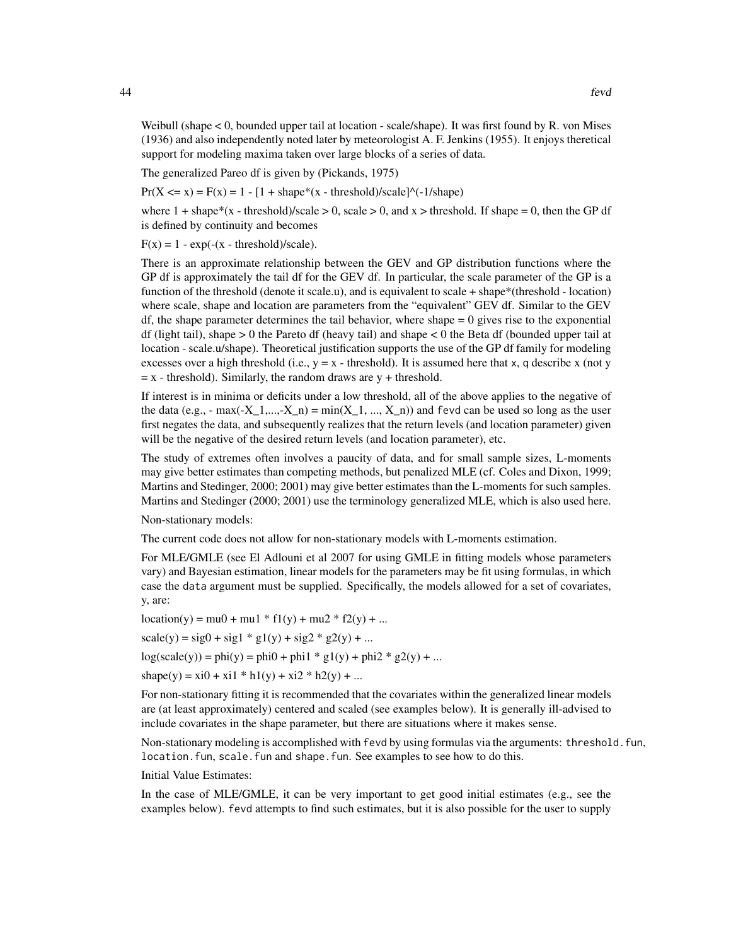Weibull (shape < 0, bounded upper tail at location - scale/shape). It was first found by R. von Mises (1936) and also independently noted later by meteorologist A. F. Jenkins (1955). It enjoys theretical support for modeling maxima taken over large blocks of a series of data.

The generalized Pareo df is given by (Pickands, 1975)

 $Pr(X \le x) = F(x) = 1 - [1 + shape*(x - threshold)/scale]$ <sup>{-1/shape}}</sup>

where  $1 + \text{shape}^*(x - \text{threshold})/\text{scale} > 0$ , scale  $> 0$ , and  $x > \text{threshold}$ . If shape = 0, then the GP df is defined by continuity and becomes

 $F(x) = 1 - exp(-(x - threshold)/scale).$ 

There is an approximate relationship between the GEV and GP distribution functions where the GP df is approximately the tail df for the GEV df. In particular, the scale parameter of the GP is a function of the threshold (denote it scale.u), and is equivalent to scale + shape\*(threshold - location) where scale, shape and location are parameters from the "equivalent" GEV df. Similar to the GEV  $df$ , the shape parameter determines the tail behavior, where shape  $= 0$  gives rise to the exponential df (light tail), shape  $> 0$  the Pareto df (heavy tail) and shape  $< 0$  the Beta df (bounded upper tail at location - scale.u/shape). Theoretical justification supports the use of the GP df family for modeling excesses over a high threshold (i.e.,  $y = x -$  threshold). It is assumed here that x, q describe x (not y  $= x - threshold$ ). Similarly, the random draws are y + threshold.

If interest is in minima or deficits under a low threshold, all of the above applies to the negative of the data (e.g.,  $-$  max(-X\_1,...,-X\_n) = min(X\_1, ..., X\_n)) and fevd can be used so long as the user first negates the data, and subsequently realizes that the return levels (and location parameter) given will be the negative of the desired return levels (and location parameter), etc.

The study of extremes often involves a paucity of data, and for small sample sizes, L-moments may give better estimates than competing methods, but penalized MLE (cf. Coles and Dixon, 1999; Martins and Stedinger, 2000; 2001) may give better estimates than the L-moments for such samples. Martins and Stedinger (2000; 2001) use the terminology generalized MLE, which is also used here.

Non-stationary models:

The current code does not allow for non-stationary models with L-moments estimation.

For MLE/GMLE (see El Adlouni et al 2007 for using GMLE in fitting models whose parameters vary) and Bayesian estimation, linear models for the parameters may be fit using formulas, in which case the data argument must be supplied. Specifically, the models allowed for a set of covariates, y, are:

 $location(y) = mu0 + mu1 * f1(y) + mu2 * f2(y) + ...$  $scale(y) = sig0 + sig1 * g1(y) + sig2 * g2(y) + ...$  $log(scale(y)) = phi(y) = phi0 + phi1 * g1(y) + phi2 * g2(y) + ...$ shape(y) = xi0 + xi1 \* h1(y) + xi2 \* h2(y) + ...

For non-stationary fitting it is recommended that the covariates within the generalized linear models are (at least approximately) centered and scaled (see examples below). It is generally ill-advised to include covariates in the shape parameter, but there are situations where it makes sense.

Non-stationary modeling is accomplished with fevd by using formulas via the arguments: threshold.fun, location. fun, scale. fun and shape. fun. See examples to see how to do this.

Initial Value Estimates:

In the case of MLE/GMLE, it can be very important to get good initial estimates (e.g., see the examples below). fevd attempts to find such estimates, but it is also possible for the user to supply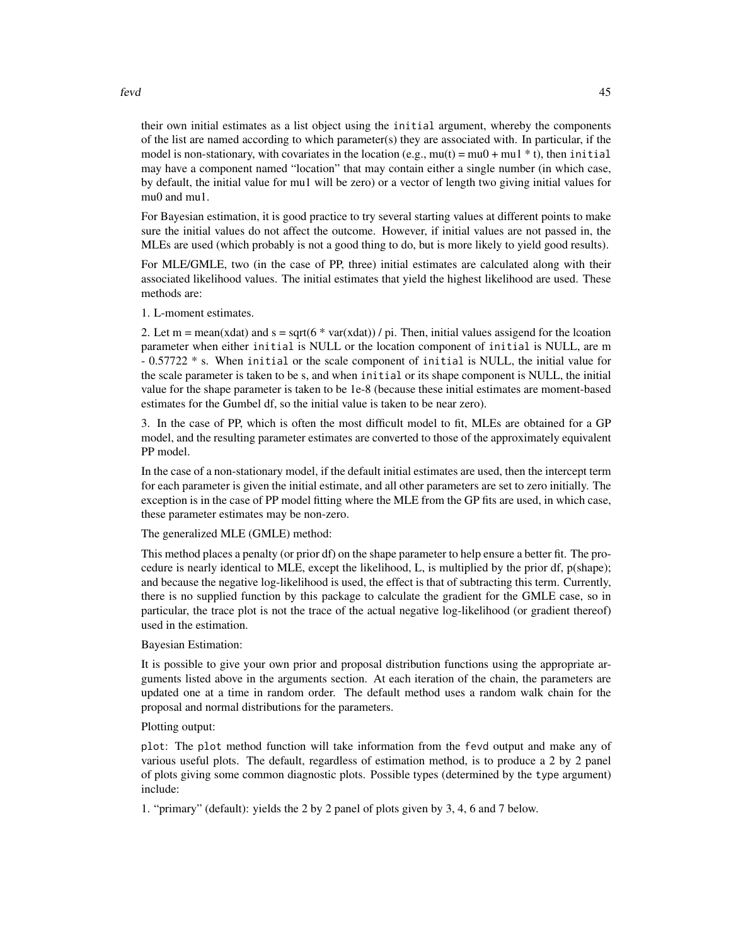their own initial estimates as a list object using the initial argument, whereby the components of the list are named according to which parameter(s) they are associated with. In particular, if the model is non-stationary, with covariates in the location (e.g.,  $mu(t) = mu0 + mu1 * t$ ), then initial may have a component named "location" that may contain either a single number (in which case, by default, the initial value for mu1 will be zero) or a vector of length two giving initial values for mu0 and mu1.

For Bayesian estimation, it is good practice to try several starting values at different points to make sure the initial values do not affect the outcome. However, if initial values are not passed in, the MLEs are used (which probably is not a good thing to do, but is more likely to yield good results).

For MLE/GMLE, two (in the case of PP, three) initial estimates are calculated along with their associated likelihood values. The initial estimates that yield the highest likelihood are used. These methods are:

1. L-moment estimates.

2. Let m = mean(xdat) and s = sqrt(6  $*$  var(xdat)) / pi. Then, initial values assigend for the lcoation parameter when either initial is NULL or the location component of initial is NULL, are m - 0.57722 \* s. When initial or the scale component of initial is NULL, the initial value for the scale parameter is taken to be s, and when initial or its shape component is NULL, the initial value for the shape parameter is taken to be 1e-8 (because these initial estimates are moment-based estimates for the Gumbel df, so the initial value is taken to be near zero).

3. In the case of PP, which is often the most difficult model to fit, MLEs are obtained for a GP model, and the resulting parameter estimates are converted to those of the approximately equivalent PP model.

In the case of a non-stationary model, if the default initial estimates are used, then the intercept term for each parameter is given the initial estimate, and all other parameters are set to zero initially. The exception is in the case of PP model fitting where the MLE from the GP fits are used, in which case, these parameter estimates may be non-zero.

The generalized MLE (GMLE) method:

This method places a penalty (or prior df) on the shape parameter to help ensure a better fit. The procedure is nearly identical to MLE, except the likelihood, L, is multiplied by the prior df, p(shape); and because the negative log-likelihood is used, the effect is that of subtracting this term. Currently, there is no supplied function by this package to calculate the gradient for the GMLE case, so in particular, the trace plot is not the trace of the actual negative log-likelihood (or gradient thereof) used in the estimation.

Bayesian Estimation:

It is possible to give your own prior and proposal distribution functions using the appropriate arguments listed above in the arguments section. At each iteration of the chain, the parameters are updated one at a time in random order. The default method uses a random walk chain for the proposal and normal distributions for the parameters.

Plotting output:

plot: The plot method function will take information from the fevd output and make any of various useful plots. The default, regardless of estimation method, is to produce a 2 by 2 panel of plots giving some common diagnostic plots. Possible types (determined by the type argument) include:

1. "primary" (default): yields the 2 by 2 panel of plots given by 3, 4, 6 and 7 below.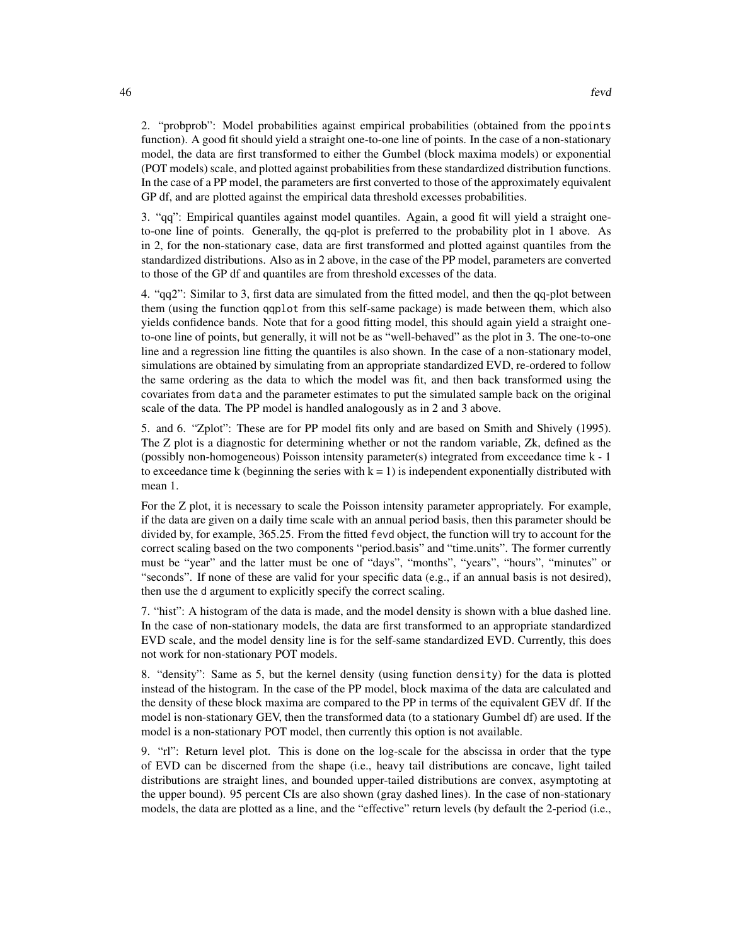2. "probprob": Model probabilities against empirical probabilities (obtained from the ppoints function). A good fit should yield a straight one-to-one line of points. In the case of a non-stationary model, the data are first transformed to either the Gumbel (block maxima models) or exponential (POT models) scale, and plotted against probabilities from these standardized distribution functions. In the case of a PP model, the parameters are first converted to those of the approximately equivalent GP df, and are plotted against the empirical data threshold excesses probabilities.

3. "qq": Empirical quantiles against model quantiles. Again, a good fit will yield a straight oneto-one line of points. Generally, the qq-plot is preferred to the probability plot in 1 above. As in 2, for the non-stationary case, data are first transformed and plotted against quantiles from the standardized distributions. Also as in 2 above, in the case of the PP model, parameters are converted to those of the GP df and quantiles are from threshold excesses of the data.

4. "qq2": Similar to 3, first data are simulated from the fitted model, and then the qq-plot between them (using the function qqplot from this self-same package) is made between them, which also yields confidence bands. Note that for a good fitting model, this should again yield a straight oneto-one line of points, but generally, it will not be as "well-behaved" as the plot in 3. The one-to-one line and a regression line fitting the quantiles is also shown. In the case of a non-stationary model, simulations are obtained by simulating from an appropriate standardized EVD, re-ordered to follow the same ordering as the data to which the model was fit, and then back transformed using the covariates from data and the parameter estimates to put the simulated sample back on the original scale of the data. The PP model is handled analogously as in 2 and 3 above.

5. and 6. "Zplot": These are for PP model fits only and are based on Smith and Shively (1995). The Z plot is a diagnostic for determining whether or not the random variable, Zk, defined as the (possibly non-homogeneous) Poisson intensity parameter(s) integrated from exceedance time k - 1 to exceedance time k (beginning the series with  $k = 1$ ) is independent exponentially distributed with mean 1.

For the Z plot, it is necessary to scale the Poisson intensity parameter appropriately. For example, if the data are given on a daily time scale with an annual period basis, then this parameter should be divided by, for example, 365.25. From the fitted fevd object, the function will try to account for the correct scaling based on the two components "period.basis" and "time.units". The former currently must be "year" and the latter must be one of "days", "months", "years", "hours", "minutes" or "seconds". If none of these are valid for your specific data (e.g., if an annual basis is not desired), then use the d argument to explicitly specify the correct scaling.

7. "hist": A histogram of the data is made, and the model density is shown with a blue dashed line. In the case of non-stationary models, the data are first transformed to an appropriate standardized EVD scale, and the model density line is for the self-same standardized EVD. Currently, this does not work for non-stationary POT models.

8. "density": Same as 5, but the kernel density (using function density) for the data is plotted instead of the histogram. In the case of the PP model, block maxima of the data are calculated and the density of these block maxima are compared to the PP in terms of the equivalent GEV df. If the model is non-stationary GEV, then the transformed data (to a stationary Gumbel df) are used. If the model is a non-stationary POT model, then currently this option is not available.

9. "rl": Return level plot. This is done on the log-scale for the abscissa in order that the type of EVD can be discerned from the shape (i.e., heavy tail distributions are concave, light tailed distributions are straight lines, and bounded upper-tailed distributions are convex, asymptoting at the upper bound). 95 percent CIs are also shown (gray dashed lines). In the case of non-stationary models, the data are plotted as a line, and the "effective" return levels (by default the 2-period (i.e.,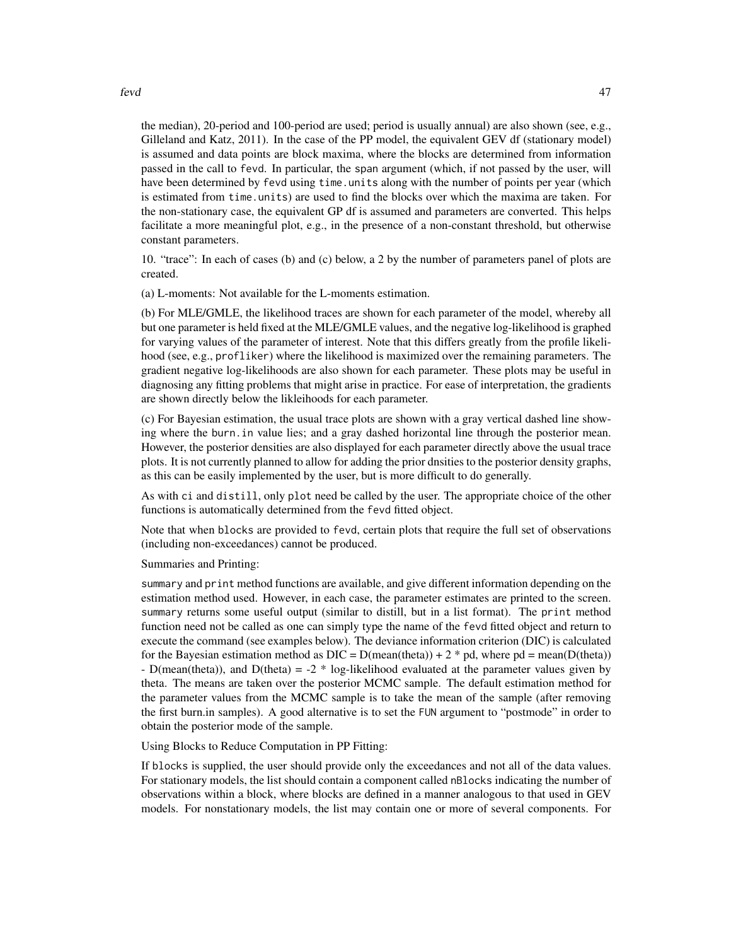fevd 47

the median), 20-period and 100-period are used; period is usually annual) are also shown (see, e.g., Gilleland and Katz, 2011). In the case of the PP model, the equivalent GEV df (stationary model) is assumed and data points are block maxima, where the blocks are determined from information passed in the call to fevd. In particular, the span argument (which, if not passed by the user, will have been determined by fevd using time.units along with the number of points per year (which is estimated from time.units) are used to find the blocks over which the maxima are taken. For the non-stationary case, the equivalent GP df is assumed and parameters are converted. This helps facilitate a more meaningful plot, e.g., in the presence of a non-constant threshold, but otherwise constant parameters.

10. "trace": In each of cases (b) and (c) below, a 2 by the number of parameters panel of plots are created.

(a) L-moments: Not available for the L-moments estimation.

(b) For MLE/GMLE, the likelihood traces are shown for each parameter of the model, whereby all but one parameter is held fixed at the MLE/GMLE values, and the negative log-likelihood is graphed for varying values of the parameter of interest. Note that this differs greatly from the profile likelihood (see, e.g., profliker) where the likelihood is maximized over the remaining parameters. The gradient negative log-likelihoods are also shown for each parameter. These plots may be useful in diagnosing any fitting problems that might arise in practice. For ease of interpretation, the gradients are shown directly below the likleihoods for each parameter.

(c) For Bayesian estimation, the usual trace plots are shown with a gray vertical dashed line showing where the burn.in value lies; and a gray dashed horizontal line through the posterior mean. However, the posterior densities are also displayed for each parameter directly above the usual trace plots. It is not currently planned to allow for adding the prior dnsities to the posterior density graphs, as this can be easily implemented by the user, but is more difficult to do generally.

As with ci and distill, only plot need be called by the user. The appropriate choice of the other functions is automatically determined from the fevd fitted object.

Note that when blocks are provided to fevd, certain plots that require the full set of observations (including non-exceedances) cannot be produced.

Summaries and Printing:

summary and print method functions are available, and give different information depending on the estimation method used. However, in each case, the parameter estimates are printed to the screen. summary returns some useful output (similar to distill, but in a list format). The print method function need not be called as one can simply type the name of the fevd fitted object and return to execute the command (see examples below). The deviance information criterion (DIC) is calculated for the Bayesian estimation method as  $DIC = D(mean(theta)) + 2 * pd$ , where  $pd = mean(D(theta))$ - D(mean(theta)), and D(theta) = -2  $*$  log-likelihood evaluated at the parameter values given by theta. The means are taken over the posterior MCMC sample. The default estimation method for the parameter values from the MCMC sample is to take the mean of the sample (after removing the first burn.in samples). A good alternative is to set the FUN argument to "postmode" in order to obtain the posterior mode of the sample.

Using Blocks to Reduce Computation in PP Fitting:

If blocks is supplied, the user should provide only the exceedances and not all of the data values. For stationary models, the list should contain a component called nBlocks indicating the number of observations within a block, where blocks are defined in a manner analogous to that used in GEV models. For nonstationary models, the list may contain one or more of several components. For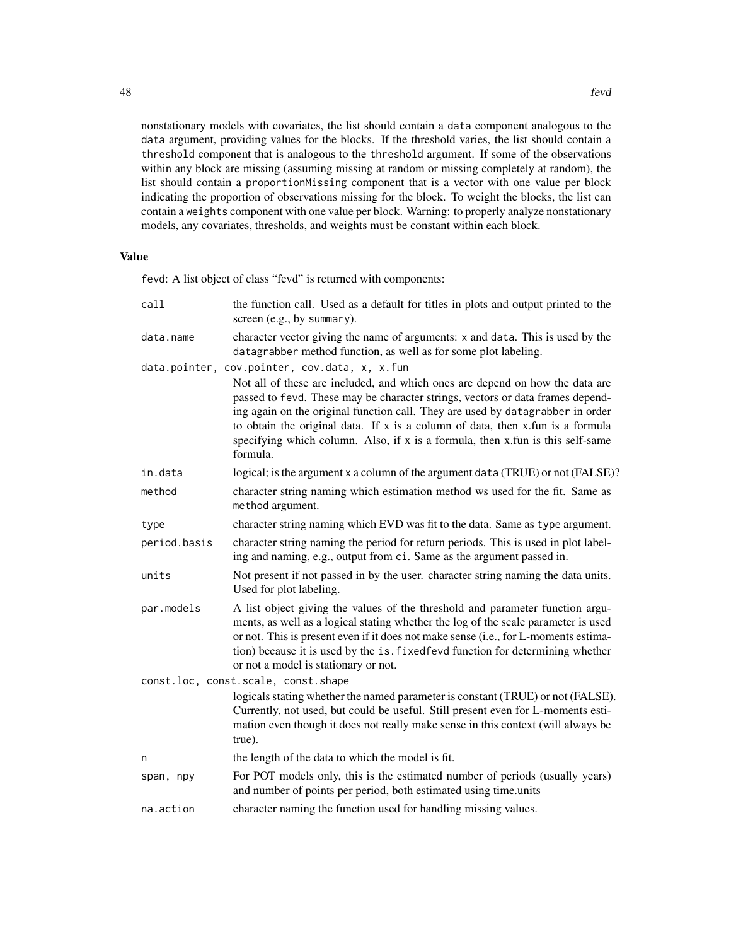nonstationary models with covariates, the list should contain a data component analogous to the data argument, providing values for the blocks. If the threshold varies, the list should contain a threshold component that is analogous to the threshold argument. If some of the observations within any block are missing (assuming missing at random or missing completely at random), the list should contain a proportionMissing component that is a vector with one value per block indicating the proportion of observations missing for the block. To weight the blocks, the list can contain a weights component with one value per block. Warning: to properly analyze nonstationary models, any covariates, thresholds, and weights must be constant within each block.

# Value

fevd: A list object of class "fevd" is returned with components:

| call         | the function call. Used as a default for titles in plots and output printed to the<br>screen (e.g., by summary).                                                                                                                                                                                                                                                                                                                                                                  |  |  |
|--------------|-----------------------------------------------------------------------------------------------------------------------------------------------------------------------------------------------------------------------------------------------------------------------------------------------------------------------------------------------------------------------------------------------------------------------------------------------------------------------------------|--|--|
| data.name    | character vector giving the name of arguments: x and data. This is used by the<br>datagrabber method function, as well as for some plot labeling.                                                                                                                                                                                                                                                                                                                                 |  |  |
|              | data.pointer, cov.pointer, cov.data, x, x.fun<br>Not all of these are included, and which ones are depend on how the data are<br>passed to fevd. These may be character strings, vectors or data frames depend-<br>ing again on the original function call. They are used by datagrabber in order<br>to obtain the original data. If x is a column of data, then x.fun is a formula<br>specifying which column. Also, if x is a formula, then x.fun is this self-same<br>formula. |  |  |
| in.data      | logical; is the argument x a column of the argument data (TRUE) or not (FALSE)?                                                                                                                                                                                                                                                                                                                                                                                                   |  |  |
| method       | character string naming which estimation method ws used for the fit. Same as<br>method argument.                                                                                                                                                                                                                                                                                                                                                                                  |  |  |
| type         | character string naming which EVD was fit to the data. Same as type argument.                                                                                                                                                                                                                                                                                                                                                                                                     |  |  |
| period.basis | character string naming the period for return periods. This is used in plot label-<br>ing and naming, e.g., output from ci. Same as the argument passed in.                                                                                                                                                                                                                                                                                                                       |  |  |
| units        | Not present if not passed in by the user, character string naming the data units.<br>Used for plot labeling.                                                                                                                                                                                                                                                                                                                                                                      |  |  |
| par.models   | A list object giving the values of the threshold and parameter function argu-<br>ments, as well as a logical stating whether the log of the scale parameter is used<br>or not. This is present even if it does not make sense (i.e., for L-moments estima-<br>tion) because it is used by the is. fixed fevd function for determining whether<br>or not a model is stationary or not.                                                                                             |  |  |
|              | const.loc, const.scale, const.shape                                                                                                                                                                                                                                                                                                                                                                                                                                               |  |  |
|              | logicals stating whether the named parameter is constant (TRUE) or not (FALSE).<br>Currently, not used, but could be useful. Still present even for L-moments esti-<br>mation even though it does not really make sense in this context (will always be<br>true).                                                                                                                                                                                                                 |  |  |
| n            | the length of the data to which the model is fit.                                                                                                                                                                                                                                                                                                                                                                                                                                 |  |  |
| span, npy    | For POT models only, this is the estimated number of periods (usually years)<br>and number of points per period, both estimated using time units                                                                                                                                                                                                                                                                                                                                  |  |  |
| na.action    | character naming the function used for handling missing values.                                                                                                                                                                                                                                                                                                                                                                                                                   |  |  |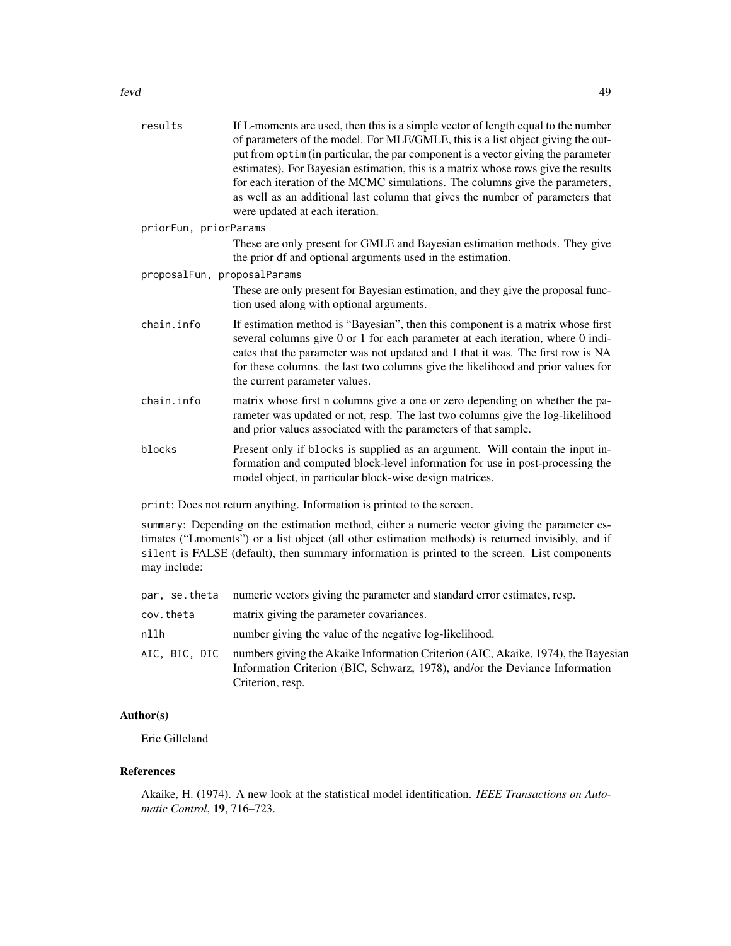| results                     | If L-moments are used, then this is a simple vector of length equal to the number<br>of parameters of the model. For MLE/GMLE, this is a list object giving the out-<br>put from optim (in particular, the par component is a vector giving the parameter<br>estimates). For Bayesian estimation, this is a matrix whose rows give the results<br>for each iteration of the MCMC simulations. The columns give the parameters,<br>as well as an additional last column that gives the number of parameters that<br>were updated at each iteration. |
|-----------------------------|----------------------------------------------------------------------------------------------------------------------------------------------------------------------------------------------------------------------------------------------------------------------------------------------------------------------------------------------------------------------------------------------------------------------------------------------------------------------------------------------------------------------------------------------------|
| priorFun, priorParams       |                                                                                                                                                                                                                                                                                                                                                                                                                                                                                                                                                    |
|                             | These are only present for GMLE and Bayesian estimation methods. They give<br>the prior df and optional arguments used in the estimation.                                                                                                                                                                                                                                                                                                                                                                                                          |
| proposalFun, proposalParams |                                                                                                                                                                                                                                                                                                                                                                                                                                                                                                                                                    |
|                             | These are only present for Bayesian estimation, and they give the proposal func-<br>tion used along with optional arguments.                                                                                                                                                                                                                                                                                                                                                                                                                       |
| chain.info                  | If estimation method is "Bayesian", then this component is a matrix whose first<br>several columns give 0 or 1 for each parameter at each iteration, where 0 indi-<br>cates that the parameter was not updated and 1 that it was. The first row is NA<br>for these columns. the last two columns give the likelihood and prior values for<br>the current parameter values.                                                                                                                                                                         |
| chain.info                  | matrix whose first n columns give a one or zero depending on whether the pa-<br>rameter was updated or not, resp. The last two columns give the log-likelihood<br>and prior values associated with the parameters of that sample.                                                                                                                                                                                                                                                                                                                  |
| blocks                      | Present only if blocks is supplied as an argument. Will contain the input in-<br>formation and computed block-level information for use in post-processing the<br>model object, in particular block-wise design matrices.                                                                                                                                                                                                                                                                                                                          |
|                             |                                                                                                                                                                                                                                                                                                                                                                                                                                                                                                                                                    |

print: Does not return anything. Information is printed to the screen.

summary: Depending on the estimation method, either a numeric vector giving the parameter estimates ("Lmoments") or a list object (all other estimation methods) is returned invisibly, and if silent is FALSE (default), then summary information is printed to the screen. List components may include:

|               | par, se theta numeric vectors giving the parameter and standard error estimates, resp.                                                                                               |
|---------------|--------------------------------------------------------------------------------------------------------------------------------------------------------------------------------------|
| cov.theta     | matrix giving the parameter covariances.                                                                                                                                             |
| nllh          | number giving the value of the negative log-likelihood.                                                                                                                              |
| AIC, BIC, DIC | numbers giving the Akaike Information Criterion (AIC, Akaike, 1974), the Bayesian<br>Information Criterion (BIC, Schwarz, 1978), and/or the Deviance Information<br>Criterion, resp. |

# Author(s)

Eric Gilleland

## References

Akaike, H. (1974). A new look at the statistical model identification. *IEEE Transactions on Automatic Control*, 19, 716–723.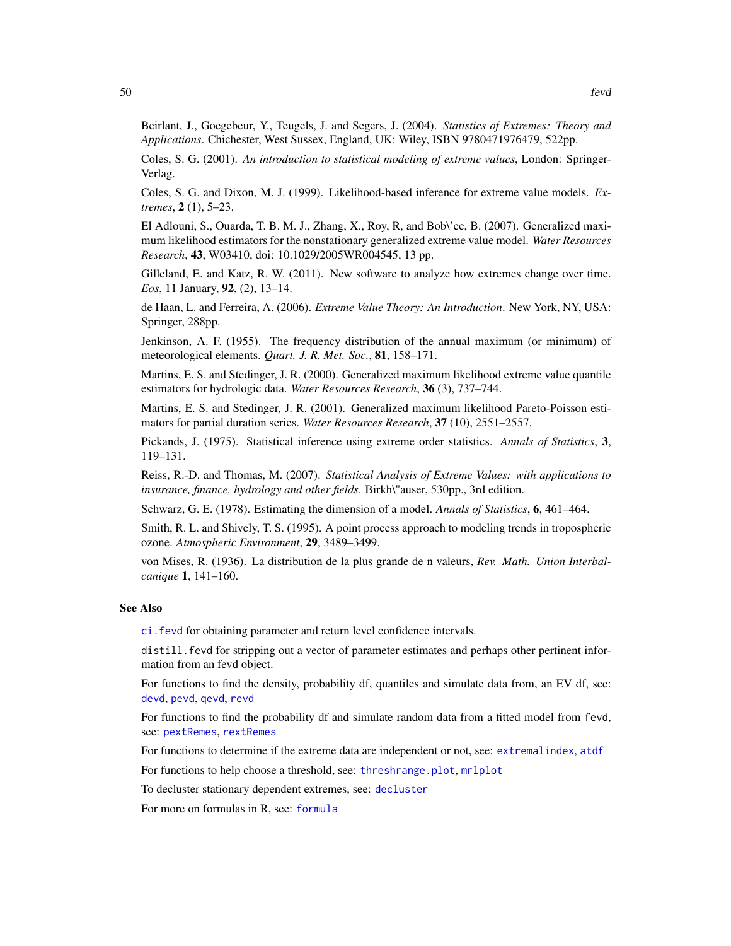Beirlant, J., Goegebeur, Y., Teugels, J. and Segers, J. (2004). *Statistics of Extremes: Theory and Applications*. Chichester, West Sussex, England, UK: Wiley, ISBN 9780471976479, 522pp.

Coles, S. G. (2001). *An introduction to statistical modeling of extreme values*, London: Springer-Verlag.

Coles, S. G. and Dixon, M. J. (1999). Likelihood-based inference for extreme value models. *Extremes*, 2 (1), 5–23.

El Adlouni, S., Ouarda, T. B. M. J., Zhang, X., Roy, R, and Bob\'ee, B. (2007). Generalized maximum likelihood estimators for the nonstationary generalized extreme value model. *Water Resources Research*, 43, W03410, doi: 10.1029/2005WR004545, 13 pp.

Gilleland, E. and Katz, R. W. (2011). New software to analyze how extremes change over time. *Eos*, 11 January, 92, (2), 13–14.

de Haan, L. and Ferreira, A. (2006). *Extreme Value Theory: An Introduction*. New York, NY, USA: Springer, 288pp.

Jenkinson, A. F. (1955). The frequency distribution of the annual maximum (or minimum) of meteorological elements. *Quart. J. R. Met. Soc.*, 81, 158–171.

Martins, E. S. and Stedinger, J. R. (2000). Generalized maximum likelihood extreme value quantile estimators for hydrologic data. *Water Resources Research*, 36 (3), 737–744.

Martins, E. S. and Stedinger, J. R. (2001). Generalized maximum likelihood Pareto-Poisson estimators for partial duration series. *Water Resources Research*, 37 (10), 2551–2557.

Pickands, J. (1975). Statistical inference using extreme order statistics. *Annals of Statistics*, 3, 119–131.

Reiss, R.-D. and Thomas, M. (2007). *Statistical Analysis of Extreme Values: with applications to insurance, finance, hydrology and other fields*. Birkh\"auser, 530pp., 3rd edition.

Schwarz, G. E. (1978). Estimating the dimension of a model. *Annals of Statistics*, 6, 461–464.

Smith, R. L. and Shively, T. S. (1995). A point process approach to modeling trends in tropospheric ozone. *Atmospheric Environment*, 29, 3489–3499.

von Mises, R. (1936). La distribution de la plus grande de n valeurs, *Rev. Math. Union Interbalcanique* 1, 141–160.

#### See Also

[ci.fevd](#page-14-0) for obtaining parameter and return level confidence intervals.

distill.fevd for stripping out a vector of parameter estimates and perhaps other pertinent information from an fevd object.

For functions to find the density, probability df, quantiles and simulate data from, an EV df, see: [devd](#page-27-0), [pevd](#page-27-1), [qevd](#page-27-1), [revd](#page-27-1)

For functions to find the probability df and simulate random data from a fitted model from fevd, see: [pextRemes](#page-83-0), [rextRemes](#page-83-1)

For functions to determine if the extreme data are independent or not, see: [extremalindex](#page-35-0), [atdf](#page-7-0)

For functions to help choose a threshold, see: [threshrange.plot](#page-111-0), [mrlplot](#page-78-0)

To decluster stationary dependent extremes, see: [decluster](#page-22-0)

For more on formulas in R, see: [formula](#page-0-0)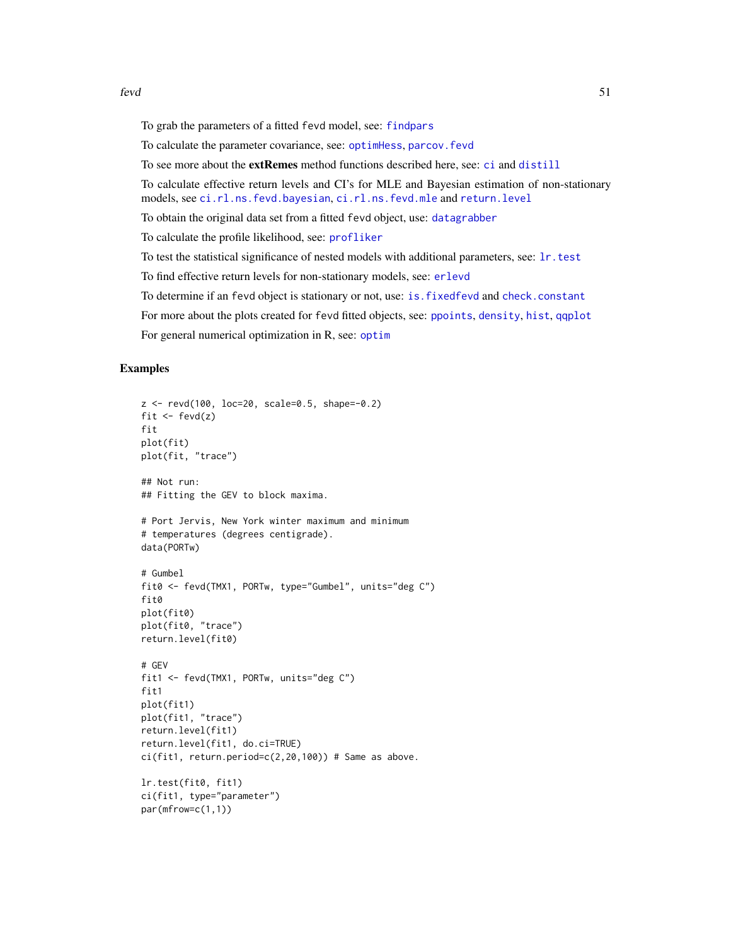To grab the parameters of a fitted fevd model, see: [findpars](#page-59-0)

To calculate the parameter covariance, see: [optimHess](#page-0-0), [parcov.fevd](#page-81-0)

To see more about the extRemes method functions described here, see: [ci](#page-0-0) and [distill](#page-0-0)

To calculate effective return levels and CI's for MLE and Bayesian estimation of non-stationary models, see [ci.rl.ns.fevd.bayesian](#page-18-0), [ci.rl.ns.fevd.mle](#page-18-1) and [return.level](#page-96-0)

To obtain the original data set from a fitted fevd object, use: [datagrabber](#page-0-0)

To calculate the profile likelihood, see: [profliker](#page-91-0)

To test the statistical significance of nested models with additional parameters, see: [lr.test](#page-75-0)

To find effective return levels for non-stationary models, see: [erlevd](#page-33-0)

To determine if an fevd object is stationary or not, use: [is.fixedfevd](#page-72-0) and [check.constant](#page-72-1)

For more about the plots created for fevd fitted objects, see: [ppoints](#page-0-0), [density](#page-0-0), [hist](#page-0-0), [qqplot](#page-94-0)

For general numerical optimization in R, see: [optim](#page-0-0)

## Examples

```
z <- revd(100, loc=20, scale=0.5, shape=-0.2)
fit \leftarrow fevd(z)fit
plot(fit)
plot(fit, "trace")
## Not run:
## Fitting the GEV to block maxima.
# Port Jervis, New York winter maximum and minimum
# temperatures (degrees centigrade).
data(PORTw)
# Gumbel
fit0 <- fevd(TMX1, PORTw, type="Gumbel", units="deg C")
fit0
plot(fit0)
plot(fit0, "trace")
return.level(fit0)
# GEV
fit1 <- fevd(TMX1, PORTw, units="deg C")
fit1
plot(fit1)
plot(fit1, "trace")
return.level(fit1)
return.level(fit1, do.ci=TRUE)
ci(fit1, return.period=c(2,20,100)) # Same as above.
lr.test(fit0, fit1)
ci(fit1, type="parameter")
par(mfrow=c(1,1))
```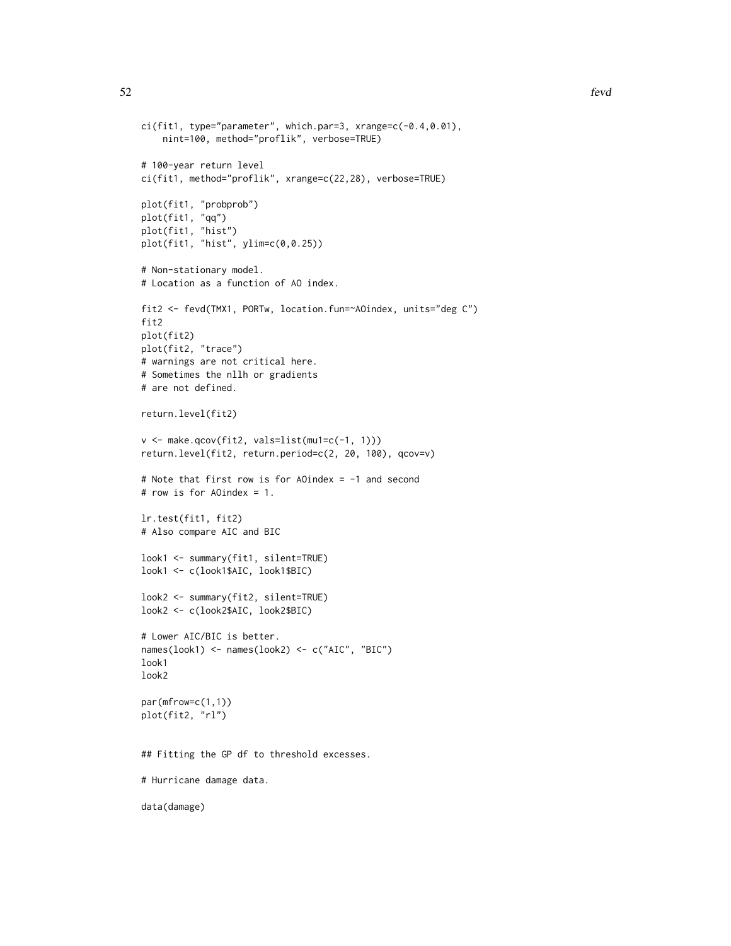```
ci(fit1, type="parameter", which.par=3, xrange=c(-0.4,0.01),
    nint=100, method="proflik", verbose=TRUE)
# 100-year return level
ci(fit1, method="proflik", xrange=c(22,28), verbose=TRUE)
plot(fit1, "probprob")
plot(fit1, "qq")
plot(fit1, "hist")
plot(fit1, "hist", ylim=c(0,0.25))
# Non-stationary model.
# Location as a function of AO index.
fit2 <- fevd(TMX1, PORTw, location.fun=~AOindex, units="deg C")
fit2
plot(fit2)
plot(fit2, "trace")
# warnings are not critical here.
# Sometimes the nllh or gradients
# are not defined.
return.level(fit2)
v <- make.qcov(fit2, vals=list(mu1=c(-1, 1)))
return.level(fit2, return.period=c(2, 20, 100), qcov=v)
# Note that first row is for AOindex = -1 and second
# row is for AOindex = 1.
lr.test(fit1, fit2)
# Also compare AIC and BIC
look1 <- summary(fit1, silent=TRUE)
look1 <- c(look1$AIC, look1$BIC)
look2 <- summary(fit2, silent=TRUE)
look2 <- c(look2$AIC, look2$BIC)
# Lower AIC/BIC is better.
names(look1) <- names(look2) <- c("AIC", "BIC")
look1
look2
par(mfrow=c(1,1))
plot(fit2, "rl")
## Fitting the GP df to threshold excesses.
# Hurricane damage data.
data(damage)
```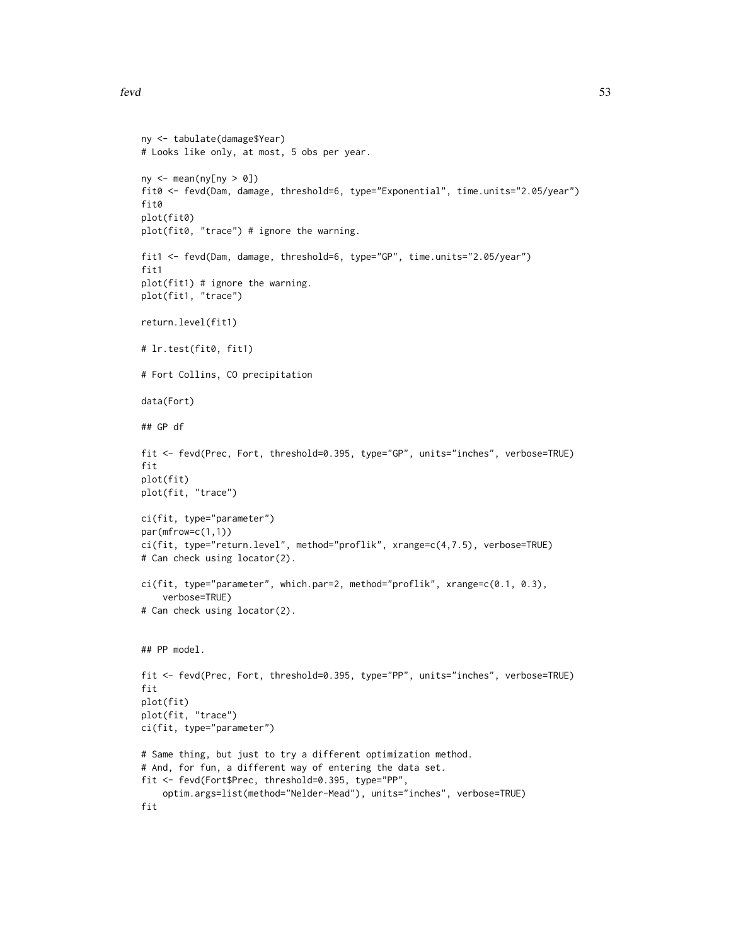```
ny <- tabulate(damage$Year)
# Looks like only, at most, 5 obs per year.
ny \leftarrow mean(ny[ny > 0])fit0 <- fevd(Dam, damage, threshold=6, type="Exponential", time.units="2.05/year")
fit0
plot(fit0)
plot(fit0, "trace") # ignore the warning.
fit1 <- fevd(Dam, damage, threshold=6, type="GP", time.units="2.05/year")
fit1
plot(fit1) # ignore the warning.
plot(fit1, "trace")
return.level(fit1)
# lr.test(fit0, fit1)
# Fort Collins, CO precipitation
data(Fort)
## GP df
fit <- fevd(Prec, Fort, threshold=0.395, type="GP", units="inches", verbose=TRUE)
fit
plot(fit)
plot(fit, "trace")
ci(fit, type="parameter")
par(mfrow=c(1,1))
ci(fit, type="return.level", method="proflik", xrange=c(4,7.5), verbose=TRUE)
# Can check using locator(2).
ci(fit, type="parameter", which.par=2, method="proflik", xrange=c(0.1, 0.3),
    verbose=TRUE)
# Can check using locator(2).
## PP model.
fit <- fevd(Prec, Fort, threshold=0.395, type="PP", units="inches", verbose=TRUE)
fit
plot(fit)
plot(fit, "trace")
ci(fit, type="parameter")
# Same thing, but just to try a different optimization method.
# And, for fun, a different way of entering the data set.
fit <- fevd(Fort$Prec, threshold=0.395, type="PP",
    optim.args=list(method="Nelder-Mead"), units="inches", verbose=TRUE)
fit
```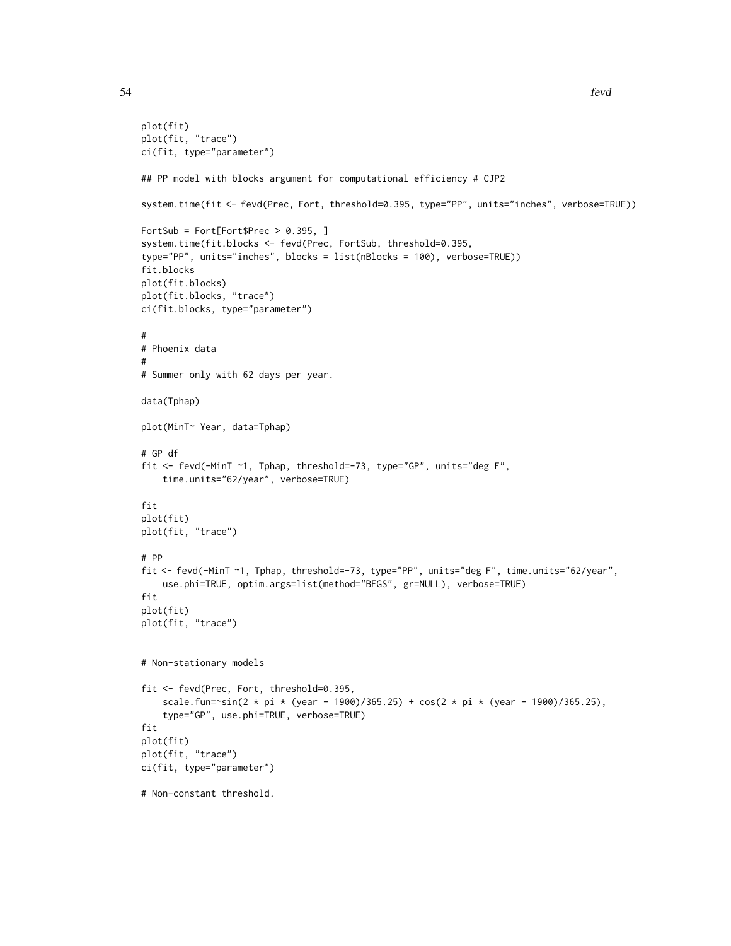```
plot(fit)
plot(fit, "trace")
ci(fit, type="parameter")
## PP model with blocks argument for computational efficiency # CJP2
system.time(fit <- fevd(Prec, Fort, threshold=0.395, type="PP", units="inches", verbose=TRUE))
FortSub = Fort[Fort$Prec > 0.395, ]
system.time(fit.blocks <- fevd(Prec, FortSub, threshold=0.395,
type="PP", units="inches", blocks = list(nBlocks = 100), verbose=TRUE))
fit.blocks
plot(fit.blocks)
plot(fit.blocks, "trace")
ci(fit.blocks, type="parameter")
#
# Phoenix data
#
# Summer only with 62 days per year.
data(Tphap)
plot(MinT~ Year, data=Tphap)
# GP df
fit <- fevd(-MinT ~1, Tphap, threshold=-73, type="GP", units="deg F",
    time.units="62/year", verbose=TRUE)
fit
plot(fit)
plot(fit, "trace")
# PP
fit <- fevd(-MinT ~1, Tphap, threshold=-73, type="PP", units="deg F", time.units="62/year",
    use.phi=TRUE, optim.args=list(method="BFGS", gr=NULL), verbose=TRUE)
fit
plot(fit)
plot(fit, "trace")
# Non-stationary models
fit <- fevd(Prec, Fort, threshold=0.395,
    scale.fun=~sin(2 * pi * (year - 1900)/365.25) + cos(2 * pi * (year - 1900)/365.25),
    type="GP", use.phi=TRUE, verbose=TRUE)
fit
plot(fit)
plot(fit, "trace")
ci(fit, type="parameter")
# Non-constant threshold.
```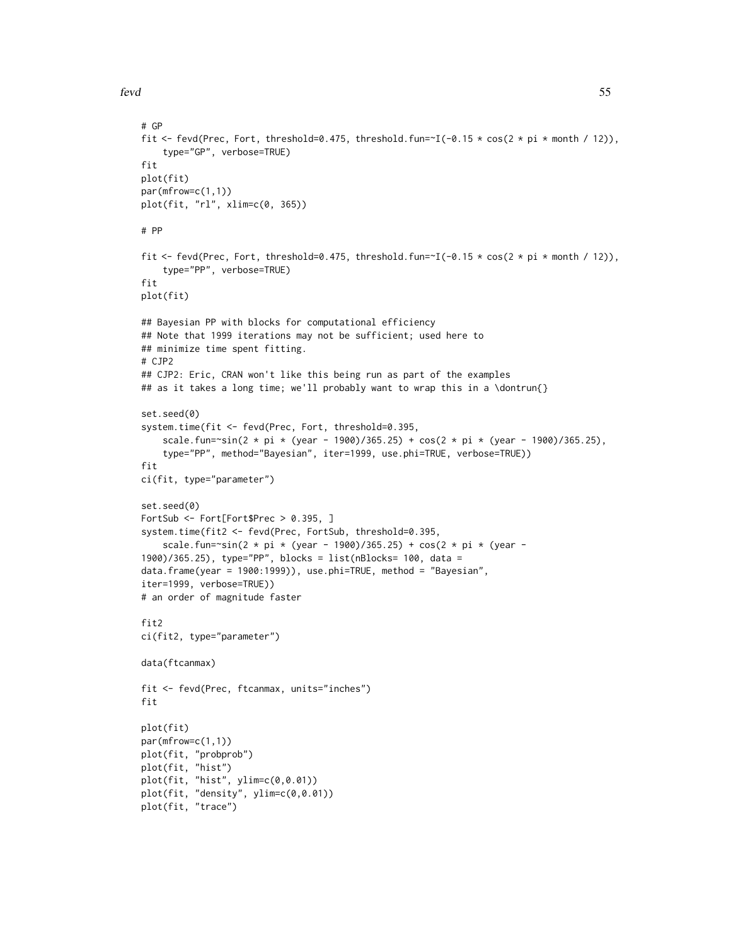fevd 55

fit

fit

fit

fit

```
# GP
fit <- fevd(Prec, Fort, threshold=0.475, threshold.fun=~I(-0.15 * cos(2 * pi * month / 12)),
    type="GP", verbose=TRUE)
plot(fit)
par(mfrow=c(1,1))
plot(fit, "rl", xlim=c(0, 365))
# PP
fit <- fevd(Prec, Fort, threshold=0.475, threshold.fun=~I(-0.15 * cos(2 * pi * month / 12)),
    type="PP", verbose=TRUE)
plot(fit)
## Bayesian PP with blocks for computational efficiency
## Note that 1999 iterations may not be sufficient; used here to
## minimize time spent fitting.
# CJP2
## CJP2: Eric, CRAN won't like this being run as part of the examples
## as it takes a long time; we'll probably want to wrap this in a \dontrun{}
set.seed(0)
system.time(fit <- fevd(Prec, Fort, threshold=0.395,
    scale.fun=~sin(2 * pi * (year - 1900)/365.25) + cos(2 * pi * (year - 1900)/365.25),
    type="PP", method="Bayesian", iter=1999, use.phi=TRUE, verbose=TRUE))
ci(fit, type="parameter")
set.seed(0)
FortSub <- Fort[Fort$Prec > 0.395, ]
system.time(fit2 <- fevd(Prec, FortSub, threshold=0.395,
    scale.fun=~sin(2 * pi * (year - 1900)/365.25) + cos(2 * pi * (year -
1900)/365.25), type="PP", blocks = list(nBlocks= 100, data =
data.frame(year = 1900:1999)), use.phi=TRUE, method = "Bayesian",
iter=1999, verbose=TRUE))
# an order of magnitude faster
fit2
ci(fit2, type="parameter")
data(ftcanmax)
fit <- fevd(Prec, ftcanmax, units="inches")
plot(fit)
```

```
par(mfrow=c(1,1))
plot(fit, "probprob")
plot(fit, "hist")
plot(fit, "hist", ylim=c(0,0.01))
plot(fit, "density", ylim=c(0,0.01))
plot(fit, "trace")
```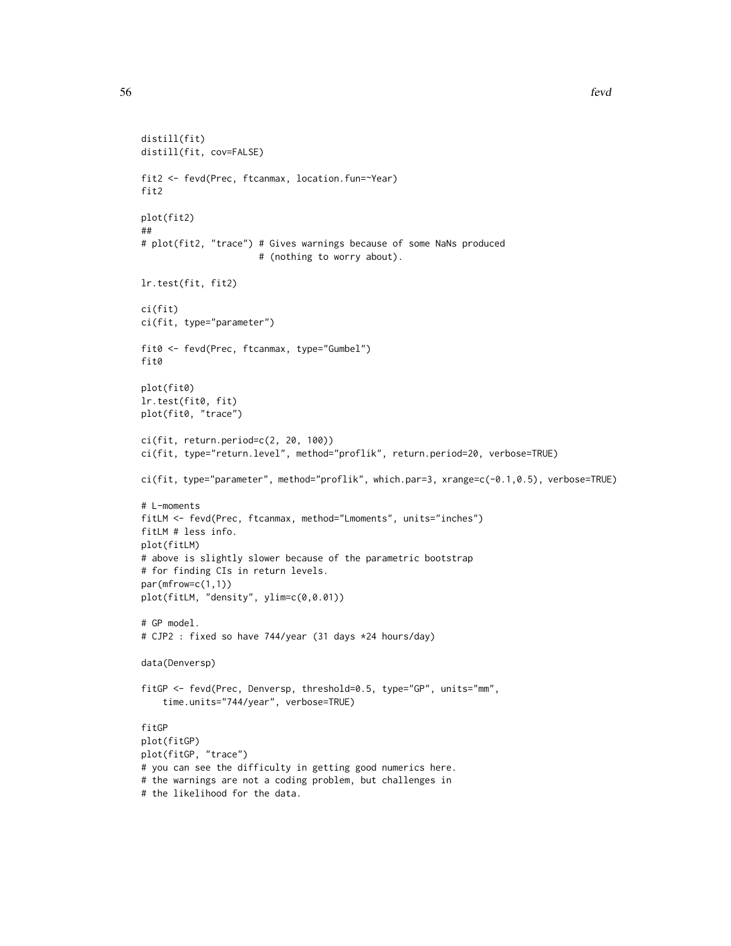```
distill(fit)
distill(fit, cov=FALSE)
fit2 <- fevd(Prec, ftcanmax, location.fun=~Year)
fit2
plot(fit2)
##
# plot(fit2, "trace") # Gives warnings because of some NaNs produced
                      # (nothing to worry about).
lr.test(fit, fit2)
ci(fit)
ci(fit, type="parameter")
fit0 <- fevd(Prec, ftcanmax, type="Gumbel")
fit0
plot(fit0)
lr.test(fit0, fit)
plot(fit0, "trace")
ci(fit, return.period=c(2, 20, 100))
ci(fit, type="return.level", method="proflik", return.period=20, verbose=TRUE)
ci(fit, type="parameter", method="proflik", which.par=3, xrange=c(-0.1,0.5), verbose=TRUE)
# L-moments
fitLM <- fevd(Prec, ftcanmax, method="Lmoments", units="inches")
fitLM # less info.
plot(fitLM)
# above is slightly slower because of the parametric bootstrap
# for finding CIs in return levels.
par(mfrow=c(1,1))
plot(fitLM, "density", ylim=c(0,0.01))
# GP model.
# CJP2 : fixed so have 744/year (31 days *24 hours/day)
data(Denversp)
fitGP <- fevd(Prec, Denversp, threshold=0.5, type="GP", units="mm",
   time.units="744/year", verbose=TRUE)
fitGP
plot(fitGP)
plot(fitGP, "trace")
# you can see the difficulty in getting good numerics here.
# the warnings are not a coding problem, but challenges in
# the likelihood for the data.
```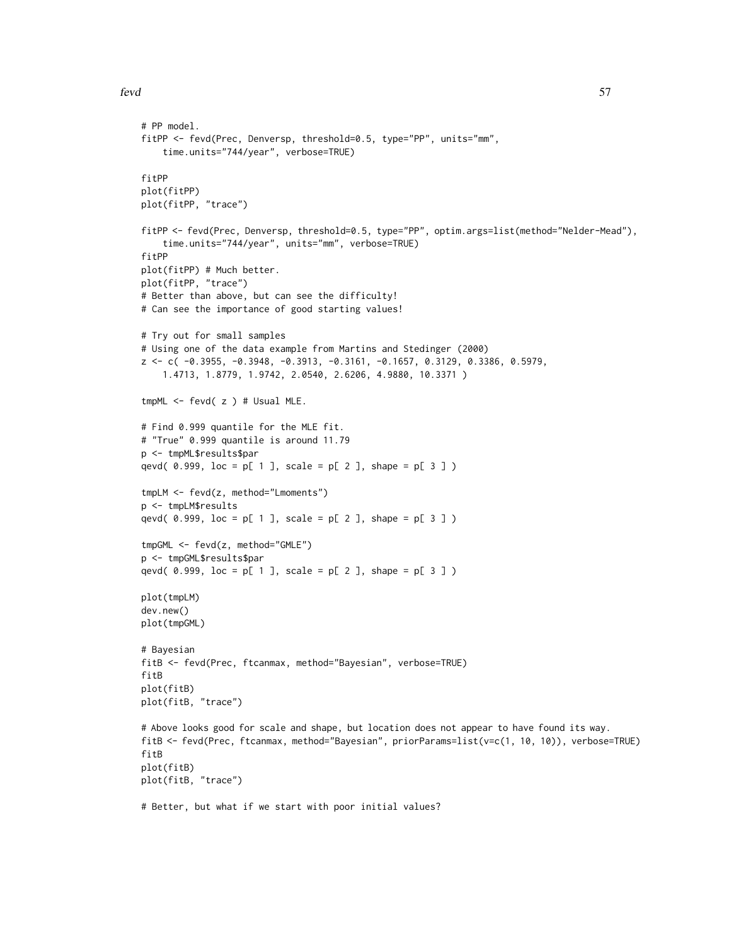```
# PP model.
fitPP <- fevd(Prec, Denversp, threshold=0.5, type="PP", units="mm",
    time.units="744/year", verbose=TRUE)
fitPP
plot(fitPP)
plot(fitPP, "trace")
fitPP <- fevd(Prec, Denversp, threshold=0.5, type="PP", optim.args=list(method="Nelder-Mead"),
    time.units="744/year", units="mm", verbose=TRUE)
fitPP
plot(fitPP) # Much better.
plot(fitPP, "trace")
# Better than above, but can see the difficulty!
# Can see the importance of good starting values!
# Try out for small samples
# Using one of the data example from Martins and Stedinger (2000)
z <- c( -0.3955, -0.3948, -0.3913, -0.3161, -0.1657, 0.3129, 0.3386, 0.5979,
    1.4713, 1.8779, 1.9742, 2.0540, 2.6206, 4.9880, 10.3371 )
tmpML \leq - \text{fevd}(\ z) # Usual MLE.
# Find 0.999 quantile for the MLE fit.
# "True" 0.999 quantile is around 11.79
p <- tmpML$results$par
qevd( 0.999, loc = p[ 1 ], scale = p[ 2 ], shape = p[ 3 ])
tmpLM <- fevd(z, method="Lmoments")
p <- tmpLM$results
qevd( 0.999, loc = p[ 1 ], scale = p[ 2 ], shape = p[ 3 ])
tmpGML <- fevd(z, method="GMLE")
p <- tmpGML$results$par
qevd( 0.999, loc = p[ 1 ], scale = p[ 2 ], shape = p[ 3 ])
plot(tmpLM)
dev.new()
plot(tmpGML)
# Bayesian
fitB <- fevd(Prec, ftcanmax, method="Bayesian", verbose=TRUE)
fitB
plot(fitB)
plot(fitB, "trace")
# Above looks good for scale and shape, but location does not appear to have found its way.
fitB <- fevd(Prec, ftcanmax, method="Bayesian", priorParams=list(v=c(1, 10, 10)), verbose=TRUE)
fitB
plot(fitB)
plot(fitB, "trace")
# Better, but what if we start with poor initial values?
```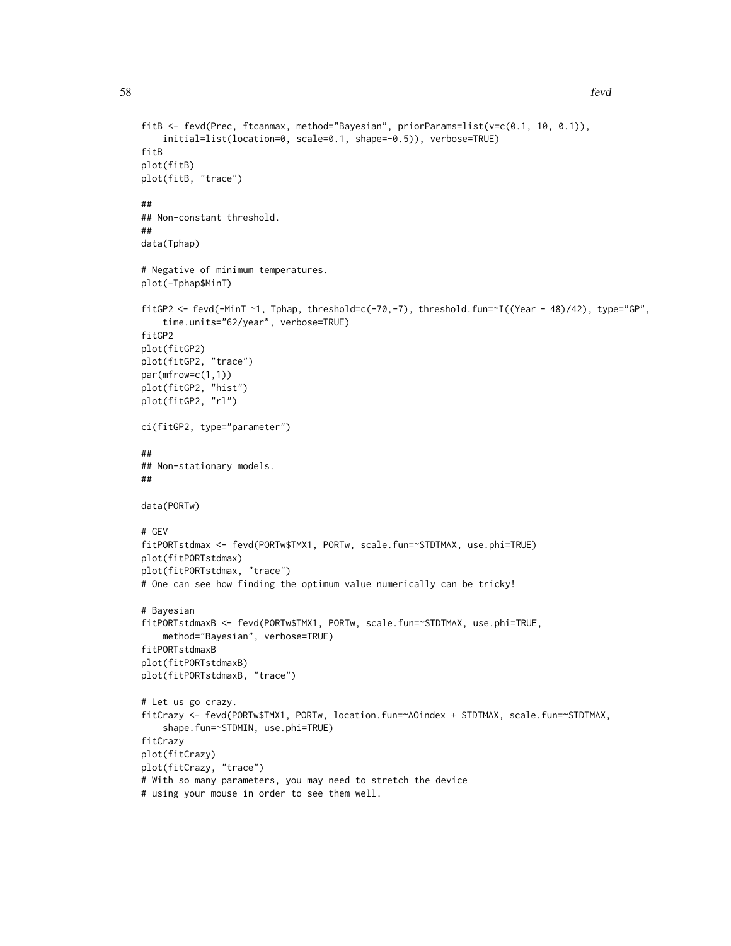```
fitB <- fevd(Prec, ftcanmax, method="Bayesian", priorParams=list(v=c(0.1, 10, 0.1)),
    initial=list(location=0, scale=0.1, shape=-0.5)), verbose=TRUE)
fitB
plot(fitB)
plot(fitB, "trace")
##
## Non-constant threshold.
##
data(Tphap)
# Negative of minimum temperatures.
plot(-Tphap$MinT)
fitGP2 <- fevd(-MinT ~1, Tphap, threshold=c(-70,-7), threshold.fun=~I((Year - 48)/42), type="GP",
    time.units="62/year", verbose=TRUE)
fitGP2
plot(fitGP2)
plot(fitGP2, "trace")
par(mfrow=c(1,1))
plot(fitGP2, "hist")
plot(fitGP2, "rl")
ci(fitGP2, type="parameter")
##
## Non-stationary models.
##
data(PORTw)
# GEV
fitPORTstdmax <- fevd(PORTw$TMX1, PORTw, scale.fun=~STDTMAX, use.phi=TRUE)
plot(fitPORTstdmax)
plot(fitPORTstdmax, "trace")
# One can see how finding the optimum value numerically can be tricky!
# Bayesian
fitPORTstdmaxB <- fevd(PORTw$TMX1, PORTw, scale.fun=~STDTMAX, use.phi=TRUE,
    method="Bayesian", verbose=TRUE)
fitPORTstdmaxB
plot(fitPORTstdmaxB)
plot(fitPORTstdmaxB, "trace")
# Let us go crazy.
fitCrazy <- fevd(PORTw$TMX1, PORTw, location.fun=~AOindex + STDTMAX, scale.fun=~STDTMAX,
    shape.fun=~STDMIN, use.phi=TRUE)
fitCrazy
plot(fitCrazy)
plot(fitCrazy, "trace")
# With so many parameters, you may need to stretch the device
# using your mouse in order to see them well.
```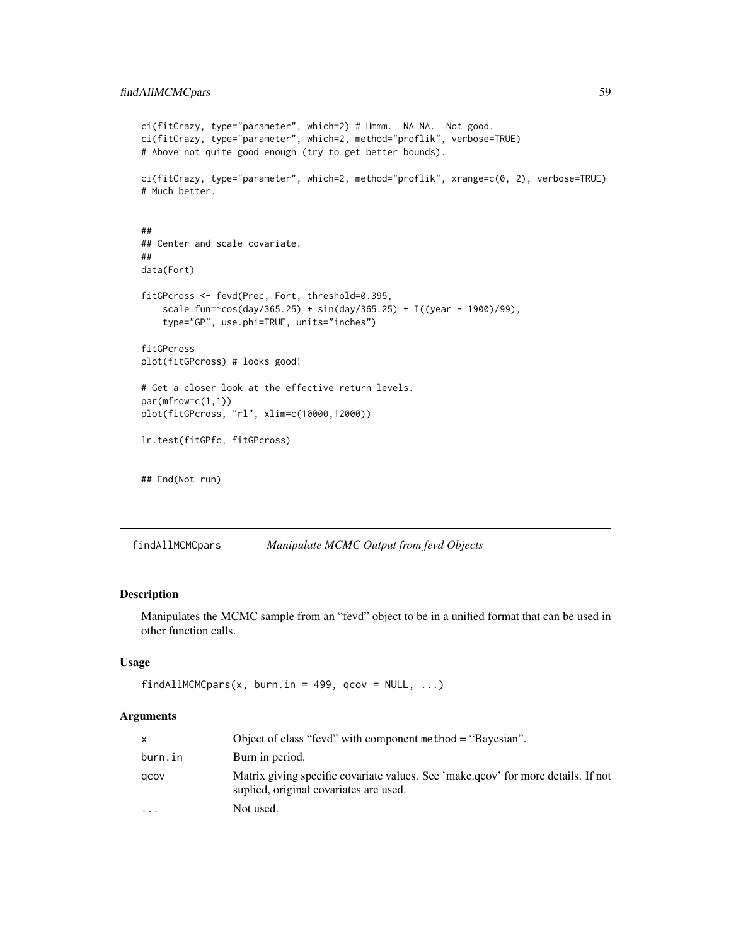# findAllMCMCpars 59

```
ci(fitCrazy, type="parameter", which=2) # Hmmm. NA NA. Not good.
ci(fitCrazy, type="parameter", which=2, method="proflik", verbose=TRUE)
# Above not quite good enough (try to get better bounds).
ci(fitCrazy, type="parameter", which=2, method="proflik", xrange=c(0, 2), verbose=TRUE)
# Much better.
##
## Center and scale covariate.
##
data(Fort)
fitGPcross <- fevd(Prec, Fort, threshold=0.395,
    scale.fun=~cos(day/365.25) + sin(day/365.25) + I((year - 1900)/99),
    type="GP", use.phi=TRUE, units="inches")
fitGPcross
plot(fitGPcross) # looks good!
# Get a closer look at the effective return levels.
par(mfrow=c(1,1))
plot(fitGPcross, "rl", xlim=c(10000,12000))
lr.test(fitGPfc, fitGPcross)
## End(Not run)
```
findAllMCMCpars *Manipulate MCMC Output from fevd Objects*

## Description

Manipulates the MCMC sample from an "fevd" object to be in a unified format that can be used in other function calls.

# Usage

```
findAllMCMCpars(x, burn.in = 499, qcov = NULL, ...)
```
# Arguments

|           | Object of class "fevd" with component method $=$ "Bayesian".                                                                |
|-----------|-----------------------------------------------------------------------------------------------------------------------------|
| burn.in   | Burn in period.                                                                                                             |
| acov      | Matrix giving specific covariate values. See 'make.qcov' for more details. If not<br>suplied, original covariates are used. |
| $\ddotsc$ | Not used.                                                                                                                   |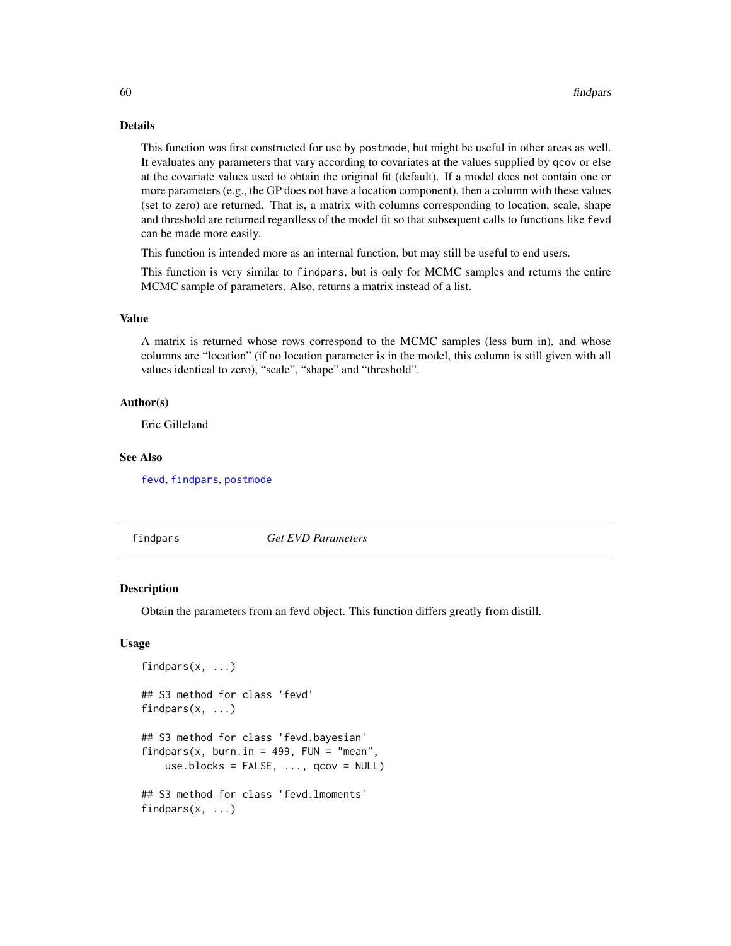## Details

This function was first constructed for use by postmode, but might be useful in other areas as well. It evaluates any parameters that vary according to covariates at the values supplied by qcov or else at the covariate values used to obtain the original fit (default). If a model does not contain one or more parameters (e.g., the GP does not have a location component), then a column with these values (set to zero) are returned. That is, a matrix with columns corresponding to location, scale, shape and threshold are returned regardless of the model fit so that subsequent calls to functions like fevd can be made more easily.

This function is intended more as an internal function, but may still be useful to end users.

This function is very similar to findpars, but is only for MCMC samples and returns the entire MCMC sample of parameters. Also, returns a matrix instead of a list.

## Value

A matrix is returned whose rows correspond to the MCMC samples (less burn in), and whose columns are "location" (if no location parameter is in the model, this column is still given with all values identical to zero), "scale", "shape" and "threshold".

#### Author(s)

Eric Gilleland

### See Also

[fevd](#page-38-0), [findpars](#page-59-0), [postmode](#page-89-0)

<span id="page-59-0"></span>findpars *Get EVD Parameters*

#### Description

Obtain the parameters from an fevd object. This function differs greatly from distill.

#### Usage

```
findpars(x, \ldots)## S3 method for class 'fevd'
findpars(x, ...)
## S3 method for class 'fevd.bayesian'
findpars(x, burn.in = 499, FUN = "mean",
    use.blocks = FALSE, ..., qcov = NULL## S3 method for class 'fevd.lmoments'
findpars(x, \ldots)
```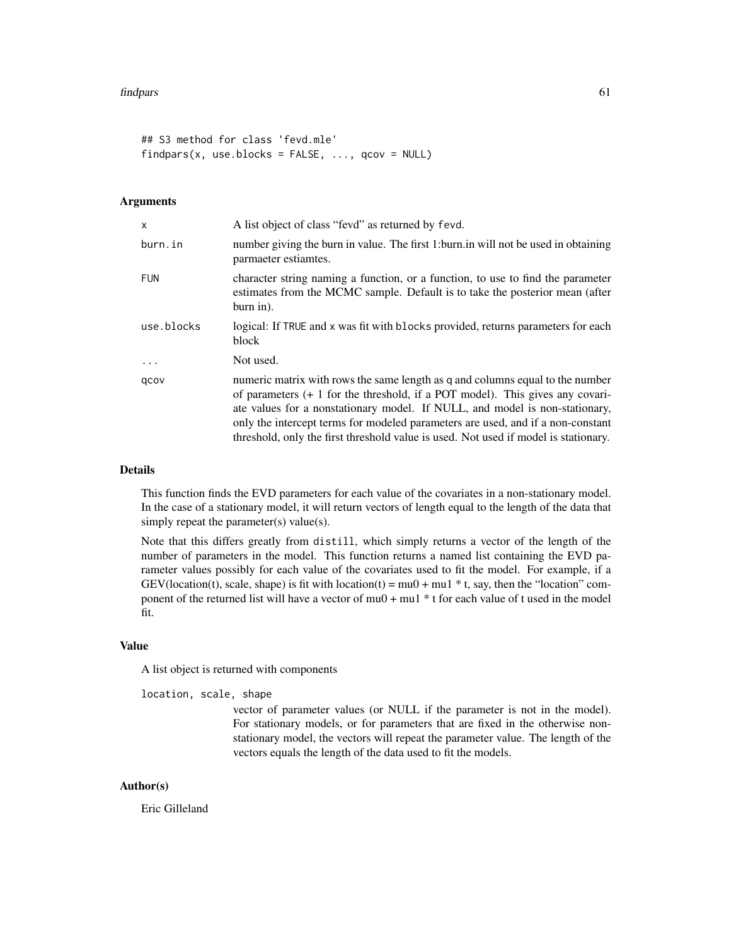```
## S3 method for class 'fevd.mle'
findpars(x, use.blocks = FALSE, ..., qcov = NULL)
```
## Arguments

| $\mathsf{x}$ | A list object of class "fevd" as returned by fevd.                                                                                                                                                                                                                                                                                                                                                                         |
|--------------|----------------------------------------------------------------------------------------------------------------------------------------------------------------------------------------------------------------------------------------------------------------------------------------------------------------------------------------------------------------------------------------------------------------------------|
| burn.in      | number giving the burn in value. The first 1: burn in will not be used in obtaining<br>parmaeter estiamtes.                                                                                                                                                                                                                                                                                                                |
| <b>FUN</b>   | character string naming a function, or a function, to use to find the parameter<br>estimates from the MCMC sample. Default is to take the posterior mean (after<br>burn in).                                                                                                                                                                                                                                               |
| use.blocks   | logical: If TRUE and x was fit with blocks provided, returns parameters for each<br>block                                                                                                                                                                                                                                                                                                                                  |
| $\ddotsc$    | Not used.                                                                                                                                                                                                                                                                                                                                                                                                                  |
| qcov         | numeric matrix with rows the same length as q and columns equal to the number<br>of parameters $(+ 1)$ for the threshold, if a POT model). This gives any covari-<br>ate values for a nonstationary model. If NULL, and model is non-stationary,<br>only the intercept terms for modeled parameters are used, and if a non-constant<br>threshold, only the first threshold value is used. Not used if model is stationary. |

#### Details

This function finds the EVD parameters for each value of the covariates in a non-stationary model. In the case of a stationary model, it will return vectors of length equal to the length of the data that simply repeat the parameter(s) value(s).

Note that this differs greatly from distill, which simply returns a vector of the length of the number of parameters in the model. This function returns a named list containing the EVD parameter values possibly for each value of the covariates used to fit the model. For example, if a GEV(location(t), scale, shape) is fit with location(t) = mu0 + mu1  $*$  t, say, then the "location" component of the returned list will have a vector of mu0 + mu1 \* t for each value of t used in the model fit.

#### Value

A list object is returned with components

location, scale, shape

vector of parameter values (or NULL if the parameter is not in the model). For stationary models, or for parameters that are fixed in the otherwise nonstationary model, the vectors will repeat the parameter value. The length of the vectors equals the length of the data used to fit the models.

## Author(s)

Eric Gilleland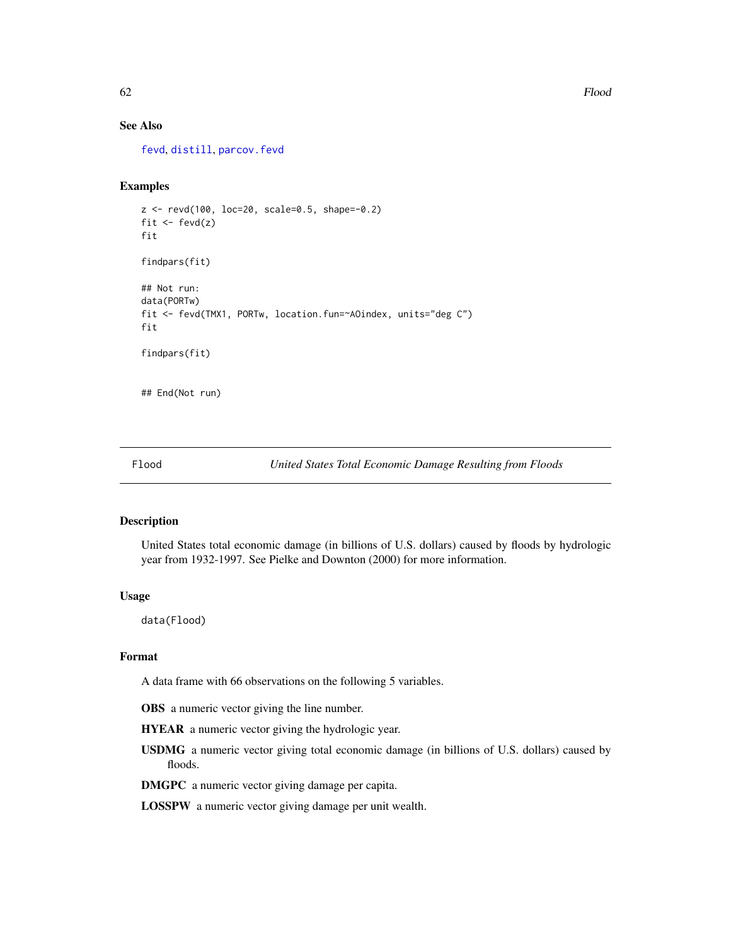# See Also

[fevd](#page-38-0), [distill](#page-0-0), [parcov.fevd](#page-81-0)

## Examples

```
z <- revd(100, loc=20, scale=0.5, shape=-0.2)
fit \leftarrow fevd(z)fit
findpars(fit)
## Not run:
data(PORTw)
fit <- fevd(TMX1, PORTw, location.fun=~AOindex, units="deg C")
fit
findpars(fit)
## End(Not run)
```
Flood *United States Total Economic Damage Resulting from Floods*

## Description

United States total economic damage (in billions of U.S. dollars) caused by floods by hydrologic year from 1932-1997. See Pielke and Downton (2000) for more information.

#### Usage

data(Flood)

# Format

A data frame with 66 observations on the following 5 variables.

OBS a numeric vector giving the line number.

HYEAR a numeric vector giving the hydrologic year.

USDMG a numeric vector giving total economic damage (in billions of U.S. dollars) caused by floods.

DMGPC a numeric vector giving damage per capita.

LOSSPW a numeric vector giving damage per unit wealth.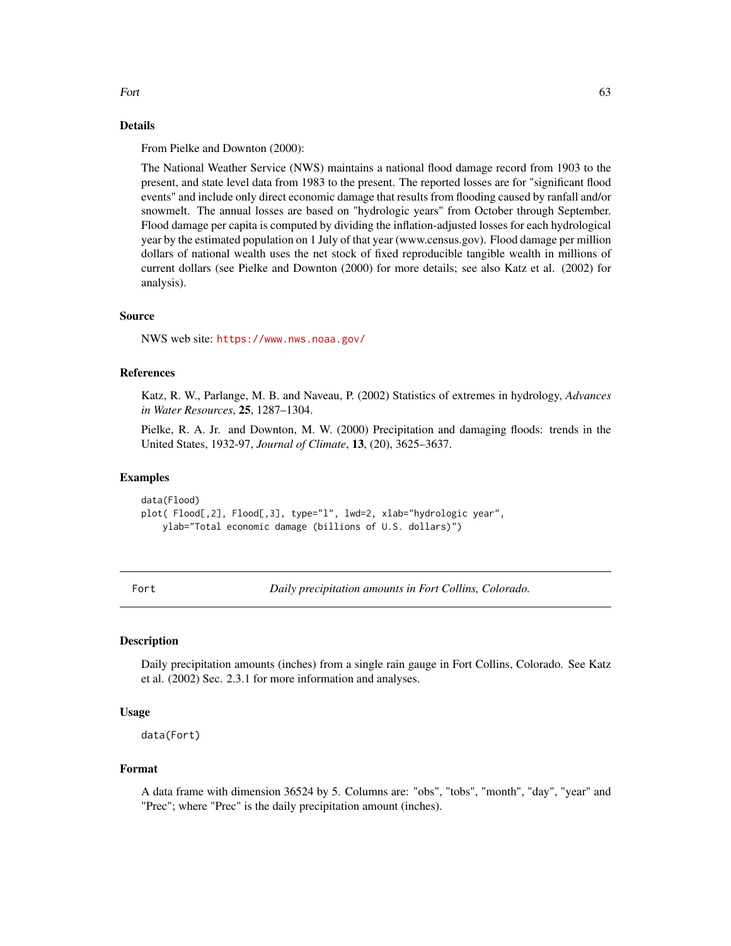#### Fort  $\qquad \qquad 63$

# Details

From Pielke and Downton (2000):

The National Weather Service (NWS) maintains a national flood damage record from 1903 to the present, and state level data from 1983 to the present. The reported losses are for "significant flood events" and include only direct economic damage that results from flooding caused by ranfall and/or snowmelt. The annual losses are based on "hydrologic years" from October through September. Flood damage per capita is computed by dividing the inflation-adjusted losses for each hydrological year by the estimated population on 1 July of that year (www.census.gov). Flood damage per million dollars of national wealth uses the net stock of fixed reproducible tangible wealth in millions of current dollars (see Pielke and Downton (2000) for more details; see also Katz et al. (2002) for analysis).

### Source

NWS web site: <https://www.nws.noaa.gov/>

# References

Katz, R. W., Parlange, M. B. and Naveau, P. (2002) Statistics of extremes in hydrology, *Advances in Water Resources*, 25, 1287–1304.

Pielke, R. A. Jr. and Downton, M. W. (2000) Precipitation and damaging floods: trends in the United States, 1932-97, *Journal of Climate*, 13, (20), 3625–3637.

## Examples

data(Flood) plot( Flood[,2], Flood[,3], type="l", lwd=2, xlab="hydrologic year", ylab="Total economic damage (billions of U.S. dollars)")

Fort *Daily precipitation amounts in Fort Collins, Colorado.*

# Description

Daily precipitation amounts (inches) from a single rain gauge in Fort Collins, Colorado. See Katz et al. (2002) Sec. 2.3.1 for more information and analyses.

#### Usage

data(Fort)

## Format

A data frame with dimension 36524 by 5. Columns are: "obs", "tobs", "month", "day", "year" and "Prec"; where "Prec" is the daily precipitation amount (inches).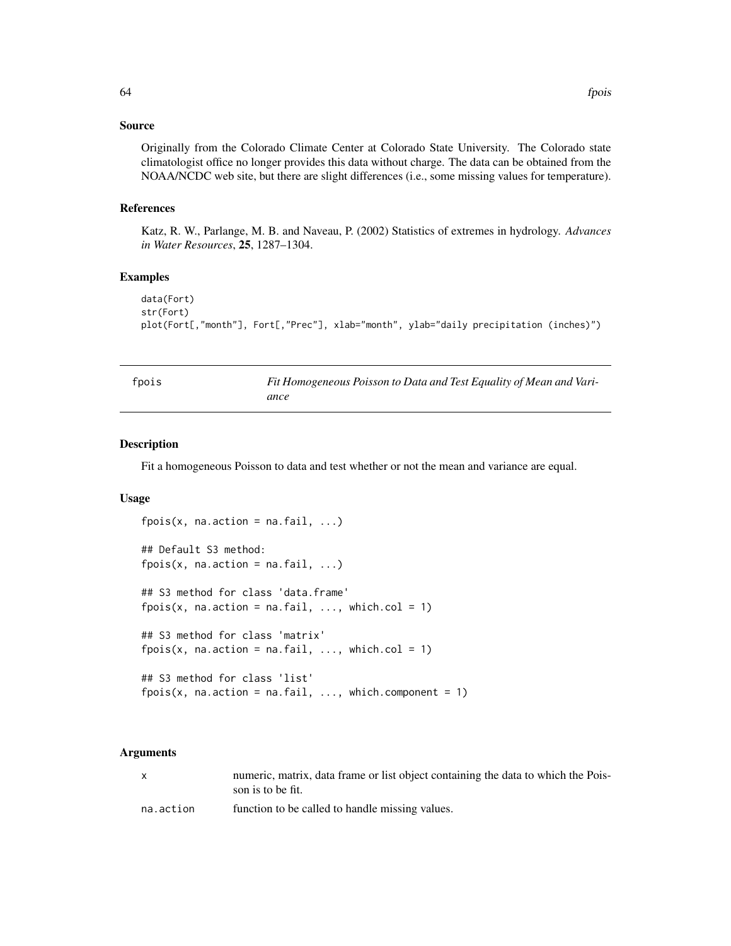## Source

Originally from the Colorado Climate Center at Colorado State University. The Colorado state climatologist office no longer provides this data without charge. The data can be obtained from the NOAA/NCDC web site, but there are slight differences (i.e., some missing values for temperature).

## References

Katz, R. W., Parlange, M. B. and Naveau, P. (2002) Statistics of extremes in hydrology. *Advances in Water Resources*, 25, 1287–1304.

## Examples

```
data(Fort)
str(Fort)
plot(Fort[,"month"], Fort[,"Prec"], xlab="month", ylab="daily precipitation (inches)")
```

fpois *Fit Homogeneous Poisson to Data and Test Equality of Mean and Variance*

#### Description

Fit a homogeneous Poisson to data and test whether or not the mean and variance are equal.

#### Usage

```
fpois(x, na.action = na. fail, ...)## Default S3 method:
fpois(x, na.action = na. fail, ...)## S3 method for class 'data.frame'
fpois(x, na.action = na.fail, \dots, which.col = 1)
## S3 method for class 'matrix'
fpois(x, na.action = na.fail, ..., which.col = 1)## S3 method for class 'list'
fpois(x, na.action = na. fail, ..., which. component = 1)
```
#### Arguments

| X         | numeric, matrix, data frame or list object containing the data to which the Pois-<br>son is to be fit. |
|-----------|--------------------------------------------------------------------------------------------------------|
| na.action | function to be called to handle missing values.                                                        |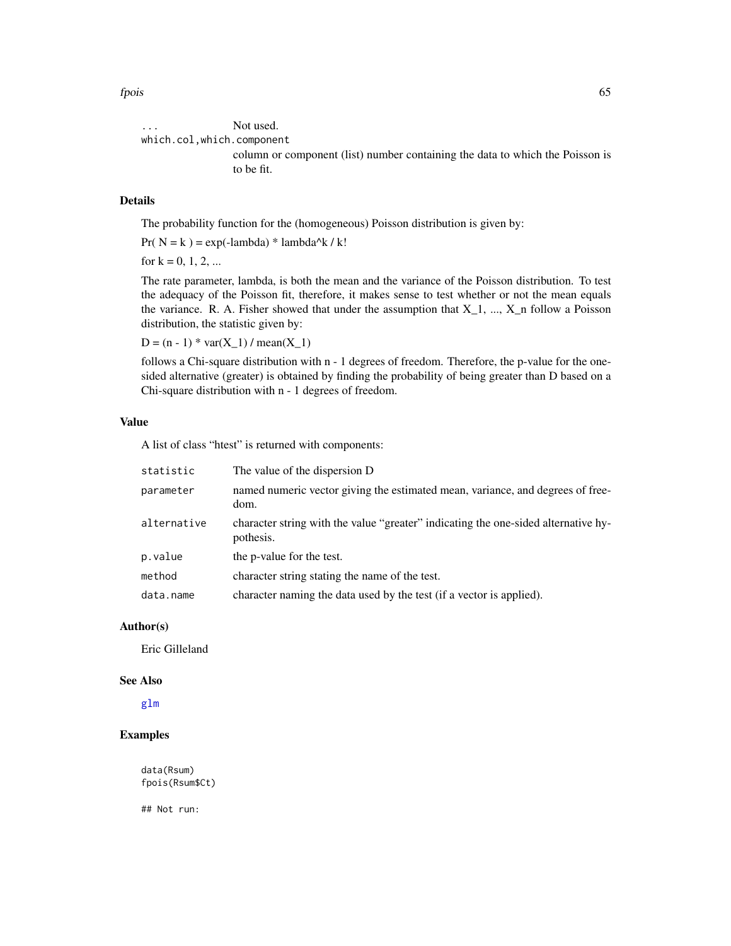fpois 65

... Not used. which.col,which.component column or component (list) number containing the data to which the Poisson is to be fit.

## Details

The probability function for the (homogeneous) Poisson distribution is given by:

Pr( $N = k$ ) = exp(-lambda) \* lambda^k / k!

for  $k = 0, 1, 2, ...$ 

The rate parameter, lambda, is both the mean and the variance of the Poisson distribution. To test the adequacy of the Poisson fit, therefore, it makes sense to test whether or not the mean equals the variance. R. A. Fisher showed that under the assumption that  $X_1$ , ...,  $X_n$  follow a Poisson distribution, the statistic given by:

 $D = (n - 1) * var(X_1) / mean(X_1)$ 

follows a Chi-square distribution with n - 1 degrees of freedom. Therefore, the p-value for the onesided alternative (greater) is obtained by finding the probability of being greater than D based on a Chi-square distribution with n - 1 degrees of freedom.

## Value

A list of class "htest" is returned with components:

| statistic   | The value of the dispersion D                                                                   |
|-------------|-------------------------------------------------------------------------------------------------|
| parameter   | named numeric vector giving the estimated mean, variance, and degrees of free-<br>dom.          |
| alternative | character string with the value "greater" indicating the one-sided alternative hy-<br>pothesis. |
| p.value     | the p-value for the test.                                                                       |
| method      | character string stating the name of the test.                                                  |
| data.name   | character naming the data used by the test (if a vector is applied).                            |

## Author(s)

Eric Gilleland

#### See Also

[glm](#page-0-0)

# Examples

data(Rsum) fpois(Rsum\$Ct)

## Not run: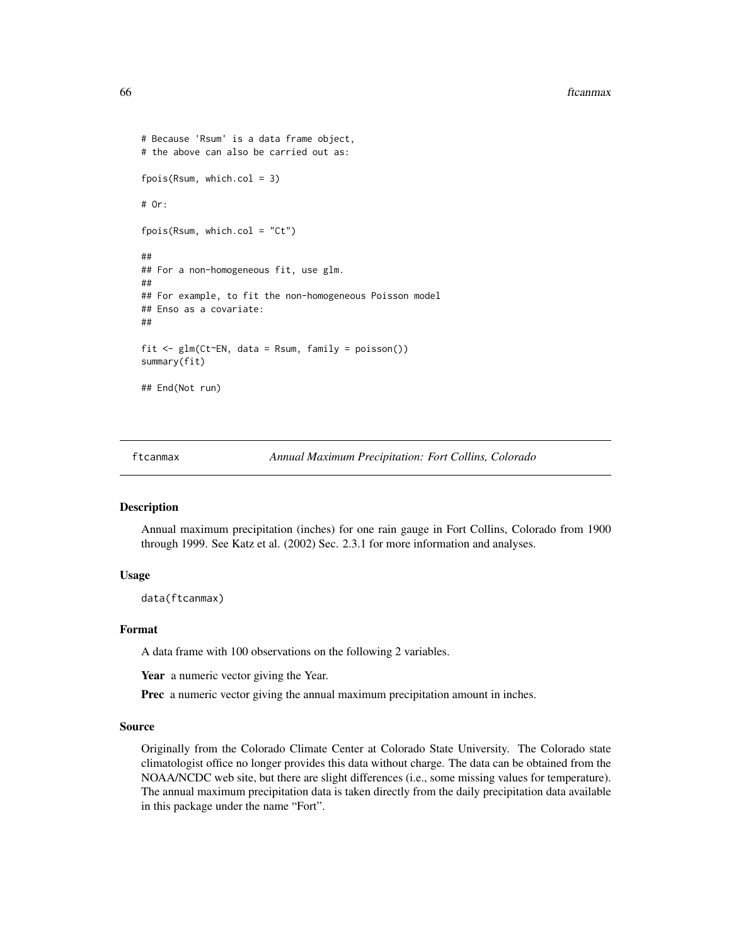#### 66 ftcanmax

```
# Because 'Rsum' is a data frame object,
# the above can also be carried out as:
fpois(Rsum, which.col = 3)
# Or:
fpois(Rsum, which.col = "Ct")
##
## For a non-homogeneous fit, use glm.
##
## For example, to fit the non-homogeneous Poisson model
## Enso as a covariate:
##
fit <- glm(Ct~EN, data = Rsum, family = poisson())
summary(fit)
## End(Not run)
```
ftcanmax *Annual Maximum Precipitation: Fort Collins, Colorado*

## Description

Annual maximum precipitation (inches) for one rain gauge in Fort Collins, Colorado from 1900 through 1999. See Katz et al. (2002) Sec. 2.3.1 for more information and analyses.

#### Usage

data(ftcanmax)

## Format

A data frame with 100 observations on the following 2 variables.

Year a numeric vector giving the Year.

Prec a numeric vector giving the annual maximum precipitation amount in inches.

#### Source

Originally from the Colorado Climate Center at Colorado State University. The Colorado state climatologist office no longer provides this data without charge. The data can be obtained from the NOAA/NCDC web site, but there are slight differences (i.e., some missing values for temperature). The annual maximum precipitation data is taken directly from the daily precipitation data available in this package under the name "Fort".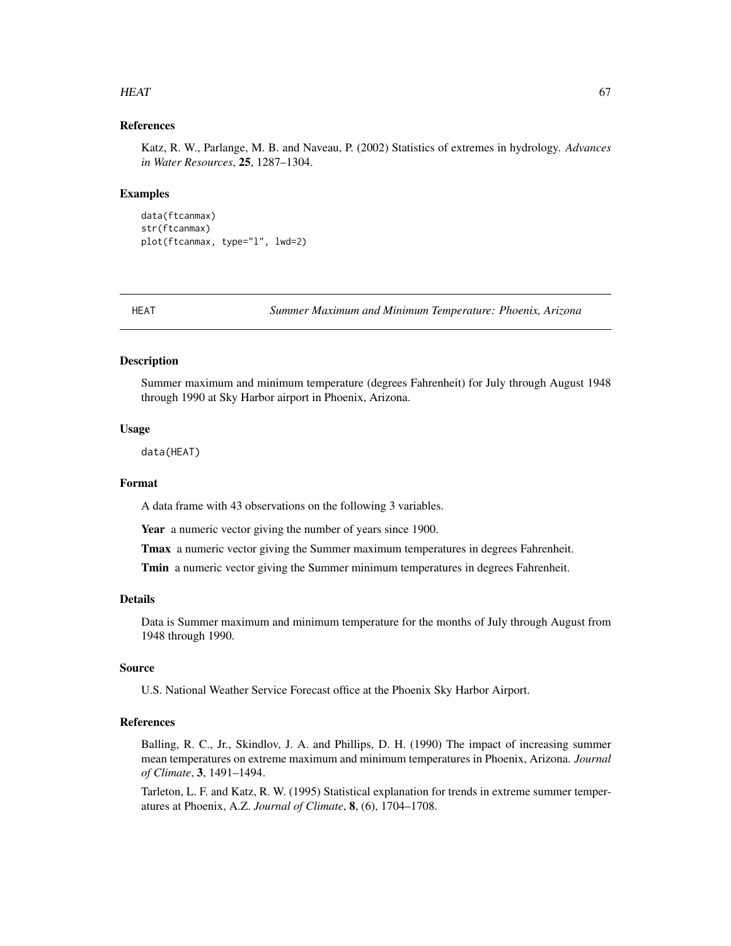### $HEAT$  67

# References

Katz, R. W., Parlange, M. B. and Naveau, P. (2002) Statistics of extremes in hydrology. *Advances in Water Resources*, 25, 1287–1304.

#### Examples

```
data(ftcanmax)
str(ftcanmax)
plot(ftcanmax, type="l", lwd=2)
```
HEAT *Summer Maximum and Minimum Temperature: Phoenix, Arizona*

# **Description**

Summer maximum and minimum temperature (degrees Fahrenheit) for July through August 1948 through 1990 at Sky Harbor airport in Phoenix, Arizona.

## Usage

data(HEAT)

## Format

A data frame with 43 observations on the following 3 variables.

Year a numeric vector giving the number of years since 1900.

Tmax a numeric vector giving the Summer maximum temperatures in degrees Fahrenheit.

Tmin a numeric vector giving the Summer minimum temperatures in degrees Fahrenheit.

# Details

Data is Summer maximum and minimum temperature for the months of July through August from 1948 through 1990.

## Source

U.S. National Weather Service Forecast office at the Phoenix Sky Harbor Airport.

#### References

Balling, R. C., Jr., Skindlov, J. A. and Phillips, D. H. (1990) The impact of increasing summer mean temperatures on extreme maximum and minimum temperatures in Phoenix, Arizona. *Journal of Climate*, 3, 1491–1494.

Tarleton, L. F. and Katz, R. W. (1995) Statistical explanation for trends in extreme summer temperatures at Phoenix, A.Z. *Journal of Climate*, 8, (6), 1704–1708.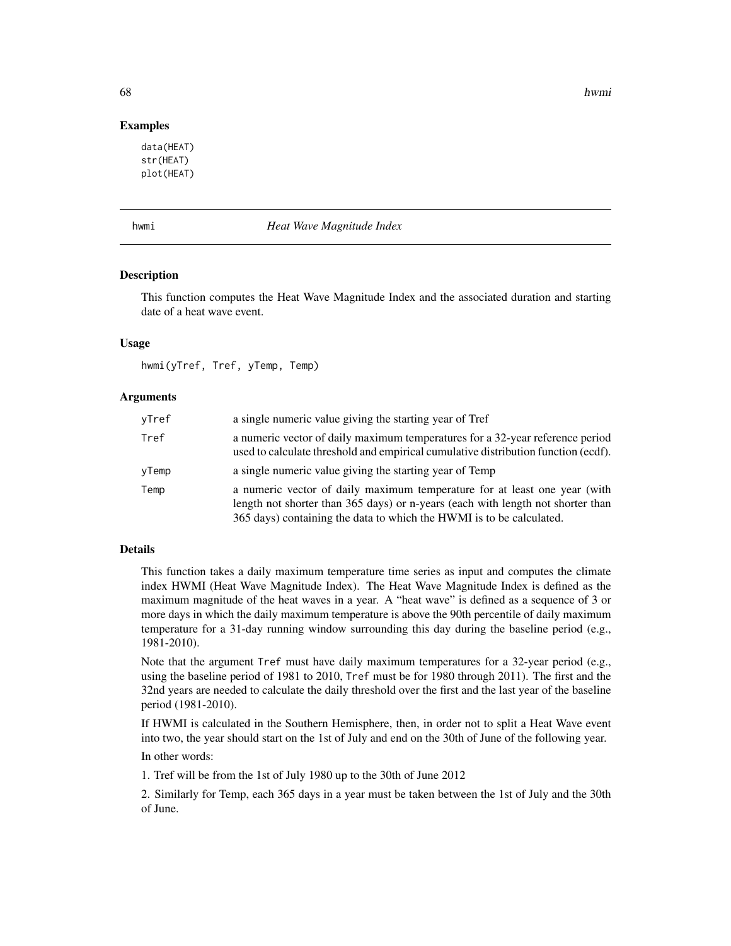68 hwmi and the control of the control of the control of the control of the control of the control of the control of the control of the control of the control of the control of the control of the control of the control of

## Examples

data(HEAT) str(HEAT) plot(HEAT)

hwmi *Heat Wave Magnitude Index*

## Description

This function computes the Heat Wave Magnitude Index and the associated duration and starting date of a heat wave event.

## Usage

hwmi(yTref, Tref, yTemp, Temp)

## **Arguments**

| yTref | a single numeric value giving the starting year of Tref                                                                                                                                                                              |
|-------|--------------------------------------------------------------------------------------------------------------------------------------------------------------------------------------------------------------------------------------|
| Tref  | a numeric vector of daily maximum temperatures for a 32-year reference period<br>used to calculate threshold and empirical cumulative distribution function (ecdf).                                                                  |
| yTemp | a single numeric value giving the starting year of Temp                                                                                                                                                                              |
| Temp  | a numeric vector of daily maximum temperature for at least one year (with<br>length not shorter than 365 days) or n-years (each with length not shorter than<br>365 days) containing the data to which the HWMI is to be calculated. |

# Details

This function takes a daily maximum temperature time series as input and computes the climate index HWMI (Heat Wave Magnitude Index). The Heat Wave Magnitude Index is defined as the maximum magnitude of the heat waves in a year. A "heat wave" is defined as a sequence of 3 or more days in which the daily maximum temperature is above the 90th percentile of daily maximum temperature for a 31-day running window surrounding this day during the baseline period (e.g., 1981-2010).

Note that the argument Tref must have daily maximum temperatures for a 32-year period (e.g., using the baseline period of 1981 to 2010, Tref must be for 1980 through 2011). The first and the 32nd years are needed to calculate the daily threshold over the first and the last year of the baseline period (1981-2010).

If HWMI is calculated in the Southern Hemisphere, then, in order not to split a Heat Wave event into two, the year should start on the 1st of July and end on the 30th of June of the following year.

In other words:

1. Tref will be from the 1st of July 1980 up to the 30th of June 2012

2. Similarly for Temp, each 365 days in a year must be taken between the 1st of July and the 30th of June.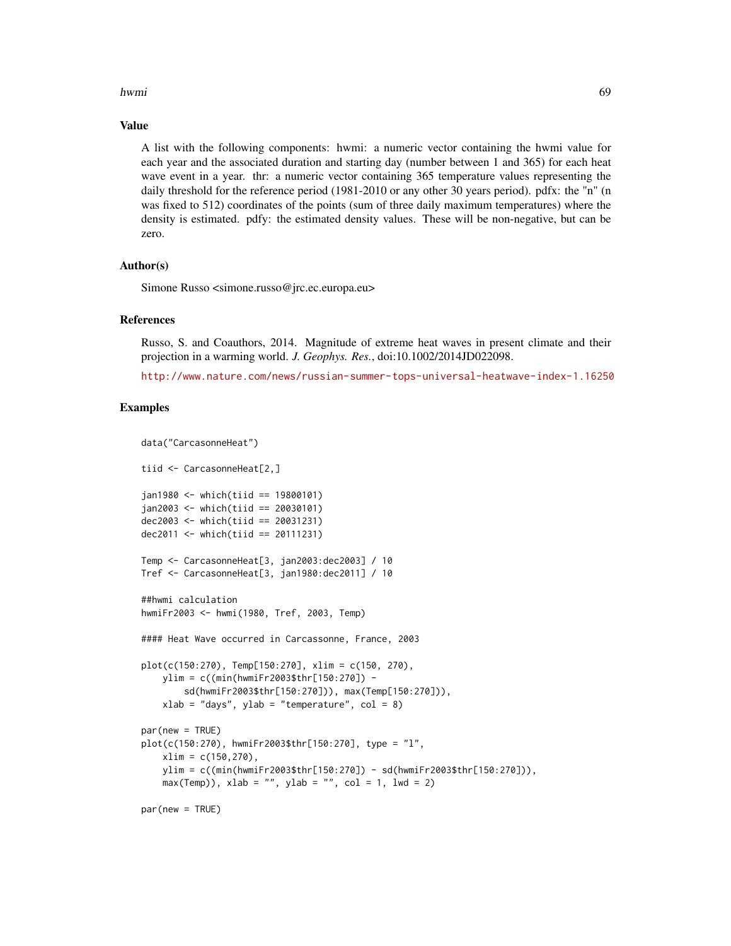#### hwmi 69 km and the contract of the contract of the contract of the contract of the contract of the contract of the contract of the contract of the contract of the contract of the contract of the contract of the contract of

#### Value

A list with the following components: hwmi: a numeric vector containing the hwmi value for each year and the associated duration and starting day (number between 1 and 365) for each heat wave event in a year. thr: a numeric vector containing 365 temperature values representing the daily threshold for the reference period (1981-2010 or any other 30 years period). pdfx: the "n" (n was fixed to 512) coordinates of the points (sum of three daily maximum temperatures) where the density is estimated. pdfy: the estimated density values. These will be non-negative, but can be zero.

## Author(s)

Simone Russo <simone.russo@jrc.ec.europa.eu>

#### References

Russo, S. and Coauthors, 2014. Magnitude of extreme heat waves in present climate and their projection in a warming world. *J. Geophys. Res.*, doi:10.1002/2014JD022098.

<http://www.nature.com/news/russian-summer-tops-universal-heatwave-index-1.16250>

## Examples

```
data("CarcasonneHeat")
tiid <- CarcasonneHeat[2,]
jan1980 <- which(tiid == 19800101)
jan2003 <- which(tiid == 20030101)
dec2003 <- which(tiid == 20031231)
dec2011 <- which(tiid == 20111231)
Temp <- CarcasonneHeat[3, jan2003:dec2003] / 10
Tref <- CarcasonneHeat[3, jan1980:dec2011] / 10
##hwmi calculation
hwmiFr2003 <- hwmi(1980, Tref, 2003, Temp)
#### Heat Wave occurred in Carcassonne, France, 2003
plot(c(150:270), Temp[150:270], xlim = c(150, 270),
   ylim = c((min(hwmiFr2003$thr[150:270]) -
       sd(hwmiFr2003$thr[150:270])), max(Temp[150:270])),
   xlab = "days", ylab = "temperature", col = 8)par(new = TRUE)
plot(c(150:270), hwmiFr2003$thr[150:270], type = "l",
    xlim = c(150, 270),
   ylim = c((min(hwmiFr2003$thr[150:270]) - sd(hwmiFr2003$thr[150:270])),
   max(Temp), xlab = "", ylab = "", col = 1, lwd = 2)par(new = TRUE)
```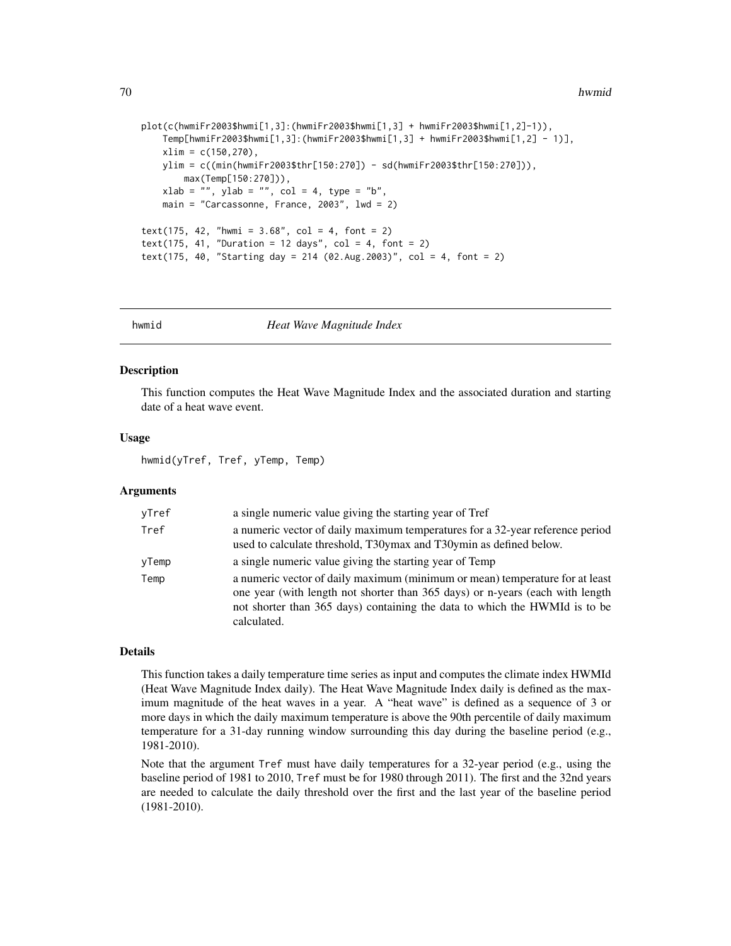```
plot(c(hwmiFr2003$hwmi[1,3]:(hwmiFr2003$hwmi[1,3] + hwmiFr2003$hwmi[1,2]-1)),
    Temp[hwmiFr2003$hwmi[1,3]:(hwmiFr2003$hwmi[1,3] + hwmiFr2003$hwmi[1,2] - 1)],
    xlim = c(150, 270),
   ylim = c((min(hwmiFr2003$thr[150:270]) - sd(hwmiFr2003$thr[150:270])),
       max(Temp[150:270])),
    xlab = "", ylab = "", col = 4, type = "b",main = "Carcassonne, France, 2003", lwd = 2)
text(175, 42, "hwmi = 3.68", col = 4, font = 2)
text(175, 41, "Duration = 12 days", col = 4, font = 2)text(175, 40, "Starting day = 214 (02.Aug.2003)", col = 4, font = 2)
```
hwmid *Heat Wave Magnitude Index*

#### Description

This function computes the Heat Wave Magnitude Index and the associated duration and starting date of a heat wave event.

#### Usage

hwmid(yTref, Tref, yTemp, Temp)

# Arguments

| yTref | a single numeric value giving the starting year of Tref                                                                                                                                                                                                    |
|-------|------------------------------------------------------------------------------------------------------------------------------------------------------------------------------------------------------------------------------------------------------------|
| Tref  | a numeric vector of daily maximum temperatures for a 32-year reference period<br>used to calculate threshold, T30ymax and T30ymin as defined below.                                                                                                        |
| yTemp | a single numeric value giving the starting year of Temp                                                                                                                                                                                                    |
| Temp  | a numeric vector of daily maximum (minimum or mean) temperature for at least<br>one year (with length not shorter than 365 days) or n-years (each with length<br>not shorter than 365 days) containing the data to which the HWMId is to be<br>calculated. |

## Details

This function takes a daily temperature time series as input and computes the climate index HWMId (Heat Wave Magnitude Index daily). The Heat Wave Magnitude Index daily is defined as the maximum magnitude of the heat waves in a year. A "heat wave" is defined as a sequence of 3 or more days in which the daily maximum temperature is above the 90th percentile of daily maximum temperature for a 31-day running window surrounding this day during the baseline period (e.g., 1981-2010).

Note that the argument Tref must have daily temperatures for a 32-year period (e.g., using the baseline period of 1981 to 2010, Tref must be for 1980 through 2011). The first and the 32nd years are needed to calculate the daily threshold over the first and the last year of the baseline period (1981-2010).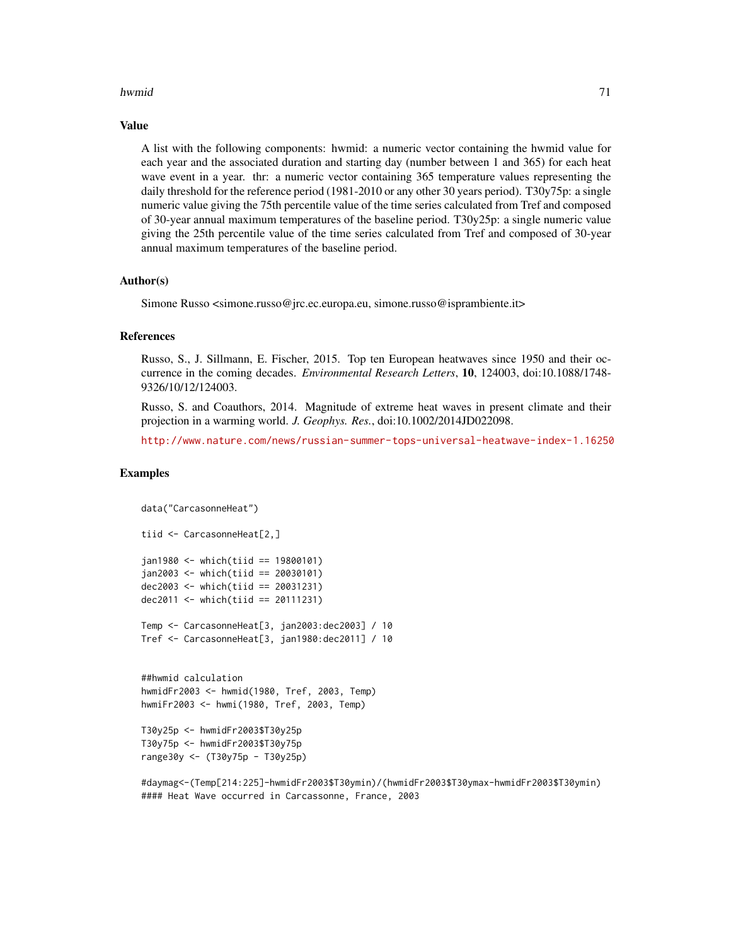### hwmid 2008 and 2008 and 2008 and 2008 and 2008 and 2008 and 2008 and 2008 and 2008 and 2008 and 2008 and 2008

#### Value

A list with the following components: hwmid: a numeric vector containing the hwmid value for each year and the associated duration and starting day (number between 1 and 365) for each heat wave event in a year. thr: a numeric vector containing 365 temperature values representing the daily threshold for the reference period (1981-2010 or any other 30 years period). T30y75p: a single numeric value giving the 75th percentile value of the time series calculated from Tref and composed of 30-year annual maximum temperatures of the baseline period. T30y25p: a single numeric value giving the 25th percentile value of the time series calculated from Tref and composed of 30-year annual maximum temperatures of the baseline period.

## Author(s)

Simone Russo <simone.russo@jrc.ec.europa.eu, simone.russo@isprambiente.it>

#### References

Russo, S., J. Sillmann, E. Fischer, 2015. Top ten European heatwaves since 1950 and their occurrence in the coming decades. *Environmental Research Letters*, 10, 124003, doi:10.1088/1748- 9326/10/12/124003.

Russo, S. and Coauthors, 2014. Magnitude of extreme heat waves in present climate and their projection in a warming world. *J. Geophys. Res.*, doi:10.1002/2014JD022098.

<http://www.nature.com/news/russian-summer-tops-universal-heatwave-index-1.16250>

# Examples

```
data("CarcasonneHeat")
tiid <- CarcasonneHeat[2,]
jan1980 <- which(tiid == 19800101)
jan2003 < - which (tid == 20030101)dec2003 <- which(tiid == 20031231)
dec2011 < - which(tiid == 20111231)
Temp <- CarcasonneHeat[3, jan2003:dec2003] / 10
Tref <- CarcasonneHeat[3, jan1980:dec2011] / 10
##hwmid calculation
hwmidFr2003 <- hwmid(1980, Tref, 2003, Temp)
hwmiFr2003 <- hwmi(1980, Tref, 2003, Temp)
T30y25p <- hwmidFr2003$T30y25p
T30y75p <- hwmidFr2003$T30y75p
range30y <- (T30y75p - T30y25p)
```
#daymag<-(Temp[214:225]-hwmidFr2003\$T30ymin)/(hwmidFr2003\$T30ymax-hwmidFr2003\$T30ymin) #### Heat Wave occurred in Carcassonne, France, 2003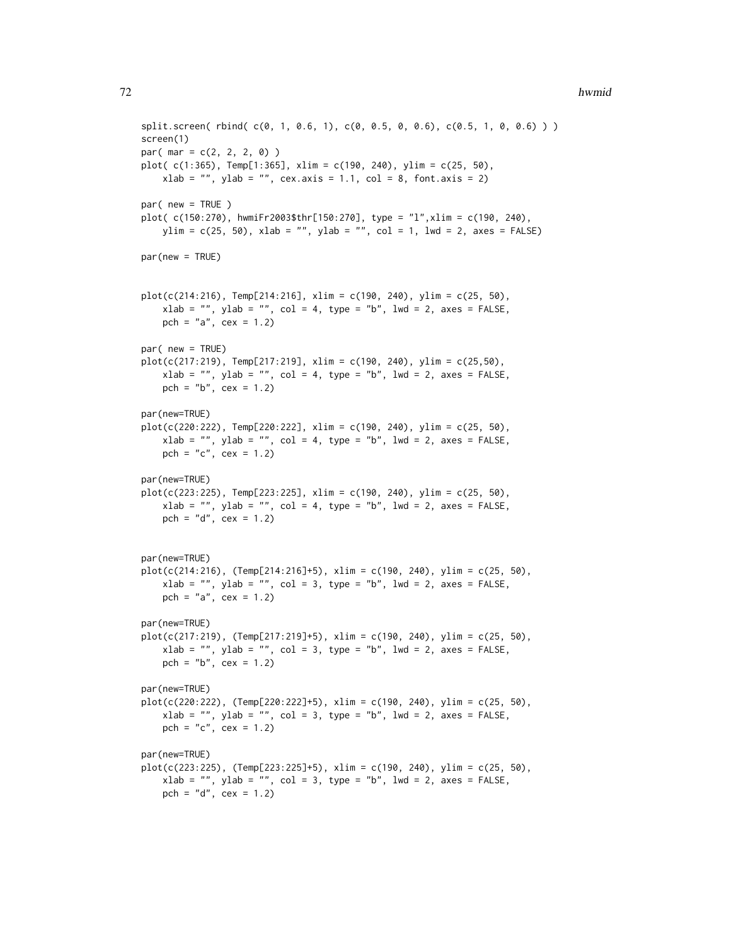#### **72** hwmid **hwmid hwmid hwmid hwmid hwmid hwmid hwmid hwmid hwmid hwmid**

```
split.screen( rbind( c(0, 1, 0.6, 1), c(0, 0.5, 0, 0.6), c(0.5, 1, 0, 0.6) ) )
screen(1)
par( mar = c(2, 2, 2, 0) )plot( c(1:365), Temp[1:365], xlim = c(190, 240), ylim = c(25, 50),
   xlab = "", ylab = "", cex.axis = 1.1, col = 8, font.axis = 2)par( new = TRUE )
plot( c(150:270), hwmiFr2003$thr[150:270], type = "l",xlim = c(190, 240),
   ylim = c(25, 50), xlab = "", ylab = "", col = 1, lwd = 2, axes = FALSE)par(new = TRUE)
plot(c(214:216), Temp[214:216], xlim = c(190, 240), ylim = c(25, 50),xlab = "", ylab = "", col = 4, type = "b", lwd = 2, axes = FALSE,
   pch = "a", cex = 1.2)
par( new = TRUE)
plot(c(217:219), Temp[217:219], xlim = c(190, 240), ylim = c(25,50),
    xlab = "", ylab = "", col = 4, type = "b", lwd = 2, axes = FALSE,
    pch = nb", cex = 1.2)
par(new=TRUE)
plot(c(220:222), Temp[220:222], xlim = c(190, 240), ylim = c(25, 50),
   xlab = "", ylab = "", col = 4, type = "b", lwd = 2, axes = FALSE,
    pch = "c", cex = 1.2)
par(new=TRUE)
plot(c(223:225), Temp[223:225], xlim = c(190, 240), ylim = c(25, 50),
   xlab = "", ylab = "", col = 4, type = "b", lwd = 2, axes = FALSE,
    pch = "d", cex = 1.2)par(new=TRUE)
plot(c(214:216), (Temp[214:216]+5), xlim = c(190, 240), ylim = c(25, 50),xlab = "", ylab = "", col = 3, type = "b", lwd = 2, axes = FALSE,
   pch = "a", cex = 1.2)par(new=TRUE)
plot(c(217:219), (Temp[217:219]+5), xlim = c(190, 240), ylim = c(25, 50),xlab = "", ylab = "", col = 3, type = "b", lwd = 2, axes = FALSE,pch = "b", cex = 1.2)
par(new=TRUE)
plot(c(220:222), (Temp[220:222]+5), xlim = c(190, 240), ylim = c(25, 50),xlab = "", ylab = "", col = 3, type = "b", lwd = 2, axes = FALSE,
    pch = "c", cex = 1.2)par(new=TRUE)
plot(c(223:225), (Temp[223:225]+5), xlim = c(190, 240), ylim = c(25, 50),xlab = "", ylab = "", col = 3, type = "b", lwd = 2, axes = FALSE,
    pch = "d", cex = 1.2)
```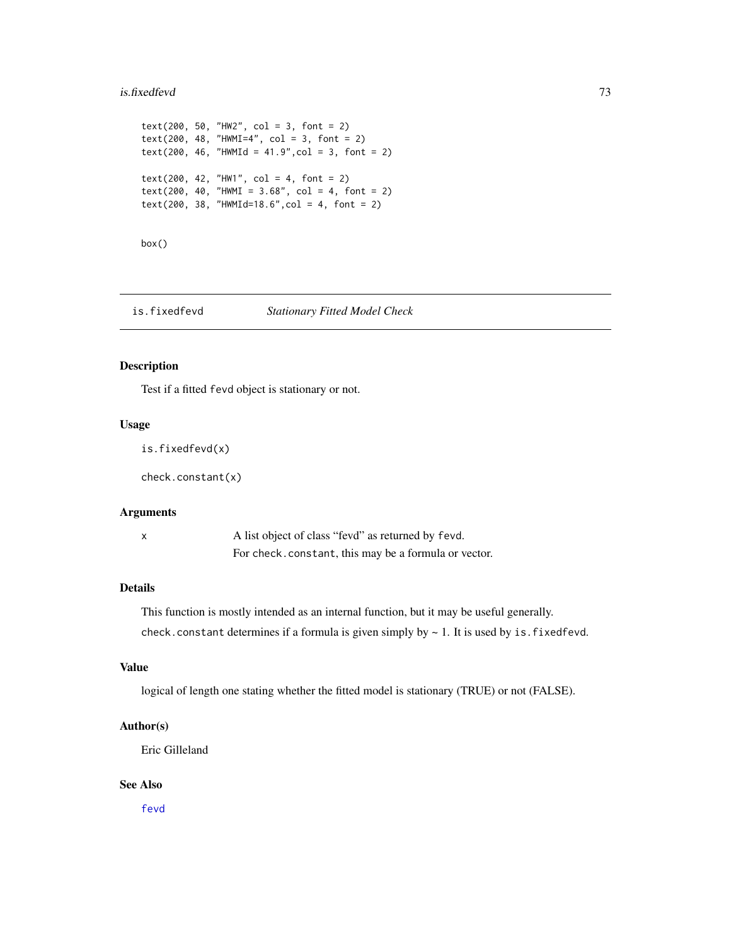#### is.fixedfevd 73

```
text(200, 50, "HW2", col = 3, font = 2)
text(200, 48, "HWMI=4", col = 3, font = 2)
text(200, 46, "HWMId = 41.9", col = 3, font = 2)text(200, 42, "HW1", col = 4, font = 2)text(200, 40, "HWMI = 3.68", col = 4, font = 2)
text(200, 38, "HWMId=18.6", col = 4, font = 2)
```
box()

is.fixedfevd *Stationary Fitted Model Check*

## Description

Test if a fitted fevd object is stationary or not.

# Usage

is.fixedfevd(x)

check.constant(x)

## Arguments

x A list object of class "fevd" as returned by fevd. For check.constant, this may be a formula or vector.

# Details

This function is mostly intended as an internal function, but it may be useful generally.

check.constant determines if a formula is given simply by  $\sim 1$ . It is used by is.fixedfevd.

# Value

logical of length one stating whether the fitted model is stationary (TRUE) or not (FALSE).

# Author(s)

Eric Gilleland

## See Also

[fevd](#page-38-0)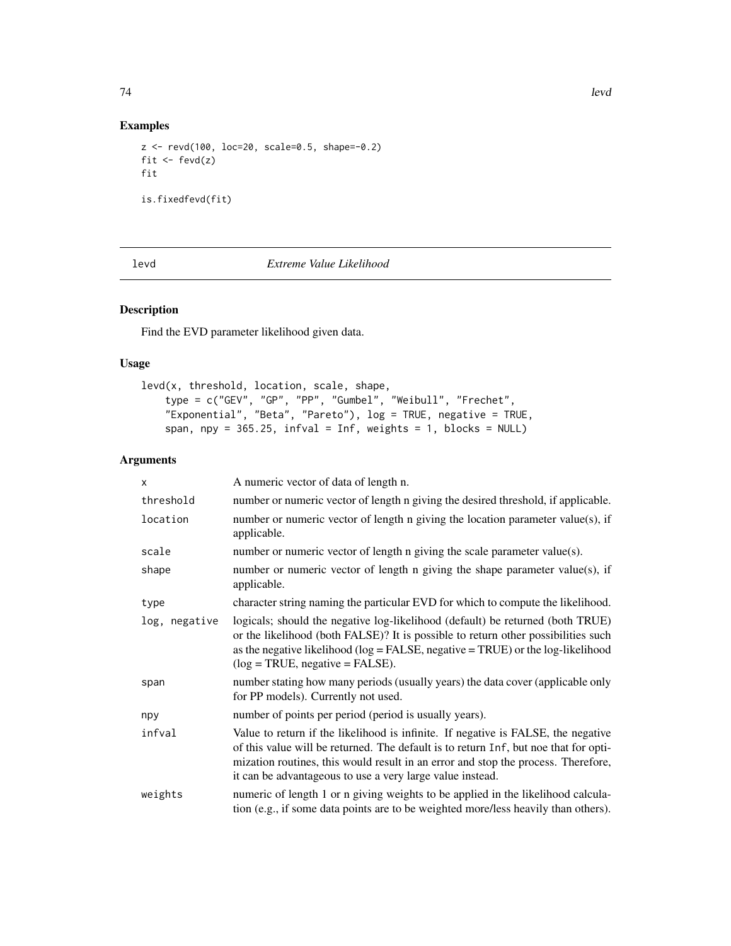# Examples

```
z <- revd(100, loc=20, scale=0.5, shape=-0.2)
fit \leftarrow fevd(z)fit
is.fixedfevd(fit)
```
levd *Extreme Value Likelihood*

# Description

Find the EVD parameter likelihood given data.

## Usage

```
levd(x, threshold, location, scale, shape,
    type = c("GEV", "GP", "PP", "Gumbel", "Weibull", "Frechet",
    "Exponential", "Beta", "Pareto"), log = TRUE, negative = TRUE,
    span, npy = 365.25, infval = Inf, weights = 1, blocks = NULL)
```
# Arguments

| X             | A numeric vector of data of length n.                                                                                                                                                                                                                                                                                       |  |
|---------------|-----------------------------------------------------------------------------------------------------------------------------------------------------------------------------------------------------------------------------------------------------------------------------------------------------------------------------|--|
| threshold     | number or numeric vector of length n giving the desired threshold, if applicable.                                                                                                                                                                                                                                           |  |
| location      | number or numeric vector of length n giving the location parameter value(s), if<br>applicable.                                                                                                                                                                                                                              |  |
| scale         | number or numeric vector of length n giving the scale parameter value(s).                                                                                                                                                                                                                                                   |  |
| shape         | number or numeric vector of length n giving the shape parameter value(s), if<br>applicable.                                                                                                                                                                                                                                 |  |
| type          | character string naming the particular EVD for which to compute the likelihood.                                                                                                                                                                                                                                             |  |
| log, negative | logicals; should the negative log-likelihood (default) be returned (both TRUE)<br>or the likelihood (both FALSE)? It is possible to return other possibilities such<br>as the negative likelihood ( $log = FALSE$ , negative $= TRUE$ ) or the log-likelihood<br>$(\log = \text{TRUE}, \text{negative} = \text{FALSE}).$    |  |
| span          | number stating how many periods (usually years) the data cover (applicable only<br>for PP models). Currently not used.                                                                                                                                                                                                      |  |
| npy           | number of points per period (period is usually years).                                                                                                                                                                                                                                                                      |  |
| infval        | Value to return if the likelihood is infinite. If negative is FALSE, the negative<br>of this value will be returned. The default is to return Inf, but noe that for opti-<br>mization routines, this would result in an error and stop the process. Therefore,<br>it can be advantageous to use a very large value instead. |  |
| weights       | numeric of length 1 or n giving weights to be applied in the likelihood calcula-<br>tion (e.g., if some data points are to be weighted more/less heavily than others).                                                                                                                                                      |  |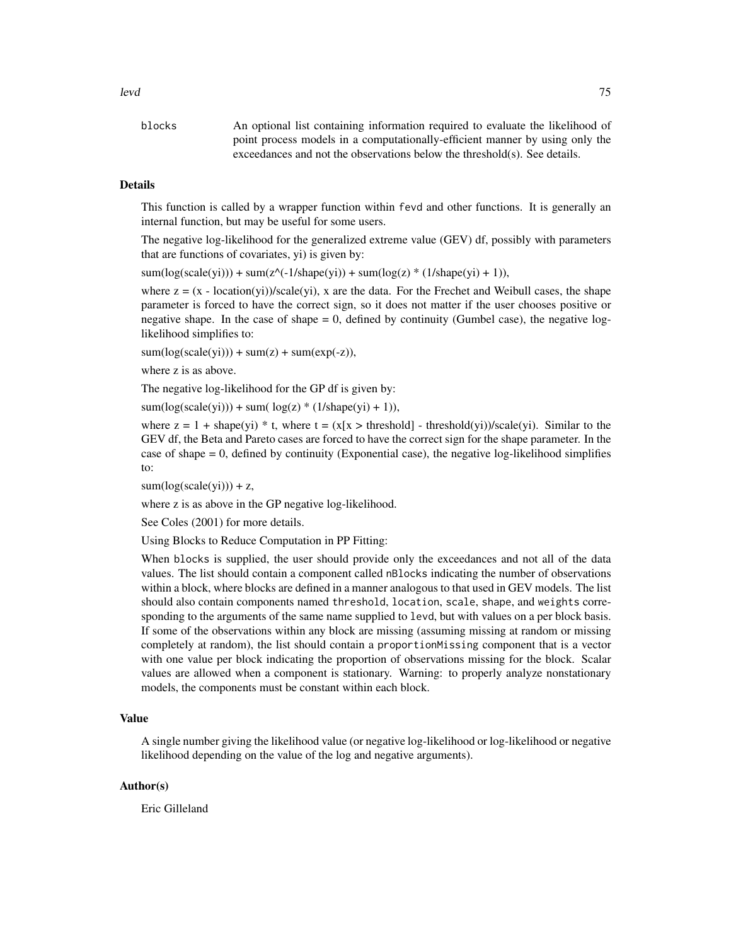levd 75

blocks An optional list containing information required to evaluate the likelihood of point process models in a computationally-efficient manner by using only the exceedances and not the observations below the threshold(s). See details.

# Details

This function is called by a wrapper function within fevd and other functions. It is generally an internal function, but may be useful for some users.

The negative log-likelihood for the generalized extreme value (GEV) df, possibly with parameters that are functions of covariates, yi) is given by:

 $sum(log(scale(yi))) + sum(z^(-1/shape(yi)) + sum(log(z) * (1/shape(yi) + 1)),$ 

where  $z = (x - 1)$  location(yi))/scale(yi), x are the data. For the Frechet and Weibull cases, the shape parameter is forced to have the correct sign, so it does not matter if the user chooses positive or negative shape. In the case of shape = 0, defined by continuity (Gumbel case), the negative loglikelihood simplifies to:

 $sum(log(scale(yi))) + sum(z) + sum(exp(-z)),$ 

where z is as above.

The negative log-likelihood for the GP df is given by:

 $sum(log(scale(yi))) + sum(log(z) * (1/shape(yi) + 1)),$ 

where  $z = 1 + shape(yi) * t$ , where  $t = (x[x > threshold] - threshold(yi)) / scale(yi)$ . Similar to the GEV df, the Beta and Pareto cases are forced to have the correct sign for the shape parameter. In the case of shape  $= 0$ , defined by continuity (Exponential case), the negative log-likelihood simplifies to:

 $sum(log(scale(yi))) + z$ ,

where z is as above in the GP negative log-likelihood.

See Coles (2001) for more details.

Using Blocks to Reduce Computation in PP Fitting:

When blocks is supplied, the user should provide only the exceedances and not all of the data values. The list should contain a component called nBlocks indicating the number of observations within a block, where blocks are defined in a manner analogous to that used in GEV models. The list should also contain components named threshold, location, scale, shape, and weights corresponding to the arguments of the same name supplied to levd, but with values on a per block basis. If some of the observations within any block are missing (assuming missing at random or missing completely at random), the list should contain a proportionMissing component that is a vector with one value per block indicating the proportion of observations missing for the block. Scalar values are allowed when a component is stationary. Warning: to properly analyze nonstationary models, the components must be constant within each block.

#### Value

A single number giving the likelihood value (or negative log-likelihood or log-likelihood or negative likelihood depending on the value of the log and negative arguments).

## Author(s)

Eric Gilleland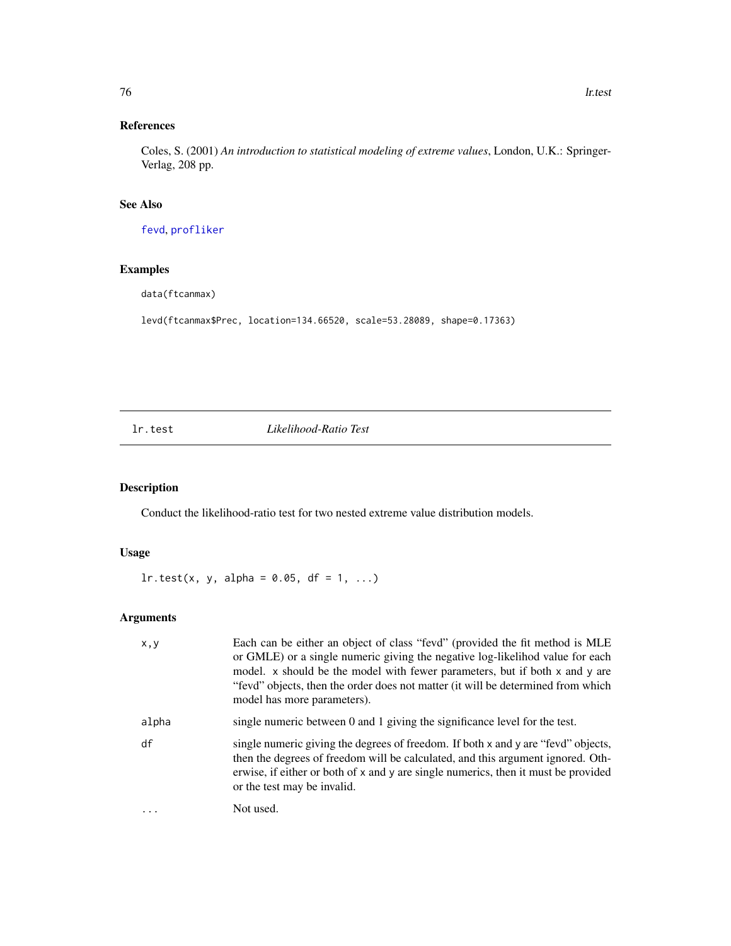Coles, S. (2001) *An introduction to statistical modeling of extreme values*, London, U.K.: Springer-Verlag, 208 pp.

# See Also

[fevd](#page-38-0), [profliker](#page-91-0)

# Examples

data(ftcanmax)

levd(ftcanmax\$Prec, location=134.66520, scale=53.28089, shape=0.17363)

lr.test *Likelihood-Ratio Test*

# Description

Conduct the likelihood-ratio test for two nested extreme value distribution models.

# Usage

 $lr.test(x, y, alpha = 0.05, df = 1, ...)$ 

# Arguments

| x, y      | Each can be either an object of class "fevd" (provided the fit method is MLE<br>or GMLE) or a single numeric giving the negative log-likelihod value for each<br>model. x should be the model with fewer parameters, but if both x and y are<br>"fevd" objects, then the order does not matter (it will be determined from which<br>model has more parameters). |
|-----------|-----------------------------------------------------------------------------------------------------------------------------------------------------------------------------------------------------------------------------------------------------------------------------------------------------------------------------------------------------------------|
| alpha     | single numeric between 0 and 1 giving the significance level for the test.                                                                                                                                                                                                                                                                                      |
| df        | single numeric giving the degrees of freedom. If both x and y are "fevd" objects,<br>then the degrees of freedom will be calculated, and this argument ignored. Oth-<br>erwise, if either or both of x and y are single numerics, then it must be provided<br>or the test may be invalid.                                                                       |
| $\ddotsc$ | Not used.                                                                                                                                                                                                                                                                                                                                                       |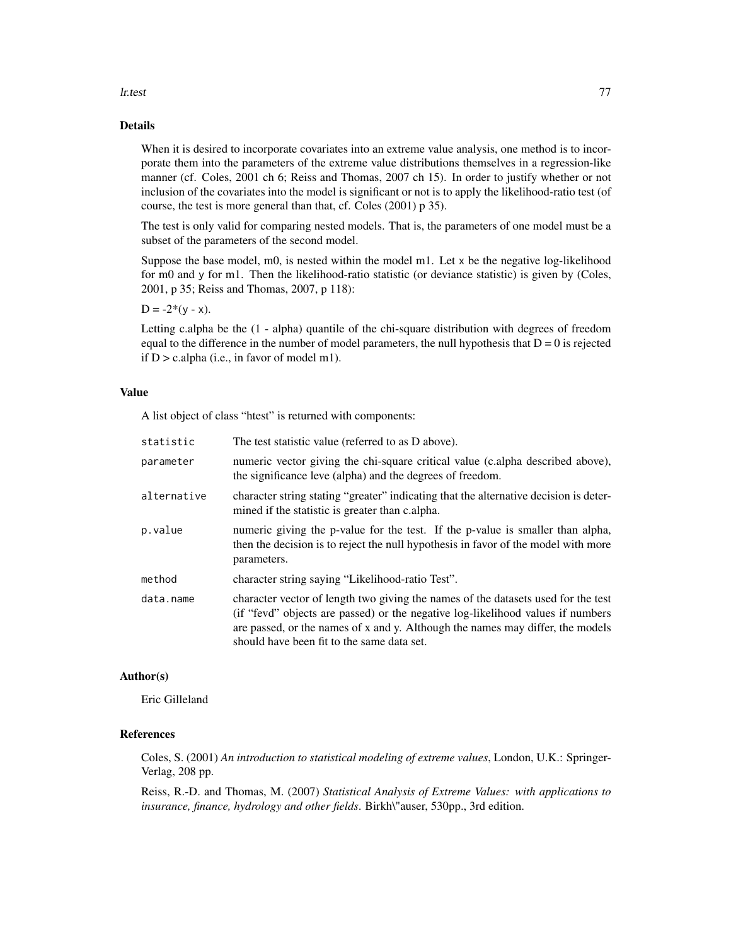#### lr.test 77

# Details

When it is desired to incorporate covariates into an extreme value analysis, one method is to incorporate them into the parameters of the extreme value distributions themselves in a regression-like manner (cf. Coles, 2001 ch 6; Reiss and Thomas, 2007 ch 15). In order to justify whether or not inclusion of the covariates into the model is significant or not is to apply the likelihood-ratio test (of course, the test is more general than that, cf. Coles (2001) p 35).

The test is only valid for comparing nested models. That is, the parameters of one model must be a subset of the parameters of the second model.

Suppose the base model, m0, is nested within the model m1. Let  $x$  be the negative log-likelihood for m0 and y for m1. Then the likelihood-ratio statistic (or deviance statistic) is given by (Coles, 2001, p 35; Reiss and Thomas, 2007, p 118):

 $D = -2*(y - x)$ .

Letting c.alpha be the  $(1 - \alpha)$  quantile of the chi-square distribution with degrees of freedom equal to the difference in the number of model parameters, the null hypothesis that  $D = 0$  is rejected if  $D > c$ . alpha (i.e., in favor of model m1).

# Value

A list object of class "htest" is returned with components:

| statistic   | The test statistic value (referred to as D above).                                                                                                                                                                                                                                                   |
|-------------|------------------------------------------------------------------------------------------------------------------------------------------------------------------------------------------------------------------------------------------------------------------------------------------------------|
| parameter   | numeric vector giving the chi-square critical value (c.alpha described above),<br>the significance leve (alpha) and the degrees of freedom.                                                                                                                                                          |
| alternative | character string stating "greater" indicating that the alternative decision is deter-<br>mined if the statistic is greater than c.alpha.                                                                                                                                                             |
| p.value     | numeric giving the p-value for the test. If the p-value is smaller than alpha,<br>then the decision is to reject the null hypothesis in favor of the model with more<br>parameters.                                                                                                                  |
| method      | character string saying "Likelihood-ratio Test".                                                                                                                                                                                                                                                     |
| data.name   | character vector of length two giving the names of the datasets used for the test<br>(if "fevd" objects are passed) or the negative log-likelihood values if numbers<br>are passed, or the names of x and y. Although the names may differ, the models<br>should have been fit to the same data set. |

# Author(s)

Eric Gilleland

## References

Coles, S. (2001) *An introduction to statistical modeling of extreme values*, London, U.K.: Springer-Verlag, 208 pp.

Reiss, R.-D. and Thomas, M. (2007) *Statistical Analysis of Extreme Values: with applications to insurance, finance, hydrology and other fields*. Birkh\"auser, 530pp., 3rd edition.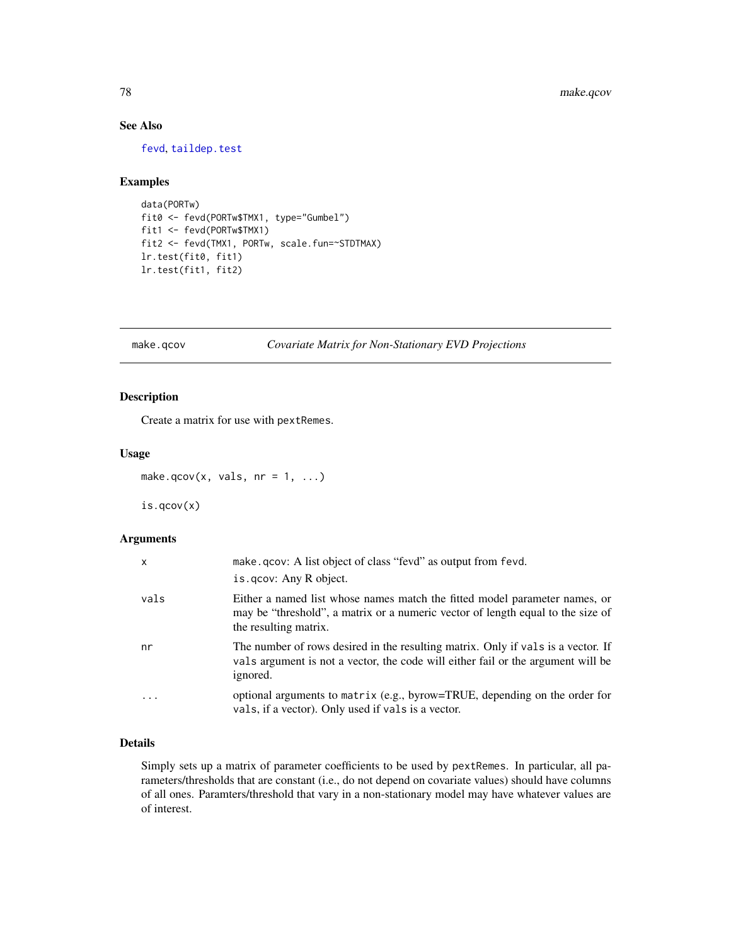# See Also

[fevd](#page-38-0), [taildep.test](#page-109-0)

## Examples

```
data(PORTw)
fit0 <- fevd(PORTw$TMX1, type="Gumbel")
fit1 <- fevd(PORTw$TMX1)
fit2 <- fevd(TMX1, PORTw, scale.fun=~STDTMAX)
lr.test(fit0, fit1)
lr.test(fit1, fit2)
```
<span id="page-77-0"></span>make.qcov *Covariate Matrix for Non-Stationary EVD Projections*

# Description

Create a matrix for use with pextRemes.

# Usage

make.qcov(x, vals,  $nr = 1, ...$ )

is.qcov(x)

## Arguments

| X       | make.gov: A list object of class "fevd" as output from fevd.<br>is.gov: Any R object.                                                                                                  |
|---------|----------------------------------------------------------------------------------------------------------------------------------------------------------------------------------------|
| vals    | Either a named list whose names match the fitted model parameter names, or<br>may be "threshold", a matrix or a numeric vector of length equal to the size of<br>the resulting matrix. |
| nr      | The number of rows desired in the resulting matrix. Only if vals is a vector. If<br>vals argument is not a vector, the code will either fail or the argument will be<br>ignored.       |
| $\cdot$ | optional arguments to matrix (e.g., byrow=TRUE, depending on the order for<br>vals, if a vector). Only used if vals is a vector.                                                       |

# Details

Simply sets up a matrix of parameter coefficients to be used by pextRemes. In particular, all parameters/thresholds that are constant (i.e., do not depend on covariate values) should have columns of all ones. Paramters/threshold that vary in a non-stationary model may have whatever values are of interest.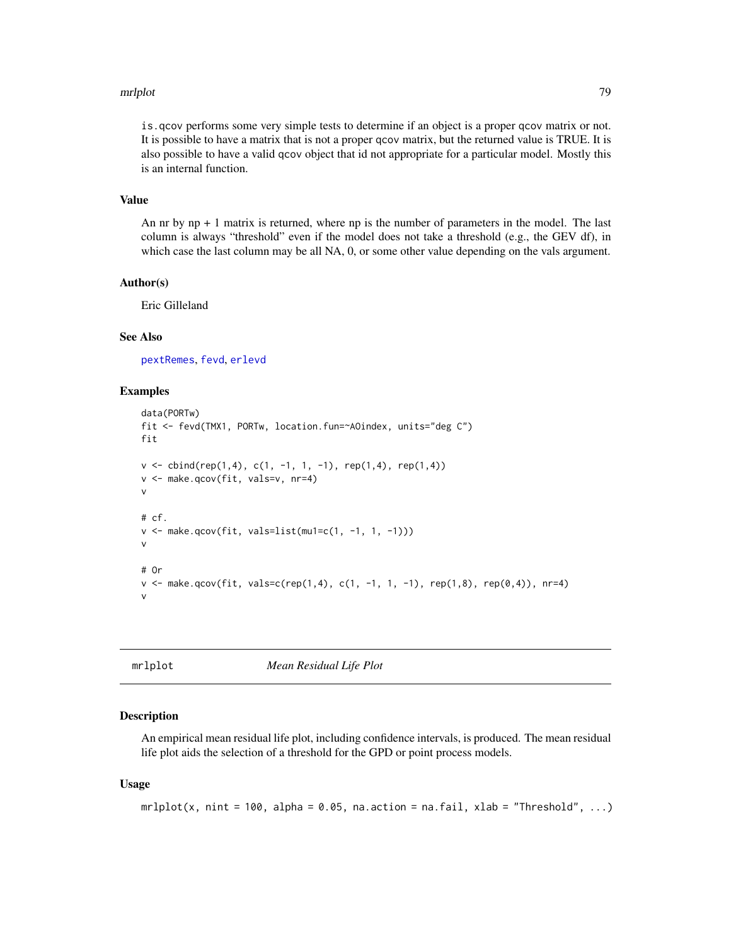#### mrlplot that the contract of the contract of the contract of the contract of the contract of the contract of the contract of the contract of the contract of the contract of the contract of the contract of the contract of t

is.qcov performs some very simple tests to determine if an object is a proper qcov matrix or not. It is possible to have a matrix that is not a proper qcov matrix, but the returned value is TRUE. It is also possible to have a valid qcov object that id not appropriate for a particular model. Mostly this is an internal function.

## Value

An nr by  $np + 1$  matrix is returned, where  $np$  is the number of parameters in the model. The last column is always "threshold" even if the model does not take a threshold (e.g., the GEV df), in which case the last column may be all NA, 0, or some other value depending on the vals argument.

#### Author(s)

Eric Gilleland

## See Also

[pextRemes](#page-83-0), [fevd](#page-38-0), [erlevd](#page-33-0)

## Examples

```
data(PORTw)
fit <- fevd(TMX1, PORTw, location.fun=~AOindex, units="deg C")
fit
v \le cbind(rep(1,4), c(1, -1, 1, -1), rep(1,4), rep(1,4))
v <- make.qcov(fit, vals=v, nr=4)
v
# cf.
v \leq make.qcov(fit, vals=list(mu1=c(1, -1, 1, -1)))
v
# Or
v <- make.qcov(fit, vals=c(rep(1,4), c(1, -1, 1, -1), rep(1,8), rep(0,4)), nr=4)
v
```
mrlplot *Mean Residual Life Plot*

#### Description

An empirical mean residual life plot, including confidence intervals, is produced. The mean residual life plot aids the selection of a threshold for the GPD or point process models.

#### Usage

```
mrlplot(x, nint = 100, alpha = 0.05, na.action = na.fail, xlab = "Threshold", ...)
```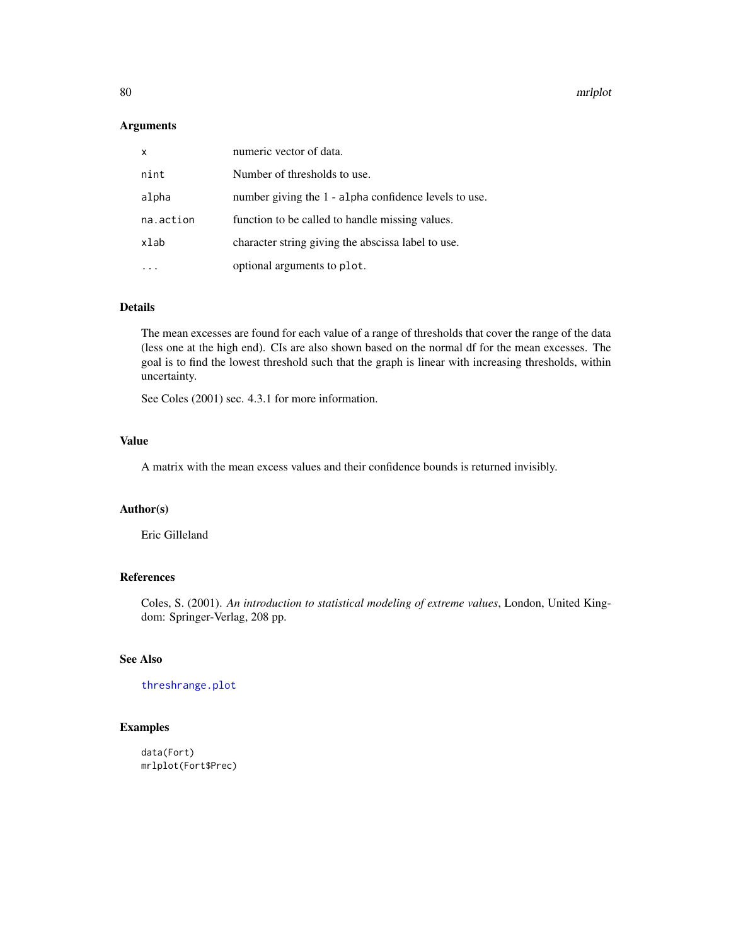#### 80 mrlplot

## Arguments

| $\mathsf{x}$ | numeric vector of data.                               |
|--------------|-------------------------------------------------------|
| nint         | Number of thresholds to use.                          |
| alpha        | number giving the 1 - alpha confidence levels to use. |
| na.action    | function to be called to handle missing values.       |
| xlab         | character string giving the abscissa label to use.    |
|              | optional arguments to plot.                           |

## Details

The mean excesses are found for each value of a range of thresholds that cover the range of the data (less one at the high end). CIs are also shown based on the normal df for the mean excesses. The goal is to find the lowest threshold such that the graph is linear with increasing thresholds, within uncertainty.

See Coles (2001) sec. 4.3.1 for more information.

## Value

A matrix with the mean excess values and their confidence bounds is returned invisibly.

# Author(s)

Eric Gilleland

# References

Coles, S. (2001). *An introduction to statistical modeling of extreme values*, London, United Kingdom: Springer-Verlag, 208 pp.

## See Also

[threshrange.plot](#page-111-0)

# Examples

data(Fort) mrlplot(Fort\$Prec)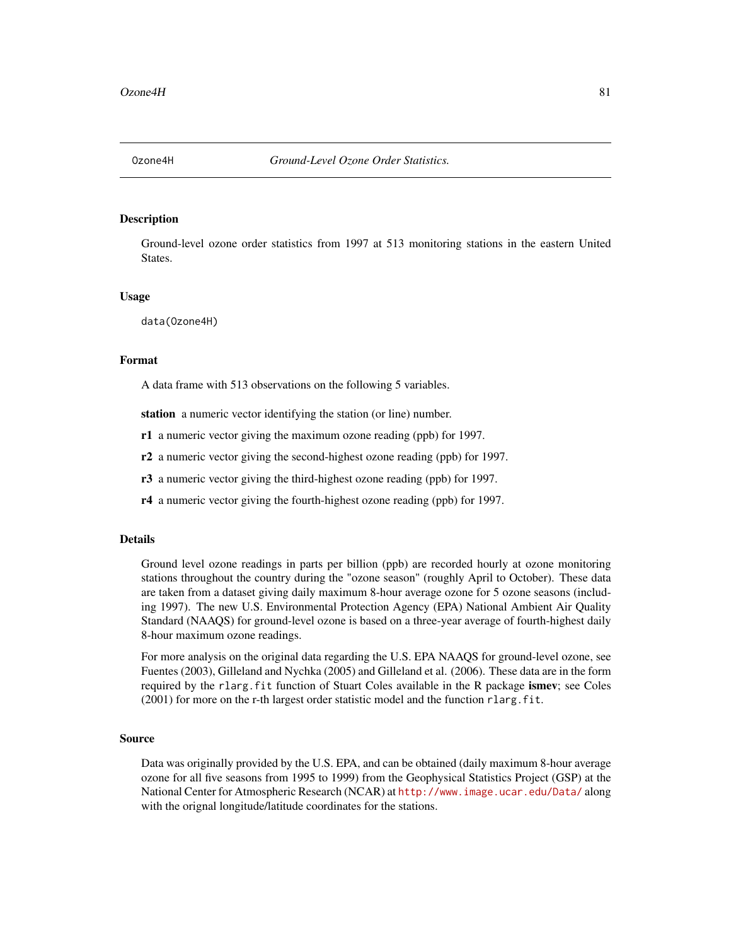## Description

Ground-level ozone order statistics from 1997 at 513 monitoring stations in the eastern United States.

#### Usage

data(Ozone4H)

## Format

A data frame with 513 observations on the following 5 variables.

station a numeric vector identifying the station (or line) number.

r1 a numeric vector giving the maximum ozone reading (ppb) for 1997.

r2 a numeric vector giving the second-highest ozone reading (ppb) for 1997.

r3 a numeric vector giving the third-highest ozone reading (ppb) for 1997.

r4 a numeric vector giving the fourth-highest ozone reading (ppb) for 1997.

#### Details

Ground level ozone readings in parts per billion (ppb) are recorded hourly at ozone monitoring stations throughout the country during the "ozone season" (roughly April to October). These data are taken from a dataset giving daily maximum 8-hour average ozone for 5 ozone seasons (including 1997). The new U.S. Environmental Protection Agency (EPA) National Ambient Air Quality Standard (NAAQS) for ground-level ozone is based on a three-year average of fourth-highest daily 8-hour maximum ozone readings.

For more analysis on the original data regarding the U.S. EPA NAAQS for ground-level ozone, see Fuentes (2003), Gilleland and Nychka (2005) and Gilleland et al. (2006). These data are in the form required by the rlarg. fit function of Stuart Coles available in the R package ismev; see Coles  $(2001)$  for more on the r-th largest order statistic model and the function rlarg. fit.

## Source

Data was originally provided by the U.S. EPA, and can be obtained (daily maximum 8-hour average ozone for all five seasons from 1995 to 1999) from the Geophysical Statistics Project (GSP) at the National Center for Atmospheric Research (NCAR) at <http://www.image.ucar.edu/Data/> along with the orignal longitude/latitude coordinates for the stations.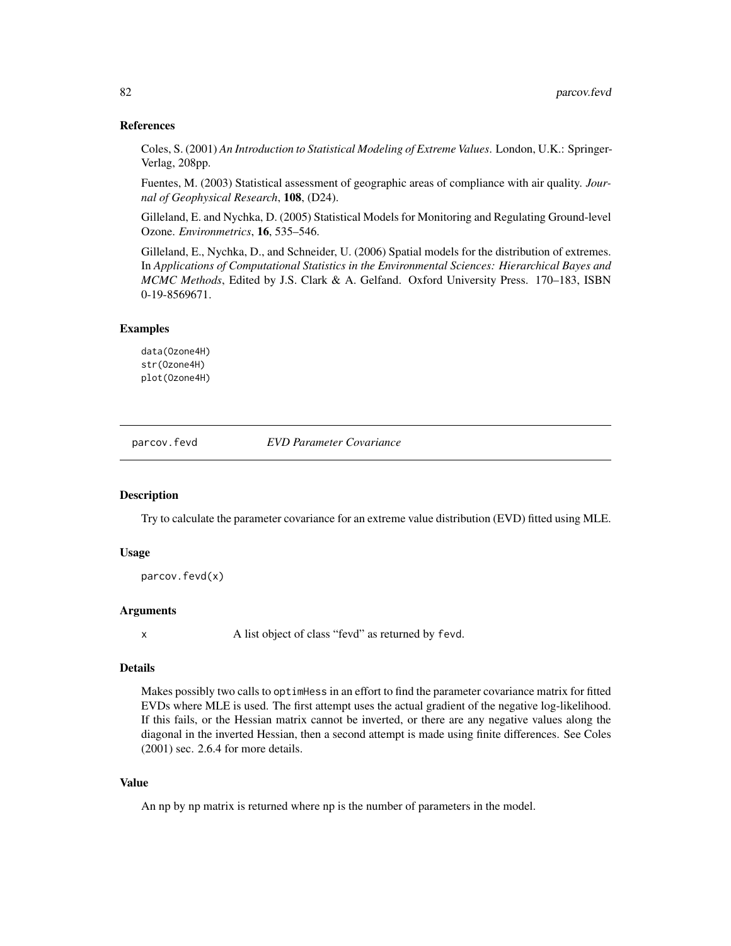## References

Coles, S. (2001) *An Introduction to Statistical Modeling of Extreme Values*. London, U.K.: Springer-Verlag, 208pp.

Fuentes, M. (2003) Statistical assessment of geographic areas of compliance with air quality. *Journal of Geophysical Research*, 108, (D24).

Gilleland, E. and Nychka, D. (2005) Statistical Models for Monitoring and Regulating Ground-level Ozone. *Environmetrics*, 16, 535–546.

Gilleland, E., Nychka, D., and Schneider, U. (2006) Spatial models for the distribution of extremes. In *Applications of Computational Statistics in the Environmental Sciences: Hierarchical Bayes and MCMC Methods*, Edited by J.S. Clark & A. Gelfand. Oxford University Press. 170–183, ISBN 0-19-8569671.

# Examples

data(Ozone4H) str(Ozone4H) plot(Ozone4H)

parcov.fevd *EVD Parameter Covariance*

#### **Description**

Try to calculate the parameter covariance for an extreme value distribution (EVD) fitted using MLE.

#### Usage

```
parcov.fevd(x)
```
## Arguments

x A list object of class "fevd" as returned by fevd.

#### Details

Makes possibly two calls to optimHess in an effort to find the parameter covariance matrix for fitted EVDs where MLE is used. The first attempt uses the actual gradient of the negative log-likelihood. If this fails, or the Hessian matrix cannot be inverted, or there are any negative values along the diagonal in the inverted Hessian, then a second attempt is made using finite differences. See Coles (2001) sec. 2.6.4 for more details.

# Value

An np by np matrix is returned where np is the number of parameters in the model.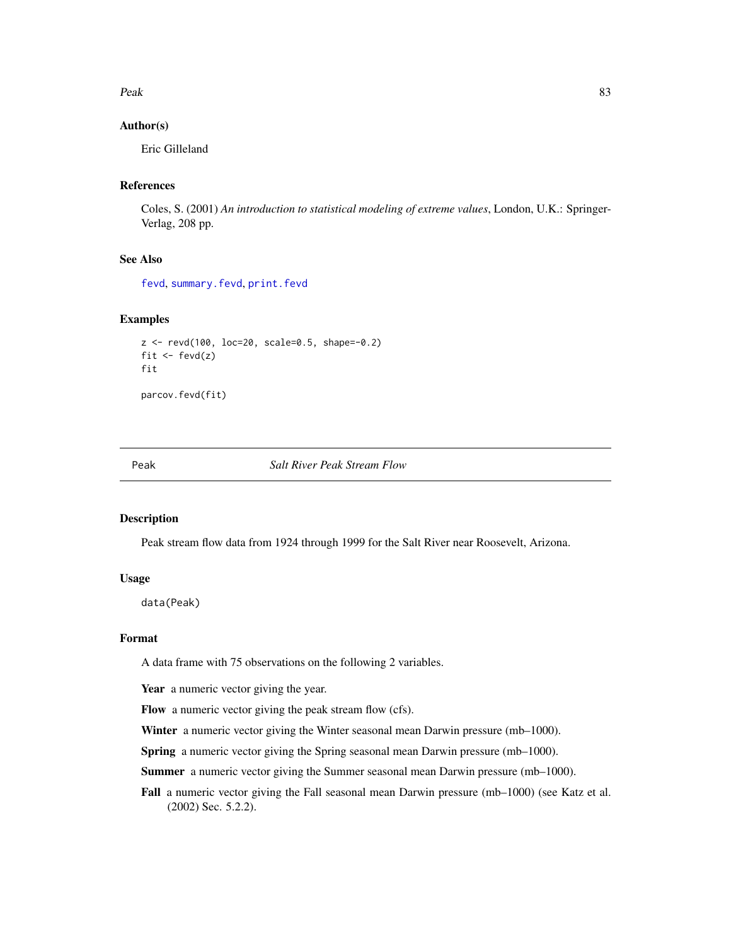#### $Peak$  83

## Author(s)

Eric Gilleland

# References

Coles, S. (2001) *An introduction to statistical modeling of extreme values*, London, U.K.: Springer-Verlag, 208 pp.

# See Also

[fevd](#page-38-0), [summary.fevd](#page-38-1), [print.fevd](#page-38-1)

## Examples

```
z <- revd(100, loc=20, scale=0.5, shape=-0.2)
fit \leftarrow fevd(z)fit
```
parcov.fevd(fit)

Peak *Salt River Peak Stream Flow*

## Description

Peak stream flow data from 1924 through 1999 for the Salt River near Roosevelt, Arizona.

# Usage

data(Peak)

# Format

A data frame with 75 observations on the following 2 variables.

Year a numeric vector giving the year.

Flow a numeric vector giving the peak stream flow (cfs).

Winter a numeric vector giving the Winter seasonal mean Darwin pressure (mb-1000).

Spring a numeric vector giving the Spring seasonal mean Darwin pressure (mb–1000).

Summer a numeric vector giving the Summer seasonal mean Darwin pressure (mb–1000).

Fall a numeric vector giving the Fall seasonal mean Darwin pressure (mb–1000) (see Katz et al. (2002) Sec. 5.2.2).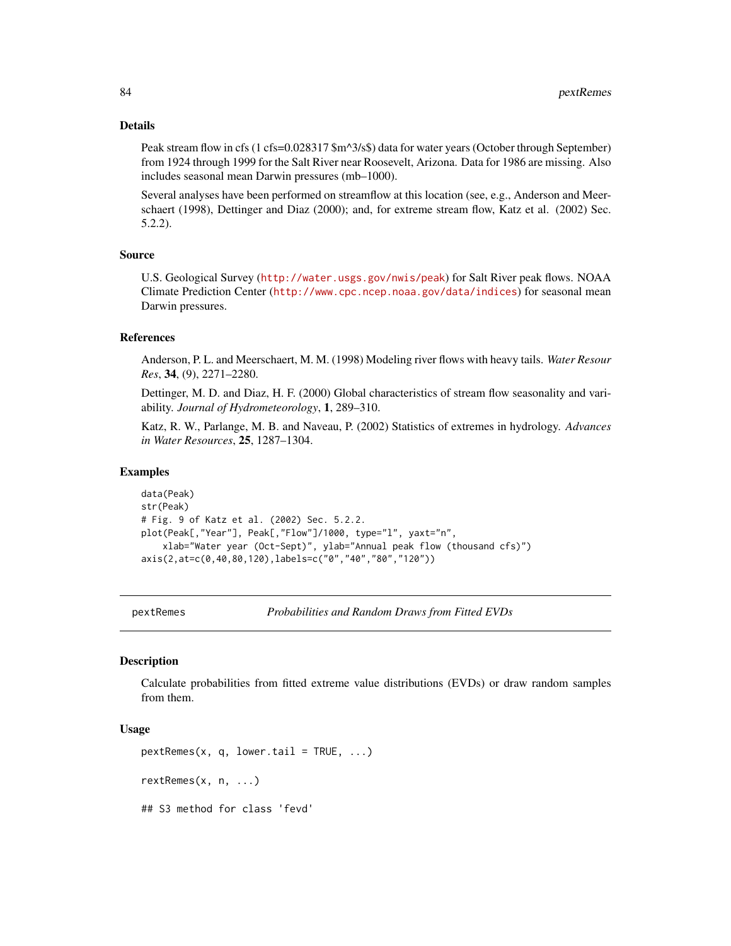#### Details

Peak stream flow in cfs (1 cfs=0.028317 \$m^3/s\$) data for water years (October through September) from 1924 through 1999 for the Salt River near Roosevelt, Arizona. Data for 1986 are missing. Also includes seasonal mean Darwin pressures (mb–1000).

Several analyses have been performed on streamflow at this location (see, e.g., Anderson and Meerschaert (1998), Dettinger and Diaz (2000); and, for extreme stream flow, Katz et al. (2002) Sec. 5.2.2).

### Source

U.S. Geological Survey (<http://water.usgs.gov/nwis/peak>) for Salt River peak flows. NOAA Climate Prediction Center (<http://www.cpc.ncep.noaa.gov/data/indices>) for seasonal mean Darwin pressures.

#### References

Anderson, P. L. and Meerschaert, M. M. (1998) Modeling river flows with heavy tails. *Water Resour Res*, 34, (9), 2271–2280.

Dettinger, M. D. and Diaz, H. F. (2000) Global characteristics of stream flow seasonality and variability. *Journal of Hydrometeorology*, 1, 289–310.

Katz, R. W., Parlange, M. B. and Naveau, P. (2002) Statistics of extremes in hydrology. *Advances in Water Resources*, 25, 1287–1304.

## Examples

data(Peak) str(Peak) # Fig. 9 of Katz et al. (2002) Sec. 5.2.2. plot(Peak[,"Year"], Peak[,"Flow"]/1000, type="l", yaxt="n", xlab="Water year (Oct-Sept)", ylab="Annual peak flow (thousand cfs)") axis(2,at=c(0,40,80,120),labels=c("0","40","80","120"))

<span id="page-83-0"></span>

pextRemes *Probabilities and Random Draws from Fitted EVDs*

#### Description

Calculate probabilities from fitted extreme value distributions (EVDs) or draw random samples from them.

## Usage

```
pextRemes(x, q, lower.tail = TRUE, ...)
rextRemes(x, n, ...)
## S3 method for class 'fevd'
```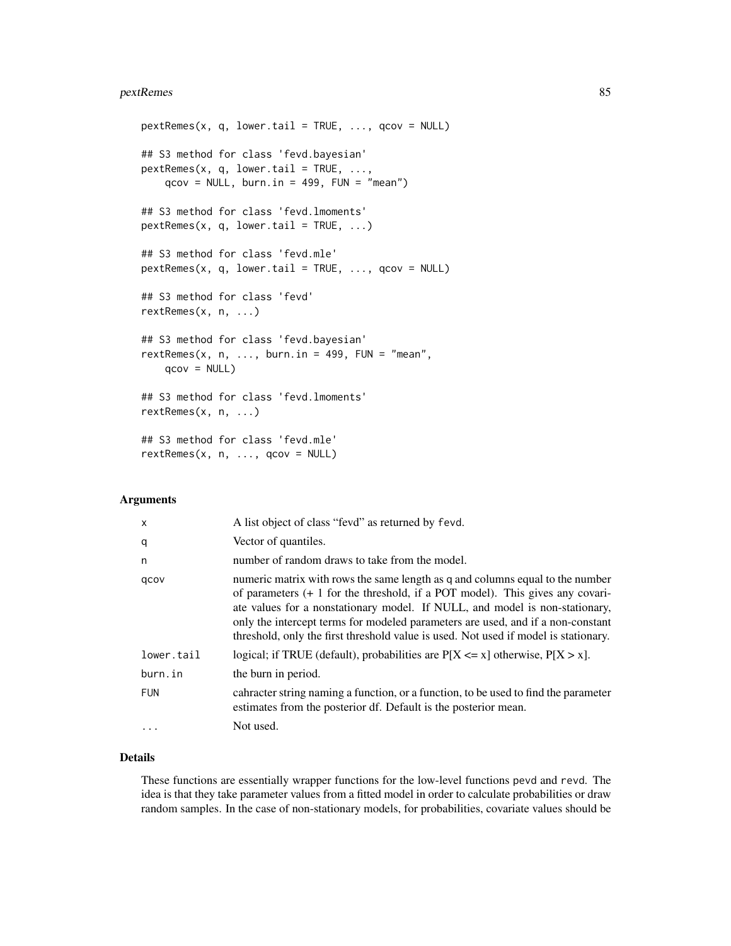#### pextRemes 85

```
pextRemes(x, q, lower.tail = TRUE, ..., qcov = NULL)
## S3 method for class 'fevd.bayesian'
pextRemes(x, q, lower.tail = TRUE, ...,
   qcov = NULL, burn.in = 499, FUN = "mean")
## S3 method for class 'fevd.lmoments'
pextRemes(x, q, lower.tail = TRUE, ...)
## S3 method for class 'fevd.mle'
pextRemes(x, q, lower.tail = TRUE, ..., qcov = NULL)
## S3 method for class 'fevd'
rextRemes(x, n, ...)
## S3 method for class 'fevd.bayesian'
rextRemes(x, n, ..., burn.in = 499, FUN = "mean",
   qcov = NULL## S3 method for class 'fevd.lmoments'
rextRemes(x, n, ...)
## S3 method for class 'fevd.mle'
rextRemes(x, n, ..., qcov = NULL)
```
# Arguments

| $\mathsf{x}$ | A list object of class "fevd" as returned by fevd.                                                                                                                                                                                                                                                                                                                                                                         |
|--------------|----------------------------------------------------------------------------------------------------------------------------------------------------------------------------------------------------------------------------------------------------------------------------------------------------------------------------------------------------------------------------------------------------------------------------|
| q            | Vector of quantiles.                                                                                                                                                                                                                                                                                                                                                                                                       |
| n            | number of random draws to take from the model.                                                                                                                                                                                                                                                                                                                                                                             |
| qcov         | numeric matrix with rows the same length as q and columns equal to the number<br>of parameters $(+ 1)$ for the threshold, if a POT model). This gives any covari-<br>ate values for a nonstationary model. If NULL, and model is non-stationary,<br>only the intercept terms for modeled parameters are used, and if a non-constant<br>threshold, only the first threshold value is used. Not used if model is stationary. |
| lower.tail   | logical; if TRUE (default), probabilities are $P[X \le x]$ otherwise, $P[X > x]$ .                                                                                                                                                                                                                                                                                                                                         |
| burn.in      | the burn in period.                                                                                                                                                                                                                                                                                                                                                                                                        |
| <b>FUN</b>   | cahracter string naming a function, or a function, to be used to find the parameter<br>estimates from the posterior df. Default is the posterior mean.                                                                                                                                                                                                                                                                     |
| $\ddots$     | Not used.                                                                                                                                                                                                                                                                                                                                                                                                                  |
|              |                                                                                                                                                                                                                                                                                                                                                                                                                            |

# Details

These functions are essentially wrapper functions for the low-level functions pevd and revd. The idea is that they take parameter values from a fitted model in order to calculate probabilities or draw random samples. In the case of non-stationary models, for probabilities, covariate values should be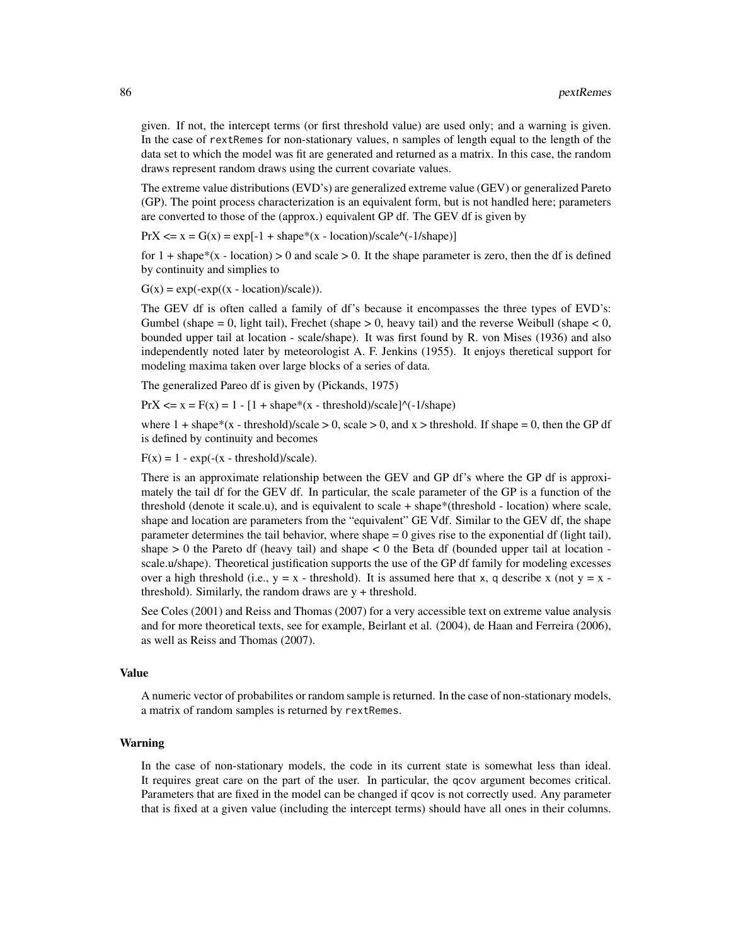given. If not, the intercept terms (or first threshold value) are used only; and a warning is given. In the case of rextRemes for non-stationary values, n samples of length equal to the length of the data set to which the model was fit are generated and returned as a matrix. In this case, the random draws represent random draws using the current covariate values.

The extreme value distributions (EVD's) are generalized extreme value (GEV) or generalized Pareto (GP). The point process characterization is an equivalent form, but is not handled here; parameters are converted to those of the (approx.) equivalent GP df. The GEV df is given by

 $PrX \le x = G(x) = exp[-1 + shape*(x - location)/scale'(-1/shape)]$ 

for  $1 + \text{shape}*(x - \text{location}) > 0$  and scale  $> 0$ . It the shape parameter is zero, then the df is defined by continuity and simplies to

 $G(x) = \exp(-\exp((x - location)/scale)).$ 

The GEV df is often called a family of df's because it encompasses the three types of EVD's: Gumbel (shape = 0, light tail), Frechet (shape  $> 0$ , heavy tail) and the reverse Weibull (shape  $< 0$ , bounded upper tail at location - scale/shape). It was first found by R. von Mises (1936) and also independently noted later by meteorologist A. F. Jenkins (1955). It enjoys theretical support for modeling maxima taken over large blocks of a series of data.

The generalized Pareo df is given by (Pickands, 1975)

 $PrX \le x = F(x) = 1 - [1 + shape*(x - threshold)/scale]$ <sup> $\land$ </sup>(-1/shape)

where  $1 + shape*(x - threshold)/scale > 0$ , scale  $> 0$ , and  $x > threshold$ . If shape  $= 0$ , then the GP df is defined by continuity and becomes

 $F(x) = 1 - exp(-(x - threshold)/scale).$ 

There is an approximate relationship between the GEV and GP df's where the GP df is approximately the tail df for the GEV df. In particular, the scale parameter of the GP is a function of the threshold (denote it scale.u), and is equivalent to scale + shape\*(threshold - location) where scale, shape and location are parameters from the "equivalent" GE Vdf. Similar to the GEV df, the shape parameter determines the tail behavior, where shape  $= 0$  gives rise to the exponential df (light tail), shape  $> 0$  the Pareto df (heavy tail) and shape  $< 0$  the Beta df (bounded upper tail at location scale.u/shape). Theoretical justification supports the use of the GP df family for modeling excesses over a high threshold (i.e.,  $y = x -$  threshold). It is assumed here that x, q describe x (not  $y = x$ threshold). Similarly, the random draws are y + threshold.

See Coles (2001) and Reiss and Thomas (2007) for a very accessible text on extreme value analysis and for more theoretical texts, see for example, Beirlant et al. (2004), de Haan and Ferreira (2006), as well as Reiss and Thomas (2007).

## Value

A numeric vector of probabilites or random sample is returned. In the case of non-stationary models, a matrix of random samples is returned by rextRemes.

## Warning

In the case of non-stationary models, the code in its current state is somewhat less than ideal. It requires great care on the part of the user. In particular, the qcov argument becomes critical. Parameters that are fixed in the model can be changed if qcov is not correctly used. Any parameter that is fixed at a given value (including the intercept terms) should have all ones in their columns.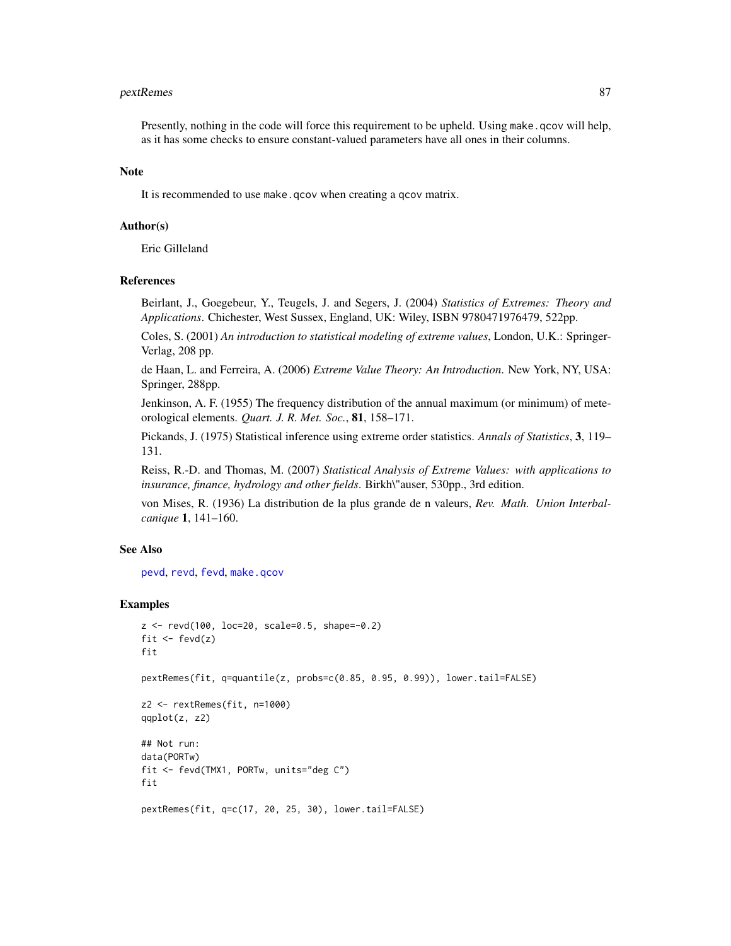#### pextRemes 87

Presently, nothing in the code will force this requirement to be upheld. Using make.qcov will help, as it has some checks to ensure constant-valued parameters have all ones in their columns.

## Note

It is recommended to use make.qcov when creating a qcov matrix.

#### Author(s)

Eric Gilleland

## References

Beirlant, J., Goegebeur, Y., Teugels, J. and Segers, J. (2004) *Statistics of Extremes: Theory and Applications*. Chichester, West Sussex, England, UK: Wiley, ISBN 9780471976479, 522pp.

Coles, S. (2001) *An introduction to statistical modeling of extreme values*, London, U.K.: Springer-Verlag, 208 pp.

de Haan, L. and Ferreira, A. (2006) *Extreme Value Theory: An Introduction*. New York, NY, USA: Springer, 288pp.

Jenkinson, A. F. (1955) The frequency distribution of the annual maximum (or minimum) of meteorological elements. *Quart. J. R. Met. Soc.*, 81, 158–171.

Pickands, J. (1975) Statistical inference using extreme order statistics. *Annals of Statistics*, 3, 119– 131.

Reiss, R.-D. and Thomas, M. (2007) *Statistical Analysis of Extreme Values: with applications to insurance, finance, hydrology and other fields*. Birkh\"auser, 530pp., 3rd edition.

von Mises, R. (1936) La distribution de la plus grande de n valeurs, *Rev. Math. Union Interbalcanique* 1, 141–160.

## See Also

[pevd](#page-27-0), [revd](#page-27-0), [fevd](#page-38-0), [make.qcov](#page-77-0)

## Examples

```
z <- revd(100, loc=20, scale=0.5, shape=-0.2)
fit \leftarrow fevd(z)fit
pextRemes(fit, q=quantile(z, probs=c(0.85, 0.95, 0.99)), lower.tail=FALSE)
z2 <- rextRemes(fit, n=1000)
qqplot(z, z2)
## Not run:
data(PORTw)
fit <- fevd(TMX1, PORTw, units="deg C")
fit
pextRemes(fit, q=c(17, 20, 25, 30), lower.tail=FALSE)
```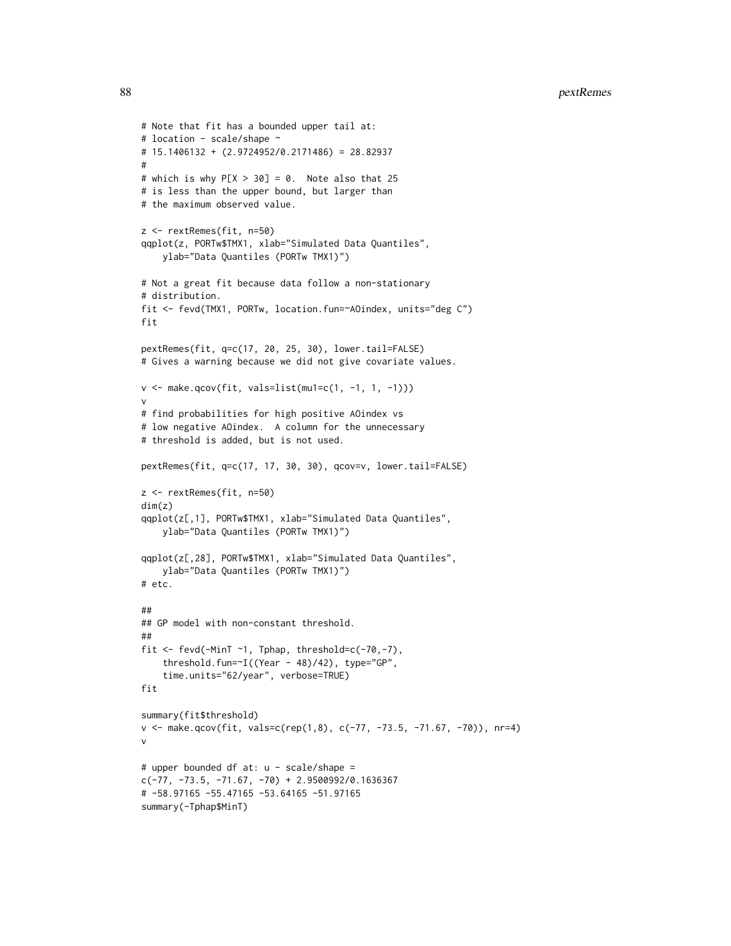```
# Note that fit has a bounded upper tail at:
# location - scale/shape ~
# 15.1406132 + (2.9724952/0.2171486) = 28.82937
#
# which is why P[X > 30] = 0. Note also that 25
# is less than the upper bound, but larger than
# the maximum observed value.
z <- rextRemes(fit, n=50)
qqplot(z, PORTw$TMX1, xlab="Simulated Data Quantiles",
    ylab="Data Quantiles (PORTw TMX1)")
# Not a great fit because data follow a non-stationary
# distribution.
fit <- fevd(TMX1, PORTw, location.fun=~AOindex, units="deg C")
fit
pextRemes(fit, q=c(17, 20, 25, 30), lower.tail=FALSE)
# Gives a warning because we did not give covariate values.
v <- make.qcov(fit, vals=list(mu1=c(1, -1, 1, -1)))
v
# find probabilities for high positive AOindex vs
# low negative AOindex. A column for the unnecessary
# threshold is added, but is not used.
pextRemes(fit, q=c(17, 17, 30, 30), qcov=v, lower.tail=FALSE)
z <- rextRemes(fit, n=50)
dim(z)
qqplot(z[,1], PORTw$TMX1, xlab="Simulated Data Quantiles",
   ylab="Data Quantiles (PORTw TMX1)")
qqplot(z[,28], PORTw$TMX1, xlab="Simulated Data Quantiles",
   ylab="Data Quantiles (PORTw TMX1)")
# etc.
##
## GP model with non-constant threshold.
##
fit <- fevd(-MinT ~1, Tphap, threshold=c(-70,-7),
    threshold.fun=~I((Year - 48)/42), type="GP",
    time.units="62/year", verbose=TRUE)
fit
summary(fit$threshold)
v <- make.qcov(fit, vals=c(rep(1,8), c(-77, -73.5, -71.67, -70)), nr=4)
v
# upper bounded df at: u - scale/shape =
c(-77, -73.5, -71.67, -70) + 2.9500992/0.1636367# -58.97165 -55.47165 -53.64165 -51.97165
summary(-Tphap$MinT)
```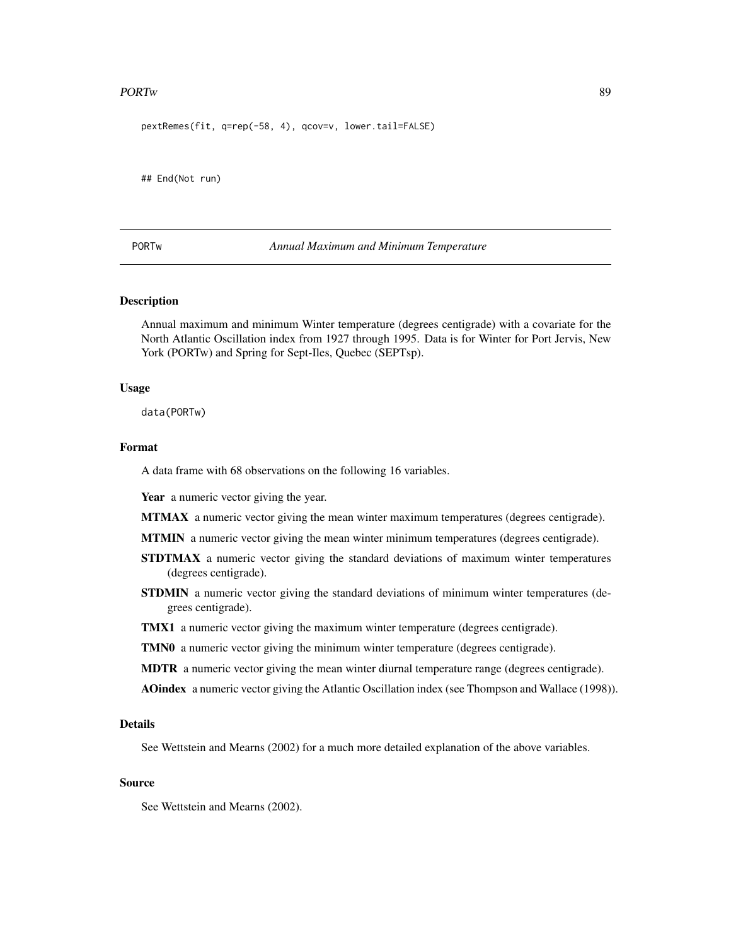#### PORTw 39

pextRemes(fit, q=rep(-58, 4), qcov=v, lower.tail=FALSE)

## End(Not run)

PORTw *Annual Maximum and Minimum Temperature*

## **Description**

Annual maximum and minimum Winter temperature (degrees centigrade) with a covariate for the North Atlantic Oscillation index from 1927 through 1995. Data is for Winter for Port Jervis, New York (PORTw) and Spring for Sept-Iles, Quebec (SEPTsp).

## Usage

data(PORTw)

### Format

A data frame with 68 observations on the following 16 variables.

Year a numeric vector giving the year.

MTMAX a numeric vector giving the mean winter maximum temperatures (degrees centigrade).

MTMIN a numeric vector giving the mean winter minimum temperatures (degrees centigrade).

- STDTMAX a numeric vector giving the standard deviations of maximum winter temperatures (degrees centigrade).
- **STDMIN** a numeric vector giving the standard deviations of minimum winter temperatures (degrees centigrade).
- TMX1 a numeric vector giving the maximum winter temperature (degrees centigrade).
- TMN0 a numeric vector giving the minimum winter temperature (degrees centigrade).
- **MDTR** a numeric vector giving the mean winter diurnal temperature range (degrees centigrade).

AOindex a numeric vector giving the Atlantic Oscillation index (see Thompson and Wallace (1998)).

#### Details

See Wettstein and Mearns (2002) for a much more detailed explanation of the above variables.

## Source

See Wettstein and Mearns (2002).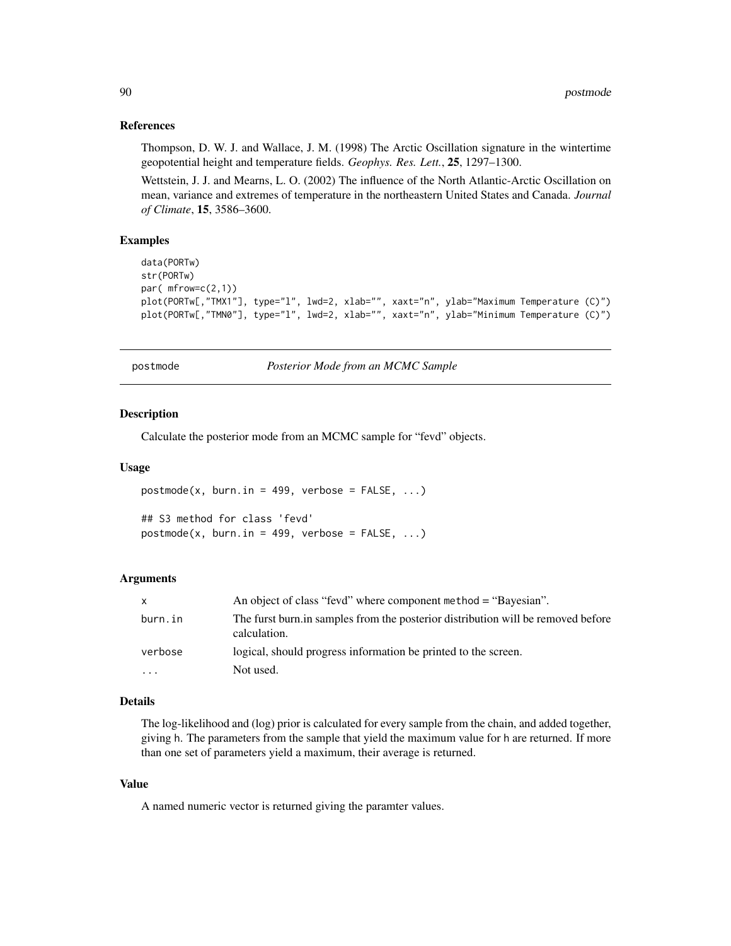## References

Thompson, D. W. J. and Wallace, J. M. (1998) The Arctic Oscillation signature in the wintertime geopotential height and temperature fields. *Geophys. Res. Lett.*, 25, 1297–1300.

Wettstein, J. J. and Mearns, L. O. (2002) The influence of the North Atlantic-Arctic Oscillation on mean, variance and extremes of temperature in the northeastern United States and Canada. *Journal of Climate*, 15, 3586–3600.

## Examples

```
data(PORTw)
str(PORTw)
par( mfrow=c(2,1))
plot(PORTw[,"TMX1"], type="l", lwd=2, xlab="", xaxt="n", ylab="Maximum Temperature (C)")
plot(PORTw[,"TMN0"], type="1", lwd=2, xlab="", xaxt="n", ylab="Minimum Temperature (C)")
```
postmode *Posterior Mode from an MCMC Sample*

## **Description**

Calculate the posterior mode from an MCMC sample for "fevd" objects.

#### Usage

```
postmode(x, burn.in = 499, verbose = FALSE, ...)## S3 method for class 'fevd'
postmode(x, burn.in = 499, verbose = FALSE, ...)
```
#### Arguments

| X        | An object of class "fevd" where component method = "Bayesian".                                   |
|----------|--------------------------------------------------------------------------------------------------|
| burn.in  | The furst burn in samples from the posterior distribution will be removed before<br>calculation. |
| verbose  | logical, should progress information be printed to the screen.                                   |
| $\cdots$ | Not used.                                                                                        |

#### Details

The log-likelihood and (log) prior is calculated for every sample from the chain, and added together, giving h. The parameters from the sample that yield the maximum value for h are returned. If more than one set of parameters yield a maximum, their average is returned.

## Value

A named numeric vector is returned giving the paramter values.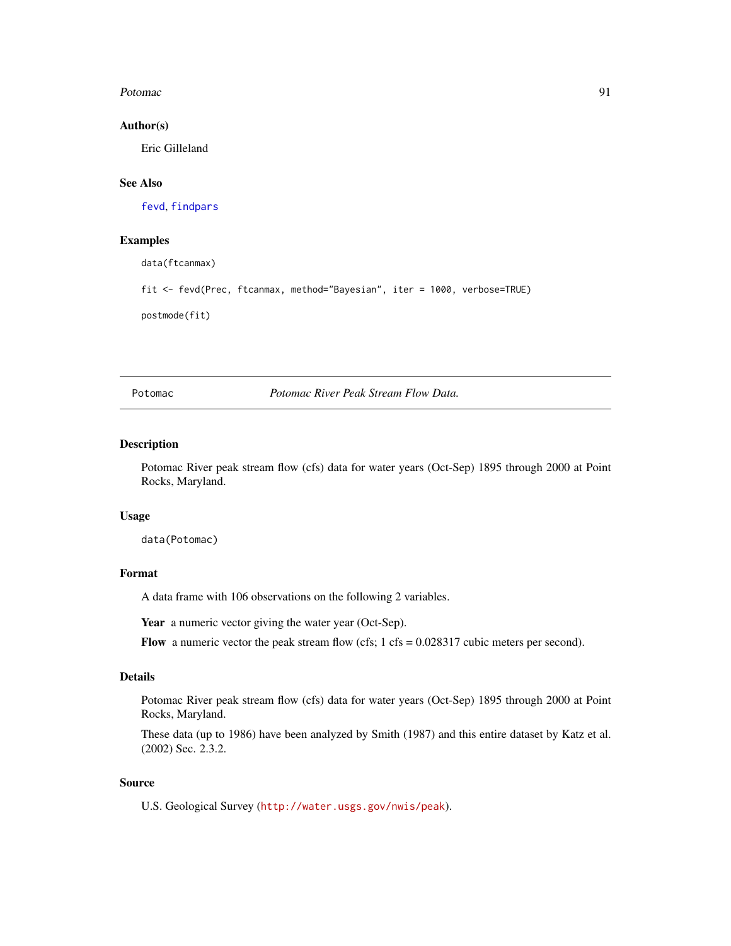#### Potomac 91

## Author(s)

Eric Gilleland

# See Also

[fevd](#page-38-0), [findpars](#page-59-0)

# Examples

data(ftcanmax)

fit <- fevd(Prec, ftcanmax, method="Bayesian", iter = 1000, verbose=TRUE)

postmode(fit)

Potomac *Potomac River Peak Stream Flow Data.*

## Description

Potomac River peak stream flow (cfs) data for water years (Oct-Sep) 1895 through 2000 at Point Rocks, Maryland.

## Usage

data(Potomac)

## Format

A data frame with 106 observations on the following 2 variables.

Year a numeric vector giving the water year (Oct-Sep).

Flow a numeric vector the peak stream flow (cfs;  $1 \text{ cfs} = 0.028317$  cubic meters per second).

## Details

Potomac River peak stream flow (cfs) data for water years (Oct-Sep) 1895 through 2000 at Point Rocks, Maryland.

These data (up to 1986) have been analyzed by Smith (1987) and this entire dataset by Katz et al. (2002) Sec. 2.3.2.

## Source

U.S. Geological Survey (<http://water.usgs.gov/nwis/peak>).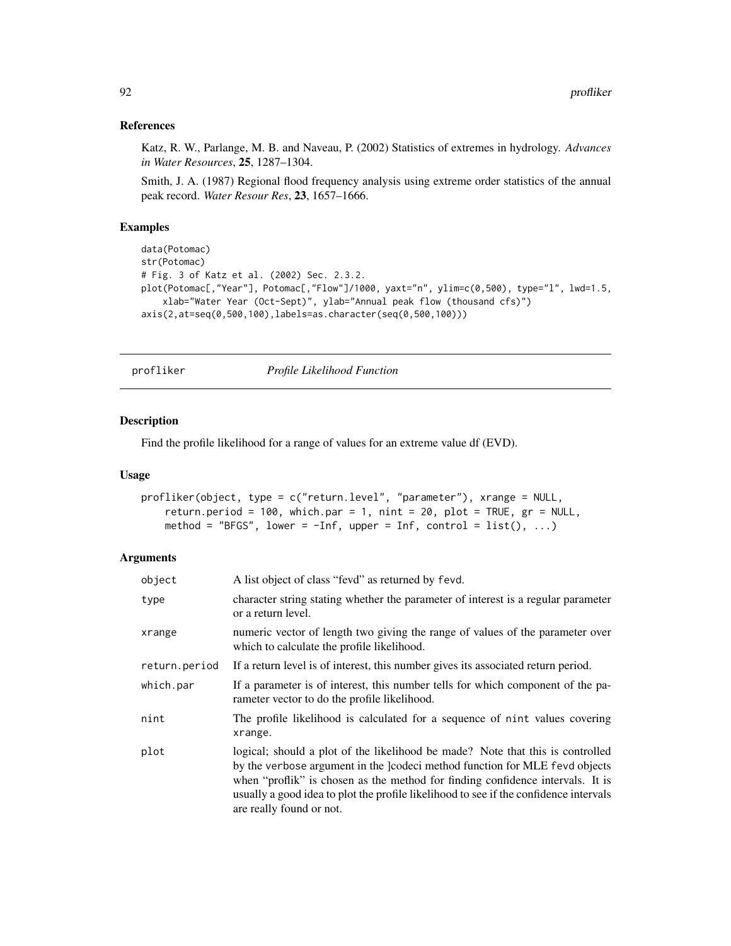## References

Katz, R. W., Parlange, M. B. and Naveau, P. (2002) Statistics of extremes in hydrology. *Advances in Water Resources*, 25, 1287–1304.

Smith, J. A. (1987) Regional flood frequency analysis using extreme order statistics of the annual peak record. *Water Resour Res*, 23, 1657–1666.

## Examples

```
data(Potomac)
str(Potomac)
# Fig. 3 of Katz et al. (2002) Sec. 2.3.2.
plot(Potomac[,"Year"], Potomac[,"Flow"]/1000, yaxt="n", ylim=c(0,500), type="l", lwd=1.5,
    xlab="Water Year (Oct-Sept)", ylab="Annual peak flow (thousand cfs)")
axis(2,at=seq(0,500,100),labels=as.character(seq(0,500,100)))
```
<span id="page-91-0"></span>

profliker *Profile Likelihood Function*

## Description

Find the profile likelihood for a range of values for an extreme value df (EVD).

#### Usage

```
profliker(object, type = c("return.level", "parameter"), xrange = NULL,
   return.period = 100, which.par = 1, nint = 20, plot = TRUE, gr = NULL,
   method = "BFGS", lower = -Inf, upper = Inf, control = list(), ...)
```
## Arguments

| object        | A list object of class "fevd" as returned by fevd.                                                                                                                                                                                                                                                                                                                   |  |
|---------------|----------------------------------------------------------------------------------------------------------------------------------------------------------------------------------------------------------------------------------------------------------------------------------------------------------------------------------------------------------------------|--|
| type          | character string stating whether the parameter of interest is a regular parameter<br>or a return level.                                                                                                                                                                                                                                                              |  |
| xrange        | numeric vector of length two giving the range of values of the parameter over<br>which to calculate the profile likelihood.                                                                                                                                                                                                                                          |  |
| return.period | If a return level is of interest, this number gives its associated return period.                                                                                                                                                                                                                                                                                    |  |
| which.par     | If a parameter is of interest, this number tells for which component of the pa-<br>rameter vector to do the profile likelihood.                                                                                                                                                                                                                                      |  |
| nint          | The profile likelihood is calculated for a sequence of nint values covering<br>xrange.                                                                                                                                                                                                                                                                               |  |
| plot          | logical; should a plot of the likelihood be made? Note that this is controlled<br>by the verbose argument in the lcodeci method function for MLE fevd objects<br>when "proflik" is chosen as the method for finding confidence intervals. It is<br>usually a good idea to plot the profile likelihood to see if the confidence intervals<br>are really found or not. |  |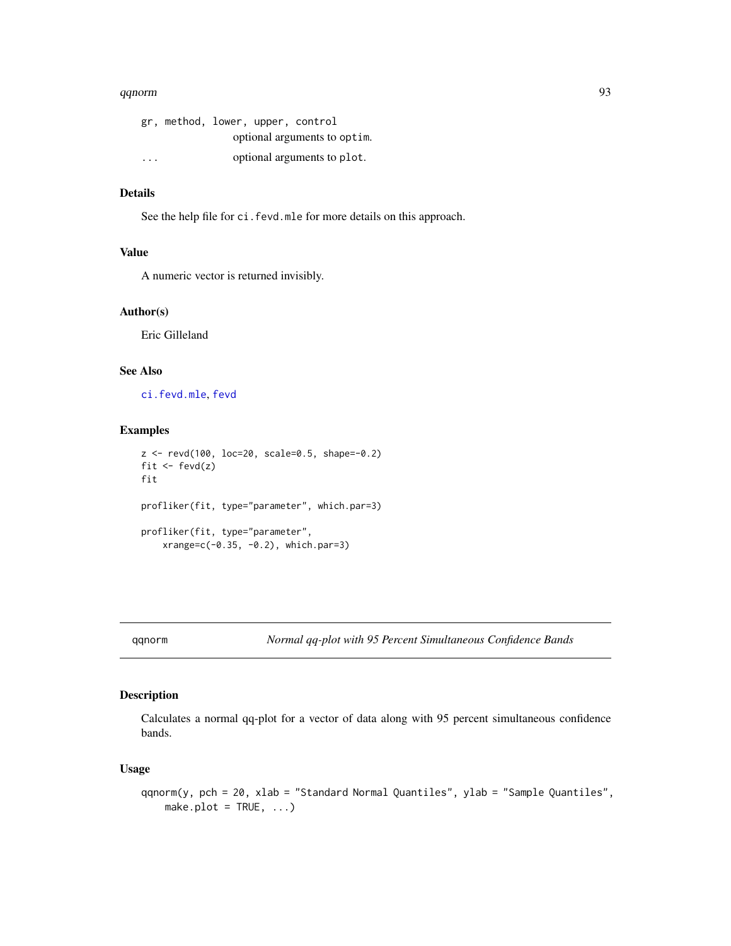## qqnorm 93

|                         | gr, method, lower, upper, control |  |                              |  |
|-------------------------|-----------------------------------|--|------------------------------|--|
|                         |                                   |  | optional arguments to optim. |  |
| $\cdot$ $\cdot$ $\cdot$ |                                   |  | optional arguments to plot.  |  |

## Details

See the help file for ci.fevd.mle for more details on this approach.

#### Value

A numeric vector is returned invisibly.

## Author(s)

Eric Gilleland

# See Also

[ci.fevd.mle](#page-14-0), [fevd](#page-38-0)

## Examples

```
z <- revd(100, loc=20, scale=0.5, shape=-0.2)
fit \leftarrow fevd(z)fit
profliker(fit, type="parameter", which.par=3)
profliker(fit, type="parameter",
    xrange=c(-0.35, -0.2), which.par=3)
```
<span id="page-92-0"></span>qqnorm *Normal qq-plot with 95 Percent Simultaneous Confidence Bands*

## Description

Calculates a normal qq-plot for a vector of data along with 95 percent simultaneous confidence bands.

## Usage

```
qqnorm(y, pch = 20, xlab = "Standard Normal Quantiles", ylab = "Sample Quantiles",
   make.plot = TRUE, ...)
```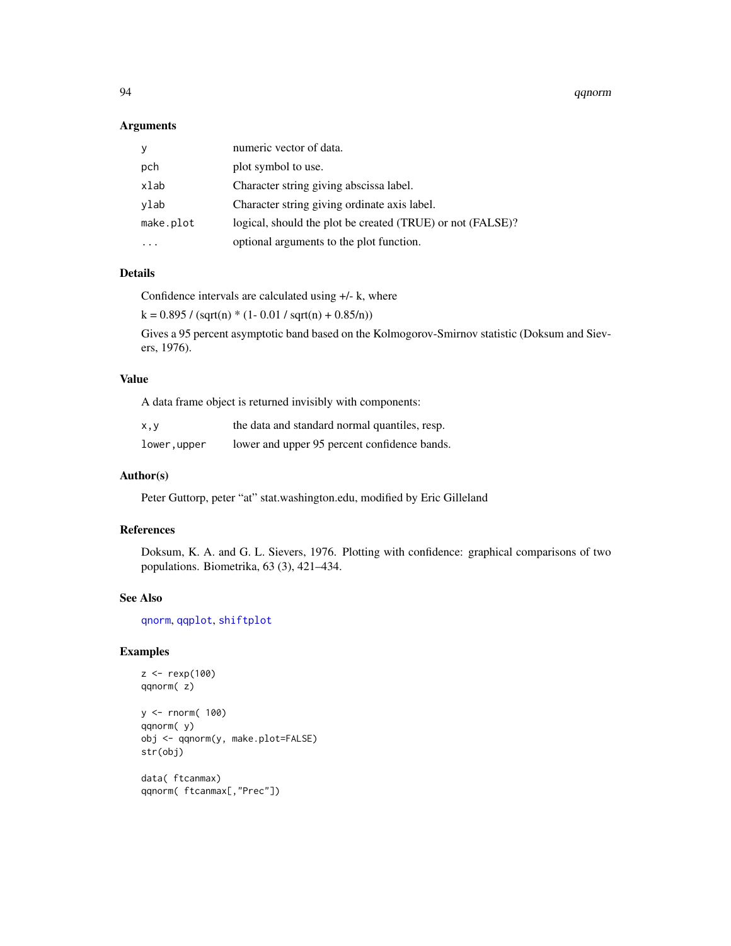94 qqnorm

#### Arguments

| У         | numeric vector of data.                                    |
|-----------|------------------------------------------------------------|
| pch       | plot symbol to use.                                        |
| xlab      | Character string giving abscissa label.                    |
| ylab      | Character string giving ordinate axis label.               |
| make.plot | logical, should the plot be created (TRUE) or not (FALSE)? |
|           | optional arguments to the plot function.                   |

## Details

Confidence intervals are calculated using +/- k, where

 $k = 0.895 / (sqrt(n) * (1 - 0.01 / sqrt(n) + 0.85/n))$ 

Gives a 95 percent asymptotic band based on the Kolmogorov-Smirnov statistic (Doksum and Sievers, 1976).

# Value

A data frame object is returned invisibly with components:

| x,y         | the data and standard normal quantiles, resp. |
|-------------|-----------------------------------------------|
| lower,upper | lower and upper 95 percent confidence bands.  |

#### Author(s)

Peter Guttorp, peter "at" stat.washington.edu, modified by Eric Gilleland

## References

Doksum, K. A. and G. L. Sievers, 1976. Plotting with confidence: graphical comparisons of two populations. Biometrika, 63 (3), 421–434.

## See Also

[qnorm](#page-0-0), [qqplot](#page-94-0), [shiftplot](#page-104-0)

# Examples

```
z < - rexp(100)
qqnorm( z)
y <- rnorm( 100)
qqnorm( y)
obj <- qqnorm(y, make.plot=FALSE)
str(obj)
data( ftcanmax)
```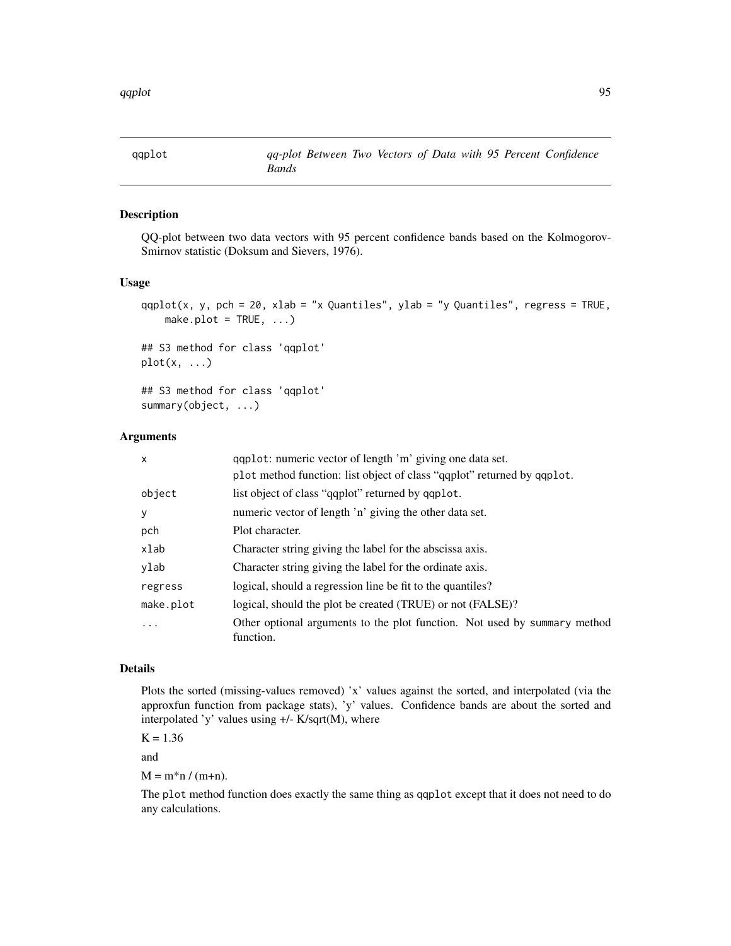<span id="page-94-0"></span>

## Description

QQ-plot between two data vectors with 95 percent confidence bands based on the Kolmogorov-Smirnov statistic (Doksum and Sievers, 1976).

#### Usage

```
qqplot(x, y, pch = 20, xlab = "x Quantiles", ylab = "y Quantiles", regress = TRUE,
    make.plot = TRUE, ...)
## S3 method for class 'qqplot'
plot(x, \ldots)## S3 method for class 'qqplot'
summary(object, ...)
```
#### Arguments

| $\times$  | qqplot: numeric vector of length 'm' giving one data set.                              |
|-----------|----------------------------------------------------------------------------------------|
|           | plot method function: list object of class "qqplot" returned by qqplot.                |
| object    | list object of class "qqplot" returned by qqplot.                                      |
| У         | numeric vector of length 'n' giving the other data set.                                |
| pch       | Plot character.                                                                        |
| xlab      | Character string giving the label for the abscissa axis.                               |
| ylab      | Character string giving the label for the ordinate axis.                               |
| regress   | logical, should a regression line be fit to the quantiles?                             |
| make.plot | logical, should the plot be created (TRUE) or not (FALSE)?                             |
| .         | Other optional arguments to the plot function. Not used by summary method<br>function. |

## Details

Plots the sorted (missing-values removed) 'x' values against the sorted, and interpolated (via the approxfun function from package stats), 'y' values. Confidence bands are about the sorted and interpolated 'y' values using  $+/-$  K/sqrt(M), where

 $K = 1.36$ 

and

 $M = m * n / (m+n)$ .

The plot method function does exactly the same thing as qqplot except that it does not need to do any calculations.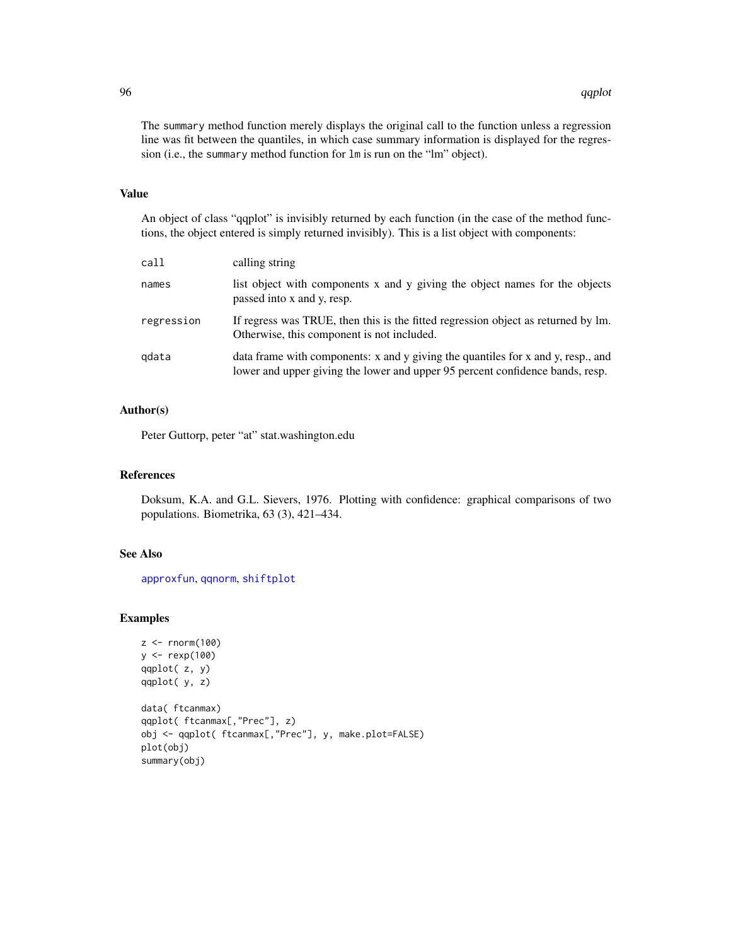The summary method function merely displays the original call to the function unless a regression line was fit between the quantiles, in which case summary information is displayed for the regression (i.e., the summary method function for lm is run on the "lm" object).

### Value

An object of class "qqplot" is invisibly returned by each function (in the case of the method functions, the object entered is simply returned invisibly). This is a list object with components:

| call       | calling string                                                                                                                                                    |
|------------|-------------------------------------------------------------------------------------------------------------------------------------------------------------------|
| names      | list object with components x and y giving the object names for the objects<br>passed into x and y, resp.                                                         |
| regression | If regress was TRUE, then this is the fitted regression object as returned by lm.<br>Otherwise, this component is not included.                                   |
| gdata      | data frame with components: x and y giving the quantiles for x and y, resp., and<br>lower and upper giving the lower and upper 95 percent confidence bands, resp. |

## Author(s)

Peter Guttorp, peter "at" stat.washington.edu

# References

Doksum, K.A. and G.L. Sievers, 1976. Plotting with confidence: graphical comparisons of two populations. Biometrika, 63 (3), 421–434.

# See Also

[approxfun](#page-0-0), [qqnorm](#page-92-0), [shiftplot](#page-104-0)

## Examples

```
z < - rnorm(100)
y <- rexp(100)
qqplot( z, y)
qqplot( y, z)
data( ftcanmax)
qqplot( ftcanmax[,"Prec"], z)
obj <- qqplot( ftcanmax[,"Prec"], y, make.plot=FALSE)
plot(obj)
summary(obj)
```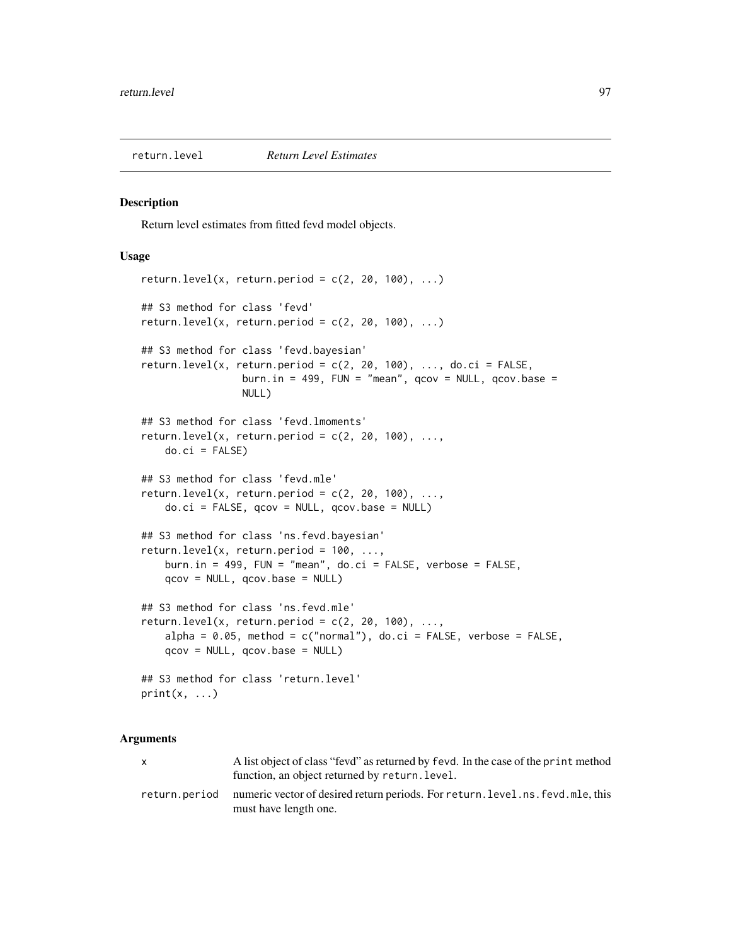#### <span id="page-96-0"></span>Description

Return level estimates from fitted fevd model objects.

## Usage

```
return.level(x, return.period = c(2, 20, 100), ...## S3 method for class 'fevd'
return.level(x, return.period = c(2, 20, 100), ...)
## S3 method for class 'fevd.bayesian'
return.level(x, return.period = c(2, 20, 100), ..., do.ci = FALSE,
                 burn.in = 499, FUN = "mean", qcov = NULL, qcov \cdot base =NULL)
## S3 method for class 'fevd.lmoments'
return.level(x, return.period = c(2, 20, 100), ...,
    do.ci = FALSE)## S3 method for class 'fevd.mle'
return. level(x, return. period = c(2, 20, 100), ...,do.ci = FALSE, qcov = NULL, qcov.base = NULL)## S3 method for class 'ns.fevd.bayesian'
return.level(x, return.period = 100, \ldots,
    burn.in = 499, FUN = "mean", do.ci = FALSE, verbose = FALSE,
    qcov = NULL, qcov.base = NULL)
## S3 method for class 'ns.fevd.mle'
return.level(x, return.period = c(2, 20, 100), ...,
    alpha = 0.05, method = c("normal"), do.ci = FALSE, verbose = FALSE,qcov = NULL, qcov.base = NULL)
## S3 method for class 'return.level'
print(x, \ldots)
```
## Arguments

x A list object of class "fevd" as returned by fevd. In the case of the print method function, an object returned by return.level. return.period numeric vector of desired return periods. For return.level.ns.fevd.mle, this must have length one.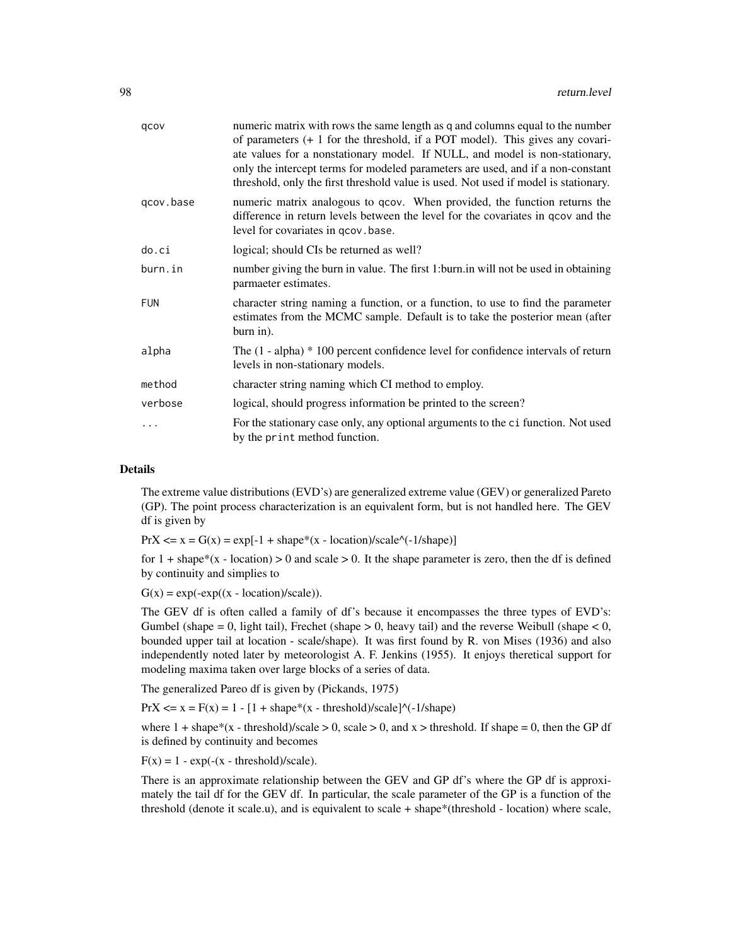| qcov       | numeric matrix with rows the same length as q and columns equal to the number<br>of parameters $(+ 1)$ for the threshold, if a POT model). This gives any covari-<br>ate values for a nonstationary model. If NULL, and model is non-stationary,<br>only the intercept terms for modeled parameters are used, and if a non-constant<br>threshold, only the first threshold value is used. Not used if model is stationary. |
|------------|----------------------------------------------------------------------------------------------------------------------------------------------------------------------------------------------------------------------------------------------------------------------------------------------------------------------------------------------------------------------------------------------------------------------------|
| gcov.base  | numeric matrix analogous to qcov. When provided, the function returns the<br>difference in return levels between the level for the covariates in gcov and the<br>level for covariates in qcov. base.                                                                                                                                                                                                                       |
| do.ci      | logical; should CIs be returned as well?                                                                                                                                                                                                                                                                                                                                                                                   |
| burn.in    | number giving the burn in value. The first 1: burn in will not be used in obtaining<br>parmaeter estimates.                                                                                                                                                                                                                                                                                                                |
| <b>FUN</b> | character string naming a function, or a function, to use to find the parameter<br>estimates from the MCMC sample. Default is to take the posterior mean (after<br>burn in).                                                                                                                                                                                                                                               |
| alpha      | The $(1 - alpha) * 100$ percent confidence level for confidence intervals of return<br>levels in non-stationary models.                                                                                                                                                                                                                                                                                                    |
| method     | character string naming which CI method to employ.                                                                                                                                                                                                                                                                                                                                                                         |
| verbose    | logical, should progress information be printed to the screen?                                                                                                                                                                                                                                                                                                                                                             |
| $\ddotsc$  | For the stationary case only, any optional arguments to the ci function. Not used<br>by the print method function.                                                                                                                                                                                                                                                                                                         |

#### **Details**

The extreme value distributions (EVD's) are generalized extreme value (GEV) or generalized Pareto (GP). The point process characterization is an equivalent form, but is not handled here. The GEV df is given by

 $PrX \le x = G(x) = exp[-1 + shape*(x - location)/scale'(-1/shape)]$ 

for  $1 + \text{shape}*(x - \text{location}) > 0$  and scale  $> 0$ . It the shape parameter is zero, then the df is defined by continuity and simplies to

 $G(x) = exp(-exp((x - location)/scale)).$ 

The GEV df is often called a family of df's because it encompasses the three types of EVD's: Gumbel (shape  $= 0$ , light tail), Frechet (shape  $> 0$ , heavy tail) and the reverse Weibull (shape  $< 0$ , bounded upper tail at location - scale/shape). It was first found by R. von Mises (1936) and also independently noted later by meteorologist A. F. Jenkins (1955). It enjoys theretical support for modeling maxima taken over large blocks of a series of data.

The generalized Pareo df is given by (Pickands, 1975)

 $PrX \le x = F(x) = 1 - [1 + shape*(x - threshold)/scale]$ <sup> $\land$ </sup> $(-1/\text{shape})$ 

where  $1 + shape*(x - threshold)/scale > 0$ , scale  $> 0$ , and  $x > threshold$ . If shape  $= 0$ , then the GP df is defined by continuity and becomes

 $F(x) = 1 - exp(-(x - threshold)/scale).$ 

There is an approximate relationship between the GEV and GP df's where the GP df is approximately the tail df for the GEV df. In particular, the scale parameter of the GP is a function of the threshold (denote it scale.u), and is equivalent to scale + shape\*(threshold - location) where scale,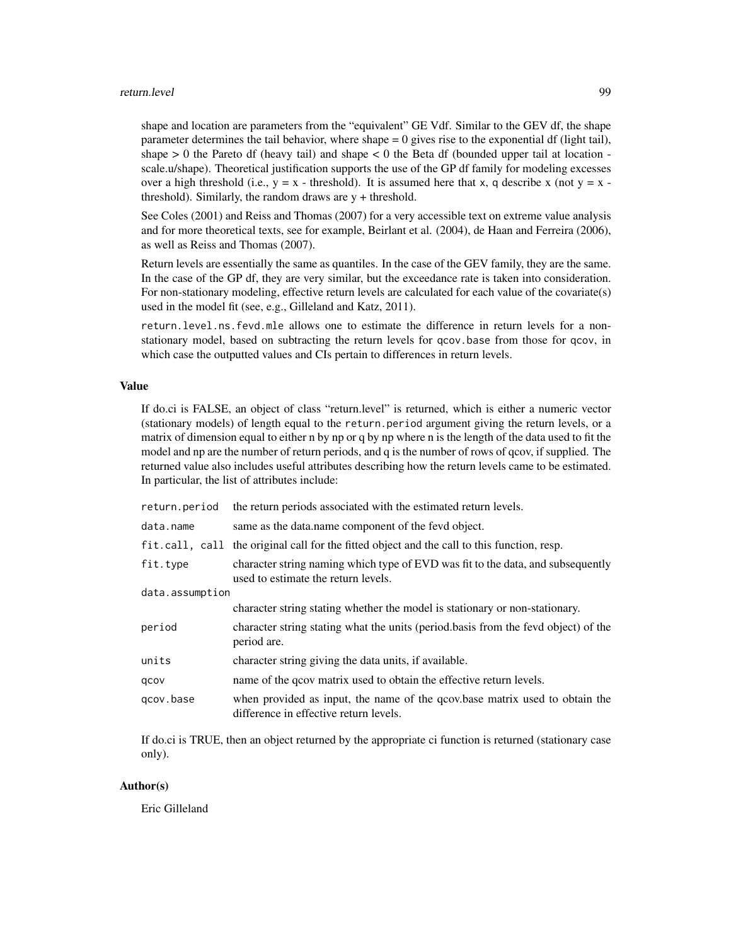#### return.level 99

shape and location are parameters from the "equivalent" GE Vdf. Similar to the GEV df, the shape parameter determines the tail behavior, where shape  $= 0$  gives rise to the exponential df (light tail), shape  $> 0$  the Pareto df (heavy tail) and shape  $< 0$  the Beta df (bounded upper tail at location scale.u/shape). Theoretical justification supports the use of the GP df family for modeling excesses over a high threshold (i.e.,  $y = x -$  threshold). It is assumed here that x, q describe x (not  $y = x$ threshold). Similarly, the random draws are y + threshold.

See Coles (2001) and Reiss and Thomas (2007) for a very accessible text on extreme value analysis and for more theoretical texts, see for example, Beirlant et al. (2004), de Haan and Ferreira (2006), as well as Reiss and Thomas (2007).

Return levels are essentially the same as quantiles. In the case of the GEV family, they are the same. In the case of the GP df, they are very similar, but the exceedance rate is taken into consideration. For non-stationary modeling, effective return levels are calculated for each value of the covariate(s) used in the model fit (see, e.g., Gilleland and Katz, 2011).

return.level.ns.fevd.mle allows one to estimate the difference in return levels for a nonstationary model, based on subtracting the return levels for qcov.base from those for qcov, in which case the outputted values and CIs pertain to differences in return levels.

## Value

If do.ci is FALSE, an object of class "return.level" is returned, which is either a numeric vector (stationary models) of length equal to the return.period argument giving the return levels, or a matrix of dimension equal to either n by np or q by np where n is the length of the data used to fit the model and np are the number of return periods, and q is the number of rows of qcov, if supplied. The returned value also includes useful attributes describing how the return levels came to be estimated. In particular, the list of attributes include:

| return.period   | the return periods associated with the estimated return levels.                                                        |
|-----------------|------------------------------------------------------------------------------------------------------------------------|
| data.name       | same as the data name component of the feve object.                                                                    |
|                 | fit.call, call the original call for the fitted object and the call to this function, resp.                            |
| fit.type        | character string naming which type of EVD was fit to the data, and subsequently<br>used to estimate the return levels. |
| data.assumption |                                                                                                                        |
|                 | character string stating whether the model is stationary or non-stationary.                                            |
| period          | character string stating what the units (period.basis from the fevd object) of the<br>period are.                      |
| units           | character string giving the data units, if available.                                                                  |
| qcov            | name of the goov matrix used to obtain the effective return levels.                                                    |
| gcov.base       | when provided as input, the name of the qcov base matrix used to obtain the<br>difference in effective return levels.  |

If do.ci is TRUE, then an object returned by the appropriate ci function is returned (stationary case only).

# Author(s)

Eric Gilleland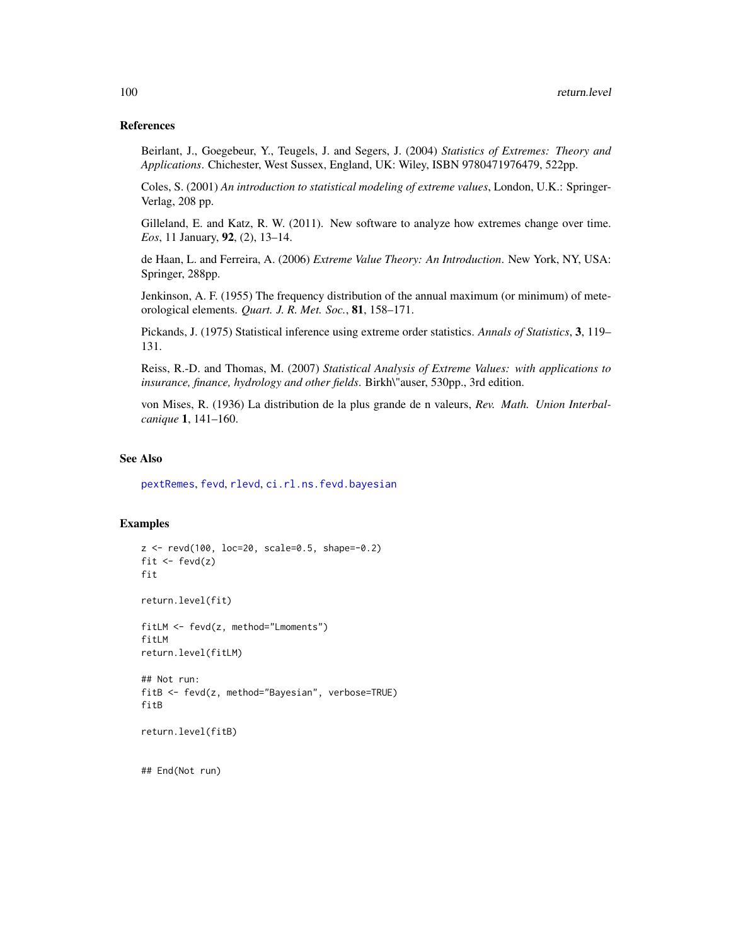## References

Beirlant, J., Goegebeur, Y., Teugels, J. and Segers, J. (2004) *Statistics of Extremes: Theory and Applications*. Chichester, West Sussex, England, UK: Wiley, ISBN 9780471976479, 522pp.

Coles, S. (2001) *An introduction to statistical modeling of extreme values*, London, U.K.: Springer-Verlag, 208 pp.

Gilleland, E. and Katz, R. W. (2011). New software to analyze how extremes change over time. *Eos*, 11 January, 92, (2), 13–14.

de Haan, L. and Ferreira, A. (2006) *Extreme Value Theory: An Introduction*. New York, NY, USA: Springer, 288pp.

Jenkinson, A. F. (1955) The frequency distribution of the annual maximum (or minimum) of meteorological elements. *Quart. J. R. Met. Soc.*, 81, 158–171.

Pickands, J. (1975) Statistical inference using extreme order statistics. *Annals of Statistics*, 3, 119– 131.

Reiss, R.-D. and Thomas, M. (2007) *Statistical Analysis of Extreme Values: with applications to insurance, finance, hydrology and other fields*. Birkh\"auser, 530pp., 3rd edition.

von Mises, R. (1936) La distribution de la plus grande de n valeurs, *Rev. Math. Union Interbalcanique* 1, 141–160.

## See Also

[pextRemes](#page-83-0), [fevd](#page-38-0), [rlevd](#page-101-0), [ci.rl.ns.fevd.bayesian](#page-18-0)

## Examples

```
z <- revd(100, loc=20, scale=0.5, shape=-0.2)
fit \leftarrow fevd(z)fit
return.level(fit)
fitLM <- fevd(z, method="Lmoments")
fitLM
return.level(fitLM)
## Not run:
fitB <- fevd(z, method="Bayesian", verbose=TRUE)
fitB
return.level(fitB)
```
## End(Not run)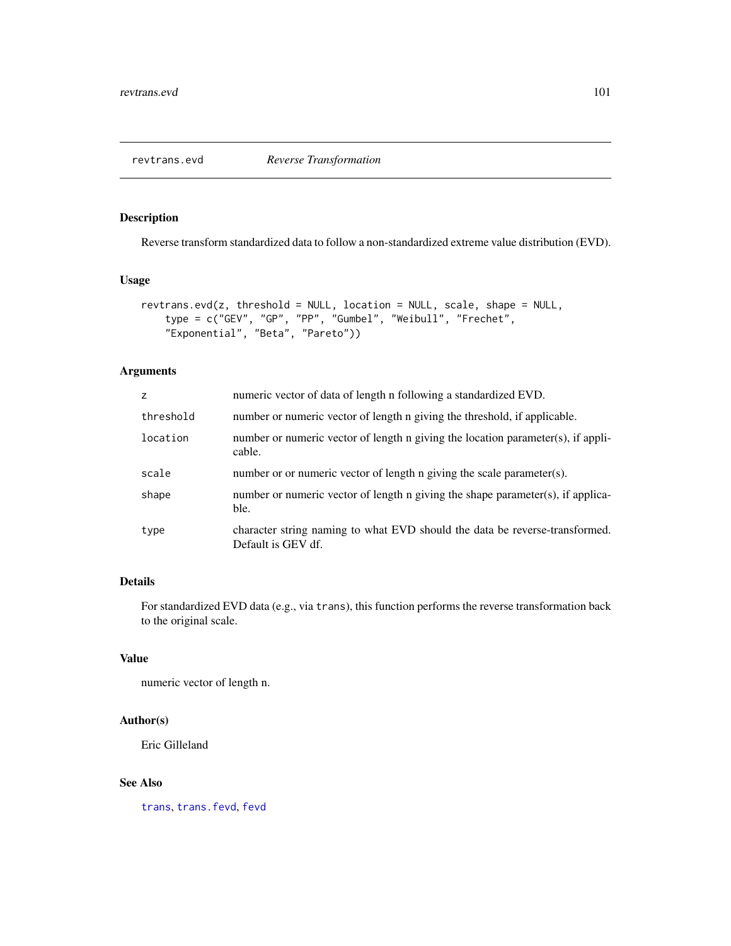# Description

Reverse transform standardized data to follow a non-standardized extreme value distribution (EVD).

## Usage

```
revtrans.evd(z, threshold = NULL, location = NULL, scale, shape = NULL,
    type = c("GEV", "GP", "PP", "Gumbel", "Weibull", "Frechet",
   "Exponential", "Beta", "Pareto"))
```
## Arguments

| z         | numeric vector of data of length n following a standardized EVD.                                  |
|-----------|---------------------------------------------------------------------------------------------------|
| threshold | number or numeric vector of length n giving the threshold, if applicable.                         |
| location  | number or numeric vector of length n giving the location parameter(s), if appli-<br>cable.        |
| scale     | number or or numeric vector of length n giving the scale parameter(s).                            |
| shape     | number or numeric vector of length n giving the shape parameter(s), if applica-<br>ble.           |
| type      | character string naming to what EVD should the data be reverse-transformed.<br>Default is GEV df. |

# Details

For standardized EVD data (e.g., via trans), this function performs the reverse transformation back to the original scale.

# Value

numeric vector of length n.

### Author(s)

Eric Gilleland

## See Also

[trans](#page-114-0), [trans.fevd](#page-114-1), [fevd](#page-38-0)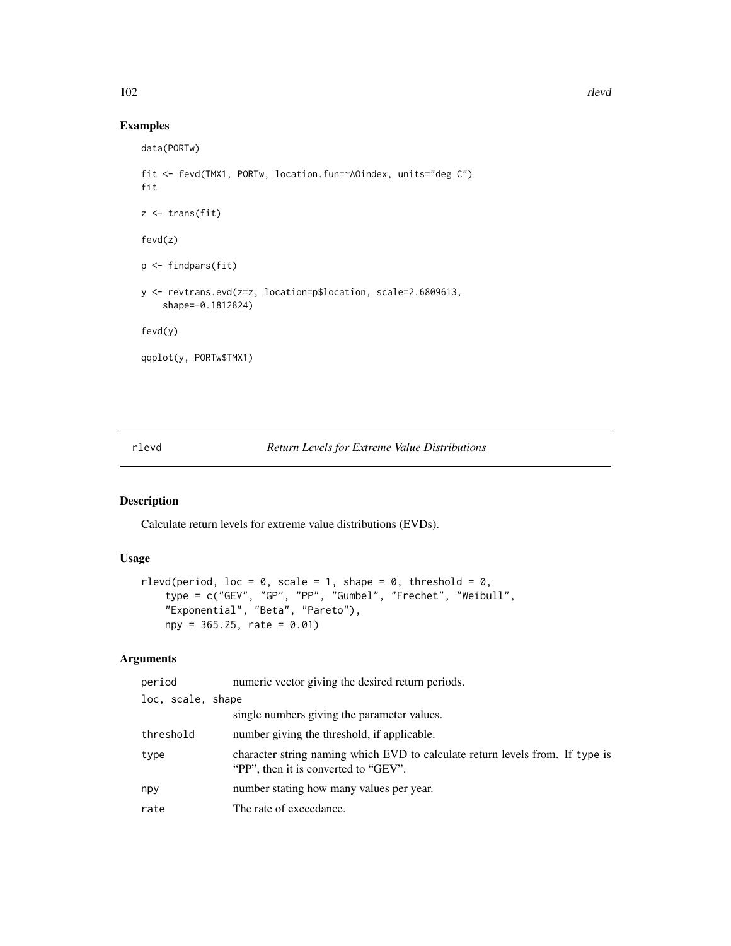# Examples

```
data(PORTw)
fit <- fevd(TMX1, PORTw, location.fun=~AOindex, units="deg C")
fit
z \leftarrow trans(fit)
fevd(z)
p <- findpars(fit)
y <- revtrans.evd(z=z, location=p$location, scale=2.6809613,
    shape=-0.1812824)
fevd(y)
qqplot(y, PORTw$TMX1)
```
## <span id="page-101-0"></span>rlevd *Return Levels for Extreme Value Distributions*

# Description

Calculate return levels for extreme value distributions (EVDs).

# Usage

```
rlevd(period, loc = 0, scale = 1, shape = 0, threshold = 0,
   type = c("GEV", "GP", "PP", "Gumbel", "Frechet", "Weibull",
   "Exponential", "Beta", "Pareto"),
   npy = 365.25, rate = 0.01)
```
# Arguments

| period            | numeric vector giving the desired return periods.                                                                     |
|-------------------|-----------------------------------------------------------------------------------------------------------------------|
| loc, scale, shape |                                                                                                                       |
|                   | single numbers giving the parameter values.                                                                           |
| threshold         | number giving the threshold, if applicable.                                                                           |
| type              | character string naming which EVD to calculate return levels from. If type is<br>"PP", then it is converted to "GEV". |
| npy               | number stating how many values per year.                                                                              |
| rate              | The rate of exceedance.                                                                                               |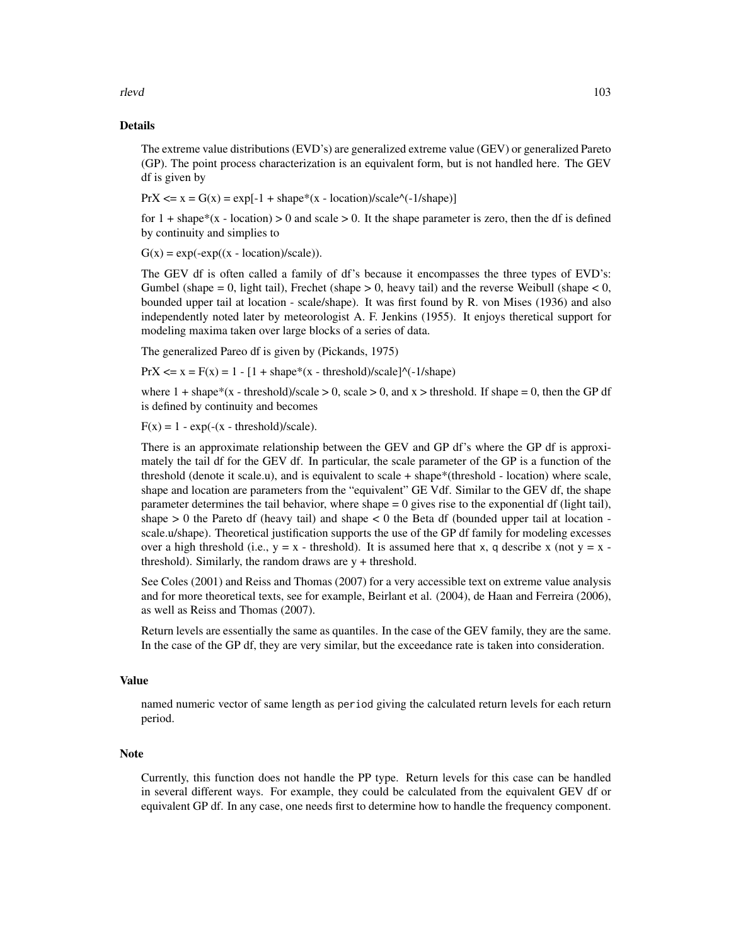rlevd to the contract of the contract of the contract of the contract of the contract of the contract of the contract of the contract of the contract of the contract of the contract of the contract of the contract of the c

# Details

The extreme value distributions (EVD's) are generalized extreme value (GEV) or generalized Pareto (GP). The point process characterization is an equivalent form, but is not handled here. The GEV df is given by

 $PrX \le x = G(x) = exp[-1 + shape*(x - location)/scale'(-1/shape)]$ 

for  $1 + \text{shape}*(x - \text{location}) > 0$  and scale  $> 0$ . It the shape parameter is zero, then the df is defined by continuity and simplies to

 $G(x) = exp(-exp((x - location)/scale)).$ 

The GEV df is often called a family of df's because it encompasses the three types of EVD's: Gumbel (shape  $= 0$ , light tail), Frechet (shape  $> 0$ , heavy tail) and the reverse Weibull (shape  $< 0$ , bounded upper tail at location - scale/shape). It was first found by R. von Mises (1936) and also independently noted later by meteorologist A. F. Jenkins (1955). It enjoys theretical support for modeling maxima taken over large blocks of a series of data.

The generalized Pareo df is given by (Pickands, 1975)

 $PrX \le x = F(x) = 1 - [1 + shape*(x - threshold)/scale]$ <sup>{\ack{-1/shape}}</sup>

where  $1 + shape*(x - threshold)/scale > 0$ , scale  $> 0$ , and  $x > threshold$ . If shape  $= 0$ , then the GP df is defined by continuity and becomes

 $F(x) = 1 - exp(-(x - threshold)/scale).$ 

There is an approximate relationship between the GEV and GP df's where the GP df is approximately the tail df for the GEV df. In particular, the scale parameter of the GP is a function of the threshold (denote it scale.u), and is equivalent to scale + shape\*(threshold - location) where scale, shape and location are parameters from the "equivalent" GE Vdf. Similar to the GEV df, the shape parameter determines the tail behavior, where shape  $= 0$  gives rise to the exponential df (light tail), shape  $> 0$  the Pareto df (heavy tail) and shape  $< 0$  the Beta df (bounded upper tail at location scale.u/shape). Theoretical justification supports the use of the GP df family for modeling excesses over a high threshold (i.e.,  $y = x -$  threshold). It is assumed here that x, q describe x (not  $y = x$ threshold). Similarly, the random draws are  $y +$  threshold.

See Coles (2001) and Reiss and Thomas (2007) for a very accessible text on extreme value analysis and for more theoretical texts, see for example, Beirlant et al. (2004), de Haan and Ferreira (2006), as well as Reiss and Thomas (2007).

Return levels are essentially the same as quantiles. In the case of the GEV family, they are the same. In the case of the GP df, they are very similar, but the exceedance rate is taken into consideration.

#### Value

named numeric vector of same length as period giving the calculated return levels for each return period.

#### Note

Currently, this function does not handle the PP type. Return levels for this case can be handled in several different ways. For example, they could be calculated from the equivalent GEV df or equivalent GP df. In any case, one needs first to determine how to handle the frequency component.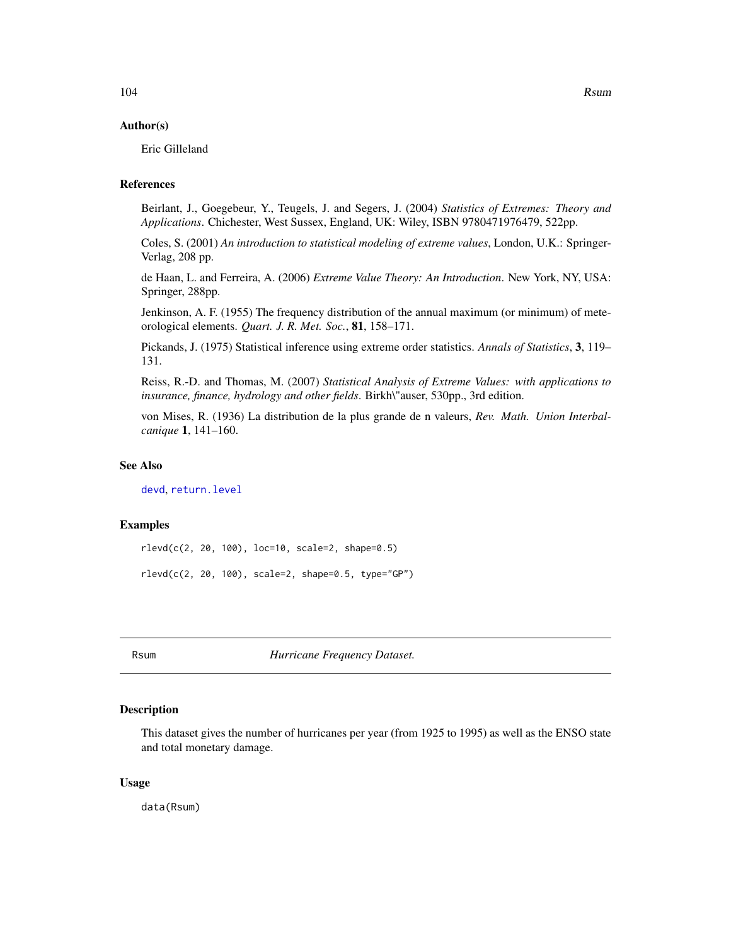## Author(s)

Eric Gilleland

# References

Beirlant, J., Goegebeur, Y., Teugels, J. and Segers, J. (2004) *Statistics of Extremes: Theory and Applications*. Chichester, West Sussex, England, UK: Wiley, ISBN 9780471976479, 522pp.

Coles, S. (2001) *An introduction to statistical modeling of extreme values*, London, U.K.: Springer-Verlag, 208 pp.

de Haan, L. and Ferreira, A. (2006) *Extreme Value Theory: An Introduction*. New York, NY, USA: Springer, 288pp.

Jenkinson, A. F. (1955) The frequency distribution of the annual maximum (or minimum) of meteorological elements. *Quart. J. R. Met. Soc.*, 81, 158–171.

Pickands, J. (1975) Statistical inference using extreme order statistics. *Annals of Statistics*, 3, 119– 131.

Reiss, R.-D. and Thomas, M. (2007) *Statistical Analysis of Extreme Values: with applications to insurance, finance, hydrology and other fields*. Birkh\"auser, 530pp., 3rd edition.

von Mises, R. (1936) La distribution de la plus grande de n valeurs, *Rev. Math. Union Interbalcanique* 1, 141–160.

## See Also

[devd](#page-27-1), [return.level](#page-96-0)

## Examples

rlevd(c(2, 20, 100), loc=10, scale=2, shape=0.5)

rlevd(c(2, 20, 100), scale=2, shape=0.5, type="GP")

Rsum *Hurricane Frequency Dataset.*

# Description

This dataset gives the number of hurricanes per year (from 1925 to 1995) as well as the ENSO state and total monetary damage.

## Usage

data(Rsum)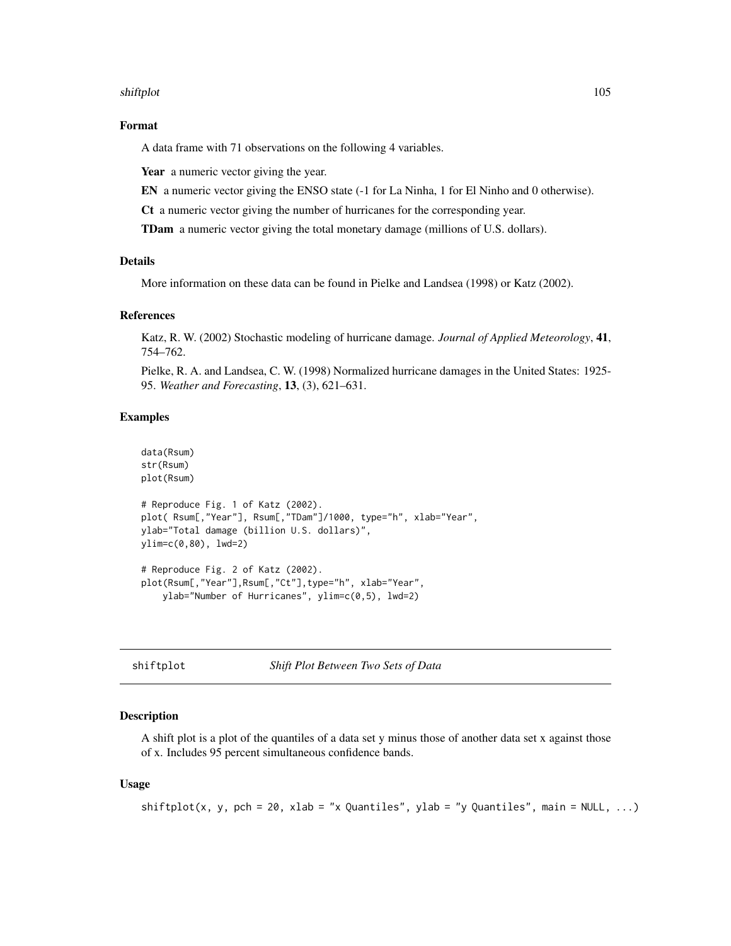#### shiftplot the state of the state of the state of the state of the state of the state of the state of the state of the state of the state of the state of the state of the state of the state of the state of the state of the

## Format

A data frame with 71 observations on the following 4 variables.

Year a numeric vector giving the year.

EN a numeric vector giving the ENSO state (-1 for La Ninha, 1 for El Ninho and 0 otherwise).

Ct a numeric vector giving the number of hurricanes for the corresponding year.

TDam a numeric vector giving the total monetary damage (millions of U.S. dollars).

# Details

More information on these data can be found in Pielke and Landsea (1998) or Katz (2002).

## References

Katz, R. W. (2002) Stochastic modeling of hurricane damage. *Journal of Applied Meteorology*, 41, 754–762.

Pielke, R. A. and Landsea, C. W. (1998) Normalized hurricane damages in the United States: 1925- 95. *Weather and Forecasting*, 13, (3), 621–631.

## Examples

```
data(Rsum)
str(Rsum)
plot(Rsum)
# Reproduce Fig. 1 of Katz (2002).
plot( Rsum[,"Year"], Rsum[,"TDam"]/1000, type="h", xlab="Year",
ylab="Total damage (billion U.S. dollars)",
ylim=c(0,80), lwd=2)
# Reproduce Fig. 2 of Katz (2002).
plot(Rsum[,"Year"],Rsum[,"Ct"],type="h", xlab="Year",
    ylab="Number of Hurricanes", ylim=c(0,5), lwd=2)
```
<span id="page-104-0"></span>shiftplot *Shift Plot Between Two Sets of Data*

## Description

A shift plot is a plot of the quantiles of a data set y minus those of another data set x against those of x. Includes 95 percent simultaneous confidence bands.

#### Usage

```
shiftplot(x, y, pch = 20, xlab = "x Quantiles", ylab = "y Quantiles", main = NULL, ...)
```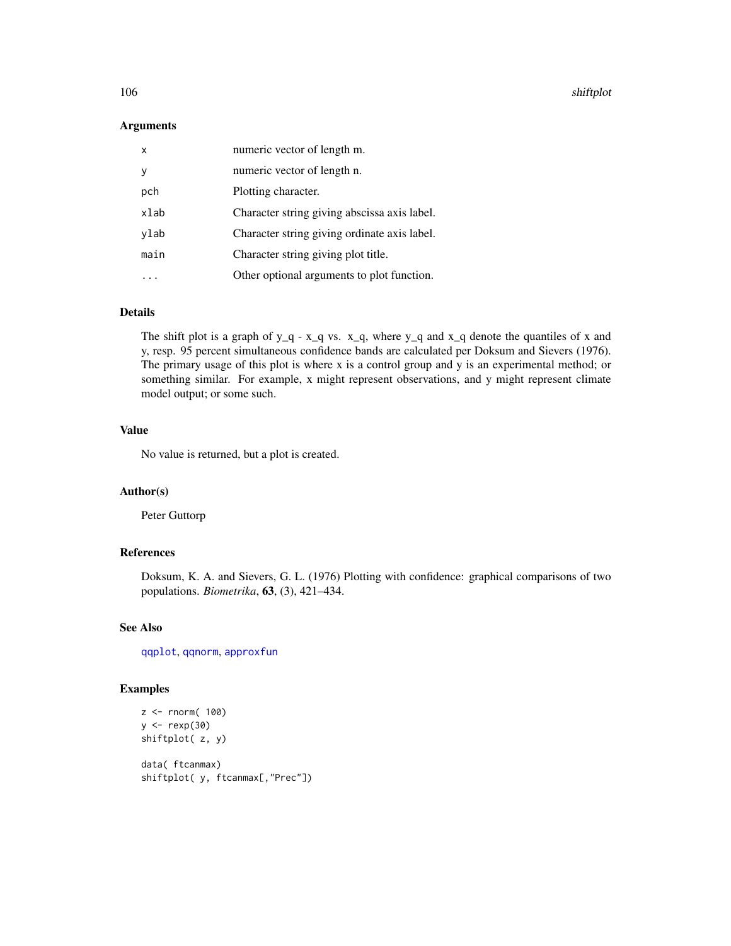106 shiftplot

## Arguments

| numeric vector of length m.                  |
|----------------------------------------------|
| numeric vector of length n.                  |
| Plotting character.                          |
| Character string giving abscissa axis label. |
| Character string giving ordinate axis label. |
| Character string giving plot title.          |
| Other optional arguments to plot function.   |
|                                              |

# Details

The shift plot is a graph of y\_q - x\_q vs. x\_q, where y\_q and x\_q denote the quantiles of x and y, resp. 95 percent simultaneous confidence bands are calculated per Doksum and Sievers (1976). The primary usage of this plot is where x is a control group and y is an experimental method; or something similar. For example, x might represent observations, and y might represent climate model output; or some such.

## Value

No value is returned, but a plot is created.

# Author(s)

Peter Guttorp

# References

Doksum, K. A. and Sievers, G. L. (1976) Plotting with confidence: graphical comparisons of two populations. *Biometrika*, 63, (3), 421–434.

## See Also

[qqplot](#page-94-0), [qqnorm](#page-92-0), [approxfun](#page-0-0)

## Examples

```
z <- rnorm( 100)
y \leq - rexp(30)
shiftplot( z, y)
data( ftcanmax)
shiftplot( y, ftcanmax[,"Prec"])
```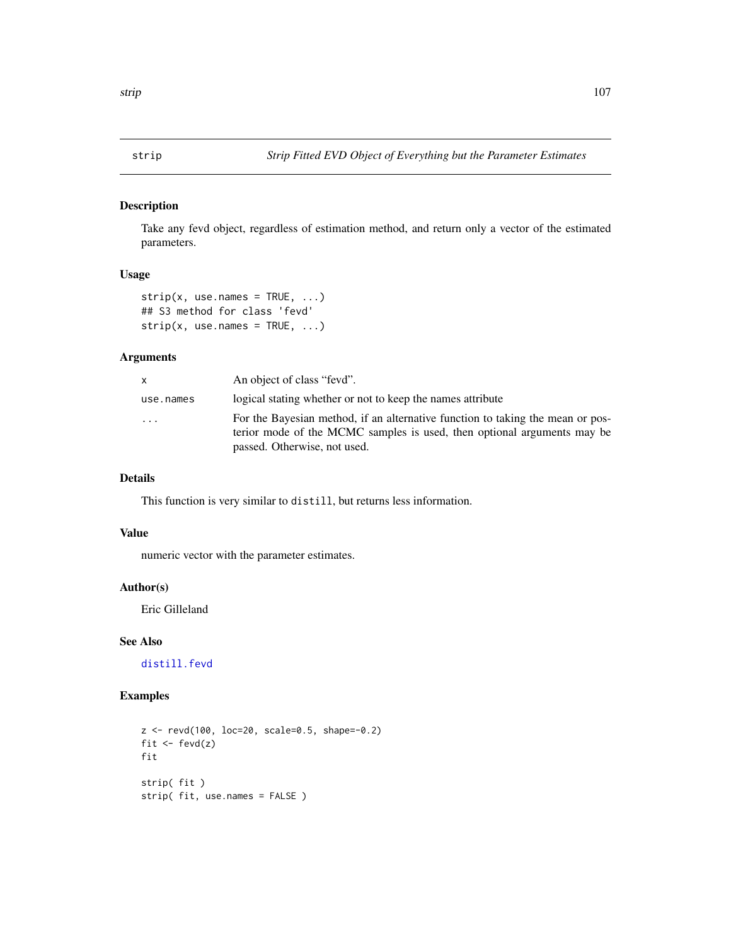# Description

Take any fevd object, regardless of estimation method, and return only a vector of the estimated parameters.

# Usage

```
strip(x, use.name = TRUE, ...)## S3 method for class 'fevd'
strip(x, use.name = TRUE, ...)
```
## Arguments

| x.        | An object of class "fevd".                                                                                                                                                                |
|-----------|-------------------------------------------------------------------------------------------------------------------------------------------------------------------------------------------|
| use.names | logical stating whether or not to keep the names attribute                                                                                                                                |
| .         | For the Bayesian method, if an alternative function to taking the mean or pos-<br>terior mode of the MCMC samples is used, then optional arguments may be<br>passed. Otherwise, not used. |

# Details

This function is very similar to distill, but returns less information.

## Value

numeric vector with the parameter estimates.

## Author(s)

Eric Gilleland

## See Also

[distill.fevd](#page-31-0)

# Examples

```
z <- revd(100, loc=20, scale=0.5, shape=-0.2)
fit \leftarrow fevd(z)fit
strip( fit )
strip( fit, use.names = FALSE )
```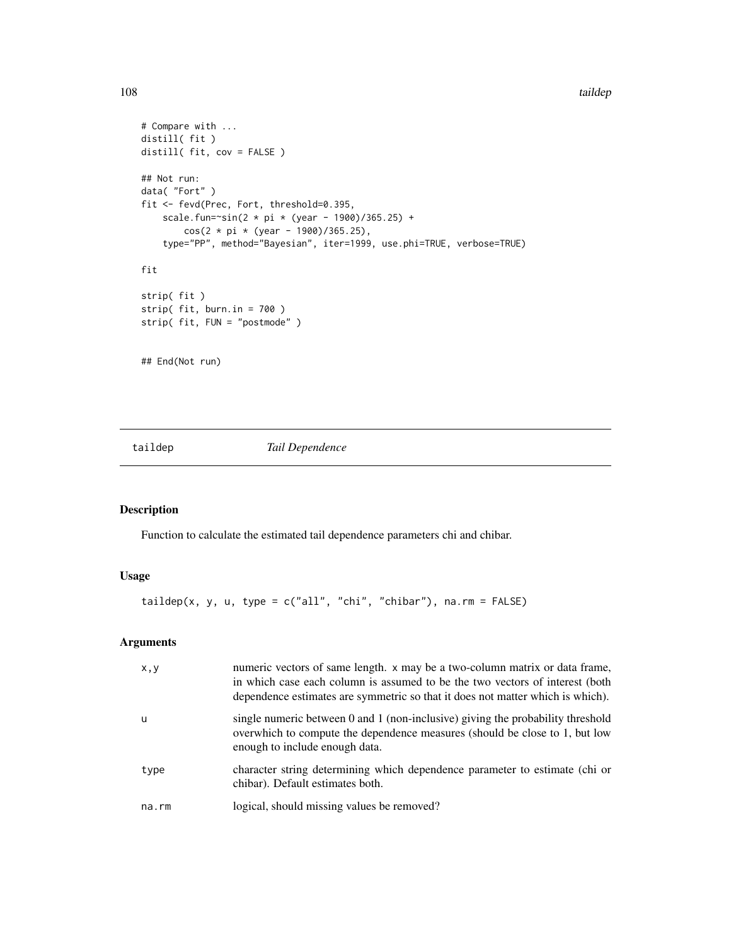```
# Compare with ...
distill( fit )
distill( fit, cov = FALSE )
## Not run:
data( "Fort" )
fit <- fevd(Prec, Fort, threshold=0.395,
   scale.fun=~sin(2 * pi * (year - 1900)/365.25) +
        cos(2 * pi * (year - 1900)/365.25),
    type="PP", method="Bayesian", iter=1999, use.phi=TRUE, verbose=TRUE)
fit
strip( fit )
strip( fit, burn.in = 700 )
strip( fit, FUN = "postmode" )
## End(Not run)
```
taildep *Tail Dependence*

# Description

Function to calculate the estimated tail dependence parameters chi and chibar.

# Usage

taildep(x, y, u, type =  $c("all", "chi", "chibar"), na.rm = FALSE)$ 

## Arguments

| x, y  | numeric vectors of same length. x may be a two-column matrix or data frame,<br>in which case each column is assumed to be the two vectors of interest (both<br>dependence estimates are symmetric so that it does not matter which is which). |
|-------|-----------------------------------------------------------------------------------------------------------------------------------------------------------------------------------------------------------------------------------------------|
| u     | single numeric between 0 and 1 (non-inclusive) giving the probability threshold<br>overwhich to compute the dependence measures (should be close to 1, but low<br>enough to include enough data.                                              |
| type  | character string determining which dependence parameter to estimate (chi or<br>chibar). Default estimates both.                                                                                                                               |
| na.rm | logical, should missing values be removed?                                                                                                                                                                                                    |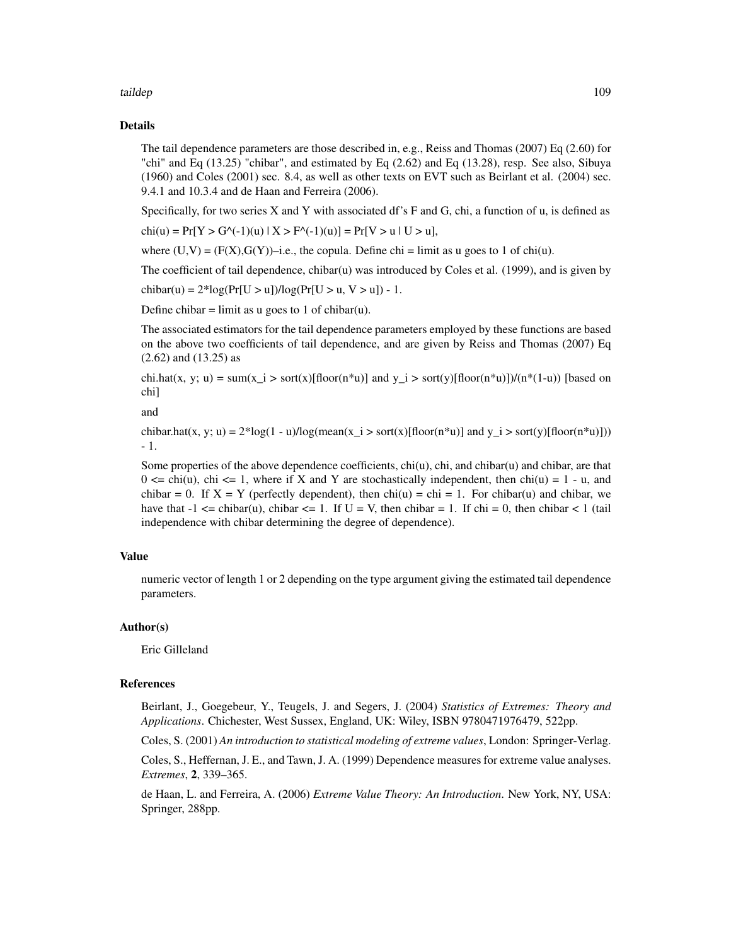#### taildep and the state of the state of the state of the state of the state of the state of the state of the state of the state of the state of the state of the state of the state of the state of the state of the state of th

#### Details

The tail dependence parameters are those described in, e.g., Reiss and Thomas (2007) Eq (2.60) for "chi" and Eq  $(13.25)$  "chibar", and estimated by Eq  $(2.62)$  and Eq  $(13.28)$ , resp. See also, Sibuya (1960) and Coles (2001) sec. 8.4, as well as other texts on EVT such as Beirlant et al. (2004) sec. 9.4.1 and 10.3.4 and de Haan and Ferreira (2006).

Specifically, for two series X and Y with associated df's F and G, chi, a function of u, is defined as

 $chi(u) = Pr[Y > G^{-1}(u) | X > F^{-1}(u)] = Pr[V > u | U > u],$ 

where  $(U,V) = (F(X), G(Y))$ –i.e., the copula. Define chi = limit as u goes to 1 of chi(u).

The coefficient of tail dependence, chibar(u) was introduced by Coles et al. (1999), and is given by

chibar(u) =  $2*log(Pr[U > u])/log(Pr[U > u, V > u]) - 1$ .

Define chibar = limit as u goes to 1 of chibar(u).

The associated estimators for the tail dependence parameters employed by these functions are based on the above two coefficients of tail dependence, and are given by Reiss and Thomas (2007) Eq (2.62) and (13.25) as

chi.hat(x, y; u) = sum(x i > sort(x)[floor(n\*u)] and y i > sort(y)[floor(n\*u)])/(n\*(1-u)) [based on chi]

and

chibar.hat(x, y; u) =  $2*\log(1-\mu)/\log(\text{mean}(x_i) > \text{sort}(x)[\text{floor}(n^*u)]$  and  $y_i > \text{sort}(y)[\text{floor}(n^*u)]$ ) - 1.

Some properties of the above dependence coefficients, chi(u), chi, and chibar(u) and chibar, are that  $0 \le \text{ch}(u)$ , chi  $\le 1$ , where if X and Y are stochastically independent, then chi(u) = 1 - u, and chibar = 0. If  $X = Y$  (perfectly dependent), then chi(u) = chi = 1. For chibar(u) and chibar, we have that  $-1 \leq$  chibar(u), chibar  $\leq$  1. If U = V, then chibar = 1. If chi = 0, then chibar  $\leq$  1 (tail independence with chibar determining the degree of dependence).

# Value

numeric vector of length 1 or 2 depending on the type argument giving the estimated tail dependence parameters.

# Author(s)

Eric Gilleland

#### References

Beirlant, J., Goegebeur, Y., Teugels, J. and Segers, J. (2004) *Statistics of Extremes: Theory and Applications*. Chichester, West Sussex, England, UK: Wiley, ISBN 9780471976479, 522pp.

Coles, S. (2001) *An introduction to statistical modeling of extreme values*, London: Springer-Verlag.

Coles, S., Heffernan, J. E., and Tawn, J. A. (1999) Dependence measures for extreme value analyses. *Extremes*, 2, 339–365.

de Haan, L. and Ferreira, A. (2006) *Extreme Value Theory: An Introduction*. New York, NY, USA: Springer, 288pp.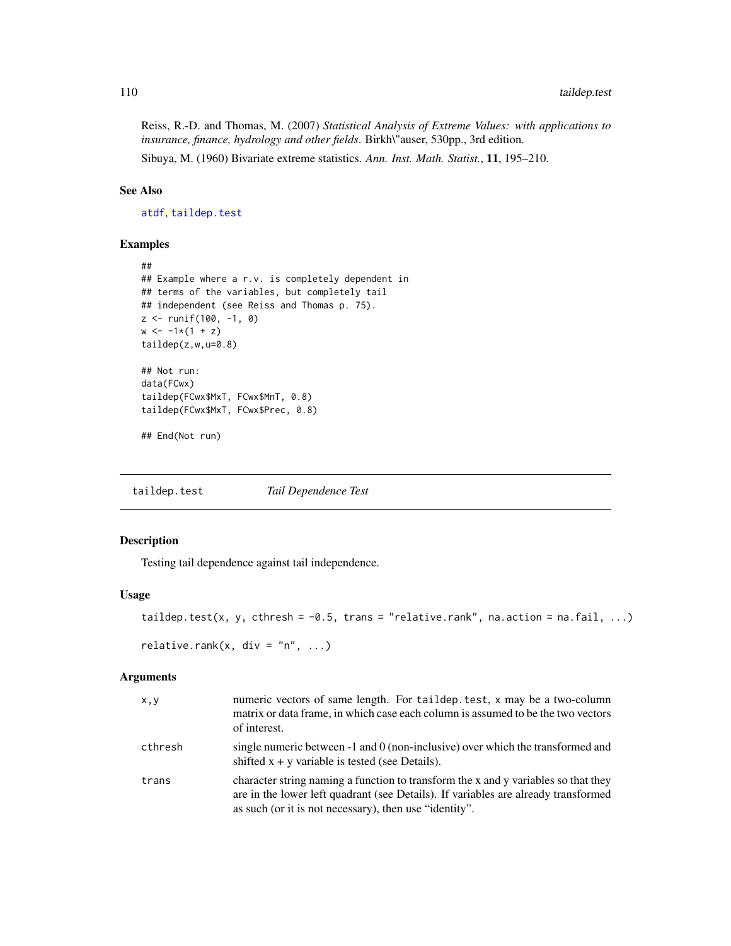<span id="page-109-1"></span>Reiss, R.-D. and Thomas, M. (2007) *Statistical Analysis of Extreme Values: with applications to insurance, finance, hydrology and other fields*. Birkh\"auser, 530pp., 3rd edition.

Sibuya, M. (1960) Bivariate extreme statistics. *Ann. Inst. Math. Statist.*, 11, 195–210.

# See Also

[atdf](#page-7-0), [taildep.test](#page-109-0)

# Examples

```
##
## Example where a r.v. is completely dependent in
## terms of the variables, but completely tail
## independent (see Reiss and Thomas p. 75).
z \le runif(100, -1, 0)
w \leftarrow -1*(1 + z)taildep(z,w,u=0.8)
## Not run:
data(FCwx)
taildep(FCwx$MxT, FCwx$MnT, 0.8)
taildep(FCwx$MxT, FCwx$Prec, 0.8)
## End(Not run)
```
<span id="page-109-0"></span>taildep.test *Tail Dependence Test*

# Description

Testing tail dependence against tail independence.

#### Usage

```
taildep.test(x, y, cthresh = -0.5, trans = "relative.rank", na.action = na.fail, ...)
relative.rank(x, div = "n", ...)
```
# Arguments

| X, Y    | numeric vectors of same length. For taildep.test, x may be a two-column<br>matrix or data frame, in which case each column is assumed to be the two vectors<br>of interest.                                                        |
|---------|------------------------------------------------------------------------------------------------------------------------------------------------------------------------------------------------------------------------------------|
| cthresh | single numeric between -1 and 0 (non-inclusive) over which the transformed and<br>shifted $x + y$ variable is tested (see Details).                                                                                                |
| trans   | character string naming a function to transform the x and y variables so that they<br>are in the lower left quadrant (see Details). If variables are already transformed<br>as such (or it is not necessary), then use "identity". |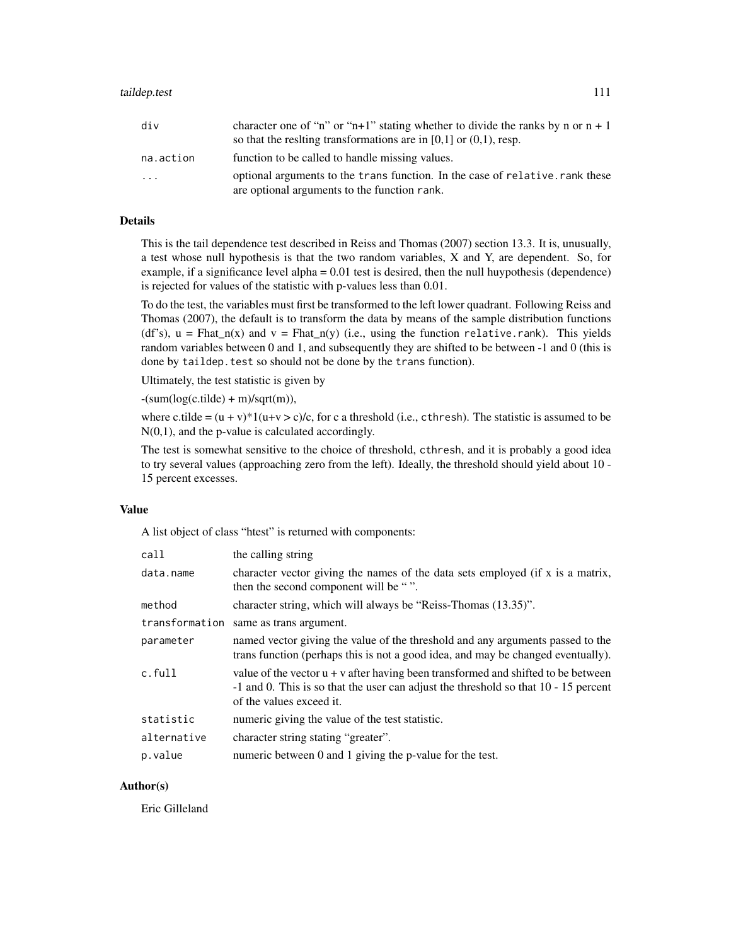| div       | character one of "n" or "n+1" stating whether to divide the ranks by n or $n + 1$<br>so that the resiting transformations are in $[0,1]$ or $(0,1)$ , resp. |
|-----------|-------------------------------------------------------------------------------------------------------------------------------------------------------------|
| na.action | function to be called to handle missing values.                                                                                                             |
| $\cdots$  | optional arguments to the transfunction. In the case of relative. rank these<br>are optional arguments to the function rank.                                |

# Details

This is the tail dependence test described in Reiss and Thomas (2007) section 13.3. It is, unusually, a test whose null hypothesis is that the two random variables, X and Y, are dependent. So, for example, if a significance level alpha = 0.01 test is desired, then the null huypothesis (dependence) is rejected for values of the statistic with p-values less than 0.01.

To do the test, the variables must first be transformed to the left lower quadrant. Following Reiss and Thomas (2007), the default is to transform the data by means of the sample distribution functions (df's),  $u = Fhat_n(x)$  and  $v = Fhat_n(y)$  (i.e., using the function relative.rank). This yields random variables between 0 and 1, and subsequently they are shifted to be between -1 and 0 (this is done by taildep.test so should not be done by the trans function).

Ultimately, the test statistic is given by

 $-(sum(log(c.title) + m)/sqrt(m)),$ 

where c.tilde =  $(u + v)^*1(u+v > c)/c$ , for c a threshold (i.e., cthresh). The statistic is assumed to be N(0,1), and the p-value is calculated accordingly.

The test is somewhat sensitive to the choice of threshold, cthresh, and it is probably a good idea to try several values (approaching zero from the left). Ideally, the threshold should yield about 10 - 15 percent excesses.

#### Value

A list object of class "htest" is returned with components:

| call        | the calling string                                                                                                                                                                                     |
|-------------|--------------------------------------------------------------------------------------------------------------------------------------------------------------------------------------------------------|
| data.name   | character vector giving the names of the data sets employed (if x is a matrix,<br>then the second component will be "".                                                                                |
| method      | character string, which will always be "Reiss-Thomas (13.35)".                                                                                                                                         |
|             | transformation same as trans argument.                                                                                                                                                                 |
| parameter   | named vector giving the value of the threshold and any arguments passed to the<br>transfunction (perhaps this is not a good idea, and may be changed eventually).                                      |
| c.full      | value of the vector $u + v$ after having been transformed and shifted to be between<br>-1 and 0. This is so that the user can adjust the threshold so that 10 - 15 percent<br>of the values exceed it. |
| statistic   | numeric giving the value of the test statistic.                                                                                                                                                        |
| alternative | character string stating "greater".                                                                                                                                                                    |
| p.value     | numeric between 0 and 1 giving the p-value for the test.                                                                                                                                               |

# Author(s)

Eric Gilleland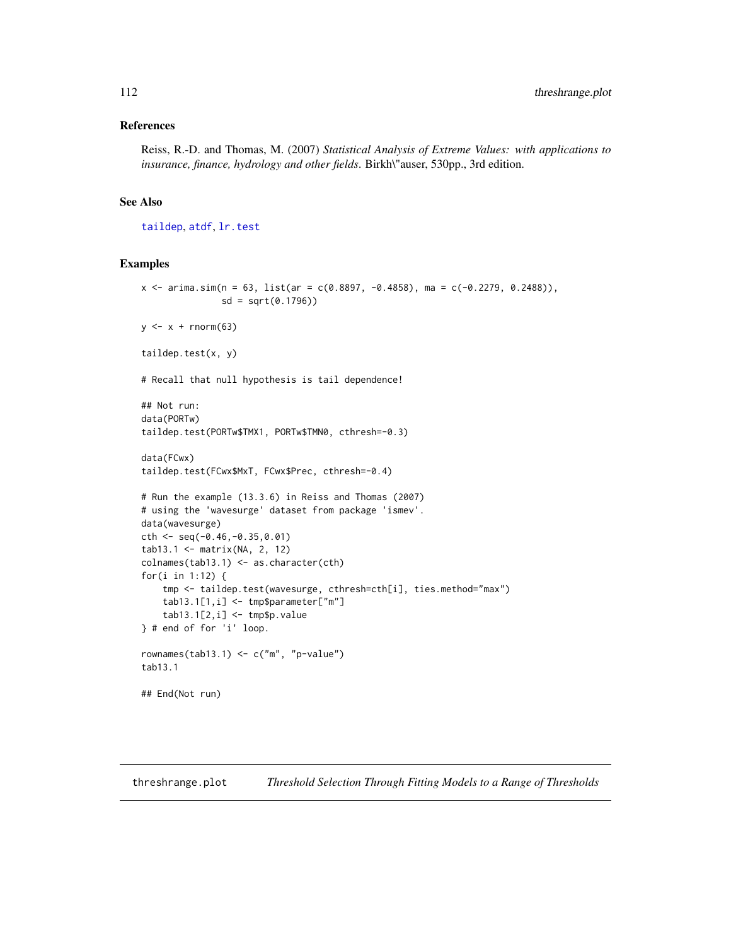#### <span id="page-111-0"></span>References

Reiss, R.-D. and Thomas, M. (2007) *Statistical Analysis of Extreme Values: with applications to insurance, finance, hydrology and other fields*. Birkh\"auser, 530pp., 3rd edition.

# See Also

[taildep](#page-107-0), [atdf](#page-7-0), [lr.test](#page-75-0)

#### Examples

```
x <- arima.sim(n = 63, list(ar = c(0.8897, -0.4858), ma = c(-0.2279, 0.2488)),
               sd = sqrt(0.1796))
y \leftarrow x + \text{norm}(63)taildep.test(x, y)
# Recall that null hypothesis is tail dependence!
## Not run:
data(PORTw)
taildep.test(PORTw$TMX1, PORTw$TMN0, cthresh=-0.3)
data(FCwx)
taildep.test(FCwx$MxT, FCwx$Prec, cthresh=-0.4)
# Run the example (13.3.6) in Reiss and Thomas (2007)
# using the 'wavesurge' dataset from package 'ismev'.
data(wavesurge)
cth <- seq(-0.46,-0.35,0.01)
tab13.1 <- matrix(NA, 2, 12)
colnames(tab13.1) <- as.character(cth)
for(i in 1:12) {
    tmp <- taildep.test(wavesurge, cthresh=cth[i], ties.method="max")
    tab13.1[1,i] <- tmp$parameter["m"]
    tab13.1[2,i] < - \t{tmpsp.value}} # end of for 'i' loop.
rownames(tab13.1) <- c("m", "p-value")
tab13.1
## End(Not run)
```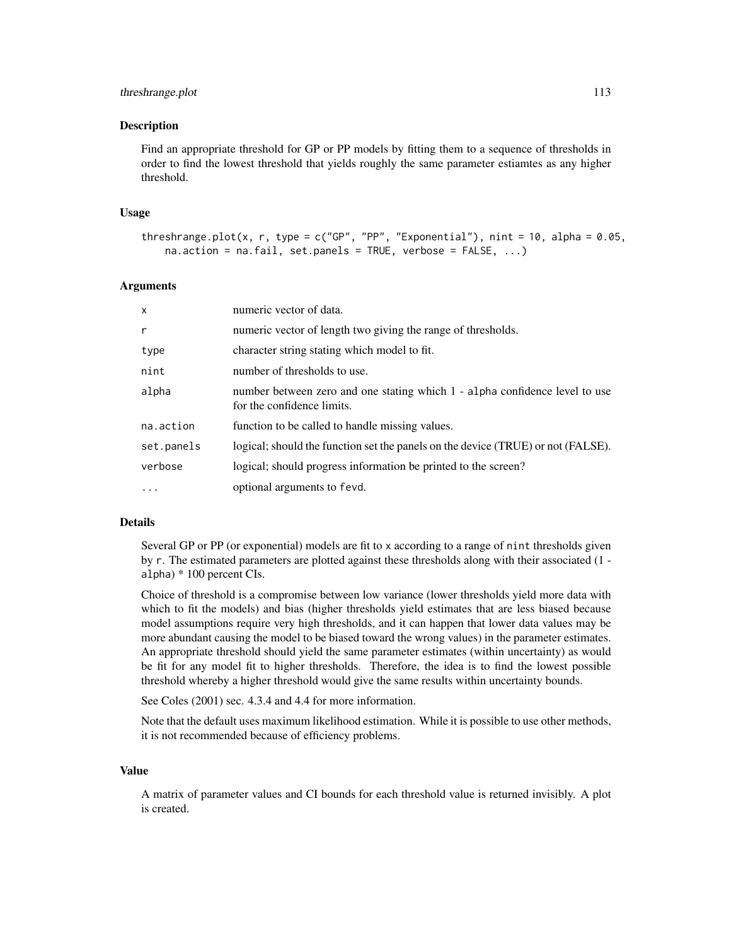#### threshrange.plot 113

#### Description

Find an appropriate threshold for GP or PP models by fitting them to a sequence of thresholds in order to find the lowest threshold that yields roughly the same parameter estiamtes as any higher threshold.

## Usage

```
threshrange.plot(x, r, type = c("GP", "PP", "Exponential"), nint = 10, alpha = 0.05,
   na.action = na.fail, set.panels = TRUE, verbose = FALSE, ...)
```
#### Arguments

| $\mathsf{x}$ | numeric vector of data.                                                                                   |
|--------------|-----------------------------------------------------------------------------------------------------------|
| $\mathsf{r}$ | numeric vector of length two giving the range of thresholds.                                              |
| type         | character string stating which model to fit.                                                              |
| nint         | number of thresholds to use.                                                                              |
| alpha        | number between zero and one stating which 1 - alpha confidence level to use<br>for the confidence limits. |
| na.action    | function to be called to handle missing values.                                                           |
| set.panels   | logical; should the function set the panels on the device (TRUE) or not (FALSE).                          |
| verbose      | logical; should progress information be printed to the screen?                                            |
| $\cdots$     | optional arguments to fevd.                                                                               |

# Details

Several GP or PP (or exponential) models are fit to x according to a range of nint thresholds given by r. The estimated parameters are plotted against these thresholds along with their associated (1 alpha) \* 100 percent CIs.

Choice of threshold is a compromise between low variance (lower thresholds yield more data with which to fit the models) and bias (higher thresholds yield estimates that are less biased because model assumptions require very high thresholds, and it can happen that lower data values may be more abundant causing the model to be biased toward the wrong values) in the parameter estimates. An appropriate threshold should yield the same parameter estimates (within uncertainty) as would be fit for any model fit to higher thresholds. Therefore, the idea is to find the lowest possible threshold whereby a higher threshold would give the same results within uncertainty bounds.

See Coles (2001) sec. 4.3.4 and 4.4 for more information.

Note that the default uses maximum likelihood estimation. While it is possible to use other methods, it is not recommended because of efficiency problems.

#### Value

A matrix of parameter values and CI bounds for each threshold value is returned invisibly. A plot is created.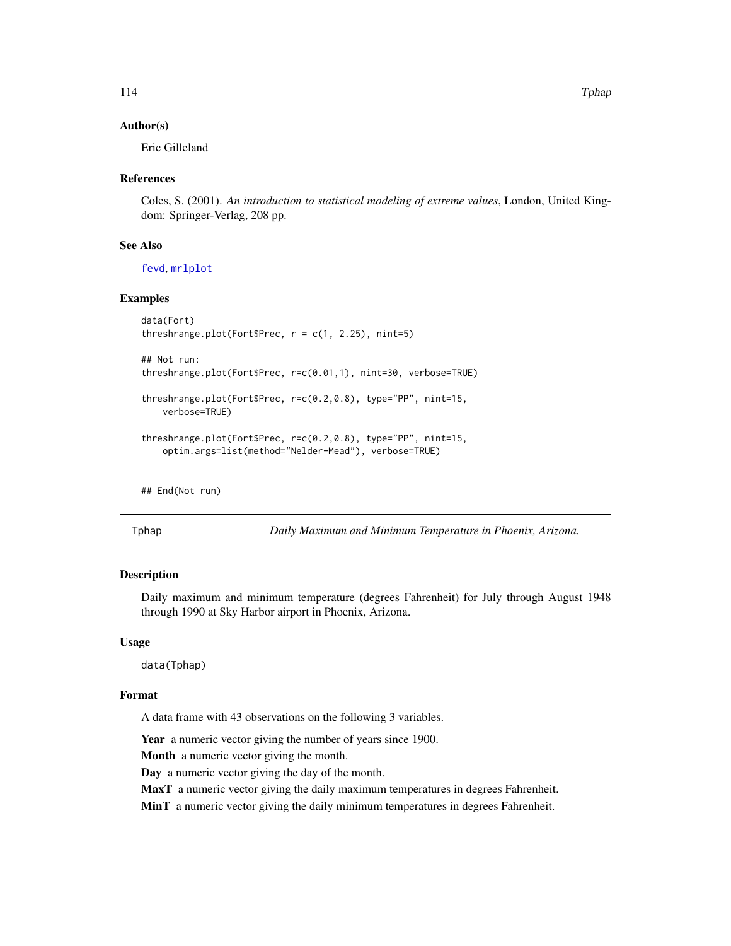# Author(s)

Eric Gilleland

# References

Coles, S. (2001). *An introduction to statistical modeling of extreme values*, London, United Kingdom: Springer-Verlag, 208 pp.

# See Also

[fevd](#page-38-0), [mrlplot](#page-78-0)

# Examples

```
data(Fort)
threshrange.plot(Fort$Prec, r = c(1, 2.25), nint=5)
## Not run:
threshrange.plot(Fort$Prec, r=c(0.01,1), nint=30, verbose=TRUE)
threshrange.plot(Fort$Prec, r=c(0.2,0.8), type="PP", nint=15,
    verbose=TRUE)
threshrange.plot(Fort$Prec, r=c(0.2,0.8), type="PP", nint=15,
    optim.args=list(method="Nelder-Mead"), verbose=TRUE)
```
## End(Not run)

Tphap *Daily Maximum and Minimum Temperature in Phoenix, Arizona.*

#### Description

Daily maximum and minimum temperature (degrees Fahrenheit) for July through August 1948 through 1990 at Sky Harbor airport in Phoenix, Arizona.

# Usage

data(Tphap)

#### Format

A data frame with 43 observations on the following 3 variables.

Year a numeric vector giving the number of years since 1900.

Month a numeric vector giving the month.

Day a numeric vector giving the day of the month.

MaxT a numeric vector giving the daily maximum temperatures in degrees Fahrenheit.

MinT a numeric vector giving the daily minimum temperatures in degrees Fahrenheit.

<span id="page-113-0"></span>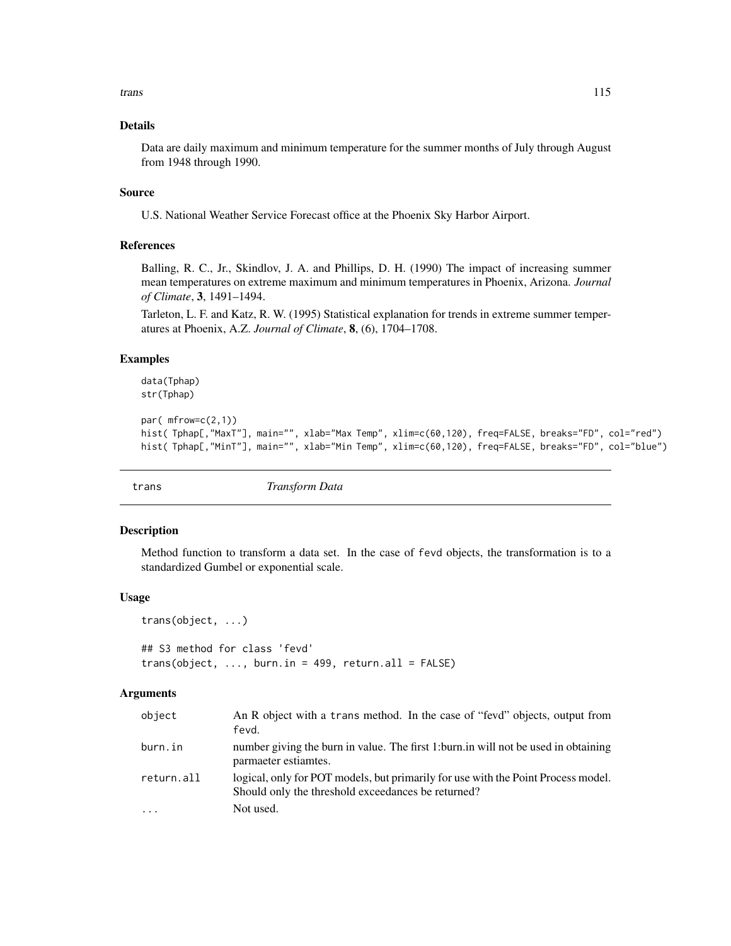<span id="page-114-0"></span>trans the contract of the contract of the contract of the contract of the contract of the contract of the contract of the contract of the contract of the contract of the contract of the contract of the contract of the cont

# Details

Data are daily maximum and minimum temperature for the summer months of July through August from 1948 through 1990.

# Source

U.S. National Weather Service Forecast office at the Phoenix Sky Harbor Airport.

# References

Balling, R. C., Jr., Skindlov, J. A. and Phillips, D. H. (1990) The impact of increasing summer mean temperatures on extreme maximum and minimum temperatures in Phoenix, Arizona. *Journal of Climate*, 3, 1491–1494.

Tarleton, L. F. and Katz, R. W. (1995) Statistical explanation for trends in extreme summer temperatures at Phoenix, A.Z. *Journal of Climate*, 8, (6), 1704–1708.

# Examples

data(Tphap) str(Tphap)

```
par( mfrow=c(2,1))
hist( Tphap[,"MaxT"], main="", xlab="Max Temp", xlim=c(60,120), freq=FALSE, breaks="FD", col="red")
hist( Tphap[,"MinT"], main="", xlab="Min Temp", xlim=c(60,120), freq=FALSE, breaks="FD", col="blue")
```
trans *Transform Data*

#### Description

Method function to transform a data set. In the case of fevd objects, the transformation is to a standardized Gumbel or exponential scale.

# Usage

```
trans(object, ...)
```
## S3 method for class 'fevd'  $trans(object, ..., burn.in = 499, return.al1 = FALSE)$ 

# Arguments

| object     | An R object with a trans method. In the case of "fevd" objects, output from<br>fevd.                                                    |
|------------|-----------------------------------------------------------------------------------------------------------------------------------------|
| burn.in    | number giving the burn in value. The first 1: burn in will not be used in obtaining<br>parmaeter estiamtes.                             |
| return.all | logical, only for POT models, but primarily for use with the Point Process model.<br>Should only the threshold exceedances be returned? |
| $\cdots$   | Not used.                                                                                                                               |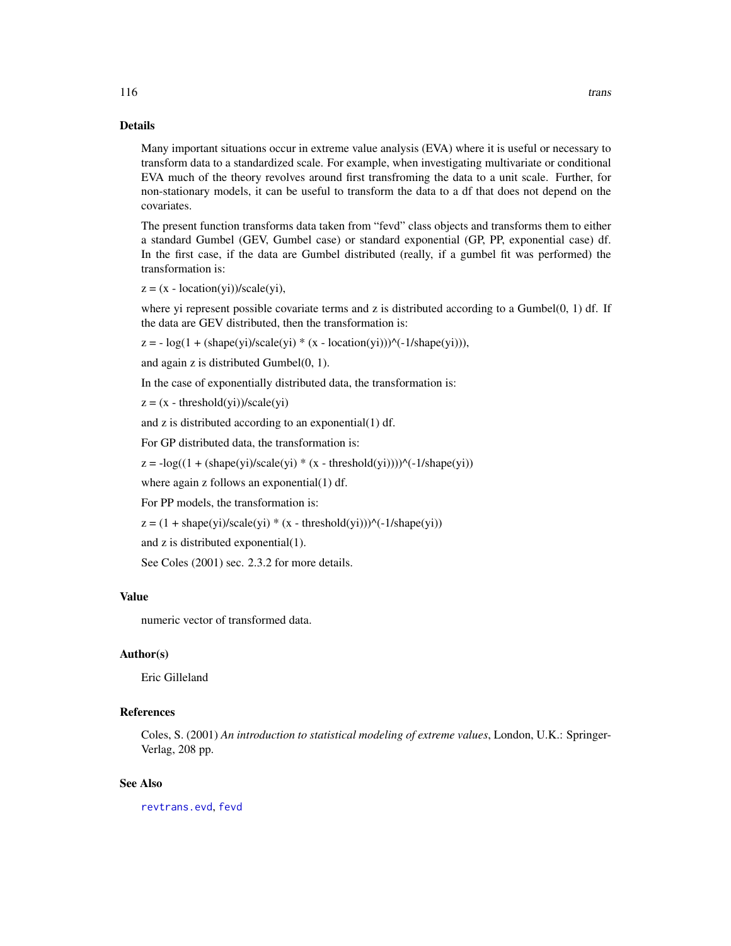#### Details

Many important situations occur in extreme value analysis (EVA) where it is useful or necessary to transform data to a standardized scale. For example, when investigating multivariate or conditional EVA much of the theory revolves around first transfroming the data to a unit scale. Further, for non-stationary models, it can be useful to transform the data to a df that does not depend on the covariates.

The present function transforms data taken from "fevd" class objects and transforms them to either a standard Gumbel (GEV, Gumbel case) or standard exponential (GP, PP, exponential case) df. In the first case, if the data are Gumbel distributed (really, if a gumbel fit was performed) the transformation is:

 $z = (x - location(yi))/scale(yi),$ 

where yi represent possible covariate terms and z is distributed according to a Gumbel $(0, 1)$  df. If the data are GEV distributed, then the transformation is:

 $z = -\log(1 + (shape(yi)/scale(yi) * (x - location(yi)))^{\wedge}(-1/shape(yi))),$ 

and again z is distributed Gumbel(0, 1).

In the case of exponentially distributed data, the transformation is:

 $z = (x - threshold(yi)) / scale(yi)$ 

and z is distributed according to an exponential(1) df.

For GP distributed data, the transformation is:

 $z = -\log((1 + (\text{shape}(yi)/\text{scale}(yi)) * (x - \text{threshold}(yi))))^{\wedge}(-1/\text{shape}(yi)))$ 

where again z follows an exponential(1) df.

For PP models, the transformation is:

 $z = (1 + shape(yi)/scale(yi) * (x - threshold(yi)))^{\wedge}(-1/shape(yi))$ 

and z is distributed exponential(1).

See Coles (2001) sec. 2.3.2 for more details.

# Value

numeric vector of transformed data.

# Author(s)

Eric Gilleland

# References

Coles, S. (2001) *An introduction to statistical modeling of extreme values*, London, U.K.: Springer-Verlag, 208 pp.

# See Also

[revtrans.evd](#page-100-0), [fevd](#page-38-0)

<span id="page-115-0"></span>116 transfer that the contract of the contract of the contract of the contract of the contract of the contract of the contract of the contract of the contract of the contract of the contract of the contract of the contract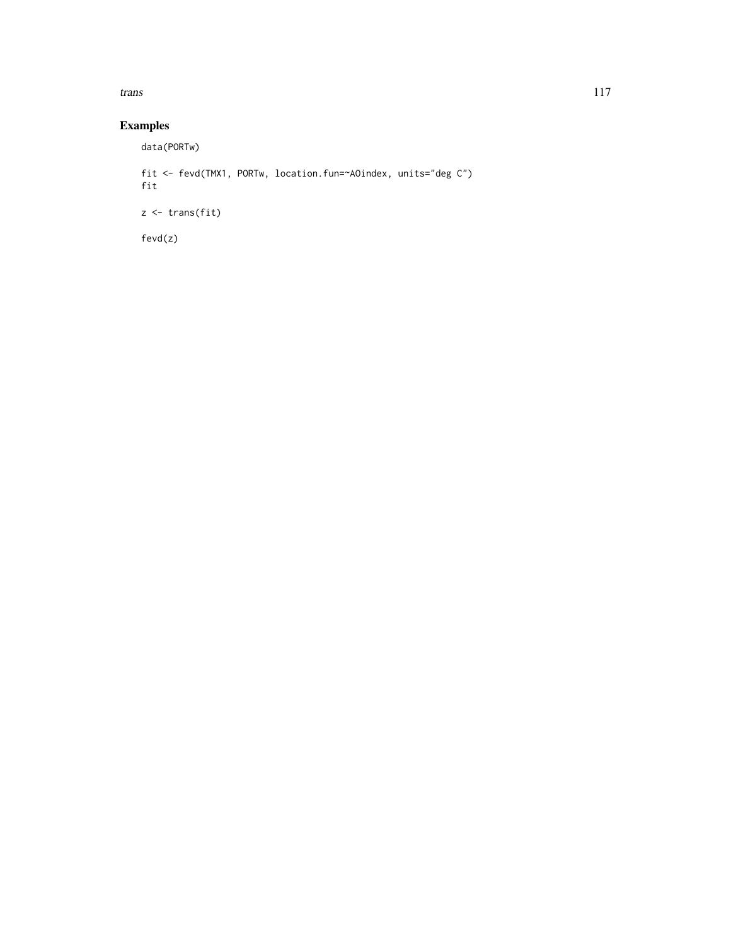trans the contract of the contract of the contract of the contract of the contract of the contract of the contract of the contract of the contract of the contract of the contract of the contract of the contract of the cont

# Examples

data(PORTw)

```
fit <- fevd(TMX1, PORTw, location.fun=~AOindex, units="deg C")
fit
z <- trans(fit)
fevd(z)
```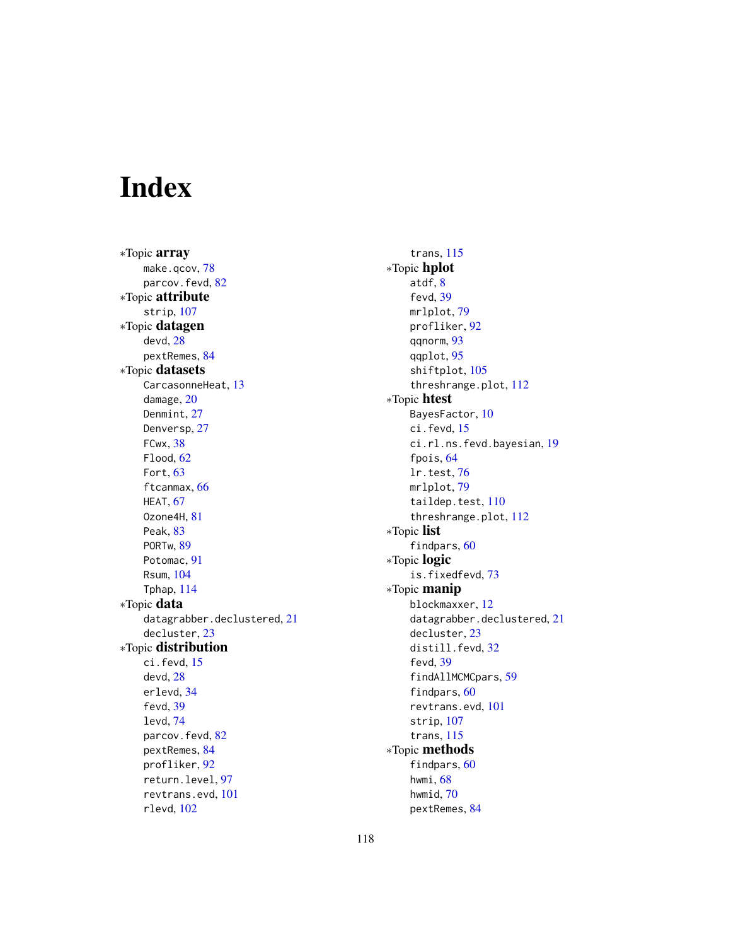# Index

∗Topic array make.qcov, [78](#page-77-0) parcov.fevd, [82](#page-81-0) ∗Topic attribute strip, [107](#page-106-0) ∗Topic datagen devd, [28](#page-27-0) pextRemes, [84](#page-83-0) ∗Topic datasets CarcasonneHeat, [13](#page-12-0) damage, [20](#page-19-0) Denmint, [27](#page-26-0) Denversp, [27](#page-26-0) FCwx, [38](#page-37-0) Flood, [62](#page-61-0) Fort, [63](#page-62-0) ftcanmax, [66](#page-65-0) HEAT, [67](#page-66-0) Ozone4H, [81](#page-80-0) Peak, [83](#page-82-0) PORTw, [89](#page-88-0) Potomac, [91](#page-90-0) Rsum, [104](#page-103-0) Tphap, [114](#page-113-0) ∗Topic data datagrabber.declustered, [21](#page-20-0) decluster, [23](#page-22-0) ∗Topic distribution ci.fevd, [15](#page-14-0) devd, [28](#page-27-0) erlevd, [34](#page-33-0) fevd, [39](#page-38-1) levd, [74](#page-73-0) parcov.fevd, [82](#page-81-0) pextRemes, [84](#page-83-0) profliker, [92](#page-91-0) return.level, [97](#page-96-0) revtrans.evd, [101](#page-100-1) rlevd, [102](#page-101-0)

trans, [115](#page-114-0) ∗Topic hplot atdf, [8](#page-7-1) fevd, [39](#page-38-1) mrlplot, [79](#page-78-1) profliker, [92](#page-91-0) qqnorm, [93](#page-92-0) qqplot, [95](#page-94-0) shiftplot, [105](#page-104-0) threshrange.plot, [112](#page-111-0) ∗Topic htest BayesFactor, [10](#page-9-0) ci.fevd, [15](#page-14-0) ci.rl.ns.fevd.bayesian, [19](#page-18-0) fpois, [64](#page-63-0) lr.test, [76](#page-75-1) mrlplot, [79](#page-78-1) taildep.test, [110](#page-109-1) threshrange.plot, [112](#page-111-0) ∗Topic list findpars, [60](#page-59-0) ∗Topic logic is.fixedfevd, [73](#page-72-0) ∗Topic manip blockmaxxer, [12](#page-11-0) datagrabber.declustered, [21](#page-20-0) decluster, [23](#page-22-0) distill.fevd, [32](#page-31-0) fevd, [39](#page-38-1) findAllMCMCpars, [59](#page-58-0) findpars, [60](#page-59-0) revtrans.evd, [101](#page-100-1) strip, [107](#page-106-0) trans, [115](#page-114-0) ∗Topic methods findpars, [60](#page-59-0) hwmi, [68](#page-67-0) hwmid, [70](#page-69-0) pextRemes, [84](#page-83-0)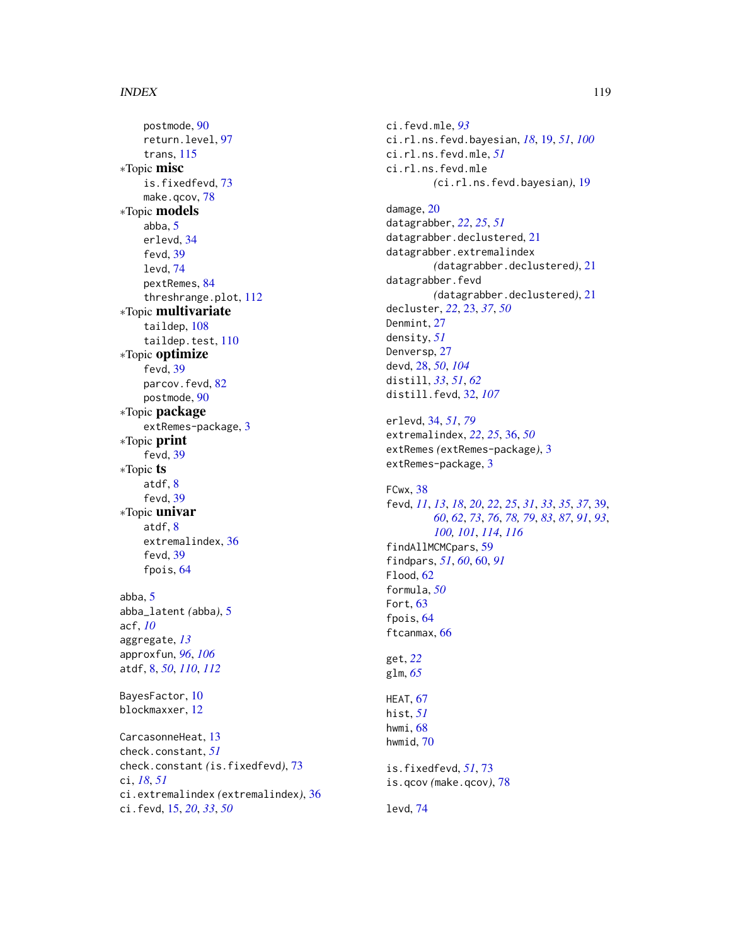# INDEX 119

postmode, [90](#page-89-0) return.level, [97](#page-96-0) trans, [115](#page-114-0) ∗Topic misc is.fixedfevd, [73](#page-72-0) make.qcov, [78](#page-77-0) ∗Topic models abba, [5](#page-4-0) erlevd, [34](#page-33-0) fevd, [39](#page-38-1) levd, [74](#page-73-0) pextRemes, [84](#page-83-0) threshrange.plot, [112](#page-111-0) ∗Topic multivariate taildep, [108](#page-107-1) taildep.test, [110](#page-109-1) ∗Topic optimize fevd, [39](#page-38-1) parcov.fevd, [82](#page-81-0) postmode, [90](#page-89-0) ∗Topic package extRemes-package, [3](#page-2-0) ∗Topic print fevd, [39](#page-38-1) ∗Topic ts atdf, [8](#page-7-1) fevd, [39](#page-38-1) ∗Topic univar atdf, [8](#page-7-1) extremalindex, [36](#page-35-0) fevd, [39](#page-38-1) fpois, [64](#page-63-0) abba, [5](#page-4-0) abba\_latent *(*abba*)*, [5](#page-4-0) acf, *[10](#page-9-0)* aggregate, *[13](#page-12-0)* approxfun, *[96](#page-95-0)*, *[106](#page-105-0)* atdf, [8,](#page-7-1) *[50](#page-49-0)*, *[110](#page-109-1)*, *[112](#page-111-0)* BayesFactor, [10](#page-9-0) blockmaxxer, [12](#page-11-0) CarcasonneHeat, [13](#page-12-0) check.constant, *[51](#page-50-0)* check.constant *(*is.fixedfevd*)*, [73](#page-72-0) ci, *[18](#page-17-0)*, *[51](#page-50-0)* ci.extremalindex *(*extremalindex*)*, [36](#page-35-0)

ci.fevd, [15,](#page-14-0) *[20](#page-19-0)*, *[33](#page-32-0)*, *[50](#page-49-0)*

ci.fevd.mle, *[93](#page-92-0)* ci.rl.ns.fevd.bayesian, *[18](#page-17-0)*, [19,](#page-18-0) *[51](#page-50-0)*, *[100](#page-99-0)* ci.rl.ns.fevd.mle, *[51](#page-50-0)* ci.rl.ns.fevd.mle *(*ci.rl.ns.fevd.bayesian*)*, [19](#page-18-0) damage, [20](#page-19-0) datagrabber, *[22](#page-21-0)*, *[25](#page-24-0)*, *[51](#page-50-0)* datagrabber.declustered, [21](#page-20-0) datagrabber.extremalindex *(*datagrabber.declustered*)*, [21](#page-20-0) datagrabber.fevd *(*datagrabber.declustered*)*, [21](#page-20-0) decluster, *[22](#page-21-0)*, [23,](#page-22-0) *[37](#page-36-0)*, *[50](#page-49-0)* Denmint, [27](#page-26-0) density, *[51](#page-50-0)* Denversp, [27](#page-26-0) devd, [28,](#page-27-0) *[50](#page-49-0)*, *[104](#page-103-0)* distill, *[33](#page-32-0)*, *[51](#page-50-0)*, *[62](#page-61-0)* distill.fevd, [32,](#page-31-0) *[107](#page-106-0)* erlevd, [34,](#page-33-0) *[51](#page-50-0)*, *[79](#page-78-1)* extremalindex, *[22](#page-21-0)*, *[25](#page-24-0)*, [36,](#page-35-0) *[50](#page-49-0)* extRemes *(*extRemes-package*)*, [3](#page-2-0) extRemes-package, [3](#page-2-0) FCwx, [38](#page-37-0) fevd, *[11](#page-10-0)*, *[13](#page-12-0)*, *[18](#page-17-0)*, *[20](#page-19-0)*, *[22](#page-21-0)*, *[25](#page-24-0)*, *[31](#page-30-0)*, *[33](#page-32-0)*, *[35](#page-34-0)*, *[37](#page-36-0)*, [39,](#page-38-1) *[60](#page-59-0)*, *[62](#page-61-0)*, *[73](#page-72-0)*, *[76](#page-75-1)*, *[78,](#page-77-0) [79](#page-78-1)*, *[83](#page-82-0)*, *[87](#page-86-0)*, *[91](#page-90-0)*, *[93](#page-92-0)*, *[100,](#page-99-0) [101](#page-100-1)*, *[114](#page-113-0)*, *[116](#page-115-0)* findAllMCMCpars, [59](#page-58-0) findpars, *[51](#page-50-0)*, *[60](#page-59-0)*, [60,](#page-59-0) *[91](#page-90-0)* Flood, [62](#page-61-0) formula, *[50](#page-49-0)* Fort, [63](#page-62-0) fpois, [64](#page-63-0) ftcanmax, [66](#page-65-0) get, *[22](#page-21-0)* glm, *[65](#page-64-0)*

HEAT, [67](#page-66-0) hist, *[51](#page-50-0)* hwmi, [68](#page-67-0) hwmid, [70](#page-69-0)

is.fixedfevd, *[51](#page-50-0)*, [73](#page-72-0) is.qcov *(*make.qcov*)*, [78](#page-77-0)

levd, [74](#page-73-0)